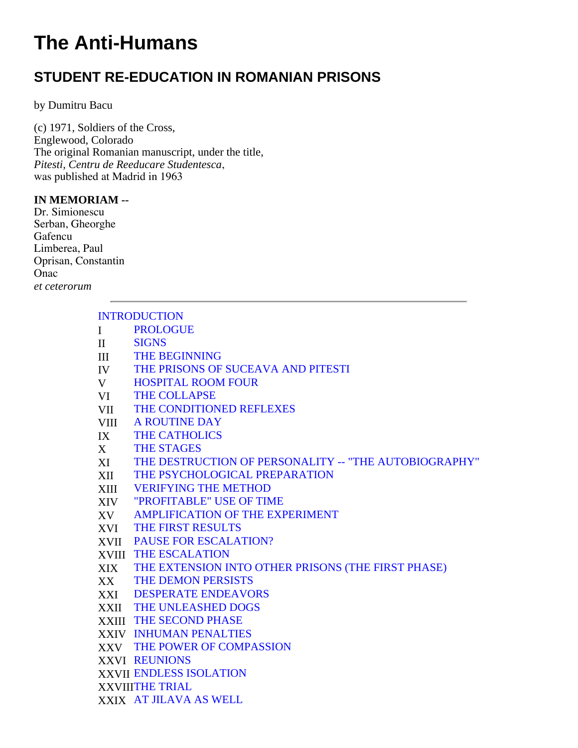# **The Anti-Humans**

#### **STUDENT RE-EDUCATION IN ROMANIAN PRISONS**

by Dumitru Bacu

(c) 1971, Soldiers of the Cross, Englewood, Colorado The original Romanian manuscript, under the title, *Pitesti, Centru de Reeducare Studentesca*, was published at Madrid in 1963

#### **IN MEMORIAM --**

Dr. Simionescu Serban, Gheorghe Gafencu Limberea, Paul Oprisan, Constantin Onac *et ceterorum*

#### INTRODUCTION I PROLOGUE

- II SIGNS
- III THE BEGINNING
- IV THE PRISONS OF SUCEAVA AND PITESTI
- V HOSPITAL ROOM FOUR
- VI THE COLLAPSE
- VII THE CONDITIONED REFLEXES
- VIII A ROUTINE DAY
- IX THE CATHOLICS
- X THE STAGES
- XI THE DESTRUCTION OF PERSONALITY -- "THE AUTOBIOGRAPHY"
- XII THE PSYCHOLOGICAL PREPARATION
- XIII VERIFYING THE METHOD
- XIV "PROFITABLE" USE OF TIME
- XV AMPLIFICATION OF THE EXPERIMENT
- XVI THE FIRST RESULTS
- XVII PAUSE FOR ESCALATION?
- XVIII THE ESCALATION
- XIX THE EXTENSION INTO OTHER PRISONS (THE FIRST PHASE)
- XX THE DEMON PERSISTS
- XXI DESPERATE ENDEAVORS
- XXII THE UNLEASHED DOGS
- XXIII THE SECOND PHASE
- XXIV INHUMAN PENALTIES
- XXV THE POWER OF COMPASSION
- XXVI REUNIONS
- XXVII ENDLESS ISOLATION
- XXVIIITHE TRIAL
- XXIX AT JILAVA AS WELL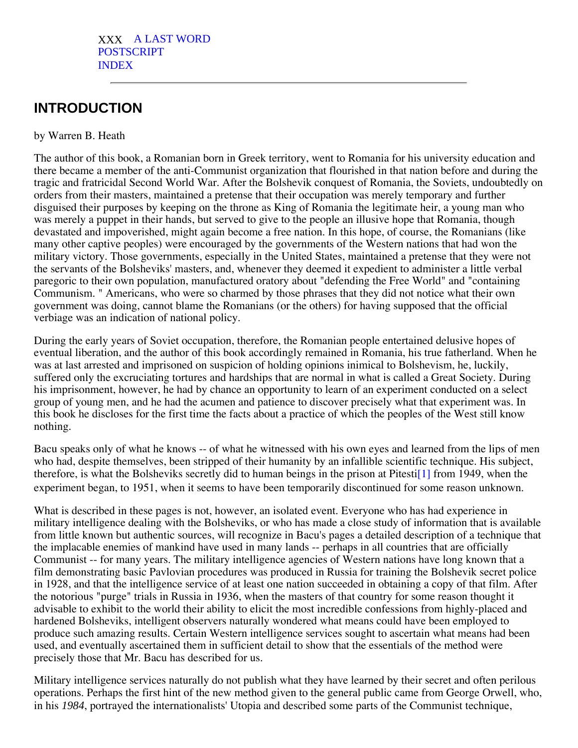#### **INTRODUCTION**

by Warren B. Heath

The author of this book, a Romanian born in Greek territory, went to Romania for his university education and there became a member of the anti-Communist organization that flourished in that nation before and during the tragic and fratricidal Second World War. After the Bolshevik conquest of Romania, the Soviets, undoubtedly on orders from their masters, maintained a pretense that their occupation was merely temporary and further disguised their purposes by keeping on the throne as King of Romania the legitimate heir, a young man who was merely a puppet in their hands, but served to give to the people an illusive hope that Romania, though devastated and impoverished, might again become a free nation. In this hope, of course, the Romanians (like many other captive peoples) were encouraged by the governments of the Western nations that had won the military victory. Those governments, especially in the United States, maintained a pretense that they were not the servants of the Bolsheviks' masters, and, whenever they deemed it expedient to administer a little verbal paregoric to their own population, manufactured oratory about "defending the Free World" and "containing Communism. " Americans, who were so charmed by those phrases that they did not notice what their own government was doing, cannot blame the Romanians (or the others) for having supposed that the official verbiage was an indication of national policy.

During the early years of Soviet occupation, therefore, the Romanian people entertained delusive hopes of eventual liberation, and the author of this book accordingly remained in Romania, his true fatherland. When he was at last arrested and imprisoned on suspicion of holding opinions inimical to Bolshevism, he, luckily, suffered only the excruciating tortures and hardships that are normal in what is called a Great Society. During his imprisonment, however, he had by chance an opportunity to learn of an experiment conducted on a select group of young men, and he had the acumen and patience to discover precisely what that experiment was. In this book he discloses for the first time the facts about a practice of which the peoples of the West still know nothing.

Bacu speaks only of what he knows -- of what he witnessed with his own eyes and learned from the lips of men who had, despite themselves, been stripped of their humanity by an infallible scientific technique. His subject, therefore, is what the Bolsheviks secretly did to human beings in the prison at Pitesti[1] from 1949, when the experiment began, to 1951, when it seems to have been temporarily discontinued for some reason unknown.

What is described in these pages is not, however, an isolated event. Everyone who has had experience in military intelligence dealing with the Bolsheviks, or who has made a close study of information that is available from little known but authentic sources, will recognize in Bacu's pages a detailed description of a technique that the implacable enemies of mankind have used in many lands -- perhaps in all countries that are officially Communist -- for many years. The military intelligence agencies of Western nations have long known that a film demonstrating basic Pavlovian procedures was produced in Russia for training the Bolshevik secret police in 1928, and that the intelligence service of at least one nation succeeded in obtaining a copy of that film. After the notorious "purge" trials in Russia in 1936, when the masters of that country for some reason thought it advisable to exhibit to the world their ability to elicit the most incredible confessions from highly-placed and hardened Bolsheviks, intelligent observers naturally wondered what means could have been employed to produce such amazing results. Certain Western intelligence services sought to ascertain what means had been used, and eventually ascertained them in sufficient detail to show that the essentials of the method were precisely those that Mr. Bacu has described for us.

Military intelligence services naturally do not publish what they have learned by their secret and often perilous operations. Perhaps the first hint of the new method given to the general public came from George Orwell, who, in his *1984*, portrayed the internationalists' Utopia and described some parts of the Communist technique,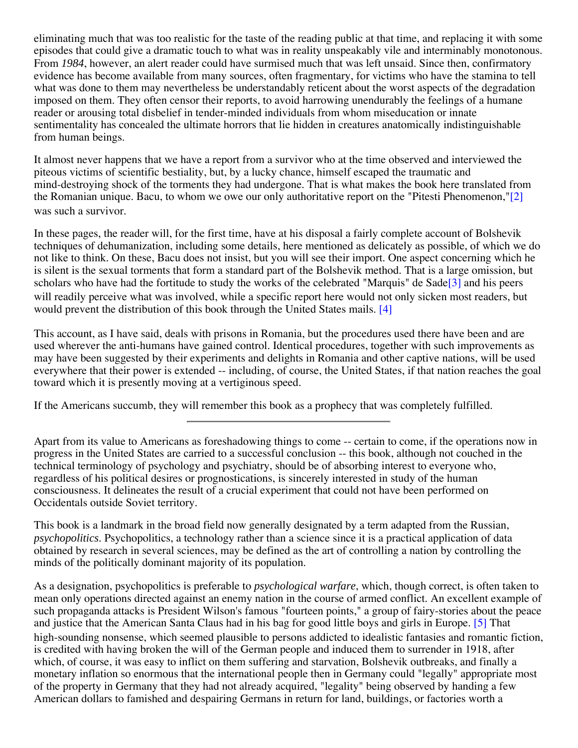eliminating much that was too realistic for the taste of the reading public at that time, and replacing it with some episodes that could give a dramatic touch to what was in reality unspeakably vile and interminably monotonous. From *1984*, however, an alert reader could have surmised much that was left unsaid. Since then, confirmatory evidence has become available from many sources, often fragmentary, for victims who have the stamina to tell what was done to them may nevertheless be understandably reticent about the worst aspects of the degradation imposed on them. They often censor their reports, to avoid harrowing unendurably the feelings of a humane reader or arousing total disbelief in tender-minded individuals from whom miseducation or innate sentimentality has concealed the ultimate horrors that lie hidden in creatures anatomically indistinguishable from human beings.

It almost never happens that we have a report from a survivor who at the time observed and interviewed the piteous victims of scientific bestiality, but, by a lucky chance, himself escaped the traumatic and mind-destroying shock of the torments they had undergone. That is what makes the book here translated from the Romanian unique. Bacu, to whom we owe our only authoritative report on the "Pitesti Phenomenon,"[2] was such a survivor.

In these pages, the reader will, for the first time, have at his disposal a fairly complete account of Bolshevik techniques of dehumanization, including some details, here mentioned as delicately as possible, of which we do not like to think. On these, Bacu does not insist, but you will see their import. One aspect concerning which he is silent is the sexual torments that form a standard part of the Bolshevik method. That is a large omission, but scholars who have had the fortitude to study the works of the celebrated "Marquis" de Sade<sup>[3]</sup> and his peers will readily perceive what was involved, while a specific report here would not only sicken most readers, but would prevent the distribution of this book through the United States mails. [4]

This account, as I have said, deals with prisons in Romania, but the procedures used there have been and are used wherever the anti-humans have gained control. Identical procedures, together with such improvements as may have been suggested by their experiments and delights in Romania and other captive nations, will be used everywhere that their power is extended -- including, of course, the United States, if that nation reaches the goal toward which it is presently moving at a vertiginous speed.

If the Americans succumb, they will remember this book as a prophecy that was completely fulfilled.

Apart from its value to Americans as foreshadowing things to come -- certain to come, if the operations now in progress in the United States are carried to a successful conclusion -- this book, although not couched in the technical terminology of psychology and psychiatry, should be of absorbing interest to everyone who, regardless of his political desires or prognostications, is sincerely interested in study of the human consciousness. It delineates the result of a crucial experiment that could not have been performed on Occidentals outside Soviet territory.

This book is a landmark in the broad field now generally designated by a term adapted from the Russian, *psychopolitics*. Psychopolitics, a technology rather than a science since it is a practical application of data obtained by research in several sciences, may be defined as the art of controlling a nation by controlling the minds of the politically dominant majority of its population.

As a designation, psychopolitics is preferable to *psychological warfare*, which, though correct, is often taken to mean only operations directed against an enemy nation in the course of armed conflict. An excellent example of such propaganda attacks is President Wilson's famous "fourteen points," a group of fairy-stories about the peace and justice that the American Santa Claus had in his bag for good little boys and girls in Europe. [5] That high-sounding nonsense, which seemed plausible to persons addicted to idealistic fantasies and romantic fiction, is credited with having broken the will of the German people and induced them to surrender in 1918, after which, of course, it was easy to inflict on them suffering and starvation, Bolshevik outbreaks, and finally a monetary inflation so enormous that the international people then in Germany could "legally" appropriate most of the property in Germany that they had not already acquired, "legality" being observed by handing a few American dollars to famished and despairing Germans in return for land, buildings, or factories worth a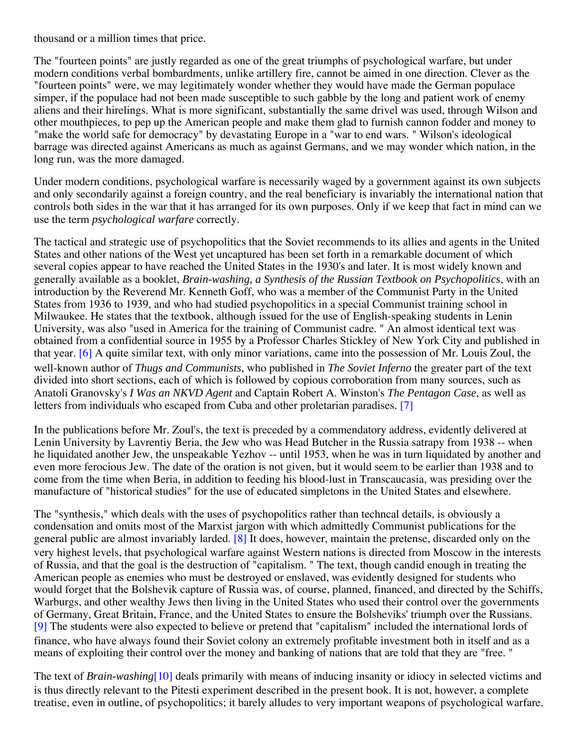thousand or a million times that price.

The "fourteen points" are justly regarded as one of the great triumphs of psychological warfare, but under modern conditions verbal bombardments, unlike artillery fire, cannot be aimed in one direction. Clever as the "fourteen points" were, we may legitimately wonder whether they would have made the German populace simper, if the populace had not been made susceptible to such gabble by the long and patient work of enemy aliens and their hirelings. What is more significant, substantially the same drivel was used, through Wilson and other mouthpieces, to pep up the American people and make them glad to furnish cannon fodder and money to "make the world safe for democracy" by devastating Europe in a "war to end wars. " Wilson's ideological barrage was directed against Americans as much as against Germans, and we may wonder which nation, in the long run, was the more damaged.

Under modern conditions, psychological warfare is necessarily waged by a government against its own subjects and only secondarily against a foreign country, and the real beneficiary is invariably the international nation that controls both sides in the war that it has arranged for its own purposes. Only if we keep that fact in mind can we use the term *psychological warfare* correctly.

The tactical and strategic use of psychopolitics that the Soviet recommends to its allies and agents in the United States and other nations of the West yet uncaptured has been set forth in a remarkable document of which several copies appear to have reached the United States in the 1930's and later. It is most widely known and generally available as a booklet, *Brain-washing, a Synthesis of the Russian Textbook on Psychopolitics*, with an introduction by the Reverend Mr. Kenneth Goff, who was a member of the Communist Party in the United States from 1936 to 1939, and who had studied psychopolitics in a special Communist training school in Milwaukee. He states that the textbook, although issued for the use of English-speaking students in Lenin University, was also "used in America for the training of Communist cadre. " An almost identical text was obtained from a confidential source in 1955 by a Professor Charles Stickley of New York City and published in that year. [6] A quite similar text, with only minor variations, came into the possession of Mr. Louis Zoul, the well-known author of *Thugs and Communists*, who published in *The Soviet Inferno* the greater part of the text divided into short sections, each of which is followed by copious corroboration from many sources, such as Anatoli Granovsky's *I Was an NKVD Agent* and Captain Robert A. Winston's *The Pentagon Case*, as well as letters from individuals who escaped from Cuba and other proletarian paradises. [7]

In the publications before Mr. Zoul's, the text is preceded by a commendatory address, evidently delivered at Lenin University by Lavrentiy Beria, the Jew who was Head Butcher in the Russia satrapy from 1938 -- when he liquidated another Jew, the unspeakable Yezhov -- until 1953, when he was in turn liquidated by another and even more ferocious Jew. The date of the oration is not given, but it would seem to be earlier than 1938 and to come from the time when Beria, in addition to feeding his blood-lust in Transcaucasia, was presiding over the manufacture of "historical studies" for the use of educated simpletons in the United States and elsewhere.

The "synthesis," which deals with the uses of psychopolitics rather than techncal details, is obviously a condensation and omits most of the Marxist jargon with which admittedly Communist publications for the general public are almost invariably larded. [8] It does, however, maintain the pretense, discarded only on the very highest levels, that psychological warfare against Western nations is directed from Moscow in the interests of Russia, and that the goal is the destruction of "capitalism. " The text, though candid enough in treating the American people as enemies who must be destroyed or enslaved, was evidently designed for students who would forget that the Bolshevik capture of Russia was, of course, planned, financed, and directed by the Schiffs, Warburgs, and other wealthy Jews then living in the United States who used their control over the governments of Germany, Great Britain, France, and the United States to ensure the Bolsheviks' triumph over the Russians. [9] The students were also expected to believe or pretend that "capitalism" included the international lords of finance, who have always found their Soviet colony an extremely profitable investment both in itself and as a means of exploiting their control over the money and banking of nations that are told that they are "free. "

The text of *Brain-washing*[10] deals primarily with means of inducing insanity or idiocy in selected victims and is thus directly relevant to the Pitesti experiment described in the present book. It is not, however, a complete treatise, even in outline, of psychopolitics; it barely alludes to very important weapons of psychological warfare.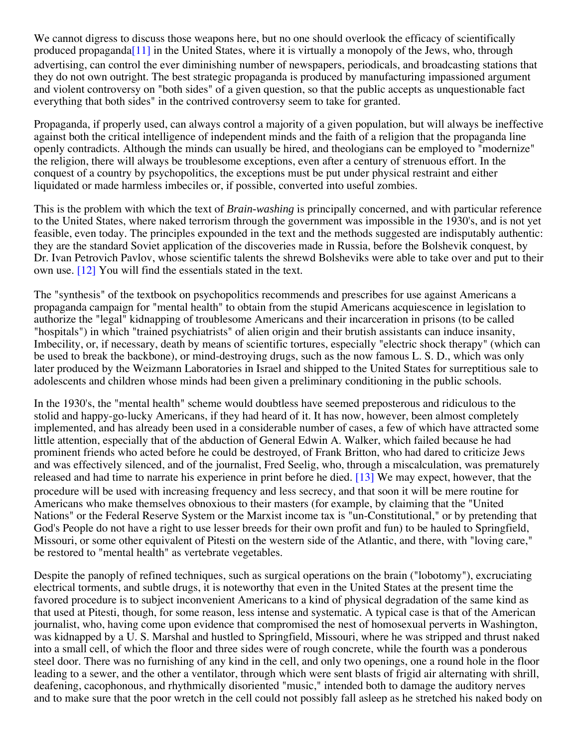We cannot digress to discuss those weapons here, but no one should overlook the efficacy of scientifically produced propaganda[11] in the United States, where it is virtually a monopoly of the Jews, who, through advertising, can control the ever diminishing number of newspapers, periodicals, and broadcasting stations that they do not own outright. The best strategic propaganda is produced by manufacturing impassioned argument and violent controversy on "both sides" of a given question, so that the public accepts as unquestionable fact everything that both sides" in the contrived controversy seem to take for granted.

Propaganda, if properly used, can always control a majority of a given population, but will always be ineffective against both the critical intelligence of independent minds and the faith of a religion that the propaganda line openly contradicts. Although the minds can usually be hired, and theologians can be employed to "modernize" the religion, there will always be troublesome exceptions, even after a century of strenuous effort. In the conquest of a country by psychopolitics, the exceptions must be put under physical restraint and either liquidated or made harmless imbeciles or, if possible, converted into useful zombies.

This is the problem with which the text of *Brain-washing* is principally concerned, and with particular reference to the United States, where naked terrorism through the government was impossible in the 1930's, and is not yet feasible, even today. The principles expounded in the text and the methods suggested are indisputably authentic: they are the standard Soviet application of the discoveries made in Russia, before the Bolshevik conquest, by Dr. Ivan Petrovich Pavlov, whose scientific talents the shrewd Bolsheviks were able to take over and put to their own use. [12] You will find the essentials stated in the text.

The "synthesis" of the textbook on psychopolitics recommends and prescribes for use against Americans a propaganda campaign for "mental health" to obtain from the stupid Americans acquiescence in legislation to authorize the "legal" kidnapping of troublesome Americans and their incarceration in prisons (to be called "hospitals") in which "trained psychiatrists" of alien origin and their brutish assistants can induce insanity, Imbecility, or, if necessary, death by means of scientific tortures, especially "electric shock therapy" (which can be used to break the backbone), or mind-destroying drugs, such as the now famous L. S. D., which was only later produced by the Weizmann Laboratories in Israel and shipped to the United States for surreptitious sale to adolescents and children whose minds had been given a preliminary conditioning in the public schools.

In the 1930's, the "mental health" scheme would doubtless have seemed preposterous and ridiculous to the stolid and happy-go-lucky Americans, if they had heard of it. It has now, however, been almost completely implemented, and has already been used in a considerable number of cases, a few of which have attracted some little attention, especially that of the abduction of General Edwin A. Walker, which failed because he had prominent friends who acted before he could be destroyed, of Frank Britton, who had dared to criticize Jews and was effectively silenced, and of the journalist, Fred Seelig, who, through a miscalculation, was prematurely released and had time to narrate his experience in print before he died. [13] We may expect, however, that the procedure will be used with increasing frequency and less secrecy, and that soon it will be mere routine for Americans who make themselves obnoxious to their masters (for example, by claiming that the "United Nations" or the Federal Reserve System or the Marxist income tax is "un-Constitutional," or by pretending that God's People do not have a right to use lesser breeds for their own profit and fun) to be hauled to Springfield, Missouri, or some other equivalent of Pitesti on the western side of the Atlantic, and there, with "loving care," be restored to "mental health" as vertebrate vegetables.

Despite the panoply of refined techniques, such as surgical operations on the brain ("lobotomy"), excruciating electrical torments, and subtle drugs, it is noteworthy that even in the United States at the present time the favored procedure is to subject inconvenient Americans to a kind of physical degradation of the same kind as that used at Pitesti, though, for some reason, less intense and systematic. A typical case is that of the American journalist, who, having come upon evidence that compromised the nest of homosexual perverts in Washington, was kidnapped by a U. S. Marshal and hustled to Springfield, Missouri, where he was stripped and thrust naked into a small cell, of which the floor and three sides were of rough concrete, while the fourth was a ponderous steel door. There was no furnishing of any kind in the cell, and only two openings, one a round hole in the floor leading to a sewer, and the other a ventilator, through which were sent blasts of frigid air alternating with shrill, deafening, cacophonous, and rhythmically disoriented "music," intended both to damage the auditory nerves and to make sure that the poor wretch in the cell could not possibly fall asleep as he stretched his naked body on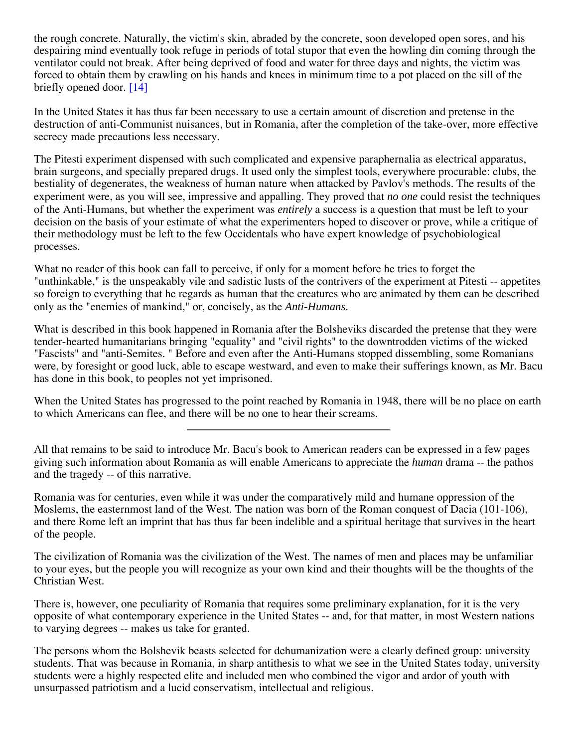the rough concrete. Naturally, the victim's skin, abraded by the concrete, soon developed open sores, and his despairing mind eventually took refuge in periods of total stupor that even the howling din coming through the ventilator could not break. After being deprived of food and water for three days and nights, the victim was forced to obtain them by crawling on his hands and knees in minimum time to a pot placed on the sill of the briefly opened door. [14]

In the United States it has thus far been necessary to use a certain amount of discretion and pretense in the destruction of anti-Communist nuisances, but in Romania, after the completion of the take-over, more effective secrecy made precautions less necessary.

The Pitesti experiment dispensed with such complicated and expensive paraphernalia as electrical apparatus, brain surgeons, and specially prepared drugs. It used only the simplest tools, everywhere procurable: clubs, the bestiality of degenerates, the weakness of human nature when attacked by Pavlov's methods. The results of the experiment were, as you will see, impressive and appalling. They proved that *no one* could resist the techniques of the Anti-Humans, but whether the experiment was *entirely* a success is a question that must be left to your decision on the basis of your estimate of what the experimenters hoped to discover or prove, while a critique of their methodology must be left to the few Occidentals who have expert knowledge of psychobiological processes.

What no reader of this book can fall to perceive, if only for a moment before he tries to forget the "unthinkable," is the unspeakably vile and sadistic lusts of the contrivers of the experiment at Pitesti -- appetites so foreign to everything that he regards as human that the creatures who are animated by them can be described only as the "enemies of mankind," or, concisely, as the *Anti-Humans*.

What is described in this book happened in Romania after the Bolsheviks discarded the pretense that they were tender-hearted humanitarians bringing "equality" and "civil rights" to the downtrodden victims of the wicked "Fascists" and "anti-Semites. " Before and even after the Anti-Humans stopped dissembling, some Romanians were, by foresight or good luck, able to escape westward, and even to make their sufferings known, as Mr. Bacu has done in this book, to peoples not yet imprisoned.

When the United States has progressed to the point reached by Romania in 1948, there will be no place on earth to which Americans can flee, and there will be no one to hear their screams.

All that remains to be said to introduce Mr. Bacu's book to American readers can be expressed in a few pages giving such information about Romania as will enable Americans to appreciate the *human* drama -- the pathos and the tragedy -- of this narrative.

Romania was for centuries, even while it was under the comparatively mild and humane oppression of the Moslems, the easternmost land of the West. The nation was born of the Roman conquest of Dacia (101-106), and there Rome left an imprint that has thus far been indelible and a spiritual heritage that survives in the heart of the people.

The civilization of Romania was the civilization of the West. The names of men and places may be unfamiliar to your eyes, but the people you will recognize as your own kind and their thoughts will be the thoughts of the Christian West.

There is, however, one peculiarity of Romania that requires some preliminary explanation, for it is the very opposite of what contemporary experience in the United States -- and, for that matter, in most Western nations to varying degrees -- makes us take for granted.

The persons whom the Bolshevik beasts selected for dehumanization were a clearly defined group: university students. That was because in Romania, in sharp antithesis to what we see in the United States today, university students were a highly respected elite and included men who combined the vigor and ardor of youth with unsurpassed patriotism and a lucid conservatism, intellectual and religious.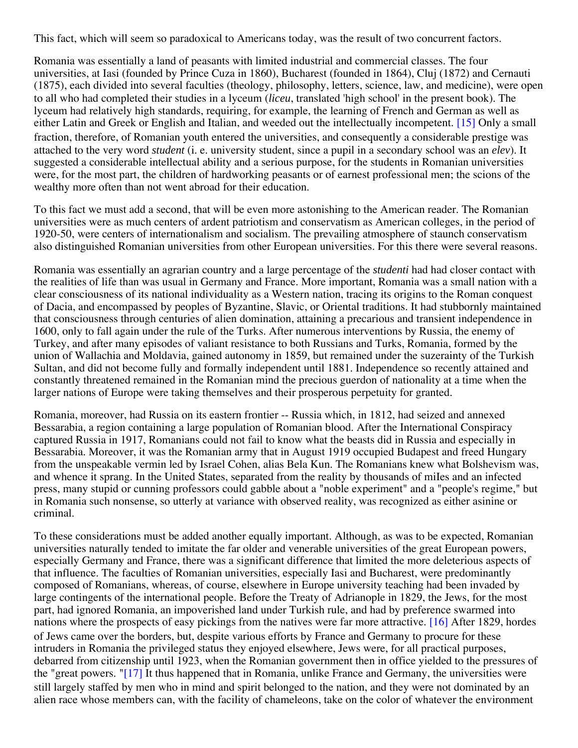This fact, which will seem so paradoxical to Americans today, was the result of two concurrent factors.

Romania was essentially a land of peasants with limited industrial and commercial classes. The four universities, at Iasi (founded by Prince Cuza in 1860), Bucharest (founded in 1864), Cluj (1872) and Cernauti (1875), each divided into several faculties (theology, philosophy, letters, science, law, and medicine), were open to all who had completed their studies in a lyceum (*liceu*, translated 'high school' in the present book). The lyceum had relatively high standards, requiring, for example, the learning of French and German as well as either Latin and Greek or English and Italian, and weeded out the intellectually incompetent. [15] Only a small fraction, therefore, of Romanian youth entered the universities, and consequently a considerable prestige was attached to the very word *student* (i. e. university student, since a pupil in a secondary school was an *elev*). It suggested a considerable intellectual ability and a serious purpose, for the students in Romanian universities were, for the most part, the children of hardworking peasants or of earnest professional men; the scions of the wealthy more often than not went abroad for their education.

To this fact we must add a second, that will be even more astonishing to the American reader. The Romanian universities were as much centers of ardent patriotism and conservatism as American colleges, in the period of 1920-50, were centers of internationalism and socialism. The prevailing atmosphere of staunch conservatism also distinguished Romanian universities from other European universities. For this there were several reasons.

Romania was essentially an agrarian country and a large percentage of the *studenti* had had closer contact with the realities of life than was usual in Germany and France. More important, Romania was a small nation with a clear consciousness of its national individuality as a Western nation, tracing its origins to the Roman conquest of Dacia, and encompassed by peoples of Byzantine, Slavic, or Oriental traditions. It had stubbornly maintained that consciousness through centuries of alien domination, attaining a precarious and transient independence in 1600, only to fall again under the rule of the Turks. After numerous interventions by Russia, the enemy of Turkey, and after many episodes of valiant resistance to both Russians and Turks, Romania, formed by the union of Wallachia and Moldavia, gained autonomy in 1859, but remained under the suzerainty of the Turkish Sultan, and did not become fully and formally independent until 1881. Independence so recently attained and constantly threatened remained in the Romanian mind the precious guerdon of nationality at a time when the larger nations of Europe were taking themselves and their prosperous perpetuity for granted.

Romania, moreover, had Russia on its eastern frontier -- Russia which, in 1812, had seized and annexed Bessarabia, a region containing a large population of Romanian blood. After the International Conspiracy captured Russia in 1917, Romanians could not fail to know what the beasts did in Russia and especially in Bessarabia. Moreover, it was the Romanian army that in August 1919 occupied Budapest and freed Hungary from the unspeakable vermin led by Israel Cohen, alias Bela Kun. The Romanians knew what Bolshevism was, and whence it sprang. In the United States, separated from the reality by thousands of miIes and an infected press, many stupid or cunning professors could gabble about a "noble experiment" and a "people's regime," but in Romania such nonsense, so utterly at variance with observed reality, was recognized as either asinine or criminal.

To these considerations must be added another equally important. Although, as was to be expected, Romanian universities naturally tended to imitate the far older and venerable universities of the great European powers, especially Germany and France, there was a significant difference that limited the more deleterious aspects of that influence. The faculties of Romanian universities, especially Iasi and Bucharest, were predominantly composed of Romanians, whereas, of course, elsewhere in Europe university teaching had been invaded by large contingents of the international people. Before the Treaty of Adrianople in 1829, the Jews, for the most part, had ignored Romania, an impoverished land under Turkish rule, and had by preference swarmed into nations where the prospects of easy pickings from the natives were far more attractive. [16] After 1829, hordes of Jews came over the borders, but, despite various efforts by France and Germany to procure for these intruders in Romania the privileged status they enjoyed elsewhere, Jews were, for all practical purposes, debarred from citizenship until 1923, when the Romanian government then in office yielded to the pressures of the "great powers. "[17] It thus happened that in Romania, unlike France and Germany, the universities were still largely staffed by men who in mind and spirit belonged to the nation, and they were not dominated by an alien race whose members can, with the facility of chameleons, take on the color of whatever the environment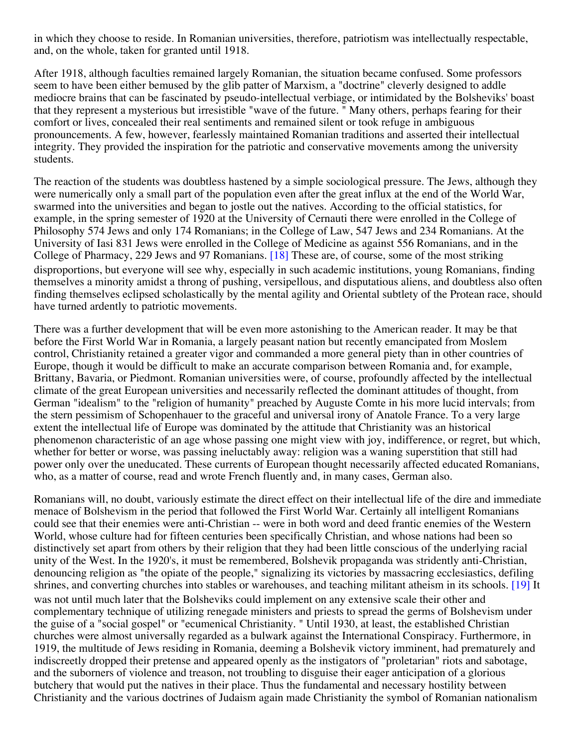in which they choose to reside. In Romanian universities, therefore, patriotism was intellectually respectable, and, on the whole, taken for granted until 1918.

After 1918, although faculties remained largely Romanian, the situation became confused. Some professors seem to have been either bemused by the glib patter of Marxism, a "doctrine" cleverly designed to addle mediocre brains that can be fascinated by pseudo-intellectual verbiage, or intimidated by the Bolsheviks' boast that they represent a mysterious but irresistible "wave of the future. " Many others, perhaps fearing for their comfort or lives, concealed their real sentiments and remained silent or took refuge in ambiguous pronouncements. A few, however, fearlessly maintained Romanian traditions and asserted their intellectual integrity. They provided the inspiration for the patriotic and conservative movements among the university students.

The reaction of the students was doubtless hastened by a simple sociological pressure. The Jews, although they were numerically only a small part of the population even after the great influx at the end of the World War, swarmed into the universities and began to jostle out the natives. According to the official statistics, for example, in the spring semester of 1920 at the University of Cernauti there were enrolled in the College of Philosophy 574 Jews and only 174 Romanians; in the College of Law, 547 Jews and 234 Romanians. At the University of Iasi 831 Jews were enrolled in the College of Medicine as against 556 Romanians, and in the College of Pharmacy, 229 Jews and 97 Romanians. [18] These are, of course, some of the most striking disproportions, but everyone will see why, especially in such academic institutions, young Romanians, finding themselves a minority amidst a throng of pushing, versipellous, and disputatious aliens, and doubtless also often finding themselves eclipsed scholastically by the mental agility and Oriental subtlety of the Protean race, should have turned ardently to patriotic movements.

There was a further development that will be even more astonishing to the American reader. It may be that before the First World War in Romania, a largely peasant nation but recently emancipated from Moslem control, Christianity retained a greater vigor and commanded a more general piety than in other countries of Europe, though it would be difficult to make an accurate comparison between Romania and, for example, Brittany, Bavaria, or Piedmont. Romanian universities were, of course, profoundly affected by the intellectual climate of the great European universities and necessarily reflected the dominant attitudes of thought, from German "idealism" to the "religion of humanity" preached by Auguste Comte in his more lucid intervals; from the stern pessimism of Schopenhauer to the graceful and universal irony of Anatole France. To a very large extent the intellectual life of Europe was dominated by the attitude that Christianity was an historical phenomenon characteristic of an age whose passing one might view with joy, indifference, or regret, but which, whether for better or worse, was passing ineluctably away: religion was a waning superstition that still had power only over the uneducated. These currents of European thought necessarily affected educated Romanians, who, as a matter of course, read and wrote French fluently and, in many cases, German also.

Romanians will, no doubt, variously estimate the direct effect on their intellectual life of the dire and immediate menace of Bolshevism in the period that followed the First World War. Certainly all intelligent Romanians could see that their enemies were anti-Christian -- were in both word and deed frantic enemies of the Western World, whose culture had for fifteen centuries been specifically Christian, and whose nations had been so distinctively set apart from others by their religion that they had been little conscious of the underlying racial unity of the West. In the 1920's, it must be remembered, Bolshevik propaganda was stridently anti-Christian, denouncing religion as "the opiate of the people," signalizing its victories by massacring ecclesiastics, defiling shrines, and converting churches into stables or warehouses, and teaching militant atheism in its schools. [19] It was not until much later that the Bolsheviks could implement on any extensive scale their other and complementary technique of utilizing renegade ministers and priests to spread the germs of Bolshevism under the guise of a "social gospel" or "ecumenical Christianity. " Until 1930, at least, the established Christian churches were almost universally regarded as a bulwark against the International Conspiracy. Furthermore, in 1919, the multitude of Jews residing in Romania, deeming a Bolshevik victory imminent, had prematurely and indiscreetly dropped their pretense and appeared openly as the instigators of "proletarian" riots and sabotage, and the suborners of violence and treason, not troubling to disguise their eager anticipation of a glorious butchery that would put the natives in their place. Thus the fundamental and necessary hostility between Christianity and the various doctrines of Judaism again made Christianity the symbol of Romanian nationalism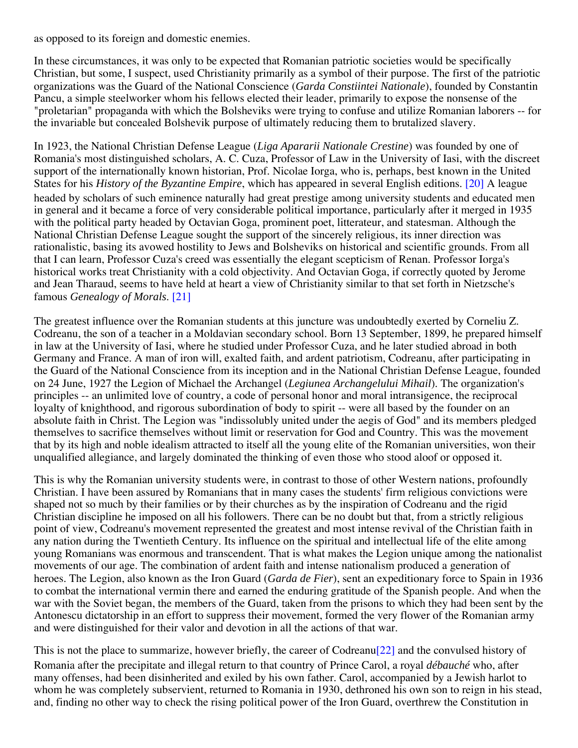as opposed to its foreign and domestic enemies.

In these circumstances, it was only to be expected that Romanian patriotic societies would be specifically Christian, but some, I suspect, used Christianity primarily as a symbol of their purpose. The first of the patriotic organizations was the Guard of the National Conscience (*Garda Constiintei Nationale*), founded by Constantin Pancu, a simple steelworker whom his fellows elected their leader, primarily to expose the nonsense of the "proletarian" propaganda with which the Bolsheviks were trying to confuse and utilize Romanian laborers -- for the invariable but concealed Bolshevik purpose of ultimately reducing them to brutalized slavery.

In 1923, the National Christian Defense League (*Liga Apararii Nationale Crestine*) was founded by one of Romania's most distinguished scholars, A. C. Cuza, Professor of Law in the University of Iasi, with the discreet support of the internationally known historian, Prof. Nicolae Iorga, who is, perhaps, best known in the United States for his *History of the Byzantine Empire*, which has appeared in several English editions. [20] A league headed by scholars of such eminence naturally had great prestige among university students and educated men in general and it became a force of very considerable political importance, particularly after it merged in 1935 with the political party headed by Octavian Goga, prominent poet, litterateur, and statesman. Although the National Christian Defense League sought the support of the sincerely religious, its inner direction was rationalistic, basing its avowed hostility to Jews and Bolsheviks on historical and scientific grounds. From all that I can learn, Professor Cuza's creed was essentially the elegant scepticism of Renan. Professor Iorga's historical works treat Christianity with a cold objectivity. And Octavian Goga, if correctly quoted by Jerome and Jean Tharaud, seems to have held at heart a view of Christianity similar to that set forth in Nietzsche's famous *Genealogy of Morals*. [21]

The greatest influence over the Romanian students at this juncture was undoubtedly exerted by Corneliu Z. Codreanu, the son of a teacher in a Moldavian secondary school. Born 13 September, 1899, he prepared himself in law at the University of Iasi, where he studied under Professor Cuza, and he later studied abroad in both Germany and France. A man of iron will, exalted faith, and ardent patriotism, Codreanu, after participating in the Guard of the National Conscience from its inception and in the National Christian Defense League, founded on 24 June, 1927 the Legion of Michael the Archangel (*Legiunea Archangelului Mihail*). The organization's principles -- an unlimited love of country, a code of personal honor and moral intransigence, the reciprocal loyalty of knighthood, and rigorous subordination of body to spirit -- were all based by the founder on an absolute faith in Christ. The Legion was "indissolubly united under the aegis of God" and its members pledged themselves to sacrifice themselves without limit or reservation for God and Country. This was the movement that by its high and noble idealism attracted to itself all the young elite of the Romanian universities, won their unqualified allegiance, and largely dominated the thinking of even those who stood aloof or opposed it.

This is why the Romanian university students were, in contrast to those of other Western nations, profoundly Christian. I have been assured by Romanians that in many cases the students' firm religious convictions were shaped not so much by their families or by their churches as by the inspiration of Codreanu and the rigid Christian discipline he imposed on all his followers. There can be no doubt but that, from a strictly religious point of view, Codreanu's movement represented the greatest and most intense revival of the Christian faith in any nation during the Twentieth Century. Its influence on the spiritual and intellectual life of the elite among young Romanians was enormous and transcendent. That is what makes the Legion unique among the nationalist movements of our age. The combination of ardent faith and intense nationalism produced a generation of heroes. The Legion, also known as the Iron Guard (*Garda de Fier*), sent an expeditionary force to Spain in 1936 to combat the international vermin there and earned the enduring gratitude of the Spanish people. And when the war with the Soviet began, the members of the Guard, taken from the prisons to which they had been sent by the Antonescu dictatorship in an effort to suppress their movement, formed the very flower of the Romanian army and were distinguished for their valor and devotion in all the actions of that war.

This is not the place to summarize, however briefly, the career of Codreanu[22] and the convulsed history of Romania after the precipitate and illegal return to that country of Prince Carol, a royal *débauché* who, after many offenses, had been disinherited and exiled by his own father. Carol, accompanied by a Jewish harlot to whom he was completely subservient, returned to Romania in 1930, dethroned his own son to reign in his stead, and, finding no other way to check the rising political power of the Iron Guard, overthrew the Constitution in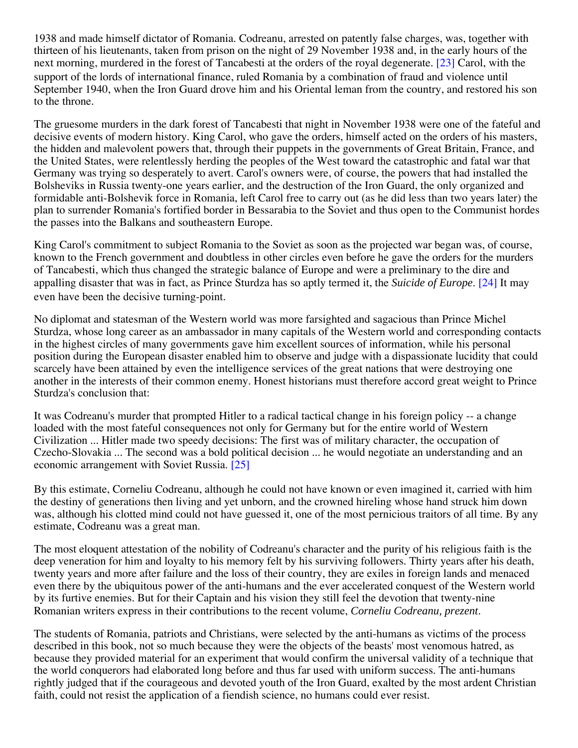1938 and made himself dictator of Romania. Codreanu, arrested on patently false charges, was, together with thirteen of his lieutenants, taken from prison on the night of 29 November 1938 and, in the early hours of the next morning, murdered in the forest of Tancabesti at the orders of the royal degenerate. [23] Carol, with the support of the lords of international finance, ruled Romania by a combination of fraud and violence until September 1940, when the Iron Guard drove him and his Oriental leman from the country, and restored his son to the throne.

The gruesome murders in the dark forest of Tancabesti that night in November 1938 were one of the fateful and decisive events of modern history. King Carol, who gave the orders, himself acted on the orders of his masters, the hidden and malevolent powers that, through their puppets in the governments of Great Britain, France, and the United States, were relentlessly herding the peoples of the West toward the catastrophic and fatal war that Germany was trying so desperately to avert. Carol's owners were, of course, the powers that had installed the Bolsheviks in Russia twenty-one years earlier, and the destruction of the Iron Guard, the only organized and formidable anti-Bolshevik force in Romania, left Carol free to carry out (as he did less than two years later) the plan to surrender Romania's fortified border in Bessarabia to the Soviet and thus open to the Communist hordes the passes into the Balkans and southeastern Europe.

King Carol's commitment to subject Romania to the Soviet as soon as the projected war began was, of course, known to the French government and doubtless in other circles even before he gave the orders for the murders of Tancabesti, which thus changed the strategic balance of Europe and were a preliminary to the dire and appalling disaster that was in fact, as Prince Sturdza has so aptly termed it, the *Suicide of Europe*. [24] It may even have been the decisive turning-point.

No diplomat and statesman of the Western world was more farsighted and sagacious than Prince Michel Sturdza, whose long career as an ambassador in many capitals of the Western world and corresponding contacts in the highest circles of many governments gave him excellent sources of information, while his personal position during the European disaster enabled him to observe and judge with a dispassionate lucidity that could scarcely have been attained by even the intelligence services of the great nations that were destroying one another in the interests of their common enemy. Honest historians must therefore accord great weight to Prince Sturdza's conclusion that:

It was Codreanu's murder that prompted Hitler to a radical tactical change in his foreign policy -- a change loaded with the most fateful consequences not only for Germany but for the entire world of Western Civilization ... Hitler made two speedy decisions: The first was of military character, the occupation of Czecho-Slovakia ... The second was a bold political decision ... he would negotiate an understanding and an economic arrangement with Soviet Russia. [25]

By this estimate, Corneliu Codreanu, although he could not have known or even imagined it, carried with him the destiny of generations then living and yet unborn, and the crowned hireling whose hand struck him down was, although his clotted mind could not have guessed it, one of the most pernicious traitors of all time. By any estimate, Codreanu was a great man.

The most eloquent attestation of the nobility of Codreanu's character and the purity of his religious faith is the deep veneration for him and loyalty to his memory felt by his surviving followers. Thirty years after his death, twenty years and more after failure and the loss of their country, they are exiles in foreign lands and menaced even there by the ubiquitous power of the anti-humans and the ever accelerated conquest of the Western world by its furtive enemies. But for their Captain and his vision they still feel the devotion that twenty-nine Romanian writers express in their contributions to the recent volume, *Corneliu Codreanu, prezent*.

The students of Romania, patriots and Christians, were selected by the anti-humans as victims of the process described in this book, not so much because they were the objects of the beasts' most venomous hatred, as because they provided material for an experiment that would confirm the universal validity of a technique that the world conquerors had elaborated long before and thus far used with uniform success. The anti-humans rightly judged that if the courageous and devoted youth of the Iron Guard, exalted by the most ardent Christian faith, could not resist the application of a fiendish science, no humans could ever resist.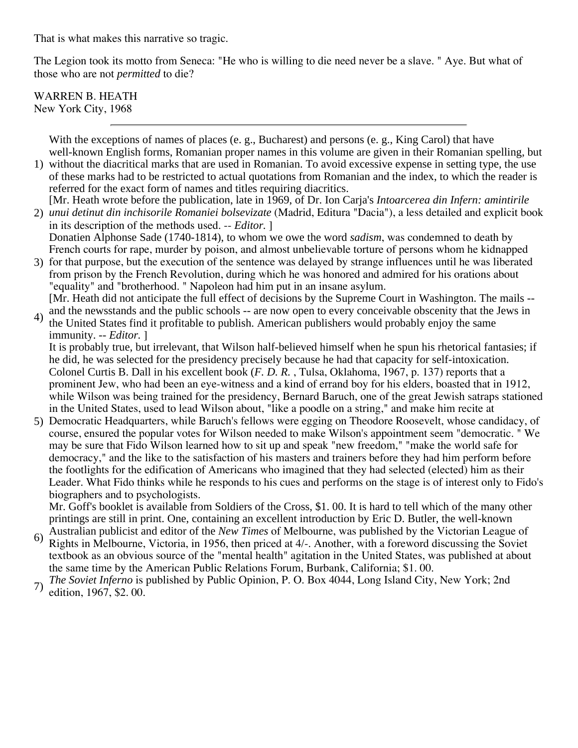That is what makes this narrative so tragic.

The Legion took its motto from Seneca: "He who is willing to die need never be a slave. " Aye. But what of those who are not *permitted* to die?

WARREN B. HEATH New York City, 1968

> With the exceptions of names of places (e. g., Bucharest) and persons (e. g., King Carol) that have well-known English forms, Romanian proper names in this volume are given in their Romanian spelling, but

- 1) without the diacritical marks that are used in Romanian. To avoid excessive expense in setting type, the use of these marks had to be restricted to actual quotations from Romanian and the index, to which the reader is referred for the exact form of names and titles requiring diacritics.
- 2) *unui detinut din inchisorile Romaniei bolsevizate* (Madrid, Editura "Dacia"), a less detailed and explicit book [Mr. Heath wrote before the publication, late in 1969, of Dr. Ion Carja's *Intoarcerea din Infern: amintirile*

in its description of the methods used. -- *Editor.* ] Donatien Alphonse Sade (1740-1814), to whom we owe the word *sadism*, was condemned to death by French courts for rape, murder by poison, and almost unbelievable torture of persons whom he kidnapped

- 3) for that purpose, but the execution of the sentence was delayed by strange influences until he was liberated from prison by the French Revolution, during which he was honored and admired for his orations about "equality" and "brotherhood. " Napoleon had him put in an insane asylum. [Mr. Heath did not anticipate the full effect of decisions by the Supreme Court in Washington. The mails --
- 4) and the newsstands and the public schools -- are now open to every conceivable obscenity that the Jews in the United States find it profitable to publish. American publishers would probably enjoy the same immunity. -- *Editor.* ]

It is probably true, but irrelevant, that Wilson half-believed himself when he spun his rhetorical fantasies; if he did, he was selected for the presidency precisely because he had that capacity for self-intoxication. Colonel Curtis B. Dall in his excellent book (*F. D. R.* , Tulsa, Oklahoma, 1967, p. 137) reports that a prominent Jew, who had been an eye-witness and a kind of errand boy for his elders, boasted that in 1912, while Wilson was being trained for the presidency, Bernard Baruch, one of the great Jewish satraps stationed in the United States, used to lead Wilson about, "like a poodle on a string," and make him recite at

5) Democratic Headquarters, while Baruch's fellows were egging on Theodore Roosevelt, whose candidacy, of course, ensured the popular votes for Wilson needed to make Wilson's appointment seem "democratic. " We may be sure that Fido Wilson learned how to sit up and speak "new freedom," "make the world safe for democracy," and the like to the satisfaction of his masters and trainers before they had him perform before the footlights for the edification of Americans who imagined that they had selected (elected) him as their Leader. What Fido thinks while he responds to his cues and performs on the stage is of interest only to Fido's biographers and to psychologists.

Mr. Goff's booklet is available from Soldiers of the Cross, \$1. 00. It is hard to tell which of the many other printings are still in print. One, containing an excellent introduction by Eric D. Butler, the well-known Australian publicist and editor of the *New Times* of Melbourne, was published by the Victorian League of

- 6) Rights in Melbourne, Victoria, in 1956, then priced at 4/-. Another, with a foreword discussing the Soviet textbook as an obvious source of the "mental health" agitation in the United States, was published at about the same time by the American Public Relations Forum, Burbank, California; \$1. 00.
- 7) *The Soviet Inferno* is published by Public Opinion, P. O. Box 4044, Long Island City, New York; 2nd edition, 1967, \$2. 00.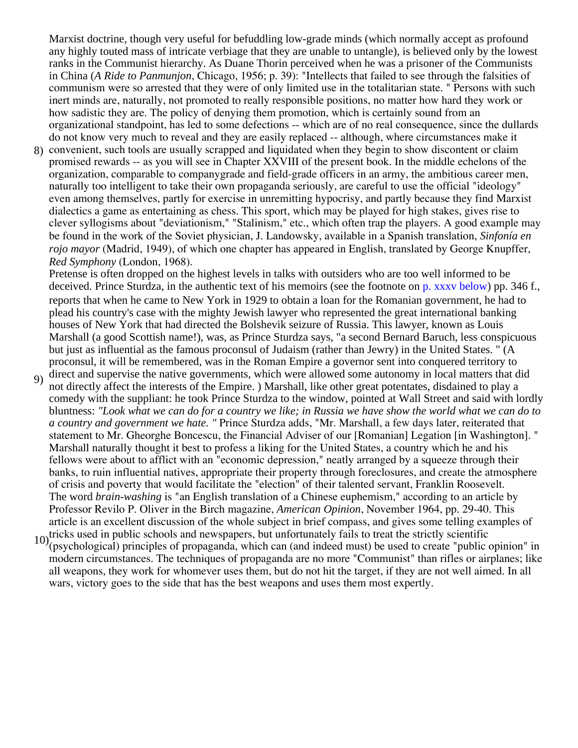Marxist doctrine, though very useful for befuddling low-grade minds (which normally accept as profound any highly touted mass of intricate verbiage that they are unable to untangle), is believed only by the lowest ranks in the Communist hierarchy. As Duane Thorin perceived when he was a prisoner of the Communists in China (*A Ride to Panmunjon*, Chicago, 1956; p. 39): "Intellects that failed to see through the falsities of communism were so arrested that they were of only limited use in the totalitarian state. " Persons with such inert minds are, naturally, not promoted to really responsible positions, no matter how hard they work or how sadistic they are. The policy of denying them promotion, which is certainly sound from an organizational standpoint, has led to some defections -- which are of no real consequence, since the dullards do not know very much to reveal and they are easily replaced -- although, where circumstances make it

8) convenient, such tools are usually scrapped and liquidated when they begin to show discontent or claim promised rewards -- as you will see in Chapter XXVIII of the present book. In the middle echelons of the organization, comparable to companygrade and field-grade officers in an army, the ambitious career men, naturally too intelligent to take their own propaganda seriously, are careful to use the official "ideology" even among themselves, partly for exercise in unremitting hypocrisy, and partly because they find Marxist dialectics a game as entertaining as chess. This sport, which may be played for high stakes, gives rise to clever syllogisms about "deviationism," "Stalinism," etc., which often trap the players. A good example may be found in the work of the Soviet physician, J. Landowsky, available in a Spanish translation, *Sinfonía en rojo mayor* (Madrid, 1949), of which one chapter has appeared in English, translated by George Knupffer, *Red Symphony* (London, 1968).

Pretense is often dropped on the highest levels in talks with outsiders who are too well informed to be deceived. Prince Sturdza, in the authentic text of his memoirs (see the footnote on p. xxxv below) pp. 346 f., reports that when he came to New York in 1929 to obtain a loan for the Romanian government, he had to plead his country's case with the mighty Jewish lawyer who represented the great international banking houses of New York that had directed the Bolshevik seizure of Russia. This lawyer, known as Louis Marshall (a good Scottish name!), was, as Prince Sturdza says, "a second Bernard Baruch, less conspicuous but just as influential as the famous proconsul of Judaism (rather than Jewry) in the United States. " (A proconsul, it will be remembered, was in the Roman Empire a governor sent into conquered territory to direct and supervise the native governments, which were allowed some autonomy in local matters that did

- 9) not directly affect the interests of the Empire. ) Marshall, like other great potentates, disdained to play a comedy with the suppliant: he took Prince Sturdza to the window, pointed at Wall Street and said with lordly bluntness: *"Look what we can do for a country we like; in Russia we have show the world what we can do to a country and government we hate. "* Prince Sturdza adds, "Mr. Marshall, a few days later, reiterated that statement to Mr. Gheorghe Boncescu, the Financial Adviser of our [Romanian] Legation [in Washington]. " Marshall naturally thought it best to profess a liking for the United States, a country which he and his fellows were about to afflict with an "economic depression," neatly arranged by a squeeze through their banks, to ruin influential natives, appropriate their property through foreclosures, and create the atmosphere of crisis and poverty that would facilitate the "election" of their talented servant, Franklin Roosevelt. The word *brain-washing* is "an English translation of a Chinese euphemism," according to an article by Professor Revilo P. Oliver in the Birch magazine, *American Opinion*, November 1964, pp. 29-40. This article is an excellent discussion of the whole subject in brief compass, and gives some telling examples of
- 10) tricks used in public schools and newspapers, but unfortunately fails to treat the strictly scientific<br>10) (payabological) principles of proposando, which can (and indeed must) be used to greate "public (psychological) principles of propaganda, which can (and indeed must) be used to create "public opinion" in modern circumstances. The techniques of propaganda are no more "Communist" than rifles or airplanes; like all weapons, they work for whomever uses them, but do not hit the target, if they are not well aimed. In all wars, victory goes to the side that has the best weapons and uses them most expertly.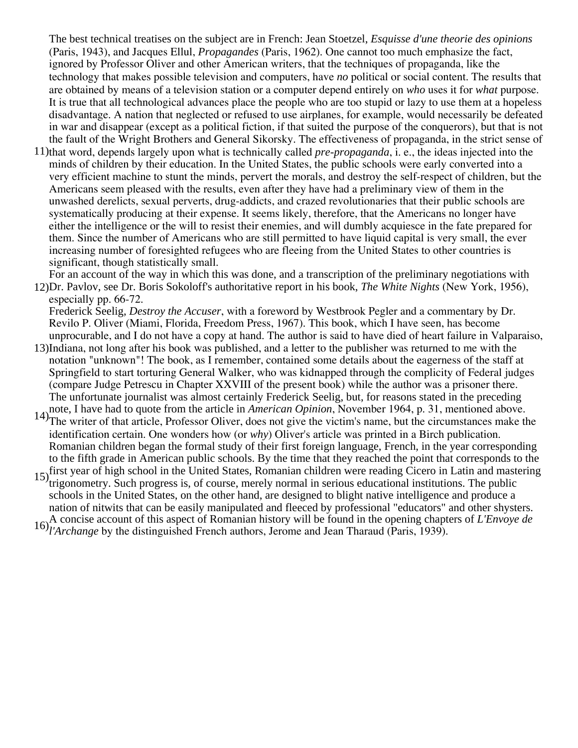The best technical treatises on the subject are in French: Jean Stoetzel, *Esquisse d'une theorie des opinions* (Paris, 1943), and Jacques Ellul, *Propagandes* (Paris, 1962). One cannot too much emphasize the fact, ignored by Professor Oliver and other American writers, that the techniques of propaganda, like the technology that makes possible television and computers, have *no* political or social content. The results that are obtained by means of a television station or a computer depend entirely on *who* uses it for *what* purpose. It is true that all technological advances place the people who are too stupid or lazy to use them at a hopeless disadvantage. A nation that neglected or refused to use airplanes, for example, would necessarily be defeated in war and disappear (except as a political fiction, if that suited the purpose of the conquerors), but that is not the fault of the Wright Brothers and General Sikorsky. The effectiveness of propaganda, in the strict sense of

11) that word, depends largely upon what is technically called *pre-propaganda*, i. e., the ideas injected into the minds of children by their education. In the United States, the public schools were early converted into a very efficient machine to stunt the minds, pervert the morals, and destroy the self-respect of children, but the Americans seem pleased with the results, even after they have had a preliminary view of them in the unwashed derelicts, sexual perverts, drug-addicts, and crazed revolutionaries that their public schools are systematically producing at their expense. It seems likely, therefore, that the Americans no longer have either the intelligence or the will to resist their enemies, and will dumbly acquiesce in the fate prepared for them. Since the number of Americans who are still permitted to have liquid capital is very small, the ever increasing number of foresighted refugees who are fleeing from the United States to other countries is significant, though statistically small.

12) Dr. Pavlov, see Dr. Boris Sokoloff's authoritative report in his book, *The White Nights* (New York, 1956), For an account of the way in which this was done, and a transcription of the preliminary negotiations with especially pp. 66-72.

Frederick Seelig, *Destroy the Accuser*, with a foreword by Westbrook Pegler and a commentary by Dr. Revilo P. Oliver (Miami, Florida, Freedom Press, 1967). This book, which I have seen, has become unprocurable, and I do not have a copy at hand. The author is said to have died of heart failure in Valparaiso,

- 13) Indiana, not long after his book was published, and a letter to the publisher was returned to me with the notation "unknown"! The book, as I remember, contained some details about the eagerness of the staff at Springfield to start torturing General Walker, who was kidnapped through the complicity of Federal judges (compare Judge Petrescu in Chapter XXVIII of the present book) while the author was a prisoner there. The unfortunate journalist was almost certainly Frederick Seelig, but, for reasons stated in the preceding
- note, I have had to quote from the article in *American Opinion*, November 1964, p. 31, mentioned above.<br>14) The writer of that article Professor Oliver, does not give the victim's name, but the circumstances make to The writer of that article, Professor Oliver, does not give the victim's name, but the circumstances make the identification certain. One wonders how (or *why*) Oliver's article was printed in a Birch publication. Romanian children began the formal study of their first foreign language, French, in the year corresponding to the fifth grade in American public schools. By the time that they reached the point that corresponds to the
- 15) first year of high school in the United States, Romanian children were reading Cicero in Latin and mastering<br>the public operatory Such progress is of course margly permel in serious educational institutions. The public trigonometry. Such progress is, of course, merely normal in serious educational institutions. The public schools in the United States, on the other hand, are designed to blight native intelligence and produce a nation of nitwits that can be easily manipulated and fleeced by professional "educators" and other shysters.

16)A concise account of this aspect of Romanian history will be found in the opening chapters of *L'Envoye de l'Archange* by the distinguished French authors, Jerome and Jean Tharaud (Paris, 1939).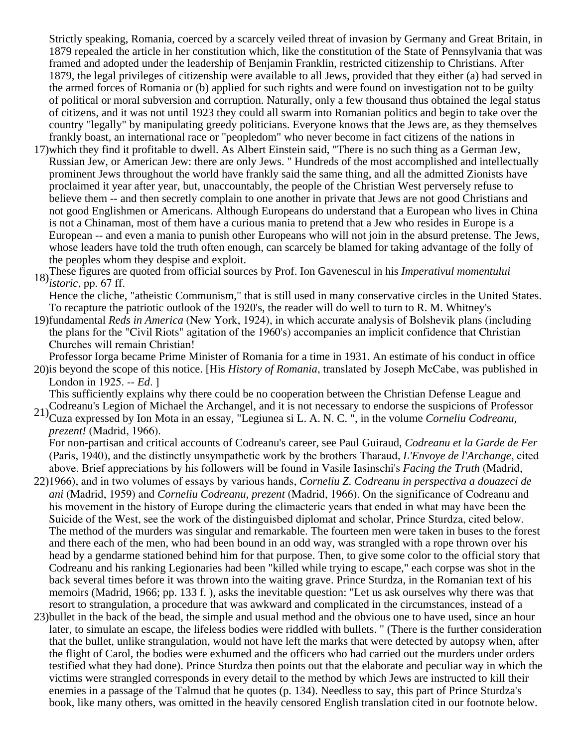Strictly speaking, Romania, coerced by a scarcely veiled threat of invasion by Germany and Great Britain, in 1879 repealed the article in her constitution which, like the constitution of the State of Pennsylvania that was framed and adopted under the leadership of Benjamin Franklin, restricted citizenship to Christians. After 1879, the legal privileges of citizenship were available to all Jews, provided that they either (a) had served in the armed forces of Romania or (b) applied for such rights and were found on investigation not to be guilty of political or moral subversion and corruption. Naturally, only a few thousand thus obtained the legal status of citizens, and it was not until 1923 they could all swarm into Romanian politics and begin to take over the country "legally" by manipulating greedy politicians. Everyone knows that the Jews are, as they themselves frankly boast, an international race or "peopledom" who never become in fact citizens of the nations in

- 17) which they find it profitable to dwell. As Albert Einstein said, "There is no such thing as a German Jew, Russian Jew, or American Jew: there are only Jews. " Hundreds of the most accomplished and intellectually prominent Jews throughout the world have frankly said the same thing, and all the admitted Zionists have proclaimed it year after year, but, unaccountably, the people of the Christian West perversely refuse to believe them -- and then secretly complain to one another in private that Jews are not good Christians and not good Englishmen or Americans. Although Europeans do understand that a European who lives in China is not a Chinaman, most of them have a curious mania to pretend that a Jew who resides in Europe is a European -- and even a mania to punish other Europeans who will not join in the absurd pretense. The Jews, whose leaders have told the truth often enough, can scarcely be blamed for taking advantage of the folly of the peoples whom they despise and exploit.
- 18)These figures are quoted from official sources by Prof. Ion Gavenescul in his *Imperativul momentului istoric*, pp. 67 ff.

Hence the cliche, "atheistic Communism," that is still used in many conservative circles in the United States. To recapture the patriotic outlook of the 1920's, the reader will do well to turn to R. M. Whitney's

- 19) fundamental *Reds in America* (New York, 1924), in which accurate analysis of Bolshevik plans (including the plans for the "Civil Riots" agitation of the 1960's) accompanies an implicit confidence that Christian Churches will remain Christian!
- Professor Iorga became Prime Minister of Romania for a time in 1931. An estimate of his conduct in office
- 20) is beyond the scope of this notice. [His *History of Romania*, translated by Joseph McCabe, was published in London in 1925. -- *Ed*. ]

21) Codreanu's Legion of Michael the Archangel, and it is not necessary to endorse the suspicions of Professor<br>21) Cuze expressed by Jon Mote in an assay. "I equippe si J. A. N. C." in the volume Carneliu Codreanu This sufficiently explains why there could be no cooperation between the Christian Defense League and

Cuza expressed by Ion Mota in an essay, "Legiunea si L. A. N. C. ", in the volume *Corneliu Codreanu, prezent!* (Madrid, 1966).

For non-partisan and critical accounts of Codreanu's career, see Paul Guiraud, *Codreanu et la Garde de Fer* (Paris, 1940), and the distinctly unsympathetic work by the brothers Tharaud, *L'Envoye de l'Archange*, cited above. Brief appreciations by his followers will be found in Vasile Iasinschi's *Facing the Truth* (Madrid,

- 22) 1966), and in two volumes of essays by various hands, *Corneliu Z. Codreanu in perspectiva a douazeci de ani* (Madrid, 1959) and *Corneliu Codreanu, prezent* (Madrid, 1966). On the significance of Codreanu and his movement in the history of Europe during the climacteric years that ended in what may have been the Suicide of the West, see the work of the distinguisbed diplomat and scholar, Prince Sturdza, cited below. The method of the murders was singular and remarkable. The fourteen men were taken in buses to the forest and there each of the men, who had been bound in an odd way, was strangled with a rope thrown over his head by a gendarme stationed behind him for that purpose. Then, to give some color to the official story that Codreanu and his ranking Legionaries had been "killed while trying to escape," each corpse was shot in the back several times before it was thrown into the waiting grave. Prince Sturdza, in the Romanian text of his memoirs (Madrid, 1966; pp. 133 f. ), asks the inevitable question: "Let us ask ourselves why there was that resort to strangulation, a procedure that was awkward and complicated in the circumstances, instead of a
- 23) bullet in the back of the bead, the simple and usual method and the obvious one to have used, since an hour later, to simulate an escape, the lifeless bodies were riddled with bullets. " (There is the further consideration that the bullet, unlike strangulation, would not have left the marks that were detected by autopsy when, after the flight of Carol, the bodies were exhumed and the officers who had carried out the murders under orders testified what they had done). Prince Sturdza then points out that the elaborate and peculiar way in which the victims were strangled corresponds in every detail to the method by which Jews are instructed to kill their enemies in a passage of the Talmud that he quotes (p. 134). Needless to say, this part of Prince Sturdza's book, like many others, was omitted in the heavily censored English translation cited in our footnote below.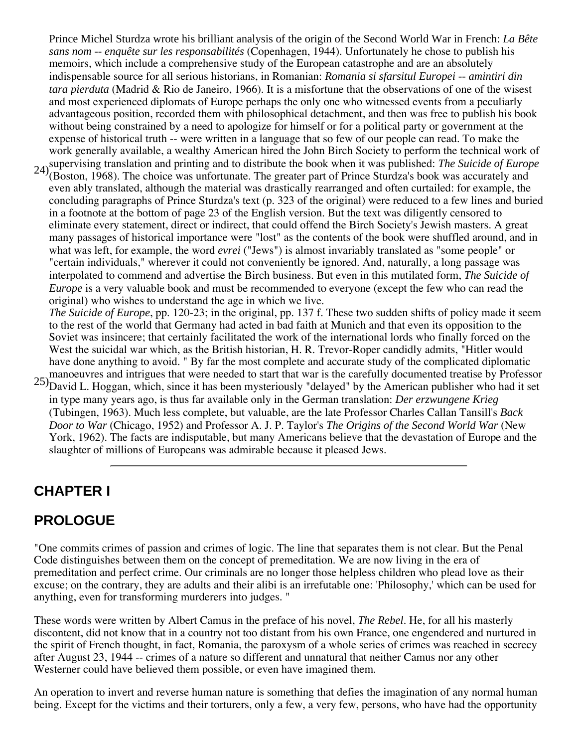Prince Michel Sturdza wrote his brilliant analysis of the origin of the Second World War in French: *La Bête sans nom -- enquête sur les responsabilités* (Copenhagen, 1944). Unfortunately he chose to publish his memoirs, which include a comprehensive study of the European catastrophe and are an absolutely indispensable source for all serious historians, in Romanian: *Romania si sfarsitul Europei -- amintiri din tara pierduta* (Madrid & Rio de Janeiro, 1966). It is a misfortune that the observations of one of the wisest and most experienced diplomats of Europe perhaps the only one who witnessed events from a peculiarly advantageous position, recorded them with philosophical detachment, and then was free to publish his book without being constrained by a need to apologize for himself or for a political party or government at the expense of historical truth -- were written in a language that so few of our people can read. To make the work generally available, a wealthy American hired the John Birch Society to perform the technical work of

24) supervising translation and printing and to distribute the book when it was published: *The Suicide of Europe*<br>(Boston, 1968). The choice was unfortunate. The greater part of Prince Sturdze's book was equivately and (Boston, 1968). The choice was unfortunate. The greater part of Prince Sturdza's book was accurately and even ably translated, although the material was drastically rearranged and often curtailed: for example, the concluding paragraphs of Prince Sturdza's text (p. 323 of the original) were reduced to a few lines and buried in a footnote at the bottom of page 23 of the English version. But the text was diligently censored to eliminate every statement, direct or indirect, that could offend the Birch Society's Jewish masters. A great many passages of historical importance were "lost" as the contents of the book were shuffled around, and in what was left, for example, the word *evrei* ("Jews") is almost invariably translated as "some people" or "certain individuals," wherever it could not conveniently be ignored. And, naturally, a long passage was interpolated to commend and advertise the Birch business. But even in this mutilated form, *The Suicide of Europe* is a very valuable book and must be recommended to everyone (except the few who can read the original) who wishes to understand the age in which we live.

*The Suicide of Europe*, pp. 120-23; in the original, pp. 137 f. These two sudden shifts of policy made it seem to the rest of the world that Germany had acted in bad faith at Munich and that even its opposition to the Soviet was insincere; that certainly facilitated the work of the international lords who finally forced on the West the suicidal war which, as the British historian, H. R. Trevor-Roper candidly admits, "Hitler would have done anything to avoid. " By far the most complete and accurate study of the complicated diplomatic manoeuvres and intrigues that were needed to start that war is the carefully documented treatise by Professor

<sup>25)</sup>David L. Hoggan, which, since it has been mysteriously "delayed" by the American publisher who had it set in type many years ago, is thus far available only in the German translation: *Der erzwungene Krieg* (Tubingen, 1963). Much less complete, but valuable, are the late Professor Charles Callan Tansill's *Back Door to War* (Chicago, 1952) and Professor A. J. P. Taylor's *The Origins of the Second World War* (New York, 1962). The facts are indisputable, but many Americans believe that the devastation of Europe and the slaughter of millions of Europeans was admirable because it pleased Jews.

#### **CHAPTER I**

#### **PROLOGUE**

"One commits crimes of passion and crimes of logic. The line that separates them is not clear. But the Penal Code distinguishes between them on the concept of premeditation. We are now living in the era of premeditation and perfect crime. Our criminals are no longer those helpless children who plead love as their excuse; on the contrary, they are adults and their alibi is an irrefutable one: 'Philosophy,' which can be used for anything, even for transforming murderers into judges. "

These words were written by Albert Camus in the preface of his novel, *The Rebel*. He, for all his masterly discontent, did not know that in a country not too distant from his own France, one engendered and nurtured in the spirit of French thought, in fact, Romania, the paroxysm of a whole series of crimes was reached in secrecy after August 23, 1944 -- crimes of a nature so different and unnatural that neither Camus nor any other Westerner could have believed them possible, or even have imagined them.

An operation to invert and reverse human nature is something that defies the imagination of any normal human being. Except for the victims and their torturers, only a few, a very few, persons, who have had the opportunity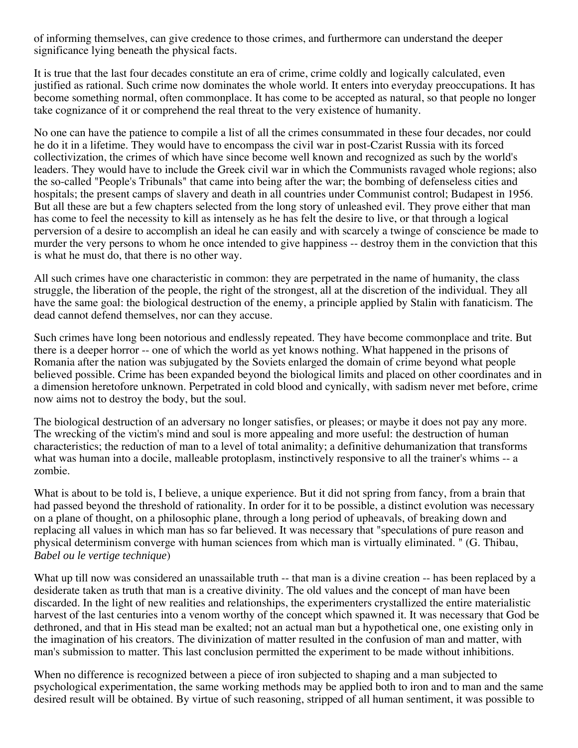of informing themselves, can give credence to those crimes, and furthermore can understand the deeper significance lying beneath the physical facts.

It is true that the last four decades constitute an era of crime, crime coldly and logically calculated, even justified as rational. Such crime now dominates the whole world. It enters into everyday preoccupations. It has become something normal, often commonplace. It has come to be accepted as natural, so that people no longer take cognizance of it or comprehend the real threat to the very existence of humanity.

No one can have the patience to compile a list of all the crimes consummated in these four decades, nor could he do it in a lifetime. They would have to encompass the civil war in post-Czarist Russia with its forced collectivization, the crimes of which have since become well known and recognized as such by the world's leaders. They would have to include the Greek civil war in which the Communists ravaged whole regions; also the so-called "People's Tribunals" that came into being after the war; the bombing of defenseless cities and hospitals; the present camps of slavery and death in all countries under Communist control; Budapest in 1956. But all these are but a few chapters selected from the long story of unleashed evil. They prove either that man has come to feel the necessity to kill as intensely as he has felt the desire to live, or that through a logical perversion of a desire to accomplish an ideal he can easily and with scarcely a twinge of conscience be made to murder the very persons to whom he once intended to give happiness -- destroy them in the conviction that this is what he must do, that there is no other way.

All such crimes have one characteristic in common: they are perpetrated in the name of humanity, the class struggle, the liberation of the people, the right of the strongest, all at the discretion of the individual. They all have the same goal: the biological destruction of the enemy, a principle applied by Stalin with fanaticism. The dead cannot defend themselves, nor can they accuse.

Such crimes have long been notorious and endlessly repeated. They have become commonplace and trite. But there is a deeper horror -- one of which the world as yet knows nothing. What happened in the prisons of Romania after the nation was subjugated by the Soviets enlarged the domain of crime beyond what people believed possible. Crime has been expanded beyond the biological limits and placed on other coordinates and in a dimension heretofore unknown. Perpetrated in cold blood and cynically, with sadism never met before, crime now aims not to destroy the body, but the soul.

The biological destruction of an adversary no longer satisfies, or pleases; or maybe it does not pay any more. The wrecking of the victim's mind and soul is more appealing and more useful: the destruction of human characteristics; the reduction of man to a level of total animality; a definitive dehumanization that transforms what was human into a docile, malleable protoplasm, instinctively responsive to all the trainer's whims -- a zombie.

What is about to be told is, I believe, a unique experience. But it did not spring from fancy, from a brain that had passed beyond the threshold of rationality. In order for it to be possible, a distinct evolution was necessary on a plane of thought, on a philosophic plane, through a long period of upheavals, of breaking down and replacing all values in which man has so far believed. It was necessary that "speculations of pure reason and physical determinism converge with human sciences from which man is virtually eliminated. " (G. Thibau, *Babel ou le vertige technique*)

What up till now was considered an unassailable truth  $-$ - that man is a divine creation  $-$ - has been replaced by a desiderate taken as truth that man is a creative divinity. The old values and the concept of man have been discarded. In the light of new realities and relationships, the experimenters crystallized the entire materialistic harvest of the last centuries into a venom worthy of the concept which spawned it. It was necessary that God be dethroned, and that in His stead man be exalted; not an actual man but a hypothetical one, one existing only in the imagination of his creators. The divinization of matter resulted in the confusion of man and matter, with man's submission to matter. This last conclusion permitted the experiment to be made without inhibitions.

When no difference is recognized between a piece of iron subjected to shaping and a man subjected to psychological experimentation, the same working methods may be applied both to iron and to man and the same desired result will be obtained. By virtue of such reasoning, stripped of all human sentiment, it was possible to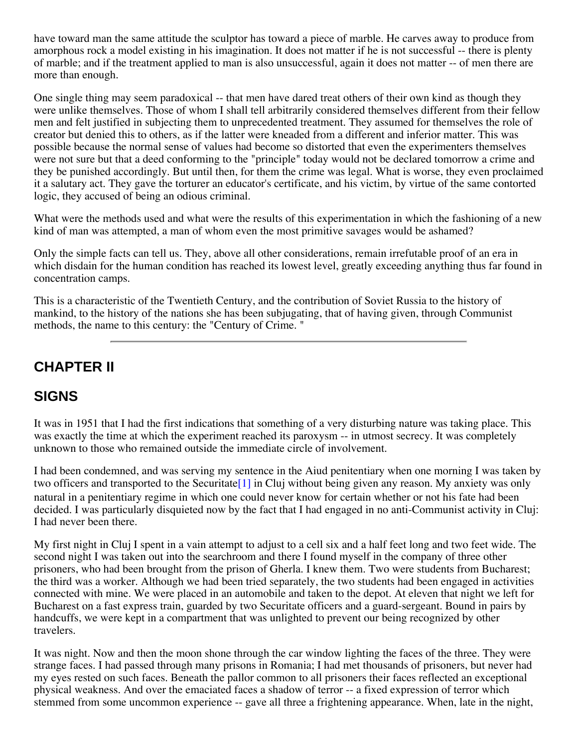have toward man the same attitude the sculptor has toward a piece of marble. He carves away to produce from amorphous rock a model existing in his imagination. It does not matter if he is not successful -- there is plenty of marble; and if the treatment applied to man is also unsuccessful, again it does not matter -- of men there are more than enough.

One single thing may seem paradoxical -- that men have dared treat others of their own kind as though they were unlike themselves. Those of whom I shall tell arbitrarily considered themselves different from their fellow men and felt justified in subjecting them to unprecedented treatment. They assumed for themselves the role of creator but denied this to others, as if the latter were kneaded from a different and inferior matter. This was possible because the normal sense of values had become so distorted that even the experimenters themselves were not sure but that a deed conforming to the "principle" today would not be declared tomorrow a crime and they be punished accordingly. But until then, for them the crime was legal. What is worse, they even proclaimed it a salutary act. They gave the torturer an educator's certificate, and his victim, by virtue of the same contorted logic, they accused of being an odious criminal.

What were the methods used and what were the results of this experimentation in which the fashioning of a new kind of man was attempted, a man of whom even the most primitive savages would be ashamed?

Only the simple facts can tell us. They, above all other considerations, remain irrefutable proof of an era in which disdain for the human condition has reached its lowest level, greatly exceeding anything thus far found in concentration camps.

This is a characteristic of the Twentieth Century, and the contribution of Soviet Russia to the history of mankind, to the history of the nations she has been subjugating, that of having given, through Communist methods, the name to this century: the "Century of Crime. "

# **CHAPTER II**

#### **SIGNS**

It was in 1951 that I had the first indications that something of a very disturbing nature was taking place. This was exactly the time at which the experiment reached its paroxysm -- in utmost secrecy. It was completely unknown to those who remained outside the immediate circle of involvement.

I had been condemned, and was serving my sentence in the Aiud penitentiary when one morning I was taken by two officers and transported to the Securitate<sup>[1]</sup> in Cluj without being given any reason. My anxiety was only natural in a penitentiary regime in which one could never know for certain whether or not his fate had been decided. I was particularly disquieted now by the fact that I had engaged in no anti-Communist activity in Cluj: I had never been there.

My first night in Cluj I spent in a vain attempt to adjust to a cell six and a half feet long and two feet wide. The second night I was taken out into the searchroom and there I found myself in the company of three other prisoners, who had been brought from the prison of Gherla. I knew them. Two were students from Bucharest; the third was a worker. Although we had been tried separately, the two students had been engaged in activities connected with mine. We were placed in an automobile and taken to the depot. At eleven that night we left for Bucharest on a fast express train, guarded by two Securitate officers and a guard-sergeant. Bound in pairs by handcuffs, we were kept in a compartment that was unlighted to prevent our being recognized by other travelers.

It was night. Now and then the moon shone through the car window lighting the faces of the three. They were strange faces. I had passed through many prisons in Romania; I had met thousands of prisoners, but never had my eyes rested on such faces. Beneath the pallor common to all prisoners their faces reflected an exceptional physical weakness. And over the emaciated faces a shadow of terror -- a fixed expression of terror which stemmed from some uncommon experience -- gave all three a frightening appearance. When, late in the night,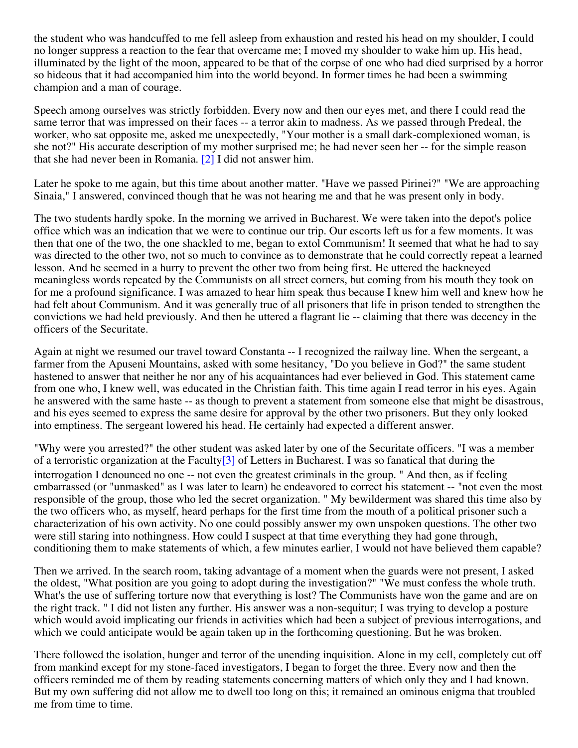the student who was handcuffed to me fell asleep from exhaustion and rested his head on my shoulder, I could no longer suppress a reaction to the fear that overcame me; I moved my shoulder to wake him up. His head, illuminated by the light of the moon, appeared to be that of the corpse of one who had died surprised by a horror so hideous that it had accompanied him into the world beyond. In former times he had been a swimming champion and a man of courage.

Speech among ourselves was strictly forbidden. Every now and then our eyes met, and there I could read the same terror that was impressed on their faces -- a terror akin to madness. As we passed through Predeal, the worker, who sat opposite me, asked me unexpectedly, "Your mother is a small dark-complexioned woman, is she not?" His accurate description of my mother surprised me; he had never seen her -- for the simple reason that she had never been in Romania. [2] I did not answer him.

Later he spoke to me again, but this time about another matter. "Have we passed Pirinei?" "We are approaching Sinaia," I answered, convinced though that he was not hearing me and that he was present only in body.

The two students hardly spoke. In the morning we arrived in Bucharest. We were taken into the depot's police office which was an indication that we were to continue our trip. Our escorts left us for a few moments. It was then that one of the two, the one shackled to me, began to extol Communism! It seemed that what he had to say was directed to the other two, not so much to convince as to demonstrate that he could correctly repeat a learned lesson. And he seemed in a hurry to prevent the other two from being first. He uttered the hackneyed meaningless words repeated by the Communists on all street corners, but coming from his mouth they took on for me a profound significance. I was amazed to hear him speak thus because I knew him well and knew how he had felt about Communism. And it was generally true of all prisoners that life in prison tended to strengthen the convictions we had held previously. And then he uttered a flagrant lie -- claiming that there was decency in the officers of the Securitate.

Again at night we resumed our travel toward Constanta -- I recognized the railway line. When the sergeant, a farmer from the Apuseni Mountains, asked with some hesitancy, "Do you believe in God?" the same student hastened to answer that neither he nor any of his acquaintances had ever believed in God. This statement came from one who, I knew well, was educated in the Christian faith. This time again I read terror in his eyes. Again he answered with the same haste -- as though to prevent a statement from someone else that might be disastrous, and his eyes seemed to express the same desire for approval by the other two prisoners. But they only looked into emptiness. The sergeant lowered his head. He certainly had expected a different answer.

"Why were you arrested?" the other student was asked later by one of the Securitate officers. "I was a member of a terroristic organization at the Faculty<sup>[3]</sup> of Letters in Bucharest. I was so fanatical that during the interrogation I denounced no one -- not even the greatest criminals in the group. " And then, as if feeling embarrassed (or "unmasked" as I was later to learn) he endeavored to correct his statement -- "not even the most responsible of the group, those who led the secret organization. " My bewilderment was shared this time also by the two officers who, as myself, heard perhaps for the first time from the mouth of a political prisoner such a characterization of his own activity. No one could possibly answer my own unspoken questions. The other two were still staring into nothingness. How could I suspect at that time everything they had gone through, conditioning them to make statements of which, a few minutes earlier, I would not have believed them capable?

Then we arrived. In the search room, taking advantage of a moment when the guards were not present, I asked the oldest, "What position are you going to adopt during the investigation?" "We must confess the whole truth. What's the use of suffering torture now that everything is lost? The Communists have won the game and are on the right track. " I did not listen any further. His answer was a non-sequitur; I was trying to develop a posture which would avoid implicating our friends in activities which had been a subject of previous interrogations, and which we could anticipate would be again taken up in the forthcoming questioning. But he was broken.

There followed the isolation, hunger and terror of the unending inquisition. Alone in my cell, completely cut off from mankind except for my stone-faced investigators, I began to forget the three. Every now and then the officers reminded me of them by reading statements concerning matters of which only they and I had known. But my own suffering did not allow me to dwell too long on this; it remained an ominous enigma that troubled me from time to time.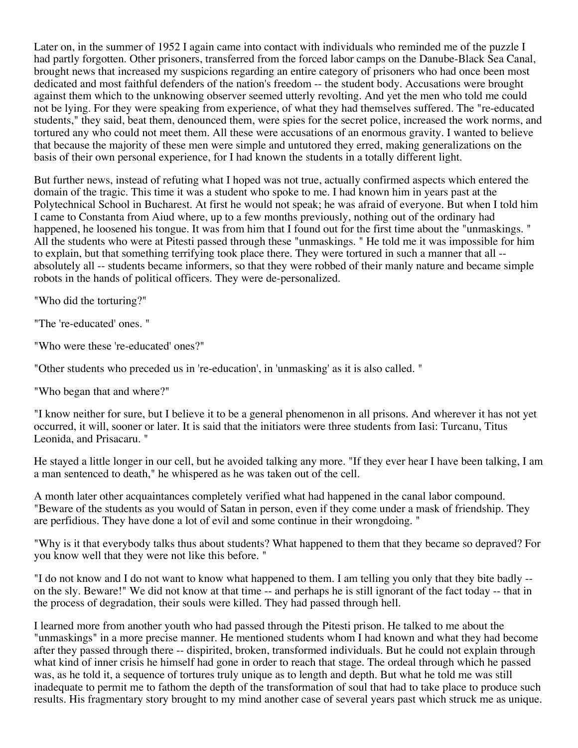Later on, in the summer of 1952 I again came into contact with individuals who reminded me of the puzzle I had partly forgotten. Other prisoners, transferred from the forced labor camps on the Danube-Black Sea Canal, brought news that increased my suspicions regarding an entire category of prisoners who had once been most dedicated and most faithful defenders of the nation's freedom -- the student body. Accusations were brought against them which to the unknowing observer seemed utterly revolting. And yet the men who told me could not be lying. For they were speaking from experience, of what they had themselves suffered. The "re-educated students," they said, beat them, denounced them, were spies for the secret police, increased the work norms, and tortured any who could not meet them. All these were accusations of an enormous gravity. I wanted to believe that because the majority of these men were simple and untutored they erred, making generalizations on the basis of their own personal experience, for I had known the students in a totally different light.

But further news, instead of refuting what I hoped was not true, actually confirmed aspects which entered the domain of the tragic. This time it was a student who spoke to me. I had known him in years past at the Polytechnical School in Bucharest. At first he would not speak; he was afraid of everyone. But when I told him I came to Constanta from Aiud where, up to a few months previously, nothing out of the ordinary had happened, he loosened his tongue. It was from him that I found out for the first time about the "unmaskings. " All the students who were at Pitesti passed through these "unmaskings. " He told me it was impossible for him to explain, but that something terrifying took place there. They were tortured in such a manner that all - absolutely all -- students became informers, so that they were robbed of their manly nature and became simple robots in the hands of political officers. They were de-personalized.

"Who did the torturing?"

"The 're-educated' ones. "

"Who were these 're-educated' ones?"

"Other students who preceded us in 're-education', in 'unmasking' as it is also called. "

"Who began that and where?"

"I know neither for sure, but I believe it to be a general phenomenon in all prisons. And wherever it has not yet occurred, it will, sooner or later. It is said that the initiators were three students from Iasi: Turcanu, Titus Leonida, and Prisacaru. "

He stayed a little longer in our cell, but he avoided talking any more. "If they ever hear I have been talking, I am a man sentenced to death," he whispered as he was taken out of the cell.

A month later other acquaintances completely verified what had happened in the canal labor compound. "Beware of the students as you would of Satan in person, even if they come under a mask of friendship. They are perfidious. They have done a lot of evil and some continue in their wrongdoing. "

"Why is it that everybody talks thus about students? What happened to them that they became so depraved? For you know well that they were not like this before. "

"I do not know and I do not want to know what happened to them. I am telling you only that they bite badly - on the sly. Beware!" We did not know at that time -- and perhaps he is still ignorant of the fact today -- that in the process of degradation, their souls were killed. They had passed through hell.

I learned more from another youth who had passed through the Pitesti prison. He talked to me about the "unmaskings" in a more precise manner. He mentioned students whom I had known and what they had become after they passed through there -- dispirited, broken, transformed individuals. But he could not explain through what kind of inner crisis he himself had gone in order to reach that stage. The ordeal through which he passed was, as he told it, a sequence of tortures truly unique as to length and depth. But what he told me was still inadequate to permit me to fathom the depth of the transformation of soul that had to take place to produce such results. His fragmentary story brought to my mind another case of several years past which struck me as unique.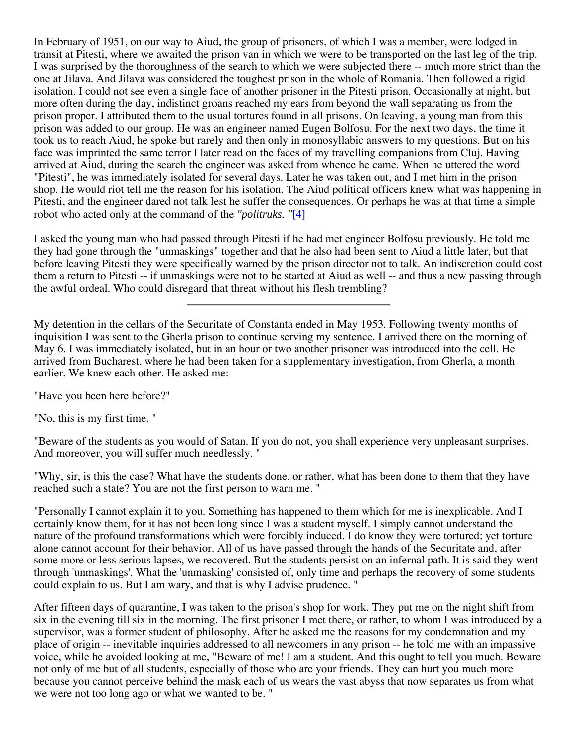In February of 1951, on our way to Aiud, the group of prisoners, of which I was a member, were lodged in transit at Pitesti, where we awaited the prison van in which we were to be transported on the last leg of the trip. I was surprised by the thoroughness of the search to which we were subjected there -- much more strict than the one at Jilava. And Jilava was considered the toughest prison in the whole of Romania. Then followed a rigid isolation. I could not see even a single face of another prisoner in the Pitesti prison. Occasionally at night, but more often during the day, indistinct groans reached my ears from beyond the wall separating us from the prison proper. I attributed them to the usual tortures found in all prisons. On leaving, a young man from this prison was added to our group. He was an engineer named Eugen Bolfosu. For the next two days, the time it took us to reach Aiud, he spoke but rarely and then only in monosyllabic answers to my questions. But on his face was imprinted the same terror I later read on the faces of my travelling companions from Cluj. Having arrived at Aiud, during the search the engineer was asked from whence he came. When he uttered the word "Pitesti", he was immediately isolated for several days. Later he was taken out, and I met him in the prison shop. He would riot tell me the reason for his isolation. The Aiud political officers knew what was happening in Pitesti, and the engineer dared not talk lest he suffer the consequences. Or perhaps he was at that time a simple robot who acted only at the command of the *"politruks. "*[4]

I asked the young man who had passed through Pitesti if he had met engineer Bolfosu previously. He told me they had gone through the "unmaskings" together and that he also had been sent to Aiud a little later, but that before leaving Pitesti they were specifically warned by the prison director not to talk. An indiscretion could cost them a return to Pitesti -- if unmaskings were not to be started at Aiud as well -- and thus a new passing through the awful ordeal. Who could disregard that threat without his flesh trembling?

My detention in the cellars of the Securitate of Constanta ended in May 1953. Following twenty months of inquisition I was sent to the Gherla prison to continue serving my sentence. I arrived there on the morning of May 6. I was immediately isolated, but in an hour or two another prisoner was introduced into the cell. He arrived from Bucharest, where he had been taken for a supplementary investigation, from Gherla, a month earlier. We knew each other. He asked me:

"Have you been here before?"

"No, this is my first time. "

"Beware of the students as you would of Satan. If you do not, you shall experience very unpleasant surprises. And moreover, you will suffer much needlessly. "

"Why, sir, is this the case? What have the students done, or rather, what has been done to them that they have reached such a state? You are not the first person to warn me. "

"Personally I cannot explain it to you. Something has happened to them which for me is inexplicable. And I certainly know them, for it has not been long since I was a student myself. I simply cannot understand the nature of the profound transformations which were forcibly induced. I do know they were tortured; yet torture alone cannot account for their behavior. All of us have passed through the hands of the Securitate and, after some more or less serious lapses, we recovered. But the students persist on an infernal path. It is said they went through 'unmaskings'. What the 'unmasking' consisted of, only time and perhaps the recovery of some students could explain to us. But I am wary, and that is why I advise prudence. "

After fifteen days of quarantine, I was taken to the prison's shop for work. They put me on the night shift from six in the evening till six in the morning. The first prisoner I met there, or rather, to whom I was introduced by a supervisor, was a former student of philosophy. After he asked me the reasons for my condemnation and my place of origin -- inevitable inquiries addressed to all newcomers in any prison -- he told me with an impassive voice, while he avoided looking at me, "Beware of me! I am a student. And this ought to tell you much. Beware not only of me but of all students, especially of those who are your friends. They can hurt you much more because you cannot perceive behind the mask each of us wears the vast abyss that now separates us from what we were not too long ago or what we wanted to be. "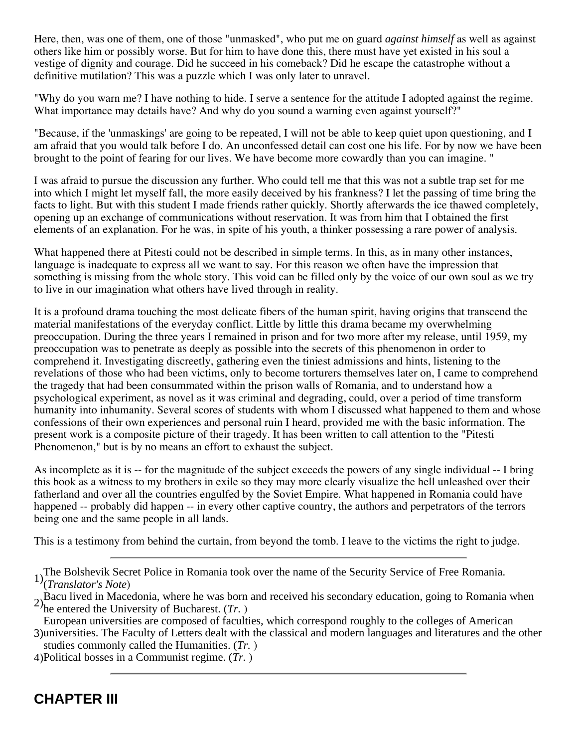Here, then, was one of them, one of those "unmasked", who put me on guard *against himself* as well as against others like him or possibly worse. But for him to have done this, there must have yet existed in his soul a vestige of dignity and courage. Did he succeed in his comeback? Did he escape the catastrophe without a definitive mutilation? This was a puzzle which I was only later to unravel.

"Why do you warn me? I have nothing to hide. I serve a sentence for the attitude I adopted against the regime. What importance may details have? And why do you sound a warning even against yourself?"

"Because, if the 'unmaskings' are going to be repeated, I will not be able to keep quiet upon questioning, and I am afraid that you would talk before I do. An unconfessed detail can cost one his life. For by now we have been brought to the point of fearing for our lives. We have become more cowardly than you can imagine. "

I was afraid to pursue the discussion any further. Who could tell me that this was not a subtle trap set for me into which I might let myself fall, the more easily deceived by his frankness? I let the passing of time bring the facts to light. But with this student I made friends rather quickly. Shortly afterwards the ice thawed completely, opening up an exchange of communications without reservation. It was from him that I obtained the first elements of an explanation. For he was, in spite of his youth, a thinker possessing a rare power of analysis.

What happened there at Pitesti could not be described in simple terms. In this, as in many other instances, language is inadequate to express all we want to say. For this reason we often have the impression that something is missing from the whole story. This void can be filled only by the voice of our own soul as we try to live in our imagination what others have lived through in reality.

It is a profound drama touching the most delicate fibers of the human spirit, having origins that transcend the material manifestations of the everyday conflict. Little by little this drama became my overwhelming preoccupation. During the three years I remained in prison and for two more after my release, until 1959, my preoccupation was to penetrate as deeply as possible into the secrets of this phenomenon in order to comprehend it. Investigating discreetly, gathering even the tiniest admissions and hints, listening to the revelations of those who had been victims, only to become torturers themselves later on, I came to comprehend the tragedy that had been consummated within the prison walls of Romania, and to understand how a psychological experiment, as novel as it was criminal and degrading, could, over a period of time transform humanity into inhumanity. Several scores of students with whom I discussed what happened to them and whose confessions of their own experiences and personal ruin I heard, provided me with the basic information. The present work is a composite picture of their tragedy. It has been written to call attention to the "Pitesti Phenomenon," but is by no means an effort to exhaust the subject.

As incomplete as it is -- for the magnitude of the subject exceeds the powers of any single individual -- I bring this book as a witness to my brothers in exile so they may more clearly visualize the hell unleashed over their fatherland and over all the countries engulfed by the Soviet Empire. What happened in Romania could have happened -- probably did happen -- in every other captive country, the authors and perpetrators of the terrors being one and the same people in all lands.

This is a testimony from behind the curtain, from beyond the tomb. I leave to the victims the right to judge.

studies commonly called the Humanities. (*Tr.* )

4)Political bosses in a Communist regime. (*Tr.* )

#### **CHAPTER III**

<sup>1)</sup>The Bolshevik Secret Police in Romania took over the name of the Security Service of Free Romania. (*Translator's Note*)

<sup>2)</sup>Bacu lived in Macedonia, where he was born and received his secondary education, going to Romania when he entered the University of Bucharest. (*Tr.* )

<sup>3)</sup> universities. The Faculty of Letters dealt with the classical and modern languages and literatures and the other European universities are composed of faculties, which correspond roughly to the colleges of American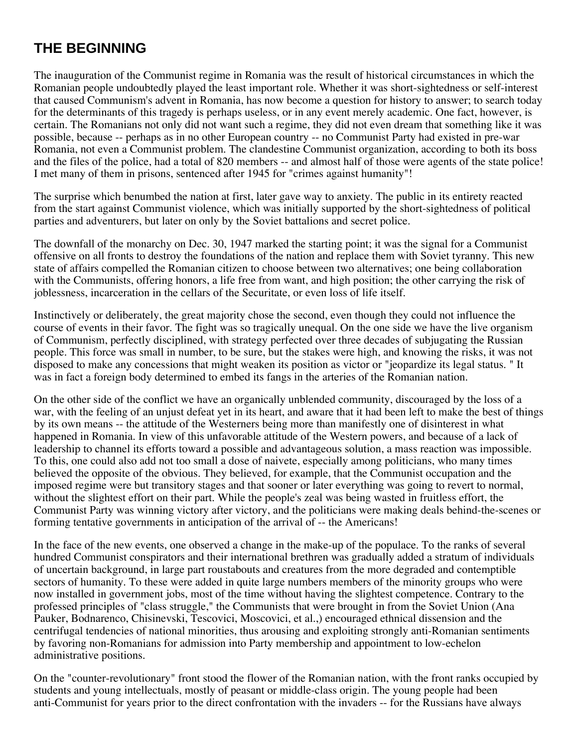### **THE BEGINNING**

The inauguration of the Communist regime in Romania was the result of historical circumstances in which the Romanian people undoubtedly played the least important role. Whether it was short-sightedness or self-interest that caused Communism's advent in Romania, has now become a question for history to answer; to search today for the determinants of this tragedy is perhaps useless, or in any event merely academic. One fact, however, is certain. The Romanians not only did not want such a regime, they did not even dream that something like it was possible, because -- perhaps as in no other European country -- no Communist Party had existed in pre-war Romania, not even a Communist problem. The clandestine Communist organization, according to both its boss and the files of the police, had a total of 820 members -- and almost half of those were agents of the state police! I met many of them in prisons, sentenced after 1945 for "crimes against humanity"!

The surprise which benumbed the nation at first, later gave way to anxiety. The public in its entirety reacted from the start against Communist violence, which was initially supported by the short-sightedness of political parties and adventurers, but later on only by the Soviet battalions and secret police.

The downfall of the monarchy on Dec. 30, 1947 marked the starting point; it was the signal for a Communist offensive on all fronts to destroy the foundations of the nation and replace them with Soviet tyranny. This new state of affairs compelled the Romanian citizen to choose between two alternatives; one being collaboration with the Communists, offering honors, a life free from want, and high position; the other carrying the risk of joblessness, incarceration in the cellars of the Securitate, or even loss of life itself.

Instinctively or deliberately, the great majority chose the second, even though they could not influence the course of events in their favor. The fight was so tragically unequal. On the one side we have the live organism of Communism, perfectly disciplined, with strategy perfected over three decades of subjugating the Russian people. This force was small in number, to be sure, but the stakes were high, and knowing the risks, it was not disposed to make any concessions that might weaken its position as victor or "jeopardize its legal status. " It was in fact a foreign body determined to embed its fangs in the arteries of the Romanian nation.

On the other side of the conflict we have an organically unblended community, discouraged by the loss of a war, with the feeling of an unjust defeat yet in its heart, and aware that it had been left to make the best of things by its own means -- the attitude of the Westerners being more than manifestly one of disinterest in what happened in Romania. In view of this unfavorable attitude of the Western powers, and because of a lack of leadership to channel its efforts toward a possible and advantageous solution, a mass reaction was impossible. To this, one could also add not too small a dose of naivete, especially among politicians, who many times believed the opposite of the obvious. They believed, for example, that the Communist occupation and the imposed regime were but transitory stages and that sooner or later everything was going to revert to normal, without the slightest effort on their part. While the people's zeal was being wasted in fruitless effort, the Communist Party was winning victory after victory, and the politicians were making deals behind-the-scenes or forming tentative governments in anticipation of the arrival of -- the Americans!

In the face of the new events, one observed a change in the make-up of the populace. To the ranks of several hundred Communist conspirators and their international brethren was gradually added a stratum of individuals of uncertain background, in large part roustabouts and creatures from the more degraded and contemptible sectors of humanity. To these were added in quite large numbers members of the minority groups who were now installed in government jobs, most of the time without having the slightest competence. Contrary to the professed principles of "class struggle," the Communists that were brought in from the Soviet Union (Ana Pauker, Bodnarenco, Chisinevski, Tescovici, Moscovici, et al.,) encouraged ethnical dissension and the centrifugal tendencies of national minorities, thus arousing and exploiting strongly anti-Romanian sentiments by favoring non-Romanians for admission into Party membership and appointment to low-echelon administrative positions.

On the "counter-revolutionary" front stood the flower of the Romanian nation, with the front ranks occupied by students and young intellectuals, mostly of peasant or middle-class origin. The young people had been anti-Communist for years prior to the direct confrontation with the invaders -- for the Russians have always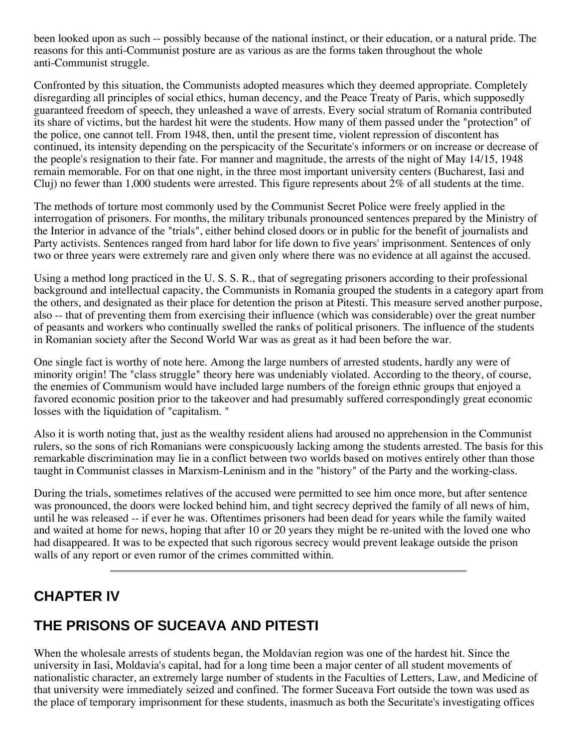been looked upon as such -- possibly because of the national instinct, or their education, or a natural pride. The reasons for this anti-Communist posture are as various as are the forms taken throughout the whole anti-Communist struggle.

Confronted by this situation, the Communists adopted measures which they deemed appropriate. Completely disregarding all principles of social ethics, human decency, and the Peace Treaty of Paris, which supposedly guaranteed freedom of speech, they unleashed a wave of arrests. Every social stratum of Romania contributed its share of victims, but the hardest hit were the students. How many of them passed under the "protection" of the police, one cannot tell. From 1948, then, until the present time, violent repression of discontent has continued, its intensity depending on the perspicacity of the Securitate's informers or on increase or decrease of the people's resignation to their fate. For manner and magnitude, the arrests of the night of May 14/15, 1948 remain memorable. For on that one night, in the three most important university centers (Bucharest, Iasi and Cluj) no fewer than 1,000 students were arrested. This figure represents about 2% of all students at the time.

The methods of torture most commonly used by the Communist Secret Police were freely applied in the interrogation of prisoners. For months, the military tribunals pronounced sentences prepared by the Ministry of the Interior in advance of the "trials", either behind closed doors or in public for the benefit of journalists and Party activists. Sentences ranged from hard labor for life down to five years' imprisonment. Sentences of only two or three years were extremely rare and given only where there was no evidence at all against the accused.

Using a method long practiced in the U. S. S. R., that of segregating prisoners according to their professional background and intellectual capacity, the Communists in Romania grouped the students in a category apart from the others, and designated as their place for detention the prison at Pitesti. This measure served another purpose, also -- that of preventing them from exercising their influence (which was considerable) over the great number of peasants and workers who continually swelled the ranks of political prisoners. The influence of the students in Romanian society after the Second World War was as great as it had been before the war.

One single fact is worthy of note here. Among the large numbers of arrested students, hardly any were of minority origin! The "class struggle" theory here was undeniably violated. According to the theory, of course, the enemies of Communism would have included large numbers of the foreign ethnic groups that enjoyed a favored economic position prior to the takeover and had presumably suffered correspondingly great economic losses with the liquidation of "capitalism. "

Also it is worth noting that, just as the wealthy resident aliens had aroused no apprehension in the Communist rulers, so the sons of rich Romanians were conspicuously lacking among the students arrested. The basis for this remarkable discrimination may lie in a conflict between two worlds based on motives entirely other than those taught in Communist classes in Marxism-Leninism and in the "history" of the Party and the working-class.

During the trials, sometimes relatives of the accused were permitted to see him once more, but after sentence was pronounced, the doors were locked behind him, and tight secrecy deprived the family of all news of him, until he was released -- if ever he was. Oftentimes prisoners had been dead for years while the family waited and waited at home for news, hoping that after 10 or 20 years they might be re-united with the loved one who had disappeared. It was to be expected that such rigorous secrecy would prevent leakage outside the prison walls of any report or even rumor of the crimes committed within.

#### **CHAPTER IV**

# **THE PRISONS OF SUCEAVA AND PITESTI**

When the wholesale arrests of students began, the Moldavian region was one of the hardest hit. Since the university in Iasi, Moldavia's capital, had for a long time been a major center of all student movements of nationalistic character, an extremely large number of students in the Faculties of Letters, Law, and Medicine of that university were immediately seized and confined. The former Suceava Fort outside the town was used as the place of temporary imprisonment for these students, inasmuch as both the Securitate's investigating offices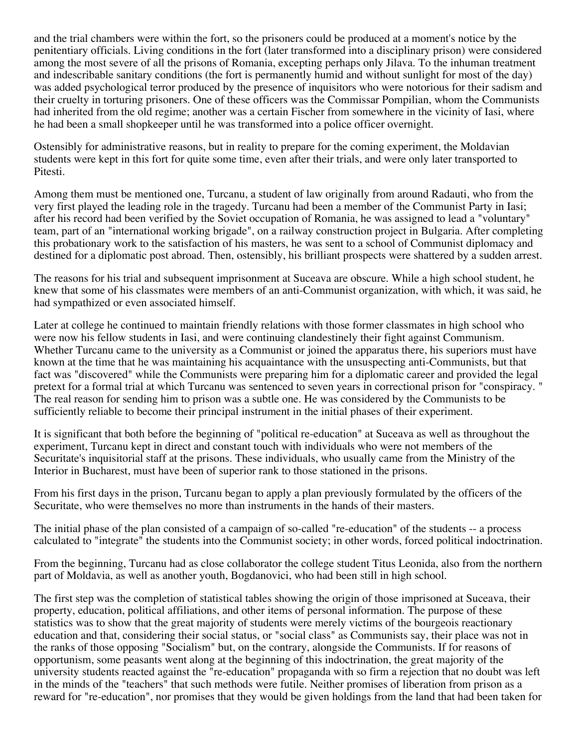and the trial chambers were within the fort, so the prisoners could be produced at a moment's notice by the penitentiary officials. Living conditions in the fort (later transformed into a disciplinary prison) were considered among the most severe of all the prisons of Romania, excepting perhaps only Jilava. To the inhuman treatment and indescribable sanitary conditions (the fort is permanently humid and without sunlight for most of the day) was added psychological terror produced by the presence of inquisitors who were notorious for their sadism and their cruelty in torturing prisoners. One of these officers was the Commissar Pompilian, whom the Communists had inherited from the old regime; another was a certain Fischer from somewhere in the vicinity of Iasi, where he had been a small shopkeeper until he was transformed into a police officer overnight.

Ostensibly for administrative reasons, but in reality to prepare for the coming experiment, the Moldavian students were kept in this fort for quite some time, even after their trials, and were only later transported to Pitesti.

Among them must be mentioned one, Turcanu, a student of law originally from around Radauti, who from the very first played the leading role in the tragedy. Turcanu had been a member of the Communist Party in Iasi; after his record had been verified by the Soviet occupation of Romania, he was assigned to lead a "voluntary" team, part of an "international working brigade", on a railway construction project in Bulgaria. After completing this probationary work to the satisfaction of his masters, he was sent to a school of Communist diplomacy and destined for a diplomatic post abroad. Then, ostensibly, his brilliant prospects were shattered by a sudden arrest.

The reasons for his trial and subsequent imprisonment at Suceava are obscure. While a high school student, he knew that some of his classmates were members of an anti-Communist organization, with which, it was said, he had sympathized or even associated himself.

Later at college he continued to maintain friendly relations with those former classmates in high school who were now his fellow students in Iasi, and were continuing clandestinely their fight against Communism. Whether Turcanu came to the university as a Communist or joined the apparatus there, his superiors must have known at the time that he was maintaining his acquaintance with the unsuspecting anti-Communists, but that fact was "discovered" while the Communists were preparing him for a diplomatic career and provided the legal pretext for a formal trial at which Turcanu was sentenced to seven years in correctional prison for "conspiracy. " The real reason for sending him to prison was a subtle one. He was considered by the Communists to be sufficiently reliable to become their principal instrument in the initial phases of their experiment.

It is significant that both before the beginning of "political re-education" at Suceava as well as throughout the experiment, Turcanu kept in direct and constant touch with individuals who were not members of the Securitate's inquisitorial staff at the prisons. These individuals, who usually came from the Ministry of the Interior in Bucharest, must have been of superior rank to those stationed in the prisons.

From his first days in the prison, Turcanu began to apply a plan previously formulated by the officers of the Securitate, who were themselves no more than instruments in the hands of their masters.

The initial phase of the plan consisted of a campaign of so-called "re-education" of the students -- a process calculated to "integrate" the students into the Communist society; in other words, forced political indoctrination.

From the beginning, Turcanu had as close collaborator the college student Titus Leonida, also from the northern part of Moldavia, as well as another youth, Bogdanovici, who had been still in high school.

The first step was the completion of statistical tables showing the origin of those imprisoned at Suceava, their property, education, political affiliations, and other items of personal information. The purpose of these statistics was to show that the great majority of students were merely victims of the bourgeois reactionary education and that, considering their social status, or "social class" as Communists say, their place was not in the ranks of those opposing "Socialism" but, on the contrary, alongside the Communists. If for reasons of opportunism, some peasants went along at the beginning of this indoctrination, the great majority of the university students reacted against the "re-education" propaganda with so firm a rejection that no doubt was left in the minds of the "teachers" that such methods were futile. Neither promises of liberation from prison as a reward for "re-education", nor promises that they would be given holdings from the land that had been taken for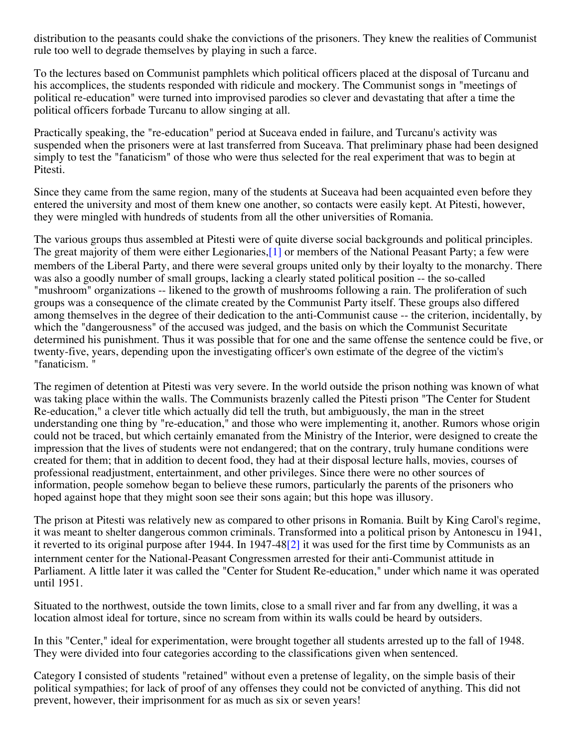distribution to the peasants could shake the convictions of the prisoners. They knew the realities of Communist rule too well to degrade themselves by playing in such a farce.

To the lectures based on Communist pamphlets which political officers placed at the disposal of Turcanu and his accomplices, the students responded with ridicule and mockery. The Communist songs in "meetings of political re-education" were turned into improvised parodies so clever and devastating that after a time the political officers forbade Turcanu to allow singing at all.

Practically speaking, the "re-education" period at Suceava ended in failure, and Turcanu's activity was suspended when the prisoners were at last transferred from Suceava. That preliminary phase had been designed simply to test the "fanaticism" of those who were thus selected for the real experiment that was to begin at Pitesti.

Since they came from the same region, many of the students at Suceava had been acquainted even before they entered the university and most of them knew one another, so contacts were easily kept. At Pitesti, however, they were mingled with hundreds of students from all the other universities of Romania.

The various groups thus assembled at Pitesti were of quite diverse social backgrounds and political principles. The great majority of them were either Legionaries,[1] or members of the National Peasant Party; a few were members of the Liberal Party, and there were several groups united only by their loyalty to the monarchy. There was also a goodly number of small groups, lacking a clearly stated political position -- the so-called "mushroom" organizations -- likened to the growth of mushrooms following a rain. The proliferation of such groups was a consequence of the climate created by the Communist Party itself. These groups also differed among themselves in the degree of their dedication to the anti-Communist cause -- the criterion, incidentally, by which the "dangerousness" of the accused was judged, and the basis on which the Communist Securitate determined his punishment. Thus it was possible that for one and the same offense the sentence could be five, or twenty-five, years, depending upon the investigating officer's own estimate of the degree of the victim's "fanaticism. "

The regimen of detention at Pitesti was very severe. In the world outside the prison nothing was known of what was taking place within the walls. The Communists brazenly called the Pitesti prison "The Center for Student Re-education," a clever title which actually did tell the truth, but ambiguously, the man in the street understanding one thing by "re-education," and those who were implementing it, another. Rumors whose origin could not be traced, but which certainly emanated from the Ministry of the Interior, were designed to create the impression that the lives of students were not endangered; that on the contrary, truly humane conditions were created for them; that in addition to decent food, they had at their disposal lecture halls, movies, courses of professional readjustment, entertainment, and other privileges. Since there were no other sources of information, people somehow began to believe these rumors, particularly the parents of the prisoners who hoped against hope that they might soon see their sons again; but this hope was illusory.

The prison at Pitesti was relatively new as compared to other prisons in Romania. Built by King Carol's regime, it was meant to shelter dangerous common criminals. Transformed into a political prison by Antonescu in 1941, it reverted to its original purpose after 1944. In 1947-48[2] it was used for the first time by Communists as an internment center for the National-Peasant Congressmen arrested for their anti-Communist attitude in Parliament. A little later it was called the "Center for Student Re-education," under which name it was operated until 1951.

Situated to the northwest, outside the town limits, close to a small river and far from any dwelling, it was a location almost ideal for torture, since no scream from within its walls could be heard by outsiders.

In this "Center," ideal for experimentation, were brought together all students arrested up to the fall of 1948. They were divided into four categories according to the classifications given when sentenced.

Category I consisted of students "retained" without even a pretense of legality, on the simple basis of their political sympathies; for lack of proof of any offenses they could not be convicted of anything. This did not prevent, however, their imprisonment for as much as six or seven years!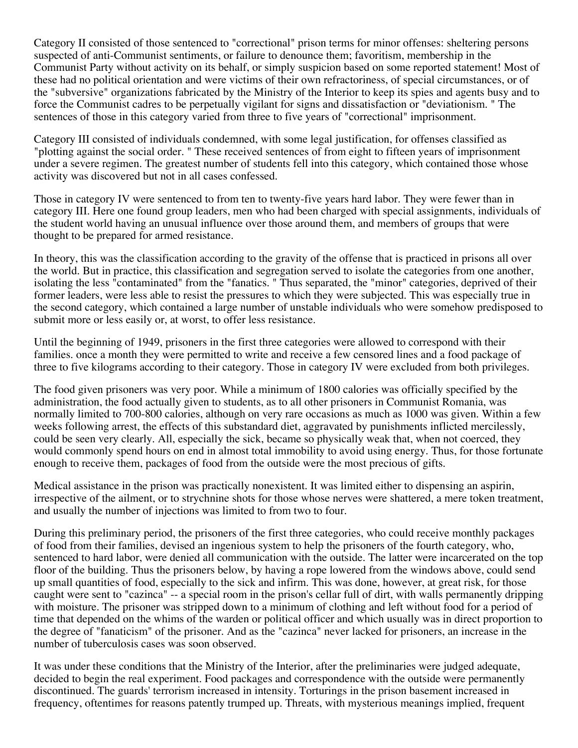Category II consisted of those sentenced to "correctional" prison terms for minor offenses: sheltering persons suspected of anti-Communist sentiments, or failure to denounce them; favoritism, membership in the Communist Party without activity on its behalf, or simply suspicion based on some reported statement! Most of these had no political orientation and were victims of their own refractoriness, of special circumstances, or of the "subversive" organizations fabricated by the Ministry of the Interior to keep its spies and agents busy and to force the Communist cadres to be perpetually vigilant for signs and dissatisfaction or "deviationism. " The sentences of those in this category varied from three to five years of "correctional" imprisonment.

Category III consisted of individuals condemned, with some legal justification, for offenses classified as "plotting against the social order. " These received sentences of from eight to fifteen years of imprisonment under a severe regimen. The greatest number of students fell into this category, which contained those whose activity was discovered but not in all cases confessed.

Those in category IV were sentenced to from ten to twenty-five years hard labor. They were fewer than in category III. Here one found group leaders, men who had been charged with special assignments, individuals of the student world having an unusual influence over those around them, and members of groups that were thought to be prepared for armed resistance.

In theory, this was the classification according to the gravity of the offense that is practiced in prisons all over the world. But in practice, this classification and segregation served to isolate the categories from one another, isolating the less "contaminated" from the "fanatics. " Thus separated, the "minor" categories, deprived of their former leaders, were less able to resist the pressures to which they were subjected. This was especially true in the second category, which contained a large number of unstable individuals who were somehow predisposed to submit more or less easily or, at worst, to offer less resistance.

Until the beginning of 1949, prisoners in the first three categories were allowed to correspond with their families. once a month they were permitted to write and receive a few censored lines and a food package of three to five kilograms according to their category. Those in category IV were excluded from both privileges.

The food given prisoners was very poor. While a minimum of 1800 calories was officially specified by the administration, the food actually given to students, as to all other prisoners in Communist Romania, was normally limited to 700-800 calories, although on very rare occasions as much as 1000 was given. Within a few weeks following arrest, the effects of this substandard diet, aggravated by punishments inflicted mercilessly, could be seen very clearly. All, especially the sick, became so physically weak that, when not coerced, they would commonly spend hours on end in almost total immobility to avoid using energy. Thus, for those fortunate enough to receive them, packages of food from the outside were the most precious of gifts.

Medical assistance in the prison was practically nonexistent. It was limited either to dispensing an aspirin, irrespective of the ailment, or to strychnine shots for those whose nerves were shattered, a mere token treatment, and usually the number of injections was limited to from two to four.

During this preliminary period, the prisoners of the first three categories, who could receive monthly packages of food from their families, devised an ingenious system to help the prisoners of the fourth category, who, sentenced to hard labor, were denied all communication with the outside. The latter were incarcerated on the top floor of the building. Thus the prisoners below, by having a rope lowered from the windows above, could send up small quantities of food, especially to the sick and infirm. This was done, however, at great risk, for those caught were sent to "cazinca" -- a special room in the prison's cellar full of dirt, with walls permanently dripping with moisture. The prisoner was stripped down to a minimum of clothing and left without food for a period of time that depended on the whims of the warden or political officer and which usually was in direct proportion to the degree of "fanaticism" of the prisoner. And as the "cazinca" never lacked for prisoners, an increase in the number of tuberculosis cases was soon observed.

It was under these conditions that the Ministry of the Interior, after the preliminaries were judged adequate, decided to begin the real experiment. Food packages and correspondence with the outside were permanently discontinued. The guards' terrorism increased in intensity. Torturings in the prison basement increased in frequency, oftentimes for reasons patently trumped up. Threats, with mysterious meanings implied, frequent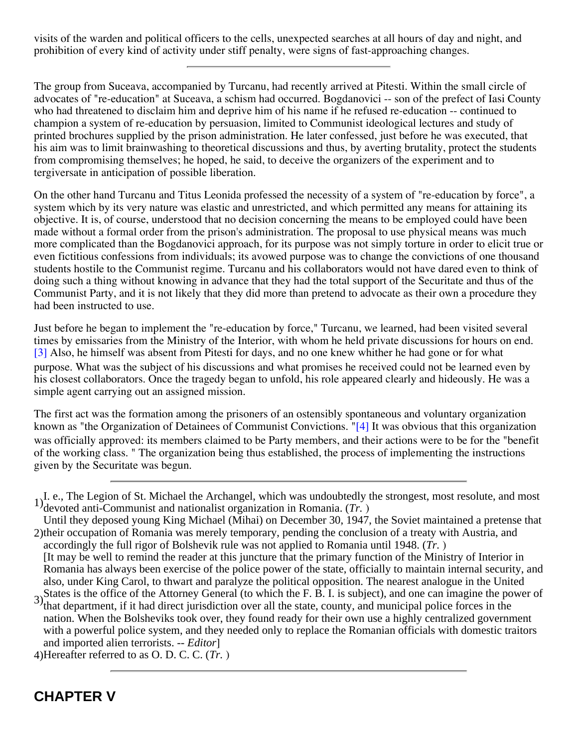visits of the warden and political officers to the cells, unexpected searches at all hours of day and night, and prohibition of every kind of activity under stiff penalty, were signs of fast-approaching changes.

The group from Suceava, accompanied by Turcanu, had recently arrived at Pitesti. Within the small circle of advocates of "re-education" at Suceava, a schism had occurred. Bogdanovici -- son of the prefect of Iasi County who had threatened to disclaim him and deprive him of his name if he refused re-education -- continued to champion a system of re-education by persuasion, limited to Communist ideological lectures and study of printed brochures supplied by the prison administration. He later confessed, just before he was executed, that his aim was to limit brainwashing to theoretical discussions and thus, by averting brutality, protect the students from compromising themselves; he hoped, he said, to deceive the organizers of the experiment and to tergiversate in anticipation of possible liberation.

On the other hand Turcanu and Titus Leonida professed the necessity of a system of "re-education by force", a system which by its very nature was elastic and unrestricted, and which permitted any means for attaining its objective. It is, of course, understood that no decision concerning the means to be employed could have been made without a formal order from the prison's administration. The proposal to use physical means was much more complicated than the Bogdanovici approach, for its purpose was not simply torture in order to elicit true or even fictitious confessions from individuals; its avowed purpose was to change the convictions of one thousand students hostile to the Communist regime. Turcanu and his collaborators would not have dared even to think of doing such a thing without knowing in advance that they had the total support of the Securitate and thus of the Communist Party, and it is not likely that they did more than pretend to advocate as their own a procedure they had been instructed to use.

Just before he began to implement the "re-education by force," Turcanu, we learned, had been visited several times by emissaries from the Ministry of the Interior, with whom he held private discussions for hours on end. [3] Also, he himself was absent from Pitesti for days, and no one knew whither he had gone or for what purpose. What was the subject of his discussions and what promises he received could not be learned even by his closest collaborators. Once the tragedy began to unfold, his role appeared clearly and hideously. He was a simple agent carrying out an assigned mission.

The first act was the formation among the prisoners of an ostensibly spontaneous and voluntary organization known as "the Organization of Detainees of Communist Convictions. "[4] It was obvious that this organization was officially approved: its members claimed to be Party members, and their actions were to be for the "benefit of the working class. " The organization being thus established, the process of implementing the instructions given by the Securitate was begun.

4)Hereafter referred to as O. D. C. C. (*Tr.* )

# **CHAPTER V**

<sup>1)</sup>I. e., The Legion of St. Michael the Archangel, which was undoubtedly the strongest, most resolute, and most 1)<sup>1</sup> devoted anti-Communist and nationalist organization in Romania. (*Tr.* )

<sup>2)</sup> their occupation of Romania was merely temporary, pending the conclusion of a treaty with Austria, and Until they deposed young King Michael (Mihai) on December 30, 1947, the Soviet maintained a pretense that accordingly the full rigor of Bolshevik rule was not applied to Romania until 1948. (*Tr.* )

<sup>[</sup>It may be well to remind the reader at this juncture that the primary function of the Ministry of Interior in Romania has always been exercise of the police power of the state, officially to maintain internal security, and also, under King Carol, to thwart and paralyze the political opposition. The nearest analogue in the United States is the office of the Attorney General (to which the F. B. I. is subject), and one can imagine the power of

<sup>3)</sup> that department, if it had direct jurisdiction over all the state, county, and municipal police forces in the nation. When the Bolsheviks took over, they found ready for their own use a highly centralized government with a powerful police system, and they needed only to replace the Romanian officials with domestic traitors and imported alien terrorists. -- *Editor*]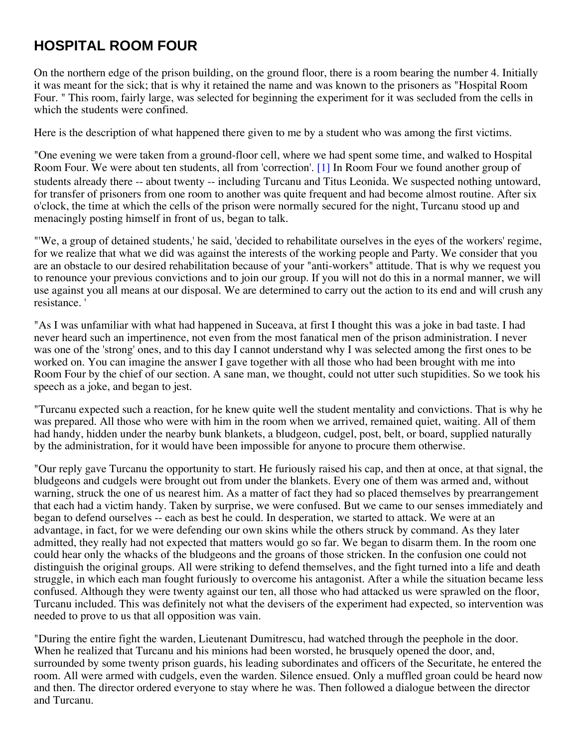### **HOSPITAL ROOM FOUR**

On the northern edge of the prison building, on the ground floor, there is a room bearing the number 4. Initially it was meant for the sick; that is why it retained the name and was known to the prisoners as "Hospital Room Four. " This room, fairly large, was selected for beginning the experiment for it was secluded from the cells in which the students were confined.

Here is the description of what happened there given to me by a student who was among the first victims.

"One evening we were taken from a ground-floor cell, where we had spent some time, and walked to Hospital Room Four. We were about ten students, all from 'correction'. [1] In Room Four we found another group of students already there -- about twenty -- including Turcanu and Titus Leonida. We suspected nothing untoward, for transfer of prisoners from one room to another was quite frequent and had become almost routine. After six o'clock, the time at which the cells of the prison were normally secured for the night, Turcanu stood up and menacingly posting himself in front of us, began to talk.

"'We, a group of detained students,' he said, 'decided to rehabilitate ourselves in the eyes of the workers' regime, for we realize that what we did was against the interests of the working people and Party. We consider that you are an obstacle to our desired rehabilitation because of your "anti-workers" attitude. That is why we request you to renounce your previous convictions and to join our group. If you will not do this in a normal manner, we will use against you all means at our disposal. We are determined to carry out the action to its end and will crush any resistance. '

"As I was unfamiliar with what had happened in Suceava, at first I thought this was a joke in bad taste. I had never heard such an impertinence, not even from the most fanatical men of the prison administration. I never was one of the 'strong' ones, and to this day I cannot understand why I was selected among the first ones to be worked on. You can imagine the answer I gave together with all those who had been brought with me into Room Four by the chief of our section. A sane man, we thought, could not utter such stupidities. So we took his speech as a joke, and began to jest.

"Turcanu expected such a reaction, for he knew quite well the student mentality and convictions. That is why he was prepared. All those who were with him in the room when we arrived, remained quiet, waiting. All of them had handy, hidden under the nearby bunk blankets, a bludgeon, cudgel, post, belt, or board, supplied naturally by the administration, for it would have been impossible for anyone to procure them otherwise.

"Our reply gave Turcanu the opportunity to start. He furiously raised his cap, and then at once, at that signal, the bludgeons and cudgels were brought out from under the blankets. Every one of them was armed and, without warning, struck the one of us nearest him. As a matter of fact they had so placed themselves by prearrangement that each had a victim handy. Taken by surprise, we were confused. But we came to our senses immediately and began to defend ourselves -- each as best he could. In desperation, we started to attack. We were at an advantage, in fact, for we were defending our own skins while the others struck by command. As they later admitted, they really had not expected that matters would go so far. We began to disarm them. In the room one could hear only the whacks of the bludgeons and the groans of those stricken. In the confusion one could not distinguish the original groups. All were striking to defend themselves, and the fight turned into a life and death struggle, in which each man fought furiously to overcome his antagonist. After a while the situation became less confused. Although they were twenty against our ten, all those who had attacked us were sprawled on the floor, Turcanu included. This was definitely not what the devisers of the experiment had expected, so intervention was needed to prove to us that all opposition was vain.

"During the entire fight the warden, Lieutenant Dumitrescu, had watched through the peephole in the door. When he realized that Turcanu and his minions had been worsted, he brusquely opened the door, and, surrounded by some twenty prison guards, his leading subordinates and officers of the Securitate, he entered the room. All were armed with cudgels, even the warden. Silence ensued. Only a muffled groan could be heard now and then. The director ordered everyone to stay where he was. Then followed a dialogue between the director and Turcanu.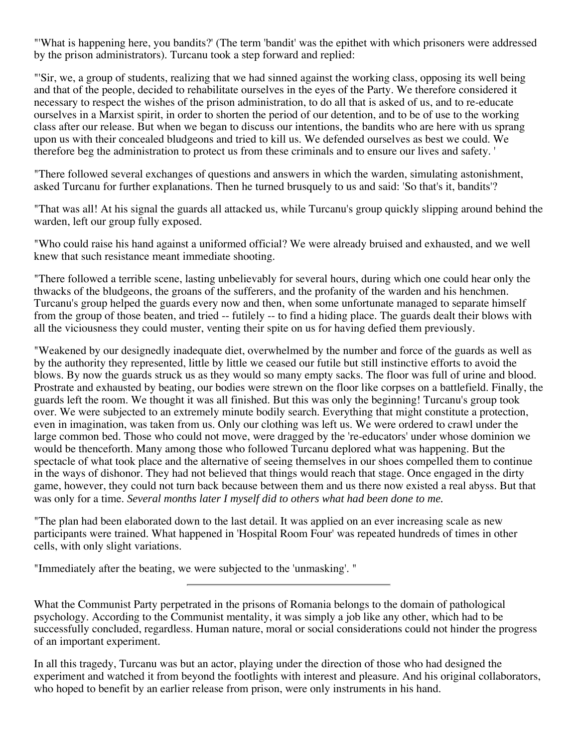"'What is happening here, you bandits?' (The term 'bandit' was the epithet with which prisoners were addressed by the prison administrators). Turcanu took a step forward and replied:

"'Sir, we, a group of students, realizing that we had sinned against the working class, opposing its well being and that of the people, decided to rehabilitate ourselves in the eyes of the Party. We therefore considered it necessary to respect the wishes of the prison administration, to do all that is asked of us, and to re-educate ourselves in a Marxist spirit, in order to shorten the period of our detention, and to be of use to the working class after our release. But when we began to discuss our intentions, the bandits who are here with us sprang upon us with their concealed bludgeons and tried to kill us. We defended ourselves as best we could. We therefore beg the administration to protect us from these criminals and to ensure our lives and safety. '

"There followed several exchanges of questions and answers in which the warden, simulating astonishment, asked Turcanu for further explanations. Then he turned brusquely to us and said: 'So that's it, bandits'?

"That was all! At his signal the guards all attacked us, while Turcanu's group quickly slipping around behind the warden, left our group fully exposed.

"Who could raise his hand against a uniformed official? We were already bruised and exhausted, and we well knew that such resistance meant immediate shooting.

"There followed a terrible scene, lasting unbelievably for several hours, during which one could hear only the thwacks of the bludgeons, the groans of the sufferers, and the profanity of the warden and his henchmen. Turcanu's group helped the guards every now and then, when some unfortunate managed to separate himself from the group of those beaten, and tried -- futilely -- to find a hiding place. The guards dealt their blows with all the viciousness they could muster, venting their spite on us for having defied them previously.

"Weakened by our designedly inadequate diet, overwhelmed by the number and force of the guards as well as by the authority they represented, little by little we ceased our futile but still instinctive efforts to avoid the blows. By now the guards struck us as they would so many empty sacks. The floor was full of urine and blood. Prostrate and exhausted by beating, our bodies were strewn on the floor like corpses on a battlefield. Finally, the guards left the room. We thought it was all finished. But this was only the beginning! Turcanu's group took over. We were subjected to an extremely minute bodily search. Everything that might constitute a protection, even in imagination, was taken from us. Only our clothing was left us. We were ordered to crawl under the large common bed. Those who could not move, were dragged by the 're-educators' under whose dominion we would be thenceforth. Many among those who followed Turcanu deplored what was happening. But the spectacle of what took place and the alternative of seeing themselves in our shoes compelled them to continue in the ways of dishonor. They had not believed that things would reach that stage. Once engaged in the dirty game, however, they could not turn back because between them and us there now existed a real abyss. But that was only for a time. *Several months later I myself did to others what had been done to me.*

"The plan had been elaborated down to the last detail. It was applied on an ever increasing scale as new participants were trained. What happened in 'Hospital Room Four' was repeated hundreds of times in other cells, with only slight variations.

"Immediately after the beating, we were subjected to the 'unmasking'. "

What the Communist Party perpetrated in the prisons of Romania belongs to the domain of pathological psychology. According to the Communist mentality, it was simply a job like any other, which had to be successfully concluded, regardless. Human nature, moral or social considerations could not hinder the progress of an important experiment.

In all this tragedy, Turcanu was but an actor, playing under the direction of those who had designed the experiment and watched it from beyond the footlights with interest and pleasure. And his original collaborators, who hoped to benefit by an earlier release from prison, were only instruments in his hand.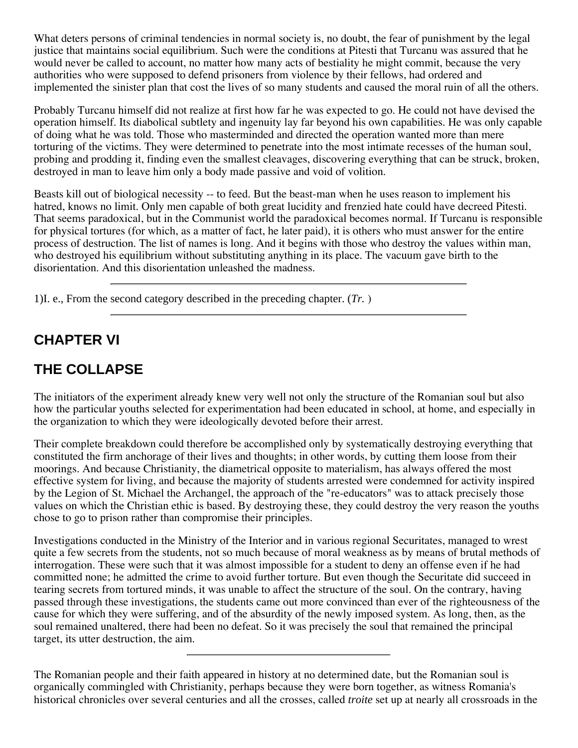What deters persons of criminal tendencies in normal society is, no doubt, the fear of punishment by the legal justice that maintains social equilibrium. Such were the conditions at Pitesti that Turcanu was assured that he would never be called to account, no matter how many acts of bestiality he might commit, because the very authorities who were supposed to defend prisoners from violence by their fellows, had ordered and implemented the sinister plan that cost the lives of so many students and caused the moral ruin of all the others.

Probably Turcanu himself did not realize at first how far he was expected to go. He could not have devised the operation himself. Its diabolical subtlety and ingenuity lay far beyond his own capabilities. He was only capable of doing what he was told. Those who masterminded and directed the operation wanted more than mere torturing of the victims. They were determined to penetrate into the most intimate recesses of the human soul, probing and prodding it, finding even the smallest cleavages, discovering everything that can be struck, broken, destroyed in man to leave him only a body made passive and void of volition.

Beasts kill out of biological necessity -- to feed. But the beast-man when he uses reason to implement his hatred, knows no limit. Only men capable of both great lucidity and frenzied hate could have decreed Pitesti. That seems paradoxical, but in the Communist world the paradoxical becomes normal. If Turcanu is responsible for physical tortures (for which, as a matter of fact, he later paid), it is others who must answer for the entire process of destruction. The list of names is long. And it begins with those who destroy the values within man, who destroyed his equilibrium without substituting anything in its place. The vacuum gave birth to the disorientation. And this disorientation unleashed the madness.

1)I. e., From the second category described in the preceding chapter. (*Tr.* )

#### **CHAPTER VI**

## **THE COLLAPSE**

The initiators of the experiment already knew very well not only the structure of the Romanian soul but also how the particular youths selected for experimentation had been educated in school, at home, and especially in the organization to which they were ideologically devoted before their arrest.

Their complete breakdown could therefore be accomplished only by systematically destroying everything that constituted the firm anchorage of their lives and thoughts; in other words, by cutting them loose from their moorings. And because Christianity, the diametrical opposite to materialism, has always offered the most effective system for living, and because the majority of students arrested were condemned for activity inspired by the Legion of St. Michael the Archangel, the approach of the "re-educators" was to attack precisely those values on which the Christian ethic is based. By destroying these, they could destroy the very reason the youths chose to go to prison rather than compromise their principles.

Investigations conducted in the Ministry of the Interior and in various regional Securitates, managed to wrest quite a few secrets from the students, not so much because of moral weakness as by means of brutal methods of interrogation. These were such that it was almost impossible for a student to deny an offense even if he had committed none; he admitted the crime to avoid further torture. But even though the Securitate did succeed in tearing secrets from tortured minds, it was unable to affect the structure of the soul. On the contrary, having passed through these investigations, the students came out more convinced than ever of the righteousness of the cause for which they were suffering, and of the absurdity of the newly imposed system. As long, then, as the soul remained unaltered, there had been no defeat. So it was precisely the soul that remained the principal target, its utter destruction, the aim.

The Romanian people and their faith appeared in history at no determined date, but the Romanian soul is organically commingled with Christianity, perhaps because they were born together, as witness Romania's historical chronicles over several centuries and all the crosses, called *troite* set up at nearly all crossroads in the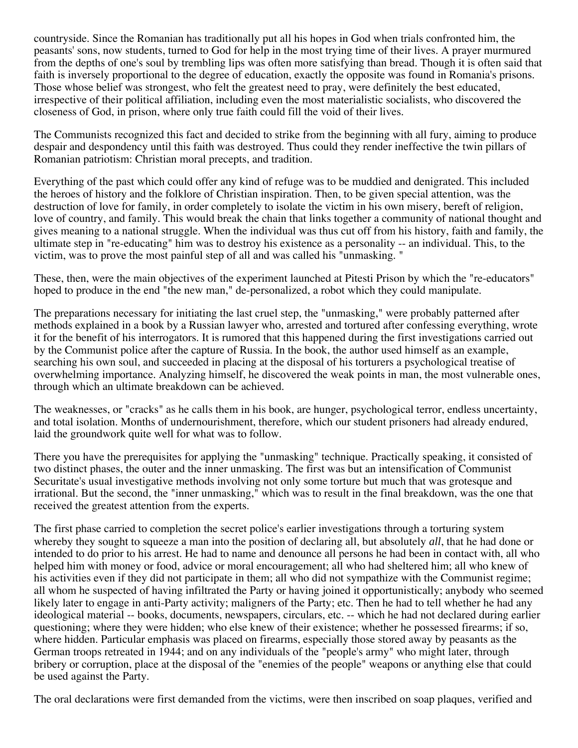countryside. Since the Romanian has traditionally put all his hopes in God when trials confronted him, the peasants' sons, now students, turned to God for help in the most trying time of their lives. A prayer murmured from the depths of one's soul by trembling lips was often more satisfying than bread. Though it is often said that faith is inversely proportional to the degree of education, exactly the opposite was found in Romania's prisons. Those whose belief was strongest, who felt the greatest need to pray, were definitely the best educated, irrespective of their political affiliation, including even the most materialistic socialists, who discovered the closeness of God, in prison, where only true faith could fill the void of their lives.

The Communists recognized this fact and decided to strike from the beginning with all fury, aiming to produce despair and despondency until this faith was destroyed. Thus could they render ineffective the twin pillars of Romanian patriotism: Christian moral precepts, and tradition.

Everything of the past which could offer any kind of refuge was to be muddied and denigrated. This included the heroes of history and the folklore of Christian inspiration. Then, to be given special attention, was the destruction of love for family, in order completely to isolate the victim in his own misery, bereft of religion, love of country, and family. This would break the chain that links together a community of national thought and gives meaning to a national struggle. When the individual was thus cut off from his history, faith and family, the ultimate step in "re-educating" him was to destroy his existence as a personality -- an individual. This, to the victim, was to prove the most painful step of all and was called his "unmasking. "

These, then, were the main objectives of the experiment launched at Pitesti Prison by which the "re-educators" hoped to produce in the end "the new man," de-personalized, a robot which they could manipulate.

The preparations necessary for initiating the last cruel step, the "unmasking," were probably patterned after methods explained in a book by a Russian lawyer who, arrested and tortured after confessing everything, wrote it for the benefit of his interrogators. It is rumored that this happened during the first investigations carried out by the Communist police after the capture of Russia. In the book, the author used himself as an example, searching his own soul, and succeeded in placing at the disposal of his torturers a psychological treatise of overwhelming importance. Analyzing himself, he discovered the weak points in man, the most vulnerable ones, through which an ultimate breakdown can be achieved.

The weaknesses, or "cracks" as he calls them in his book, are hunger, psychological terror, endless uncertainty, and total isolation. Months of undernourishment, therefore, which our student prisoners had already endured, laid the groundwork quite well for what was to follow.

There you have the prerequisites for applying the "unmasking" technique. Practically speaking, it consisted of two distinct phases, the outer and the inner unmasking. The first was but an intensification of Communist Securitate's usual investigative methods involving not only some torture but much that was grotesque and irrational. But the second, the "inner unmasking," which was to result in the final breakdown, was the one that received the greatest attention from the experts.

The first phase carried to completion the secret police's earlier investigations through a torturing system whereby they sought to squeeze a man into the position of declaring all, but absolutely *all*, that he had done or intended to do prior to his arrest. He had to name and denounce all persons he had been in contact with, all who helped him with money or food, advice or moral encouragement; all who had sheltered him; all who knew of his activities even if they did not participate in them; all who did not sympathize with the Communist regime; all whom he suspected of having infiltrated the Party or having joined it opportunistically; anybody who seemed likely later to engage in anti-Party activity; maligners of the Party; etc. Then he had to tell whether he had any ideological material -- books, documents, newspapers, circulars, etc. -- which he had not declared during earlier questioning; where they were hidden; who else knew of their existence; whether he possessed firearms; if so, where hidden. Particular emphasis was placed on firearms, especially those stored away by peasants as the German troops retreated in 1944; and on any individuals of the "people's army" who might later, through bribery or corruption, place at the disposal of the "enemies of the people" weapons or anything else that could be used against the Party.

The oral declarations were first demanded from the victims, were then inscribed on soap plaques, verified and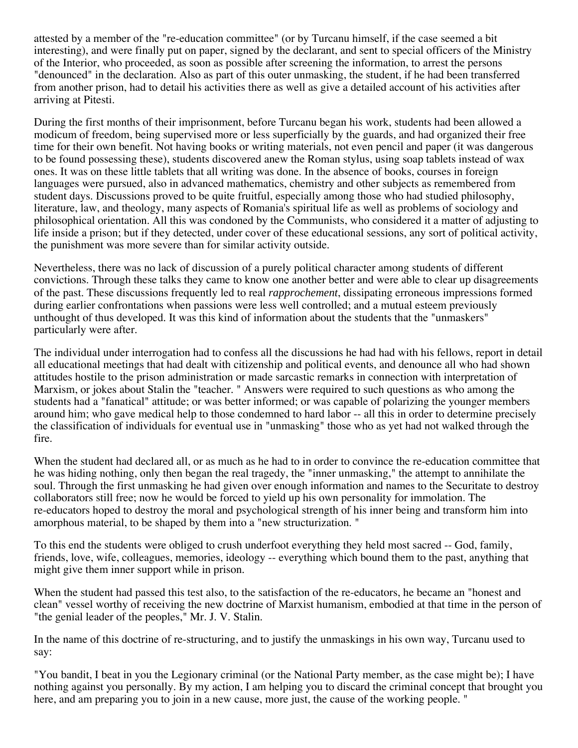attested by a member of the "re-education committee" (or by Turcanu himself, if the case seemed a bit interesting), and were finally put on paper, signed by the declarant, and sent to special officers of the Ministry of the Interior, who proceeded, as soon as possible after screening the information, to arrest the persons "denounced" in the declaration. Also as part of this outer unmasking, the student, if he had been transferred from another prison, had to detail his activities there as well as give a detailed account of his activities after arriving at Pitesti.

During the first months of their imprisonment, before Turcanu began his work, students had been allowed a modicum of freedom, being supervised more or less superficially by the guards, and had organized their free time for their own benefit. Not having books or writing materials, not even pencil and paper (it was dangerous to be found possessing these), students discovered anew the Roman stylus, using soap tablets instead of wax ones. It was on these little tablets that all writing was done. In the absence of books, courses in foreign languages were pursued, also in advanced mathematics, chemistry and other subjects as remembered from student days. Discussions proved to be quite fruitful, especially among those who had studied philosophy, literature, law, and theology, many aspects of Romania's spiritual life as well as problems of sociology and philosophical orientation. All this was condoned by the Communists, who considered it a matter of adjusting to life inside a prison; but if they detected, under cover of these educational sessions, any sort of political activity, the punishment was more severe than for similar activity outside.

Nevertheless, there was no lack of discussion of a purely political character among students of different convictions. Through these talks they came to know one another better and were able to clear up disagreements of the past. These discussions frequently led to real *rapprochement*, dissipating erroneous impressions formed during earlier confrontations when passions were less well controlled; and a mutual esteem previously unthought of thus developed. It was this kind of information about the students that the "unmaskers" particularly were after.

The individual under interrogation had to confess all the discussions he had had with his fellows, report in detail all educational meetings that had dealt with citizenship and political events, and denounce all who had shown attitudes hostile to the prison administration or made sarcastic remarks in connection with interpretation of Marxism, or jokes about Stalin the "teacher. " Answers were required to such questions as who among the students had a "fanatical" attitude; or was better informed; or was capable of polarizing the younger members around him; who gave medical help to those condemned to hard labor -- all this in order to determine precisely the classification of individuals for eventual use in "unmasking" those who as yet had not walked through the fire.

When the student had declared all, or as much as he had to in order to convince the re-education committee that he was hiding nothing, only then began the real tragedy, the "inner unmasking," the attempt to annihilate the soul. Through the first unmasking he had given over enough information and names to the Securitate to destroy collaborators still free; now he would be forced to yield up his own personality for immolation. The re-educators hoped to destroy the moral and psychological strength of his inner being and transform him into amorphous material, to be shaped by them into a "new structurization. "

To this end the students were obliged to crush underfoot everything they held most sacred -- God, family, friends, love, wife, colleagues, memories, ideology -- everything which bound them to the past, anything that might give them inner support while in prison.

When the student had passed this test also, to the satisfaction of the re-educators, he became an "honest and clean" vessel worthy of receiving the new doctrine of Marxist humanism, embodied at that time in the person of "the genial leader of the peoples," Mr. J. V. Stalin.

In the name of this doctrine of re-structuring, and to justify the unmaskings in his own way, Turcanu used to say:

"You bandit, I beat in you the Legionary criminal (or the National Party member, as the case might be); I have nothing against you personally. By my action, I am helping you to discard the criminal concept that brought you here, and am preparing you to join in a new cause, more just, the cause of the working people. "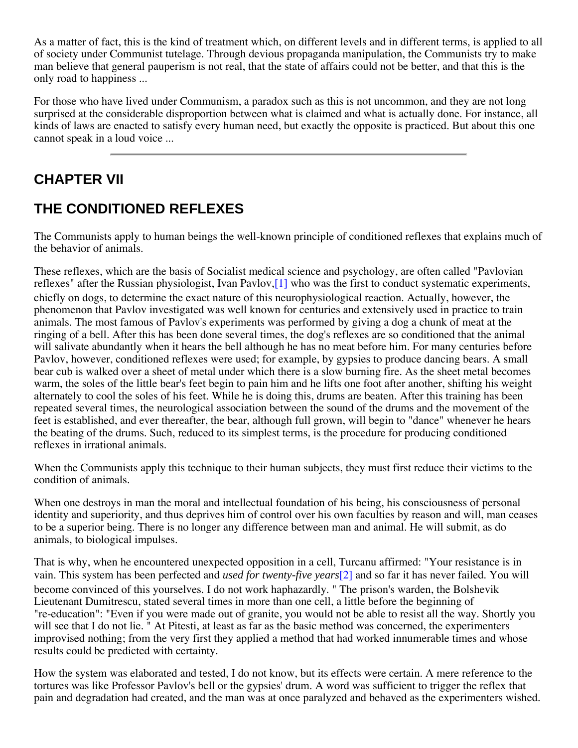As a matter of fact, this is the kind of treatment which, on different levels and in different terms, is applied to all of society under Communist tutelage. Through devious propaganda manipulation, the Communists try to make man believe that general pauperism is not real, that the state of affairs could not be better, and that this is the only road to happiness ...

For those who have lived under Communism, a paradox such as this is not uncommon, and they are not long surprised at the considerable disproportion between what is claimed and what is actually done. For instance, all kinds of laws are enacted to satisfy every human need, but exactly the opposite is practiced. But about this one cannot speak in a loud voice ...

### **CHAPTER VII**

## **THE CONDITIONED REFLEXES**

The Communists apply to human beings the well-known principle of conditioned reflexes that explains much of the behavior of animals.

These reflexes, which are the basis of Socialist medical science and psychology, are often called "Pavlovian reflexes" after the Russian physiologist, Ivan Pavlov,[1] who was the first to conduct systematic experiments, chiefly on dogs, to determine the exact nature of this neurophysiological reaction. Actually, however, the phenomenon that Pavlov investigated was well known for centuries and extensively used in practice to train animals. The most famous of Pavlov's experiments was performed by giving a dog a chunk of meat at the ringing of a bell. After this has been done several times, the dog's reflexes are so conditioned that the animal will salivate abundantly when it hears the bell although he has no meat before him. For many centuries before Pavlov, however, conditioned reflexes were used; for example, by gypsies to produce dancing bears. A small bear cub is walked over a sheet of metal under which there is a slow burning fire. As the sheet metal becomes warm, the soles of the little bear's feet begin to pain him and he lifts one foot after another, shifting his weight alternately to cool the soles of his feet. While he is doing this, drums are beaten. After this training has been repeated several times, the neurological association between the sound of the drums and the movement of the feet is established, and ever thereafter, the bear, although full grown, will begin to "dance" whenever he hears the beating of the drums. Such, reduced to its simplest terms, is the procedure for producing conditioned reflexes in irrational animals.

When the Communists apply this technique to their human subjects, they must first reduce their victims to the condition of animals.

When one destroys in man the moral and intellectual foundation of his being, his consciousness of personal identity and superiority, and thus deprives him of control over his own faculties by reason and will, man ceases to be a superior being. There is no longer any difference between man and animal. He will submit, as do animals, to biological impulses.

That is why, when he encountered unexpected opposition in a cell, Turcanu affirmed: "Your resistance is in vain. This system has been perfected and *used for twenty-five years*[2] and so far it has never failed. You will become convinced of this yourselves. I do not work haphazardly. " The prison's warden, the Bolshevik Lieutenant Dumitrescu, stated several times in more than one cell, a little before the beginning of "re-education": "Even if you were made out of granite, you would not be able to resist all the way. Shortly you will see that I do not lie. " At Pitesti, at least as far as the basic method was concerned, the experimenters improvised nothing; from the very first they applied a method that had worked innumerable times and whose results could be predicted with certainty.

How the system was elaborated and tested, I do not know, but its effects were certain. A mere reference to the tortures was like Professor Pavlov's bell or the gypsies' drum. A word was sufficient to trigger the reflex that pain and degradation had created, and the man was at once paralyzed and behaved as the experimenters wished.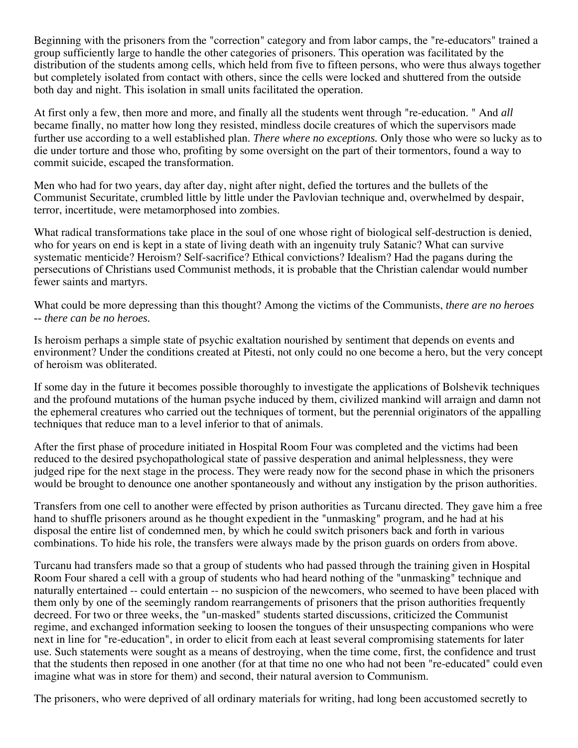Beginning with the prisoners from the "correction" category and from labor camps, the "re-educators" trained a group sufficiently large to handle the other categories of prisoners. This operation was facilitated by the distribution of the students among cells, which held from five to fifteen persons, who were thus always together but completely isolated from contact with others, since the cells were locked and shuttered from the outside both day and night. This isolation in small units facilitated the operation.

At first only a few, then more and more, and finally all the students went through "re-education. " And *all* became finally, no matter how long they resisted, mindless docile creatures of which the supervisors made further use according to a well established plan. *There where no exceptions.* Only those who were so lucky as to die under torture and those who, profiting by some oversight on the part of their tormentors, found a way to commit suicide, escaped the transformation.

Men who had for two years, day after day, night after night, defied the tortures and the bullets of the Communist Securitate, crumbled little by little under the Pavlovian technique and, overwhelmed by despair, terror, incertitude, were metamorphosed into zombies.

What radical transformations take place in the soul of one whose right of biological self-destruction is denied, who for years on end is kept in a state of living death with an ingenuity truly Satanic? What can survive systematic menticide? Heroism? Self-sacrifice? Ethical convictions? Idealism? Had the pagans during the persecutions of Christians used Communist methods, it is probable that the Christian calendar would number fewer saints and martyrs.

What could be more depressing than this thought? Among the victims of the Communists, *there are no heroes -- there can be no heroes.*

Is heroism perhaps a simple state of psychic exaltation nourished by sentiment that depends on events and environment? Under the conditions created at Pitesti, not only could no one become a hero, but the very concept of heroism was obliterated.

If some day in the future it becomes possible thoroughly to investigate the applications of Bolshevik techniques and the profound mutations of the human psyche induced by them, civilized mankind will arraign and damn not the ephemeral creatures who carried out the techniques of torment, but the perennial originators of the appalling techniques that reduce man to a level inferior to that of animals.

After the first phase of procedure initiated in Hospital Room Four was completed and the victims had been reduced to the desired psychopathological state of passive desperation and animal helplessness, they were judged ripe for the next stage in the process. They were ready now for the second phase in which the prisoners would be brought to denounce one another spontaneously and without any instigation by the prison authorities.

Transfers from one cell to another were effected by prison authorities as Turcanu directed. They gave him a free hand to shuffle prisoners around as he thought expedient in the "unmasking" program, and he had at his disposal the entire list of condemned men, by which he could switch prisoners back and forth in various combinations. To hide his role, the transfers were always made by the prison guards on orders from above.

Turcanu had transfers made so that a group of students who had passed through the training given in Hospital Room Four shared a cell with a group of students who had heard nothing of the "unmasking" technique and naturally entertained -- could entertain -- no suspicion of the newcomers, who seemed to have been placed with them only by one of the seemingly random rearrangements of prisoners that the prison authorities frequently decreed. For two or three weeks, the "un-masked" students started discussions, criticized the Communist regime, and exchanged information seeking to loosen the tongues of their unsuspecting companions who were next in line for "re-education", in order to elicit from each at least several compromising statements for later use. Such statements were sought as a means of destroying, when the time come, first, the confidence and trust that the students then reposed in one another (for at that time no one who had not been "re-educated" could even imagine what was in store for them) and second, their natural aversion to Communism.

The prisoners, who were deprived of all ordinary materials for writing, had long been accustomed secretly to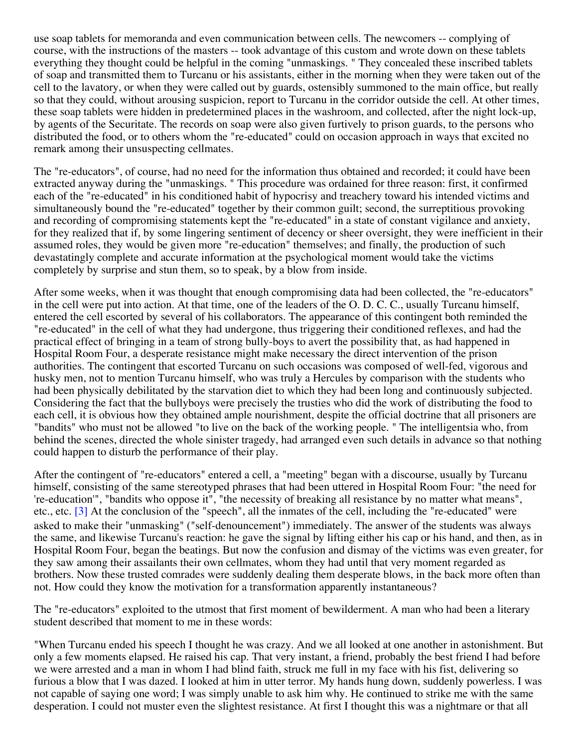use soap tablets for memoranda and even communication between cells. The newcomers -- complying of course, with the instructions of the masters -- took advantage of this custom and wrote down on these tablets everything they thought could be helpful in the coming "unmaskings. " They concealed these inscribed tablets of soap and transmitted them to Turcanu or his assistants, either in the morning when they were taken out of the cell to the lavatory, or when they were called out by guards, ostensibly summoned to the main office, but really so that they could, without arousing suspicion, report to Turcanu in the corridor outside the cell. At other times, these soap tablets were hidden in predetermined places in the washroom, and collected, after the night lock-up, by agents of the Securitate. The records on soap were also given furtively to prison guards, to the persons who distributed the food, or to others whom the "re-educated" could on occasion approach in ways that excited no remark among their unsuspecting cellmates.

The "re-educators", of course, had no need for the information thus obtained and recorded; it could have been extracted anyway during the "unmaskings. " This procedure was ordained for three reason: first, it confirmed each of the "re-educated" in his conditioned habit of hypocrisy and treachery toward his intended victims and simultaneously bound the "re-educated" together by their common guilt; second, the surreptitious provoking and recording of compromising statements kept the "re-educated" in a state of constant vigilance and anxiety, for they realized that if, by some lingering sentiment of decency or sheer oversight, they were inefficient in their assumed roles, they would be given more "re-education" themselves; and finally, the production of such devastatingly complete and accurate information at the psychological moment would take the victims completely by surprise and stun them, so to speak, by a blow from inside.

After some weeks, when it was thought that enough compromising data had been collected, the "re-educators" in the cell were put into action. At that time, one of the leaders of the O. D. C. C., usually Turcanu himself, entered the cell escorted by several of his collaborators. The appearance of this contingent both reminded the "re-educated" in the cell of what they had undergone, thus triggering their conditioned reflexes, and had the practical effect of bringing in a team of strong bully-boys to avert the possibility that, as had happened in Hospital Room Four, a desperate resistance might make necessary the direct intervention of the prison authorities. The contingent that escorted Turcanu on such occasions was composed of well-fed, vigorous and husky men, not to mention Turcanu himself, who was truly a Hercules by comparison with the students who had been physically debilitated by the starvation diet to which they had been long and continuously subjected. Considering the fact that the bullyboys were precisely the trusties who did the work of distributing the food to each cell, it is obvious how they obtained ample nourishment, despite the official doctrine that all prisoners are "bandits" who must not be allowed "to live on the back of the working people. " The intelligentsia who, from behind the scenes, directed the whole sinister tragedy, had arranged even such details in advance so that nothing could happen to disturb the performance of their play.

After the contingent of "re-educators" entered a cell, a "meeting" began with a discourse, usually by Turcanu himself, consisting of the same stereotyped phrases that had been uttered in Hospital Room Four: "the need for 're-education'", "bandits who oppose it", "the necessity of breaking all resistance by no matter what means", etc., etc. [3] At the conclusion of the "speech", all the inmates of the cell, including the "re-educated" were asked to make their "unmasking" ("self-denouncement") immediately. The answer of the students was always the same, and likewise Turcanu's reaction: he gave the signal by lifting either his cap or his hand, and then, as in Hospital Room Four, began the beatings. But now the confusion and dismay of the victims was even greater, for they saw among their assailants their own cellmates, whom they had until that very moment regarded as brothers. Now these trusted comrades were suddenly dealing them desperate blows, in the back more often than not. How could they know the motivation for a transformation apparently instantaneous?

The "re-educators" exploited to the utmost that first moment of bewilderment. A man who had been a literary student described that moment to me in these words:

"When Turcanu ended his speech I thought he was crazy. And we all looked at one another in astonishment. But only a few moments elapsed. He raised his cap. That very instant, a friend, probably the best friend I had before we were arrested and a man in whom I had blind faith, struck me full in my face with his fist, delivering so furious a blow that I was dazed. I looked at him in utter terror. My hands hung down, suddenly powerless. I was not capable of saying one word; I was simply unable to ask him why. He continued to strike me with the same desperation. I could not muster even the slightest resistance. At first I thought this was a nightmare or that all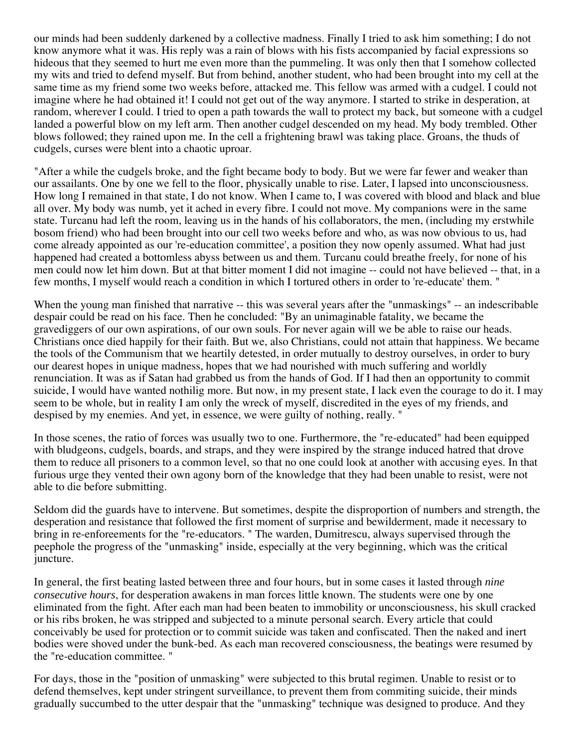our minds had been suddenly darkened by a collective madness. Finally I tried to ask him something; I do not know anymore what it was. His reply was a rain of blows with his fists accompanied by facial expressions so hideous that they seemed to hurt me even more than the pummeling. It was only then that I somehow collected my wits and tried to defend myself. But from behind, another student, who had been brought into my cell at the same time as my friend some two weeks before, attacked me. This fellow was armed with a cudgel. I could not imagine where he had obtained it! I could not get out of the way anymore. I started to strike in desperation, at random, wherever I could. I tried to open a path towards the wall to protect my back, but someone with a cudgel landed a powerful blow on my left arm. Then another cudgel descended on my head. My body trembled. Other blows followed; they rained upon me. In the cell a frightening brawl was taking place. Groans, the thuds of cudgels, curses were blent into a chaotic uproar.

"After a while the cudgels broke, and the fight became body to body. But we were far fewer and weaker than our assailants. One by one we fell to the floor, physically unable to rise. Later, I lapsed into unconsciousness. How long I remained in that state, I do not know. When I came to, I was covered with blood and black and blue all over. My body was numb, yet it ached in every fibre. I could not move. My companions were in the same state. Turcanu had left the room, leaving us in the hands of his collaborators, the men, (including my erstwhile bosom friend) who had been brought into our cell two weeks before and who, as was now obvious to us, had come already appointed as our 're-education committee', a position they now openly assumed. What had just happened had created a bottomless abyss between us and them. Turcanu could breathe freely, for none of his men could now let him down. But at that bitter moment I did not imagine -- could not have believed -- that, in a few months, I myself would reach a condition in which I tortured others in order to 're-educate' them. "

When the young man finished that narrative -- this was several years after the "unmaskings" -- an indescribable despair could be read on his face. Then he concluded: "By an unimaginable fatality, we became the gravediggers of our own aspirations, of our own souls. For never again will we be able to raise our heads. Christians once died happily for their faith. But we, also Christians, could not attain that happiness. We became the tools of the Communism that we heartily detested, in order mutually to destroy ourselves, in order to bury our dearest hopes in unique madness, hopes that we had nourished with much suffering and worldly renunciation. It was as if Satan had grabbed us from the hands of God. If I had then an opportunity to commit suicide, I would have wanted nothilig more. But now, in my present state, I lack even the courage to do it. I may seem to be whole, but in reality I am only the wreck of myself, discredited in the eyes of my friends, and despised by my enemies. And yet, in essence, we were guilty of nothing, really. "

In those scenes, the ratio of forces was usually two to one. Furthermore, the "re-educated" had been equipped with bludgeons, cudgels, boards, and straps, and they were inspired by the strange induced hatred that drove them to reduce all prisoners to a common level, so that no one could look at another with accusing eyes. In that furious urge they vented their own agony born of the knowledge that they had been unable to resist, were not able to die before submitting.

Seldom did the guards have to intervene. But sometimes, despite the disproportion of numbers and strength, the desperation and resistance that followed the first moment of surprise and bewilderment, made it necessary to bring in re-enforeements for the "re-educators. " The warden, Dumitrescu, always supervised through the peephole the progress of the "unmasking" inside, especially at the very beginning, which was the critical juncture.

In general, the first beating lasted between three and four hours, but in some cases it lasted through *nine consecutive hours*, for desperation awakens in man forces little known. The students were one by one eliminated from the fight. After each man had been beaten to immobility or unconsciousness, his skull cracked or his ribs broken, he was stripped and subjected to a minute personal search. Every article that could conceivably be used for protection or to commit suicide was taken and confiscated. Then the naked and inert bodies were shoved under the bunk-bed. As each man recovered consciousness, the beatings were resumed by the "re-education committee. "

For days, those in the "position of unmasking" were subjected to this brutal regimen. Unable to resist or to defend themselves, kept under stringent surveillance, to prevent them from commiting suicide, their minds gradually succumbed to the utter despair that the "unmasking" technique was designed to produce. And they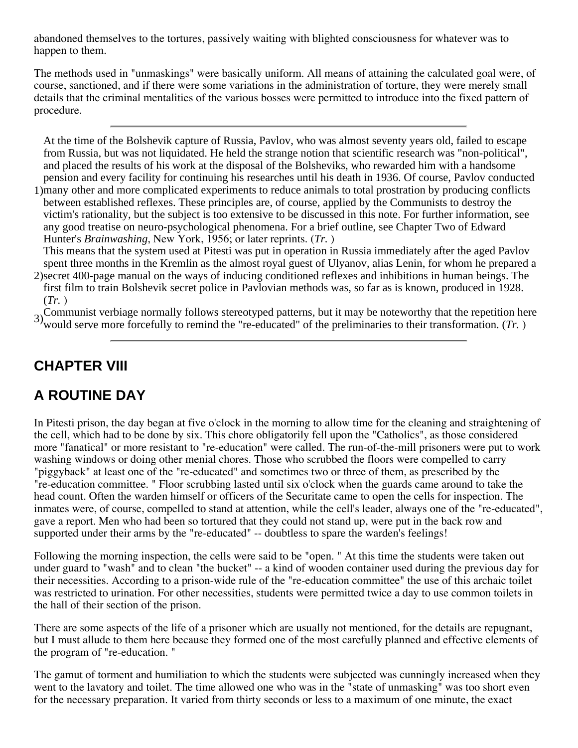abandoned themselves to the tortures, passively waiting with blighted consciousness for whatever was to happen to them.

The methods used in "unmaskings" were basically uniform. All means of attaining the calculated goal were, of course, sanctioned, and if there were some variations in the administration of torture, they were merely small details that the criminal mentalities of the various bosses were permitted to introduce into the fixed pattern of procedure.

At the time of the Bolshevik capture of Russia, Pavlov, who was almost seventy years old, failed to escape from Russia, but was not liquidated. He held the strange notion that scientific research was "non-political", and placed the results of his work at the disposal of the Bolsheviks, who rewarded him with a handsome pension and every facility for continuing his researches until his death in 1936. Of course, Pavlov conducted

1) many other and more complicated experiments to reduce animals to total prostration by producing conflicts between established reflexes. These principles are, of course, applied by the Communists to destroy the victim's rationality, but the subject is too extensive to be discussed in this note. For further information, see any good treatise on neuro-psychological phenomena. For a brief outline, see Chapter Two of Edward Hunter's *Brainwashing*, New York, 1956; or later reprints. (*Tr.* )

This means that the system used at Pitesti was put in operation in Russia immediately after the aged Pavlov spent three months in the Kremlin as the almost royal guest of Ulyanov, alias Lenin, for whom he prepared a

2) secret 400-page manual on the ways of inducing conditioned reflexes and inhibitions in human beings. The first film to train Bolshevik secret police in Pavlovian methods was, so far as is known, produced in 1928. (*Tr.* )

3) Communist verbiage normally follows stereotyped patterns, but it may be noteworthy that the repetition here would serve more forcefully to remind the "re-educated" of the preliminaries to their transformation. (*Tr.*)

#### **CHAPTER VIII**

# **A ROUTINE DAY**

In Pitesti prison, the day began at five o'clock in the morning to allow time for the cleaning and straightening of the cell, which had to be done by six. This chore obligatorily fell upon the "Catholics", as those considered more "fanatical" or more resistant to "re-education" were called. The run-of-the-mill prisoners were put to work washing windows or doing other menial chores. Those who scrubbed the floors were compelled to carry "piggyback" at least one of the "re-educated" and sometimes two or three of them, as prescribed by the "re-education committee. " Floor scrubbing lasted until six o'clock when the guards came around to take the head count. Often the warden himself or officers of the Securitate came to open the cells for inspection. The inmates were, of course, compelled to stand at attention, while the cell's leader, always one of the "re-educated", gave a report. Men who had been so tortured that they could not stand up, were put in the back row and supported under their arms by the "re-educated" -- doubtless to spare the warden's feelings!

Following the morning inspection, the cells were said to be "open. " At this time the students were taken out under guard to "wash" and to clean "the bucket" -- a kind of wooden container used during the previous day for their necessities. According to a prison-wide rule of the "re-education committee" the use of this archaic toilet was restricted to urination. For other necessities, students were permitted twice a day to use common toilets in the hall of their section of the prison.

There are some aspects of the life of a prisoner which are usually not mentioned, for the details are repugnant, but I must allude to them here because they formed one of the most carefully planned and effective elements of the program of "re-education. "

The gamut of torment and humiliation to which the students were subjected was cunningly increased when they went to the lavatory and toilet. The time allowed one who was in the "state of unmasking" was too short even for the necessary preparation. It varied from thirty seconds or less to a maximum of one minute, the exact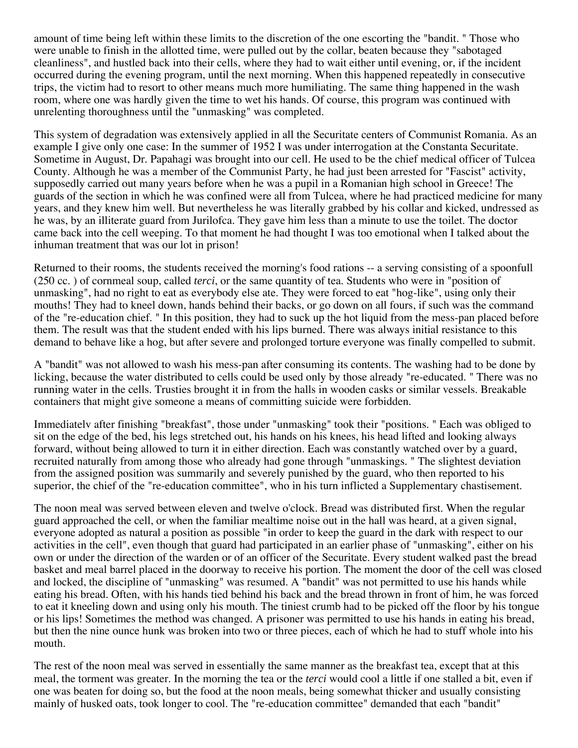amount of time being left within these limits to the discretion of the one escorting the "bandit. " Those who were unable to finish in the allotted time, were pulled out by the collar, beaten because they "sabotaged cleanliness", and hustled back into their cells, where they had to wait either until evening, or, if the incident occurred during the evening program, until the next morning. When this happened repeatedly in consecutive trips, the victim had to resort to other means much more humiliating. The same thing happened in the wash room, where one was hardly given the time to wet his hands. Of course, this program was continued with unrelenting thoroughness until the "unmasking" was completed.

This system of degradation was extensively applied in all the Securitate centers of Communist Romania. As an example I give only one case: In the summer of 1952 I was under interrogation at the Constanta Securitate. Sometime in August, Dr. Papahagi was brought into our cell. He used to be the chief medical officer of Tulcea County. Although he was a member of the Communist Party, he had just been arrested for "Fascist" activity, supposedly carried out many years before when he was a pupil in a Romanian high school in Greece! The guards of the section in which he was confined were all from Tulcea, where he had practiced medicine for many years, and they knew him well. But nevertheless he was literally grabbed by his collar and kicked, undressed as he was, by an illiterate guard from Jurilofca. They gave him less than a minute to use the toilet. The doctor came back into the cell weeping. To that moment he had thought I was too emotional when I talked about the inhuman treatment that was our lot in prison!

Returned to their rooms, the students received the morning's food rations -- a serving consisting of a spoonfull (250 cc. ) of cornmeal soup, called *terci*, or the same quantity of tea. Students who were in "position of unmasking", had no right to eat as everybody else ate. They were forced to eat "hog-like", using only their mouths! They had to kneel down, hands behind their backs, or go down on all fours, if such was the command of the "re-education chief. " In this position, they had to suck up the hot liquid from the mess-pan placed before them. The result was that the student ended with his lips burned. There was always initial resistance to this demand to behave like a hog, but after severe and prolonged torture everyone was finally compelled to submit.

A "bandit" was not allowed to wash his mess-pan after consuming its contents. The washing had to be done by licking, because the water distributed to cells could be used only by those already "re-educated. " There was no running water in the cells. Trusties brought it in from the halls in wooden casks or similar vessels. Breakable containers that might give someone a means of committing suicide were forbidden.

Immediatelv after finishing "breakfast", those under "unmasking" took their "positions. " Each was obliged to sit on the edge of the bed, his legs stretched out, his hands on his knees, his head lifted and looking always forward, without being allowed to turn it in either direction. Each was constantly watched over by a guard, recruited naturally from among those who already had gone through "unmaskings. " The slightest deviation from the assigned position was summarily and severely punished by the guard, who then reported to his superior, the chief of the "re-education committee", who in his turn inflicted a Supplementary chastisement.

The noon meal was served between eleven and twelve o'clock. Bread was distributed first. When the regular guard approached the cell, or when the familiar mealtime noise out in the hall was heard, at a given signal, everyone adopted as natural a position as possible "in order to keep the guard in the dark with respect to our activities in the cell", even though that guard had participated in an earlier phase of "unmasking", either on his own or under the direction of the warden or of an officer of the Securitate. Every student walked past the bread basket and meal barrel placed in the doorway to receive his portion. The moment the door of the cell was closed and locked, the discipline of "unmasking" was resumed. A "bandit" was not permitted to use his hands while eating his bread. Often, with his hands tied behind his back and the bread thrown in front of him, he was forced to eat it kneeling down and using only his mouth. The tiniest crumb had to be picked off the floor by his tongue or his lips! Sometimes the method was changed. A prisoner was permitted to use his hands in eating his bread, but then the nine ounce hunk was broken into two or three pieces, each of which he had to stuff whole into his mouth.

The rest of the noon meal was served in essentially the same manner as the breakfast tea, except that at this meal, the torment was greater. In the morning the tea or the *terci* would cool a little if one stalled a bit, even if one was beaten for doing so, but the food at the noon meals, being somewhat thicker and usually consisting mainly of husked oats, took longer to cool. The "re-education committee" demanded that each "bandit"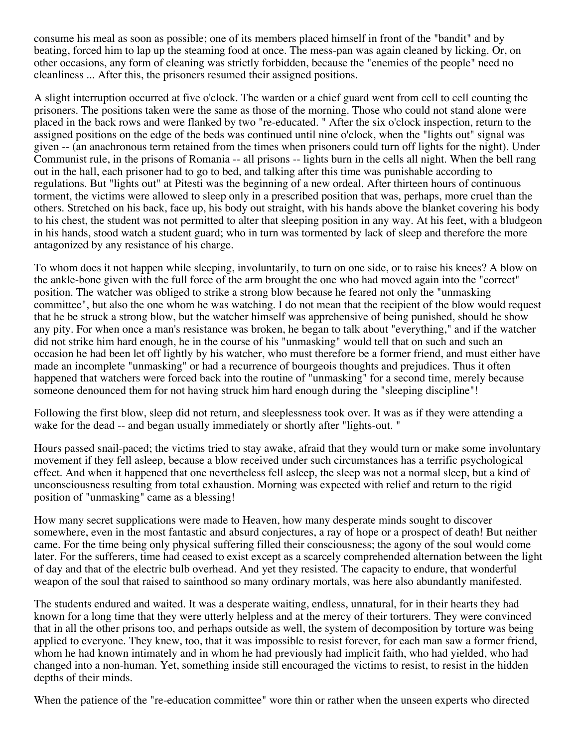consume his meal as soon as possible; one of its members placed himself in front of the "bandit" and by beating, forced him to lap up the steaming food at once. The mess-pan was again cleaned by licking. Or, on other occasions, any form of cleaning was strictly forbidden, because the "enemies of the people" need no cleanliness ... After this, the prisoners resumed their assigned positions.

A slight interruption occurred at five o'clock. The warden or a chief guard went from cell to cell counting the prisoners. The positions taken were the same as those of the morning. Those who could not stand alone were placed in the back rows and were flanked by two "re-educated. " After the six o'clock inspection, return to the assigned positions on the edge of the beds was continued until nine o'clock, when the "lights out" signal was given -- (an anachronous term retained from the times when prisoners could turn off lights for the night). Under Communist rule, in the prisons of Romania -- all prisons -- lights burn in the cells all night. When the bell rang out in the hall, each prisoner had to go to bed, and talking after this time was punishable according to regulations. But "lights out" at Pitesti was the beginning of a new ordeal. After thirteen hours of continuous torment, the victims were allowed to sleep only in a prescribed position that was, perhaps, more cruel than the others. Stretched on his back, face up, his body out straight, with his hands above the blanket covering his body to his chest, the student was not permitted to alter that sleeping position in any way. At his feet, with a bludgeon in his hands, stood watch a student guard; who in turn was tormented by lack of sleep and therefore the more antagonized by any resistance of his charge.

To whom does it not happen while sleeping, involuntarily, to turn on one side, or to raise his knees? A blow on the ankle-bone given with the full force of the arm brought the one who had moved again into the "correct" position. The watcher was obliged to strike a strong blow because he feared not only the "unmasking committee", but also the one whom he was watching. I do not mean that the recipient of the blow would request that he be struck a strong blow, but the watcher himself was apprehensive of being punished, should he show any pity. For when once a man's resistance was broken, he began to talk about "everything," and if the watcher did not strike him hard enough, he in the course of his "unmasking" would tell that on such and such an occasion he had been let off lightly by his watcher, who must therefore be a former friend, and must either have made an incomplete "unmasking" or had a recurrence of bourgeois thoughts and prejudices. Thus it often happened that watchers were forced back into the routine of "unmasking" for a second time, merely because someone denounced them for not having struck him hard enough during the "sleeping discipline"!

Following the first blow, sleep did not return, and sleeplessness took over. It was as if they were attending a wake for the dead -- and began usually immediately or shortly after "lights-out. "

Hours passed snail-paced; the victims tried to stay awake, afraid that they would turn or make some involuntary movement if they fell asleep, because a blow received under such circumstances has a terrific psychological effect. And when it happened that one nevertheless fell asleep, the sleep was not a normal sleep, but a kind of unconsciousness resulting from total exhaustion. Morning was expected with relief and return to the rigid position of "unmasking" came as a blessing!

How many secret supplications were made to Heaven, how many desperate minds sought to discover somewhere, even in the most fantastic and absurd conjectures, a ray of hope or a prospect of death! But neither came. For the time being only physical suffering filled their consciousness; the agony of the soul would come later. For the sufferers, time had ceased to exist except as a scarcely comprehended alternation between the light of day and that of the electric bulb overhead. And yet they resisted. The capacity to endure, that wonderful weapon of the soul that raised to sainthood so many ordinary mortals, was here also abundantly manifested.

The students endured and waited. It was a desperate waiting, endless, unnatural, for in their hearts they had known for a long time that they were utterly helpless and at the mercy of their torturers. They were convinced that in all the other prisons too, and perhaps outside as well, the system of decomposition by torture was being applied to everyone. They knew, too, that it was impossible to resist forever, for each man saw a former friend, whom he had known intimately and in whom he had previously had implicit faith, who had yielded, who had changed into a non-human. Yet, something inside still encouraged the victims to resist, to resist in the hidden depths of their minds.

When the patience of the "re-education committee" wore thin or rather when the unseen experts who directed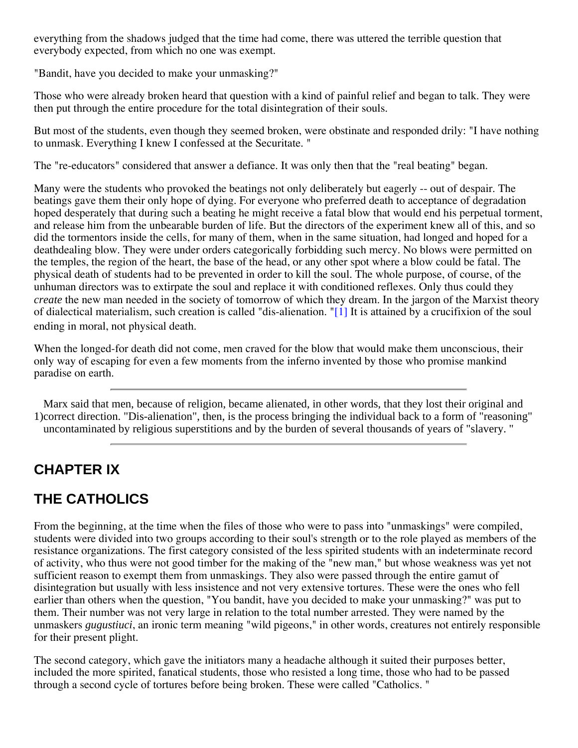everything from the shadows judged that the time had come, there was uttered the terrible question that everybody expected, from which no one was exempt.

"Bandit, have you decided to make your unmasking?"

Those who were already broken heard that question with a kind of painful relief and began to talk. They were then put through the entire procedure for the total disintegration of their souls.

But most of the students, even though they seemed broken, were obstinate and responded drily: "I have nothing to unmask. Everything I knew I confessed at the Securitate. "

The "re-educators" considered that answer a defiance. It was only then that the "real beating" began.

Many were the students who provoked the beatings not only deliberately but eagerly -- out of despair. The beatings gave them their only hope of dying. For everyone who preferred death to acceptance of degradation hoped desperately that during such a beating he might receive a fatal blow that would end his perpetual torment, and release him from the unbearable burden of life. But the directors of the experiment knew all of this, and so did the tormentors inside the cells, for many of them, when in the same situation, had longed and hoped for a deathdealing blow. They were under orders categorically forbidding such mercy. No blows were permitted on the temples, the region of the heart, the base of the head, or any other spot where a blow could be fatal. The physical death of students had to be prevented in order to kill the soul. The whole purpose, of course, of the unhuman directors was to extirpate the soul and replace it with conditioned reflexes. Only thus could they *create* the new man needed in the society of tomorrow of which they dream. In the jargon of the Marxist theory of dialectical materialism, such creation is called "dis-alienation. "[1] It is attained by a crucifixion of the soul ending in moral, not physical death.

When the longed-for death did not come, men craved for the blow that would make them unconscious, their only way of escaping for even a few moments from the inferno invented by those who promise mankind paradise on earth.

1) correct direction. "Dis-alienation", then, is the process bringing the individual back to a form of "reasoning" Marx said that men, because of religion, became alienated, in other words, that they lost their original and uncontaminated by religious superstitions and by the burden of several thousands of years of "slavery. "

# **CHAPTER IX**

# **THE CATHOLICS**

From the beginning, at the time when the files of those who were to pass into "unmaskings" were compiled, students were divided into two groups according to their soul's strength or to the role played as members of the resistance organizations. The first category consisted of the less spirited students with an indeterminate record of activity, who thus were not good timber for the making of the "new man," but whose weakness was yet not sufficient reason to exempt them from unmaskings. They also were passed through the entire gamut of disintegration but usually with less insistence and not very extensive tortures. These were the ones who fell earlier than others when the question, "You bandit, have you decided to make your unmasking?" was put to them. Their number was not very large in relation to the total number arrested. They were named by the unmaskers *gugustiuci*, an ironic term meaning "wild pigeons," in other words, creatures not entirely responsible for their present plight.

The second category, which gave the initiators many a headache although it suited their purposes better, included the more spirited, fanatical students, those who resisted a long time, those who had to be passed through a second cycle of tortures before being broken. These were called "Catholics. "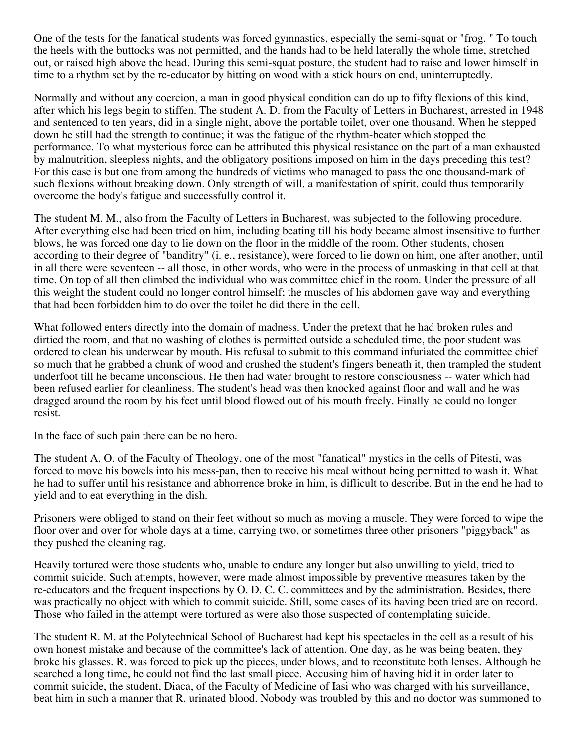One of the tests for the fanatical students was forced gymnastics, especially the semi-squat or "frog. " To touch the heels with the buttocks was not permitted, and the hands had to be held laterally the whole time, stretched out, or raised high above the head. During this semi-squat posture, the student had to raise and lower himself in time to a rhythm set by the re-educator by hitting on wood with a stick hours on end, uninterruptedly.

Normally and without any coercion, a man in good physical condition can do up to fifty flexions of this kind, after which his legs begin to stiffen. The student A. D. from the Faculty of Letters in Bucharest, arrested in 1948 and sentenced to ten years, did in a single night, above the portable toilet, over one thousand. When he stepped down he still had the strength to continue; it was the fatigue of the rhythm-beater which stopped the performance. To what mysterious force can be attributed this physical resistance on the part of a man exhausted by malnutrition, sleepless nights, and the obligatory positions imposed on him in the days preceding this test? For this case is but one from among the hundreds of victims who managed to pass the one thousand-mark of such flexions without breaking down. Only strength of will, a manifestation of spirit, could thus temporarily overcome the body's fatigue and successfully control it.

The student M. M., also from the Faculty of Letters in Bucharest, was subjected to the following procedure. After everything else had been tried on him, including beating till his body became almost insensitive to further blows, he was forced one day to lie down on the floor in the middle of the room. Other students, chosen according to their degree of "banditry" (i. e., resistance), were forced to lie down on him, one after another, until in all there were seventeen -- all those, in other words, who were in the process of unmasking in that cell at that time. On top of all then climbed the individual who was committee chief in the room. Under the pressure of all this weight the student could no longer control himself; the muscles of his abdomen gave way and everything that had been forbidden him to do over the toilet he did there in the cell.

What followed enters directly into the domain of madness. Under the pretext that he had broken rules and dirtied the room, and that no washing of clothes is permitted outside a scheduled time, the poor student was ordered to clean his underwear by mouth. His refusal to submit to this command infuriated the committee chief so much that he grabbed a chunk of wood and crushed the student's fingers beneath it, then trampled the student underfoot till he became unconscious. He then had water brought to restore consciousness -- water which had been refused earlier for cleanliness. The student's head was then knocked against floor and wall and he was dragged around the room by his feet until blood flowed out of his mouth freely. Finally he could no longer resist.

In the face of such pain there can be no hero.

The student A. O. of the Faculty of Theology, one of the most "fanatical" mystics in the cells of Pitesti, was forced to move his bowels into his mess-pan, then to receive his meal without being permitted to wash it. What he had to suffer until his resistance and abhorrence broke in him, is diflicult to describe. But in the end he had to yield and to eat everything in the dish.

Prisoners were obliged to stand on their feet without so much as moving a muscle. They were forced to wipe the floor over and over for whole days at a time, carrying two, or sometimes three other prisoners "piggyback" as they pushed the cleaning rag.

Heavily tortured were those students who, unable to endure any longer but also unwilling to yield, tried to commit suicide. Such attempts, however, were made almost impossible by preventive measures taken by the re-educators and the frequent inspections by O. D. C. C. committees and by the administration. Besides, there was practically no object with which to commit suicide. Still, some cases of its having been tried are on record. Those who failed in the attempt were tortured as were also those suspected of contemplating suicide.

The student R. M. at the Polytechnical School of Bucharest had kept his spectacles in the cell as a result of his own honest mistake and because of the committee's lack of attention. One day, as he was being beaten, they broke his glasses. R. was forced to pick up the pieces, under blows, and to reconstitute both lenses. Although he searched a long time, he could not find the last small piece. Accusing him of having hid it in order later to commit suicide, the student, Diaca, of the Faculty of Medicine of Iasi who was charged with his surveillance, beat him in such a manner that R. urinated blood. Nobody was troubled by this and no doctor was summoned to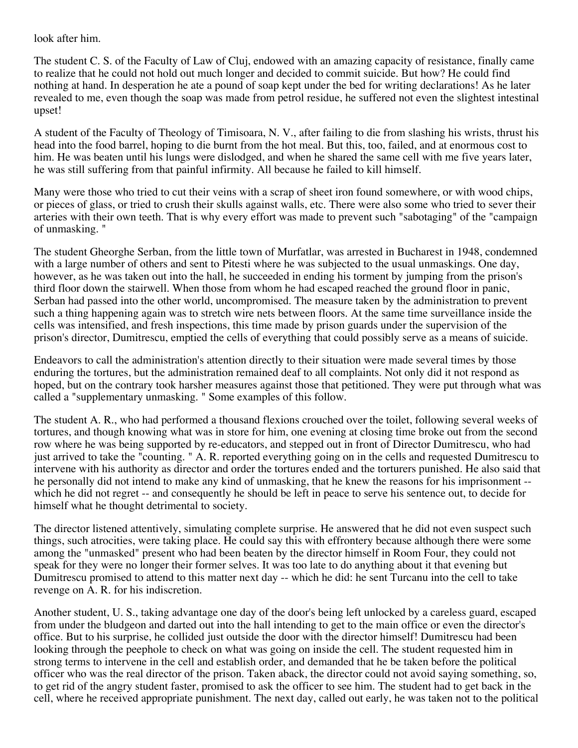look after him.

The student C. S. of the Faculty of Law of Cluj, endowed with an amazing capacity of resistance, finally came to realize that he could not hold out much longer and decided to commit suicide. But how? He could find nothing at hand. In desperation he ate a pound of soap kept under the bed for writing declarations! As he later revealed to me, even though the soap was made from petrol residue, he suffered not even the slightest intestinal upset!

A student of the Faculty of Theology of Timisoara, N. V., after failing to die from slashing his wrists, thrust his head into the food barrel, hoping to die burnt from the hot meal. But this, too, failed, and at enormous cost to him. He was beaten until his lungs were dislodged, and when he shared the same cell with me five years later, he was still suffering from that painful infirmity. All because he failed to kill himself.

Many were those who tried to cut their veins with a scrap of sheet iron found somewhere, or with wood chips, or pieces of glass, or tried to crush their skulls against walls, etc. There were also some who tried to sever their arteries with their own teeth. That is why every effort was made to prevent such "sabotaging" of the "campaign of unmasking. "

The student Gheorghe Serban, from the little town of Murfatlar, was arrested in Bucharest in 1948, condemned with a large number of others and sent to Pitesti where he was subjected to the usual unmaskings. One day, however, as he was taken out into the hall, he succeeded in ending his torment by jumping from the prison's third floor down the stairwell. When those from whom he had escaped reached the ground floor in panic, Serban had passed into the other world, uncompromised. The measure taken by the administration to prevent such a thing happening again was to stretch wire nets between floors. At the same time surveillance inside the cells was intensified, and fresh inspections, this time made by prison guards under the supervision of the prison's director, Dumitrescu, emptied the cells of everything that could possibly serve as a means of suicide.

Endeavors to call the administration's attention directly to their situation were made several times by those enduring the tortures, but the administration remained deaf to all complaints. Not only did it not respond as hoped, but on the contrary took harsher measures against those that petitioned. They were put through what was called a "supplementary unmasking. " Some examples of this follow.

The student A. R., who had performed a thousand flexions crouched over the toilet, following several weeks of tortures, and though knowing what was in store for him, one evening at closing time broke out from the second row where he was being supported by re-educators, and stepped out in front of Director Dumitrescu, who had just arrived to take the "counting. " A. R. reported everything going on in the cells and requested Dumitrescu to intervene with his authority as director and order the tortures ended and the torturers punished. He also said that he personally did not intend to make any kind of unmasking, that he knew the reasons for his imprisonment - which he did not regret -- and consequently he should be left in peace to serve his sentence out, to decide for himself what he thought detrimental to society.

The director listened attentively, simulating complete surprise. He answered that he did not even suspect such things, such atrocities, were taking place. He could say this with effrontery because although there were some among the "unmasked" present who had been beaten by the director himself in Room Four, they could not speak for they were no longer their former selves. It was too late to do anything about it that evening but Dumitrescu promised to attend to this matter next day -- which he did: he sent Turcanu into the cell to take revenge on A. R. for his indiscretion.

Another student, U. S., taking advantage one day of the door's being left unlocked by a careless guard, escaped from under the bludgeon and darted out into the hall intending to get to the main office or even the director's office. But to his surprise, he collided just outside the door with the director himself! Dumitrescu had been looking through the peephole to check on what was going on inside the cell. The student requested him in strong terms to intervene in the cell and establish order, and demanded that he be taken before the political officer who was the real director of the prison. Taken aback, the director could not avoid saying something, so, to get rid of the angry student faster, promised to ask the officer to see him. The student had to get back in the cell, where he received appropriate punishment. The next day, called out early, he was taken not to the political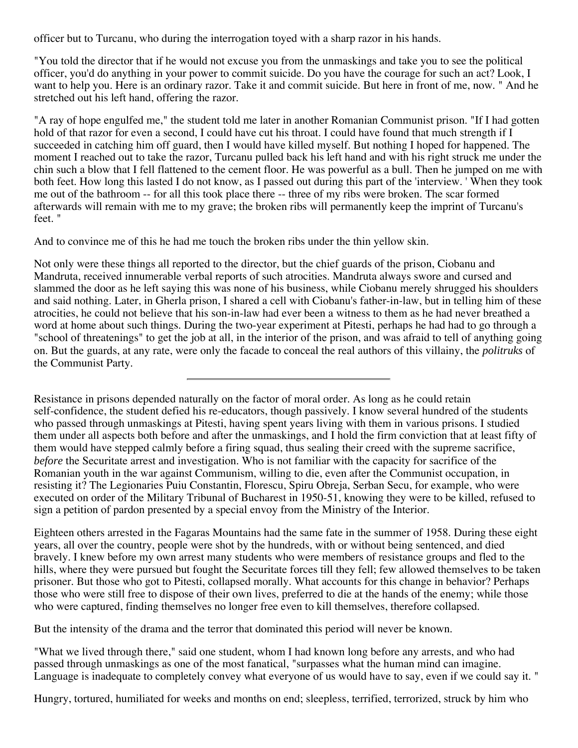officer but to Turcanu, who during the interrogation toyed with a sharp razor in his hands.

"You told the director that if he would not excuse you from the unmaskings and take you to see the political officer, you'd do anything in your power to commit suicide. Do you have the courage for such an act? Look, I want to help you. Here is an ordinary razor. Take it and commit suicide. But here in front of me, now. " And he stretched out his left hand, offering the razor.

"A ray of hope engulfed me," the student told me later in another Romanian Communist prison. "If I had gotten hold of that razor for even a second, I could have cut his throat. I could have found that much strength if I succeeded in catching him off guard, then I would have killed myself. But nothing I hoped for happened. The moment I reached out to take the razor, Turcanu pulled back his left hand and with his right struck me under the chin such a blow that I fell flattened to the cement floor. He was powerful as a bull. Then he jumped on me with both feet. How long this lasted I do not know, as I passed out during this part of the 'interview. ' When they took me out of the bathroom -- for all this took place there -- three of my ribs were broken. The scar formed afterwards will remain with me to my grave; the broken ribs will permanently keep the imprint of Turcanu's feet. "

And to convince me of this he had me touch the broken ribs under the thin yellow skin.

Not only were these things all reported to the director, but the chief guards of the prison, Ciobanu and Mandruta, received innumerable verbal reports of such atrocities. Mandruta always swore and cursed and slammed the door as he left saying this was none of his business, while Ciobanu merely shrugged his shoulders and said nothing. Later, in Gherla prison, I shared a cell with Ciobanu's father-in-law, but in telling him of these atrocities, he could not believe that his son-in-law had ever been a witness to them as he had never breathed a word at home about such things. During the two-year experiment at Pitesti, perhaps he had had to go through a "school of threatenings" to get the job at all, in the interior of the prison, and was afraid to tell of anything going on. But the guards, at any rate, were only the facade to conceal the real authors of this villainy, the *politruks* of the Communist Party.

Resistance in prisons depended naturally on the factor of moral order. As long as he could retain self-confidence, the student defied his re-educators, though passively. I know several hundred of the students who passed through unmaskings at Pitesti, having spent years living with them in various prisons. I studied them under all aspects both before and after the unmaskings, and I hold the firm conviction that at least fifty of them would have stepped calmly before a firing squad, thus sealing their creed with the supreme sacrifice, *before* the Securitate arrest and investigation. Who is not familiar with the capacity for sacrifice of the Romanian youth in the war against Communism, willing to die, even after the Communist occupation, in resisting it? The Legionaries Puiu Constantin, Florescu, Spiru Obreja, Serban Secu, for example, who were executed on order of the Military Tribunal of Bucharest in 1950-51, knowing they were to be killed, refused to sign a petition of pardon presented by a special envoy from the Ministry of the Interior.

Eighteen others arrested in the Fagaras Mountains had the same fate in the summer of 1958. During these eight years, all over the country, people were shot by the hundreds, with or without being sentenced, and died bravely. I knew before my own arrest many students who were members of resistance groups and fled to the hills, where they were pursued but fought the Securitate forces till they fell; few allowed themselves to be taken prisoner. But those who got to Pitesti, collapsed morally. What accounts for this change in behavior? Perhaps those who were still free to dispose of their own lives, preferred to die at the hands of the enemy; while those who were captured, finding themselves no longer free even to kill themselves, therefore collapsed.

But the intensity of the drama and the terror that dominated this period will never be known.

"What we lived through there," said one student, whom I had known long before any arrests, and who had passed through unmaskings as one of the most fanatical, "surpasses what the human mind can imagine. Language is inadequate to completely convey what everyone of us would have to say, even if we could say it. "

Hungry, tortured, humiliated for weeks and months on end; sleepless, terrified, terrorized, struck by him who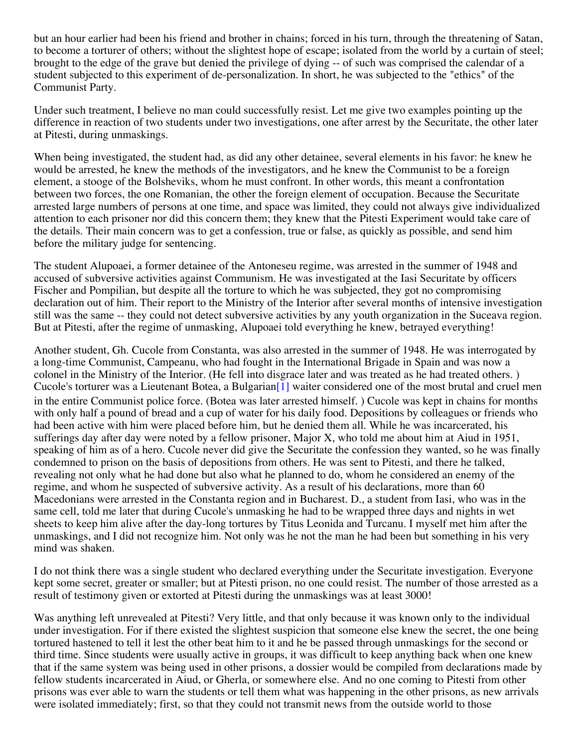but an hour earlier had been his friend and brother in chains; forced in his turn, through the threatening of Satan, to become a torturer of others; without the slightest hope of escape; isolated from the world by a curtain of steel; brought to the edge of the grave but denied the privilege of dying -- of such was comprised the calendar of a student subjected to this experiment of de-personalization. In short, he was subjected to the "ethics" of the Communist Party.

Under such treatment, I believe no man could successfully resist. Let me give two examples pointing up the difference in reaction of two students under two investigations, one after arrest by the Securitate, the other later at Pitesti, during unmaskings.

When being investigated, the student had, as did any other detainee, several elements in his favor: he knew he would be arrested, he knew the methods of the investigators, and he knew the Communist to be a foreign element, a stooge of the Bolsheviks, whom he must confront. In other words, this meant a confrontation between two forces, the one Romanian, the other the foreign element of occupation. Because the Securitate arrested large numbers of persons at one time, and space was limited, they could not always give individualized attention to each prisoner nor did this concern them; they knew that the Pitesti Experiment would take care of the details. Their main concern was to get a confession, true or false, as quickly as possible, and send him before the military judge for sentencing.

The student Alupoaei, a former detainee of the Antoneseu regime, was arrested in the summer of 1948 and accused of subversive activities against Communism. He was investigated at the Iasi Securitate by officers Fischer and Pompilian, but despite all the torture to which he was subjected, they got no compromising declaration out of him. Their report to the Ministry of the Interior after several months of intensive investigation still was the same -- they could not detect subversive activities by any youth organization in the Suceava region. But at Pitesti, after the regime of unmasking, Alupoaei told everything he knew, betrayed everything!

Another student, Gh. Cucole from Constanta, was also arrested in the summer of 1948. He was interrogated by a long-time Communist, Campeanu, who had fought in the International Brigade in Spain and was now a colonel in the Ministry of the Interior. (He fell into disgrace later and was treated as he had treated others. ) Cucole's torturer was a Lieutenant Botea, a Bulgarian[1] waiter considered one of the most brutal and cruel men in the entire Communist police force. (Botea was later arrested himself. ) Cucole was kept in chains for months with only half a pound of bread and a cup of water for his daily food. Depositions by colleagues or friends who had been active with him were placed before him, but he denied them all. While he was incarcerated, his sufferings day after day were noted by a fellow prisoner, Major X, who told me about him at Aiud in 1951, speaking of him as of a hero. Cucole never did give the Securitate the confession they wanted, so he was finally condemned to prison on the basis of depositions from others. He was sent to Pitesti, and there he talked, revealing not only what he had done but also what he planned to do, whom he considered an enemy of the regime, and whom he suspected of subversive activity. As a result of his declarations, more than 60 Macedonians were arrested in the Constanta region and in Bucharest. D., a student from Iasi, who was in the same cell, told me later that during Cucole's unmasking he had to be wrapped three days and nights in wet sheets to keep him alive after the day-long tortures by Titus Leonida and Turcanu. I myself met him after the unmaskings, and I did not recognize him. Not only was he not the man he had been but something in his very mind was shaken.

I do not think there was a single student who declared everything under the Securitate investigation. Everyone kept some secret, greater or smaller; but at Pitesti prison, no one could resist. The number of those arrested as a result of testimony given or extorted at Pitesti during the unmaskings was at least 3000!

Was anything left unrevealed at Pitesti? Very little, and that only because it was known only to the individual under investigation. For if there existed the slightest suspicion that someone else knew the secret, the one being tortured hastened to tell it lest the other beat him to it and he be passed through unmaskings for the second or third time. Since students were usually active in groups, it was difficult to keep anything back when one knew that if the same system was being used in other prisons, a dossier would be compiled from declarations made by fellow students incarcerated in Aiud, or Gherla, or somewhere else. And no one coming to Pitesti from other prisons was ever able to warn the students or tell them what was happening in the other prisons, as new arrivals were isolated immediately; first, so that they could not transmit news from the outside world to those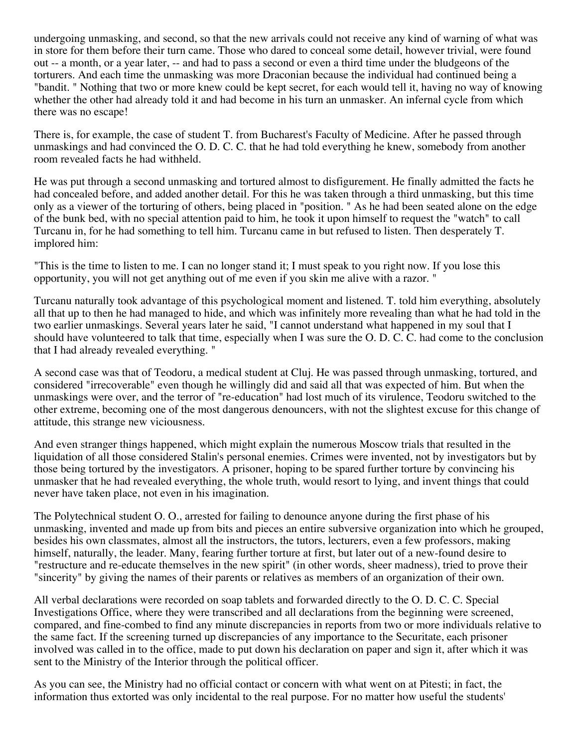undergoing unmasking, and second, so that the new arrivals could not receive any kind of warning of what was in store for them before their turn came. Those who dared to conceal some detail, however trivial, were found out -- a month, or a year later, -- and had to pass a second or even a third time under the bludgeons of the torturers. And each time the unmasking was more Draconian because the individual had continued being a "bandit. " Nothing that two or more knew could be kept secret, for each would tell it, having no way of knowing whether the other had already told it and had become in his turn an unmasker. An infernal cycle from which there was no escape!

There is, for example, the case of student T. from Bucharest's Faculty of Medicine. After he passed through unmaskings and had convinced the O. D. C. C. that he had told everything he knew, somebody from another room revealed facts he had withheld.

He was put through a second unmasking and tortured almost to disfigurement. He finally admitted the facts he had concealed before, and added another detail. For this he was taken through a third unmasking, but this time only as a viewer of the torturing of others, being placed in "position. " As he had been seated alone on the edge of the bunk bed, with no special attention paid to him, he took it upon himself to request the "watch" to call Turcanu in, for he had something to tell him. Turcanu came in but refused to listen. Then desperately T. implored him:

"This is the time to listen to me. I can no longer stand it; I must speak to you right now. If you lose this opportunity, you will not get anything out of me even if you skin me alive with a razor. "

Turcanu naturally took advantage of this psychological moment and listened. T. told him everything, absolutely all that up to then he had managed to hide, and which was infinitely more revealing than what he had told in the two earlier unmaskings. Several years later he said, "I cannot understand what happened in my soul that I should have volunteered to talk that time, especially when I was sure the O. D. C. C. had come to the conclusion that I had already revealed everything. "

A second case was that of Teodoru, a medical student at Cluj. He was passed through unmasking, tortured, and considered "irrecoverable" even though he willingly did and said all that was expected of him. But when the unmaskings were over, and the terror of "re-education" had lost much of its virulence, Teodoru switched to the other extreme, becoming one of the most dangerous denouncers, with not the slightest excuse for this change of attitude, this strange new viciousness.

And even stranger things happened, which might explain the numerous Moscow trials that resulted in the liquidation of all those considered Stalin's personal enemies. Crimes were invented, not by investigators but by those being tortured by the investigators. A prisoner, hoping to be spared further torture by convincing his unmasker that he had revealed everything, the whole truth, would resort to lying, and invent things that could never have taken place, not even in his imagination.

The Polytechnical student O. O., arrested for failing to denounce anyone during the first phase of his unmasking, invented and made up from bits and pieces an entire subversive organization into which he grouped, besides his own classmates, almost all the instructors, the tutors, lecturers, even a few professors, making himself, naturally, the leader. Many, fearing further torture at first, but later out of a new-found desire to "restructure and re-educate themselves in the new spirit" (in other words, sheer madness), tried to prove their "sincerity" by giving the names of their parents or relatives as members of an organization of their own.

All verbal declarations were recorded on soap tablets and forwarded directly to the O. D. C. C. Special Investigations Office, where they were transcribed and all declarations from the beginning were screened, compared, and fine-combed to find any minute discrepancies in reports from two or more individuals relative to the same fact. If the screening turned up discrepancies of any importance to the Securitate, each prisoner involved was called in to the office, made to put down his declaration on paper and sign it, after which it was sent to the Ministry of the Interior through the political officer.

As you can see, the Ministry had no official contact or concern with what went on at Pitesti; in fact, the information thus extorted was only incidental to the real purpose. For no matter how useful the students'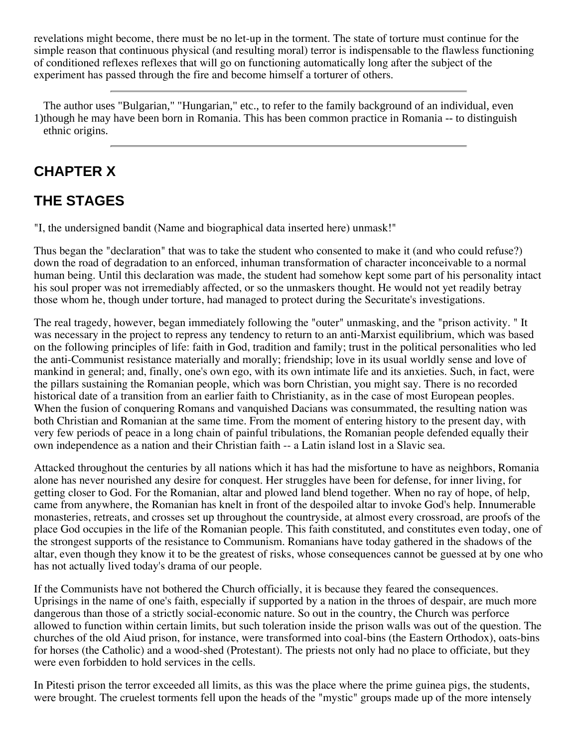revelations might become, there must be no let-up in the torment. The state of torture must continue for the simple reason that continuous physical (and resulting moral) terror is indispensable to the flawless functioning of conditioned reflexes reflexes that will go on functioning automatically long after the subject of the experiment has passed through the fire and become himself a torturer of others.

1) though he may have been born in Romania. This has been common practice in Romania -- to distinguish The author uses "Bulgarian," "Hungarian," etc., to refer to the family background of an individual, even ethnic origins.

## **CHAPTER X**

## **THE STAGES**

"I, the undersigned bandit (Name and biographical data inserted here) unmask!"

Thus began the "declaration" that was to take the student who consented to make it (and who could refuse?) down the road of degradation to an enforced, inhuman transformation of character inconceivable to a normal human being. Until this declaration was made, the student had somehow kept some part of his personality intact his soul proper was not irremediably affected, or so the unmaskers thought. He would not yet readily betray those whom he, though under torture, had managed to protect during the Securitate's investigations.

The real tragedy, however, began immediately following the "outer" unmasking, and the "prison activity. " It was necessary in the project to repress any tendency to return to an anti-Marxist equilibrium, which was based on the following principles of life: faith in God, tradition and family; trust in the political personalities who led the anti-Communist resistance materially and morally; friendship; love in its usual worldly sense and love of mankind in general; and, finally, one's own ego, with its own intimate life and its anxieties. Such, in fact, were the pillars sustaining the Romanian people, which was born Christian, you might say. There is no recorded historical date of a transition from an earlier faith to Christianity, as in the case of most European peoples. When the fusion of conquering Romans and vanquished Dacians was consummated, the resulting nation was both Christian and Romanian at the same time. From the moment of entering history to the present day, with very few periods of peace in a long chain of painful tribulations, the Romanian people defended equally their own independence as a nation and their Christian faith -- a Latin island lost in a Slavic sea.

Attacked throughout the centuries by all nations which it has had the misfortune to have as neighbors, Romania alone has never nourished any desire for conquest. Her struggles have been for defense, for inner living, for getting closer to God. For the Romanian, altar and plowed land blend together. When no ray of hope, of help, came from anywhere, the Romanian has knelt in front of the despoiled altar to invoke God's help. Innumerable monasteries, retreats, and crosses set up throughout the countryside, at almost every crossroad, are proofs of the place God occupies in the life of the Romanian people. This faith constituted, and constitutes even today, one of the strongest supports of the resistance to Communism. Romanians have today gathered in the shadows of the altar, even though they know it to be the greatest of risks, whose consequences cannot be guessed at by one who has not actually lived today's drama of our people.

If the Communists have not bothered the Church officially, it is because they feared the consequences. Uprisings in the name of one's faith, especially if supported by a nation in the throes of despair, are much more dangerous than those of a strictly social-economic nature. So out in the country, the Church was perforce allowed to function within certain limits, but such toleration inside the prison walls was out of the question. The churches of the old Aiud prison, for instance, were transformed into coal-bins (the Eastern Orthodox), oats-bins for horses (the Catholic) and a wood-shed (Protestant). The priests not only had no place to officiate, but they were even forbidden to hold services in the cells.

In Pitesti prison the terror exceeded all limits, as this was the place where the prime guinea pigs, the students, were brought. The cruelest torments fell upon the heads of the "mystic" groups made up of the more intensely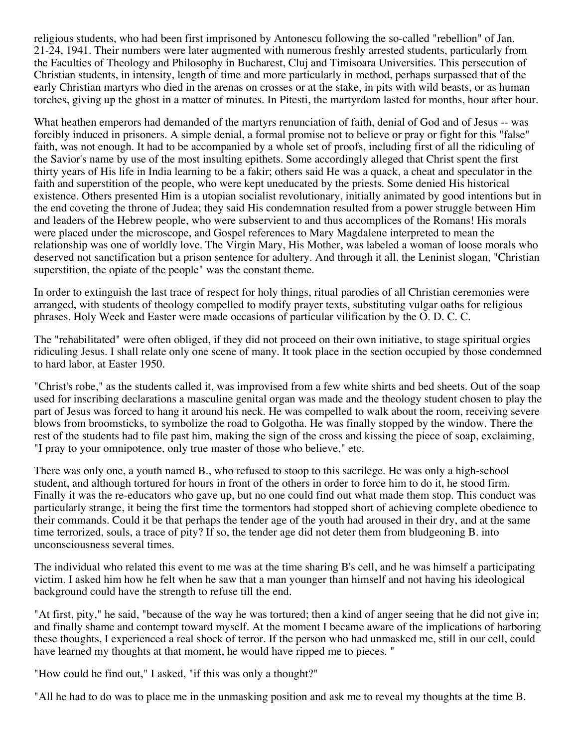religious students, who had been first imprisoned by Antonescu following the so-called "rebellion" of Jan. 21-24, 1941. Their numbers were later augmented with numerous freshly arrested students, particularly from the Faculties of Theology and Philosophy in Bucharest, Cluj and Timisoara Universities. This persecution of Christian students, in intensity, length of time and more particularly in method, perhaps surpassed that of the early Christian martyrs who died in the arenas on crosses or at the stake, in pits with wild beasts, or as human torches, giving up the ghost in a matter of minutes. In Pitesti, the martyrdom lasted for months, hour after hour.

What heathen emperors had demanded of the martyrs renunciation of faith, denial of God and of Jesus -- was forcibly induced in prisoners. A simple denial, a formal promise not to believe or pray or fight for this "false" faith, was not enough. It had to be accompanied by a whole set of proofs, including first of all the ridiculing of the Savior's name by use of the most insulting epithets. Some accordingly alleged that Christ spent the first thirty years of His life in India learning to be a fakir; others said He was a quack, a cheat and speculator in the faith and superstition of the people, who were kept uneducated by the priests. Some denied His historical existence. Others presented Him is a utopian socialist revolutionary, initially animated by good intentions but in the end coveting the throne of Judea; they said His condemnation resulted from a power struggle between Him and leaders of the Hebrew people, who were subservient to and thus accomplices of the Romans! His morals were placed under the microscope, and Gospel references to Mary Magdalene interpreted to mean the relationship was one of worldly love. The Virgin Mary, His Mother, was labeled a woman of loose morals who deserved not sanctification but a prison sentence for adultery. And through it all, the Leninist slogan, "Christian superstition, the opiate of the people" was the constant theme.

In order to extinguish the last trace of respect for holy things, ritual parodies of all Christian ceremonies were arranged, with students of theology compelled to modify prayer texts, substituting vulgar oaths for religious phrases. Holy Week and Easter were made occasions of particular vilification by the O. D. C. C.

The "rehabilitated" were often obliged, if they did not proceed on their own initiative, to stage spiritual orgies ridiculing Jesus. I shall relate only one scene of many. It took place in the section occupied by those condemned to hard labor, at Easter 1950.

"Christ's robe," as the students called it, was improvised from a few white shirts and bed sheets. Out of the soap used for inscribing declarations a masculine genital organ was made and the theology student chosen to play the part of Jesus was forced to hang it around his neck. He was compelled to walk about the room, receiving severe blows from broomsticks, to symbolize the road to Golgotha. He was finally stopped by the window. There the rest of the students had to file past him, making the sign of the cross and kissing the piece of soap, exclaiming, "I pray to your omnipotence, only true master of those who believe," etc.

There was only one, a youth named B., who refused to stoop to this sacrilege. He was only a high-school student, and although tortured for hours in front of the others in order to force him to do it, he stood firm. Finally it was the re-educators who gave up, but no one could find out what made them stop. This conduct was particularly strange, it being the first time the tormentors had stopped short of achieving complete obedience to their commands. Could it be that perhaps the tender age of the youth had aroused in their dry, and at the same time terrorized, souls, a trace of pity? If so, the tender age did not deter them from bludgeoning B. into unconsciousness several times.

The individual who related this event to me was at the time sharing B's cell, and he was himself a participating victim. I asked him how he felt when he saw that a man younger than himself and not having his ideological background could have the strength to refuse till the end.

"At first, pity," he said, "because of the way he was tortured; then a kind of anger seeing that he did not give in; and finally shame and contempt toward myself. At the moment I became aware of the implications of harboring these thoughts, I experienced a real shock of terror. If the person who had unmasked me, still in our cell, could have learned my thoughts at that moment, he would have ripped me to pieces. "

"How could he find out," I asked, "if this was only a thought?"

"All he had to do was to place me in the unmasking position and ask me to reveal my thoughts at the time B.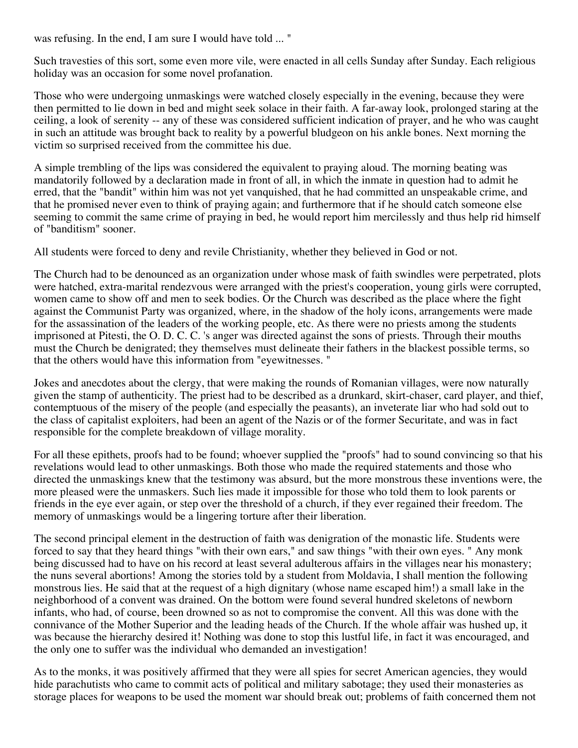was refusing. In the end, I am sure I would have told ... "

Such travesties of this sort, some even more vile, were enacted in all cells Sunday after Sunday. Each religious holiday was an occasion for some novel profanation.

Those who were undergoing unmaskings were watched closely especially in the evening, because they were then permitted to lie down in bed and might seek solace in their faith. A far-away look, prolonged staring at the ceiling, a look of serenity -- any of these was considered sufficient indication of prayer, and he who was caught in such an attitude was brought back to reality by a powerful bludgeon on his ankle bones. Next morning the victim so surprised received from the committee his due.

A simple trembling of the lips was considered the equivalent to praying aloud. The morning beating was mandatorily followed by a declaration made in front of all, in which the inmate in question had to admit he erred, that the "bandit" within him was not yet vanquished, that he had committed an unspeakable crime, and that he promised never even to think of praying again; and furthermore that if he should catch someone else seeming to commit the same crime of praying in bed, he would report him mercilessly and thus help rid himself of "banditism" sooner.

All students were forced to deny and revile Christianity, whether they believed in God or not.

The Church had to be denounced as an organization under whose mask of faith swindles were perpetrated, plots were hatched, extra-marital rendezvous were arranged with the priest's cooperation, young girls were corrupted, women came to show off and men to seek bodies. Or the Church was described as the place where the fight against the Communist Party was organized, where, in the shadow of the holy icons, arrangements were made for the assassination of the leaders of the working people, etc. As there were no priests among the students imprisoned at Pitesti, the O. D. C. C. 's anger was directed against the sons of priests. Through their mouths must the Church be denigrated; they themselves must delineate their fathers in the blackest possible terms, so that the others would have this information from "eyewitnesses. "

Jokes and anecdotes about the clergy, that were making the rounds of Romanian villages, were now naturally given the stamp of authenticity. The priest had to be described as a drunkard, skirt-chaser, card player, and thief, contemptuous of the misery of the people (and especially the peasants), an inveterate liar who had sold out to the class of capitalist exploiters, had been an agent of the Nazis or of the former Securitate, and was in fact responsible for the complete breakdown of village morality.

For all these epithets, proofs had to be found; whoever supplied the "proofs" had to sound convincing so that his revelations would lead to other unmaskings. Both those who made the required statements and those who directed the unmaskings knew that the testimony was absurd, but the more monstrous these inventions were, the more pleased were the unmaskers. Such lies made it impossible for those who told them to look parents or friends in the eye ever again, or step over the threshold of a church, if they ever regained their freedom. The memory of unmaskings would be a lingering torture after their liberation.

The second principal element in the destruction of faith was denigration of the monastic life. Students were forced to say that they heard things "with their own ears," and saw things "with their own eyes. " Any monk being discussed had to have on his record at least several adulterous affairs in the villages near his monastery; the nuns several abortions! Among the stories told by a student from Moldavia, I shall mention the following monstrous lies. He said that at the request of a high dignitary (whose name escaped him!) a small lake in the neighborhood of a convent was drained. On the bottom were found several hundred skeletons of newborn infants, who had, of course, been drowned so as not to compromise the convent. All this was done with the connivance of the Mother Superior and the leading heads of the Church. If the whole affair was hushed up, it was because the hierarchy desired it! Nothing was done to stop this lustful life, in fact it was encouraged, and the only one to suffer was the individual who demanded an investigation!

As to the monks, it was positively affirmed that they were all spies for secret American agencies, they would hide parachutists who came to commit acts of political and military sabotage; they used their monasteries as storage places for weapons to be used the moment war should break out; problems of faith concerned them not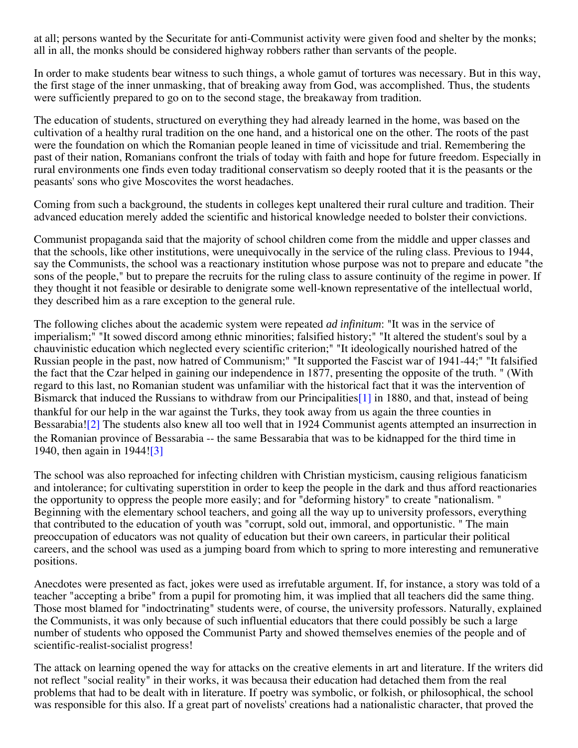at all; persons wanted by the Securitate for anti-Communist activity were given food and shelter by the monks; all in all, the monks should be considered highway robbers rather than servants of the people.

In order to make students bear witness to such things, a whole gamut of tortures was necessary. But in this way, the first stage of the inner unmasking, that of breaking away from God, was accomplished. Thus, the students were sufficiently prepared to go on to the second stage, the breakaway from tradition.

The education of students, structured on everything they had already learned in the home, was based on the cultivation of a healthy rural tradition on the one hand, and a historical one on the other. The roots of the past were the foundation on which the Romanian people leaned in time of vicissitude and trial. Remembering the past of their nation, Romanians confront the trials of today with faith and hope for future freedom. Especially in rural environments one finds even today traditional conservatism so deeply rooted that it is the peasants or the peasants' sons who give Moscovites the worst headaches.

Coming from such a background, the students in colleges kept unaltered their rural culture and tradition. Their advanced education merely added the scientific and historical knowledge needed to bolster their convictions.

Communist propaganda said that the majority of school children come from the middle and upper classes and that the schools, like other institutions, were unequivocally in the service of the ruling class. Previous to 1944, say the Communists, the school was a reactionary institution whose purpose was not to prepare and educate "the sons of the people," but to prepare the recruits for the ruling class to assure continuity of the regime in power. If they thought it not feasible or desirable to denigrate some well-known representative of the intellectual world, they described him as a rare exception to the general rule.

The following cliches about the academic system were repeated *ad infinitum*: "It was in the service of imperialism;" "It sowed discord among ethnic minorities; falsified history;" "It altered the student's soul by a chauvinistic education which neglected every scientific criterion;" "It ideologically nourished hatred of the Russian people in the past, now hatred of Communism;" "It supported the Fascist war of 1941-44;" "It falsified the fact that the Czar helped in gaining our independence in 1877, presenting the opposite of the truth. " (With regard to this last, no Romanian student was unfamiliar with the historical fact that it was the intervention of Bismarck that induced the Russians to withdraw from our Principalities[1] in 1880, and that, instead of being thankful for our help in the war against the Turks, they took away from us again the three counties in Bessarabia![2] The students also knew all too well that in 1924 Communist agents attempted an insurrection in the Romanian province of Bessarabia -- the same Bessarabia that was to be kidnapped for the third time in 1940, then again in 1944![3]

The school was also reproached for infecting children with Christian mysticism, causing religious fanaticism and intolerance; for cultivating superstition in order to keep the people in the dark and thus afford reactionaries the opportunity to oppress the people more easily; and for "deforming history" to create "nationalism. " Beginning with the elementary school teachers, and going all the way up to university professors, everything that contributed to the education of youth was "corrupt, sold out, immoral, and opportunistic. " The main preoccupation of educators was not quality of education but their own careers, in particular their political careers, and the school was used as a jumping board from which to spring to more interesting and remunerative positions.

Anecdotes were presented as fact, jokes were used as irrefutable argument. If, for instance, a story was told of a teacher "accepting a bribe" from a pupil for promoting him, it was implied that all teachers did the same thing. Those most blamed for "indoctrinating" students were, of course, the university professors. Naturally, explained the Communists, it was only because of such influential educators that there could possibly be such a large number of students who opposed the Communist Party and showed themselves enemies of the people and of scientific-realist-socialist progress!

The attack on learning opened the way for attacks on the creative elements in art and literature. If the writers did not reflect "social reality" in their works, it was becausa their education had detached them from the real problems that had to be dealt with in literature. If poetry was symbolic, or folkish, or philosophical, the school was responsible for this also. If a great part of novelists' creations had a nationalistic character, that proved the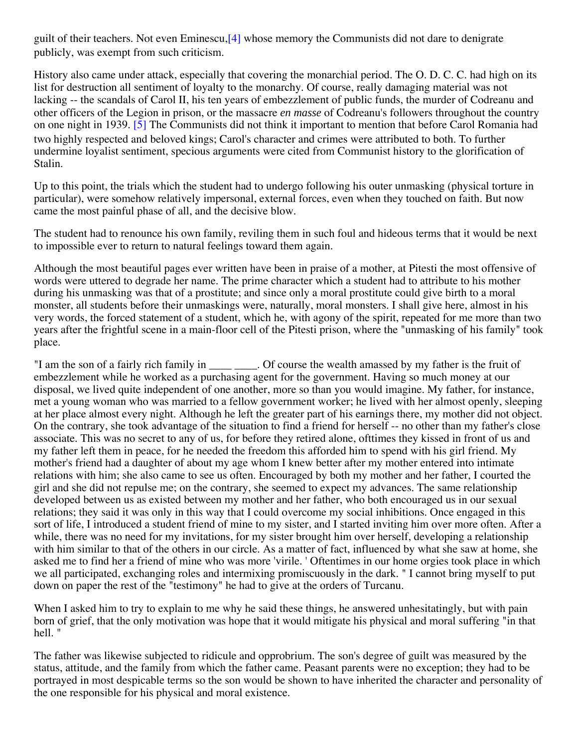guilt of their teachers. Not even Eminescu,[4] whose memory the Communists did not dare to denigrate publicly, was exempt from such criticism.

History also came under attack, especially that covering the monarchial period. The O. D. C. C. had high on its list for destruction all sentiment of loyalty to the monarchy. Of course, really damaging material was not lacking -- the scandals of Carol II, his ten years of embezzlement of public funds, the murder of Codreanu and other officers of the Legion in prison, or the massacre *en masse* of Codreanu's followers throughout the country on one night in 1939. [5] The Communists did not think it important to mention that before Carol Romania had two highly respected and beloved kings; Carol's character and crimes were attributed to both. To further undermine loyalist sentiment, specious arguments were cited from Communist history to the glorification of Stalin.

Up to this point, the trials which the student had to undergo following his outer unmasking (physical torture in particular), were somehow relatively impersonal, external forces, even when they touched on faith. But now came the most painful phase of all, and the decisive blow.

The student had to renounce his own family, reviling them in such foul and hideous terms that it would be next to impossible ever to return to natural feelings toward them again.

Although the most beautiful pages ever written have been in praise of a mother, at Pitesti the most offensive of words were uttered to degrade her name. The prime character which a student had to attribute to his mother during his unmasking was that of a prostitute; and since only a moral prostitute could give birth to a moral monster, all students before their unmaskings were, naturally, moral monsters. I shall give here, almost in his very words, the forced statement of a student, which he, with agony of the spirit, repeated for me more than two years after the frightful scene in a main-floor cell of the Pitesti prison, where the "unmasking of his family" took place.

"I am the son of a fairly rich family in \_\_\_\_\_\_\_. Of course the wealth amassed by my father is the fruit of embezzlement while he worked as a purchasing agent for the government. Having so much money at our disposal, we lived quite independent of one another, more so than you would imagine. My father, for instance, met a young woman who was married to a fellow government worker; he lived with her almost openly, sleeping at her place almost every night. Although he left the greater part of his earnings there, my mother did not object. On the contrary, she took advantage of the situation to find a friend for herself -- no other than my father's close associate. This was no secret to any of us, for before they retired alone, ofttimes they kissed in front of us and my father left them in peace, for he needed the freedom this afforded him to spend with his girl friend. My mother's friend had a daughter of about my age whom I knew better after my mother entered into intimate relations with him; she also came to see us often. Encouraged by both my mother and her father, I courted the girl and she did not repulse me; on the contrary, she seemed to expect my advances. The same relationship developed between us as existed between my mother and her father, who both encouraged us in our sexual relations; they said it was only in this way that I could overcome my social inhibitions. Once engaged in this sort of life, I introduced a student friend of mine to my sister, and I started inviting him over more often. After a while, there was no need for my invitations, for my sister brought him over herself, developing a relationship with him similar to that of the others in our circle. As a matter of fact, influenced by what she saw at home, she asked me to find her a friend of mine who was more 'virile. ' Oftentimes in our home orgies took place in which we all participated, exchanging roles and intermixing promiscuously in the dark. " I cannot bring myself to put down on paper the rest of the "testimony" he had to give at the orders of Turcanu.

When I asked him to try to explain to me why he said these things, he answered unhesitatingly, but with pain born of grief, that the only motivation was hope that it would mitigate his physical and moral suffering "in that hell. "

The father was likewise subjected to ridicule and opprobrium. The son's degree of guilt was measured by the status, attitude, and the family from which the father came. Peasant parents were no exception; they had to be portrayed in most despicable terms so the son would be shown to have inherited the character and personality of the one responsible for his physical and moral existence.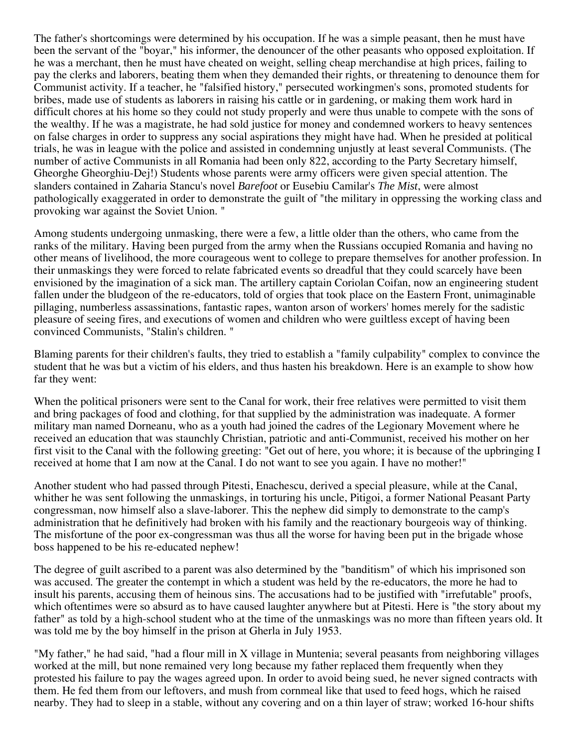The father's shortcomings were determined by his occupation. If he was a simple peasant, then he must have been the servant of the "boyar," his informer, the denouncer of the other peasants who opposed exploitation. If he was a merchant, then he must have cheated on weight, selling cheap merchandise at high prices, failing to pay the clerks and laborers, beating them when they demanded their rights, or threatening to denounce them for Communist activity. If a teacher, he "falsified history," persecuted workingmen's sons, promoted students for bribes, made use of students as laborers in raising his cattle or in gardening, or making them work hard in difficult chores at his home so they could not study properly and were thus unable to compete with the sons of the wealthy. If he was a magistrate, he had sold justice for money and condemned workers to heavy sentences on false charges in order to suppress any social aspirations they might have had. When he presided at political trials, he was in league with the police and assisted in condemning unjustly at least several Communists. (The number of active Communists in all Romania had been only 822, according to the Party Secretary himself, Gheorghe Gheorghiu-Dej!) Students whose parents were army officers were given special attention. The slanders contained in Zaharia Stancu's novel *Barefoot* or Eusebiu Camilar's *The Mist*, were almost pathologically exaggerated in order to demonstrate the guilt of "the military in oppressing the working class and provoking war against the Soviet Union. "

Among students undergoing unmasking, there were a few, a little older than the others, who came from the ranks of the military. Having been purged from the army when the Russians occupied Romania and having no other means of livelihood, the more courageous went to college to prepare themselves for another profession. In their unmaskings they were forced to relate fabricated events so dreadful that they could scarcely have been envisioned by the imagination of a sick man. The artillery captain Coriolan Coifan, now an engineering student fallen under the bludgeon of the re-educators, told of orgies that took place on the Eastern Front, unimaginable pillaging, numberless assassinations, fantastic rapes, wanton arson of workers' homes merely for the sadistic pleasure of seeing fires, and executions of women and children who were guiltless except of having been convinced Communists, "Stalin's children. "

Blaming parents for their children's faults, they tried to establish a "family culpability" complex to convince the student that he was but a victim of his elders, and thus hasten his breakdown. Here is an example to show how far they went:

When the political prisoners were sent to the Canal for work, their free relatives were permitted to visit them and bring packages of food and clothing, for that supplied by the administration was inadequate. A former military man named Dorneanu, who as a youth had joined the cadres of the Legionary Movement where he received an education that was staunchly Christian, patriotic and anti-Communist, received his mother on her first visit to the Canal with the following greeting: "Get out of here, you whore; it is because of the upbringing I received at home that I am now at the Canal. I do not want to see you again. I have no mother!"

Another student who had passed through Pitesti, Enachescu, derived a special pleasure, while at the Canal, whither he was sent following the unmaskings, in torturing his uncle, Pitigoi, a former National Peasant Party congressman, now himself also a slave-laborer. This the nephew did simply to demonstrate to the camp's administration that he definitively had broken with his family and the reactionary bourgeois way of thinking. The misfortune of the poor ex-congressman was thus all the worse for having been put in the brigade whose boss happened to be his re-educated nephew!

The degree of guilt ascribed to a parent was also determined by the "banditism" of which his imprisoned son was accused. The greater the contempt in which a student was held by the re-educators, the more he had to insult his parents, accusing them of heinous sins. The accusations had to be justified with "irrefutable" proofs, which oftentimes were so absurd as to have caused laughter anywhere but at Pitesti. Here is "the story about my father" as told by a high-school student who at the time of the unmaskings was no more than fifteen years old. It was told me by the boy himself in the prison at Gherla in July 1953.

"My father," he had said, "had a flour mill in X village in Muntenia; several peasants from neighboring villages worked at the mill, but none remained very long because my father replaced them frequently when they protested his failure to pay the wages agreed upon. In order to avoid being sued, he never signed contracts with them. He fed them from our leftovers, and mush from cornmeal like that used to feed hogs, which he raised nearby. They had to sleep in a stable, without any covering and on a thin layer of straw; worked 16-hour shifts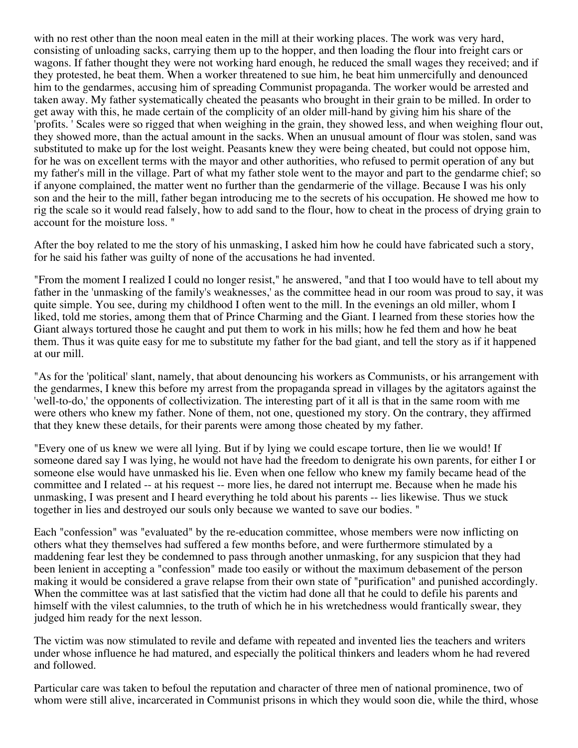with no rest other than the noon meal eaten in the mill at their working places. The work was very hard, consisting of unloading sacks, carrying them up to the hopper, and then loading the flour into freight cars or wagons. If father thought they were not working hard enough, he reduced the small wages they received; and if they protested, he beat them. When a worker threatened to sue him, he beat him unmercifully and denounced him to the gendarmes, accusing him of spreading Communist propaganda. The worker would be arrested and taken away. My father systematically cheated the peasants who brought in their grain to be milled. In order to get away with this, he made certain of the complicity of an older mill-hand by giving him his share of the 'profits. ' Scales were so rigged that when weighing in the grain, they showed less, and when weighing flour out, they showed more, than the actual amount in the sacks. When an unusual amount of flour was stolen, sand was substituted to make up for the lost weight. Peasants knew they were being cheated, but could not oppose him, for he was on excellent terms with the mayor and other authorities, who refused to permit operation of any but my father's mill in the village. Part of what my father stole went to the mayor and part to the gendarme chief; so if anyone complained, the matter went no further than the gendarmerie of the village. Because I was his only son and the heir to the mill, father began introducing me to the secrets of his occupation. He showed me how to rig the scale so it would read falsely, how to add sand to the flour, how to cheat in the process of drying grain to account for the moisture loss. "

After the boy related to me the story of his unmasking, I asked him how he could have fabricated such a story, for he said his father was guilty of none of the accusations he had invented.

"From the moment I realized I could no longer resist," he answered, "and that I too would have to tell about my father in the 'unmasking of the family's weaknesses,' as the committee head in our room was proud to say, it was quite simple. You see, during my childhood I often went to the mill. In the evenings an old miller, whom I liked, told me stories, among them that of Prince Charming and the Giant. I learned from these stories how the Giant always tortured those he caught and put them to work in his mills; how he fed them and how he beat them. Thus it was quite easy for me to substitute my father for the bad giant, and tell the story as if it happened at our mill.

"As for the 'political' slant, namely, that about denouncing his workers as Communists, or his arrangement with the gendarmes, I knew this before my arrest from the propaganda spread in villages by the agitators against the 'well-to-do,' the opponents of collectivization. The interesting part of it all is that in the same room with me were others who knew my father. None of them, not one, questioned my story. On the contrary, they affirmed that they knew these details, for their parents were among those cheated by my father.

"Every one of us knew we were all lying. But if by lying we could escape torture, then lie we would! If someone dared say I was lying, he would not have had the freedom to denigrate his own parents, for either I or someone else would have unmasked his lie. Even when one fellow who knew my family became head of the committee and I related -- at his request -- more lies, he dared not interrupt me. Because when he made his unmasking, I was present and I heard everything he told about his parents -- lies likewise. Thus we stuck together in lies and destroyed our souls only because we wanted to save our bodies. "

Each "confession" was "evaluated" by the re-education committee, whose members were now inflicting on others what they themselves had suffered a few months before, and were furthermore stimulated by a maddening fear lest they be condemned to pass through another unmasking, for any suspicion that they had been lenient in accepting a "confession" made too easily or without the maximum debasement of the person making it would be considered a grave relapse from their own state of "purification" and punished accordingly. When the committee was at last satisfied that the victim had done all that he could to defile his parents and himself with the vilest calumnies, to the truth of which he in his wretchedness would frantically swear, they judged him ready for the next lesson.

The victim was now stimulated to revile and defame with repeated and invented lies the teachers and writers under whose influence he had matured, and especially the political thinkers and leaders whom he had revered and followed.

Particular care was taken to befoul the reputation and character of three men of national prominence, two of whom were still alive, incarcerated in Communist prisons in which they would soon die, while the third, whose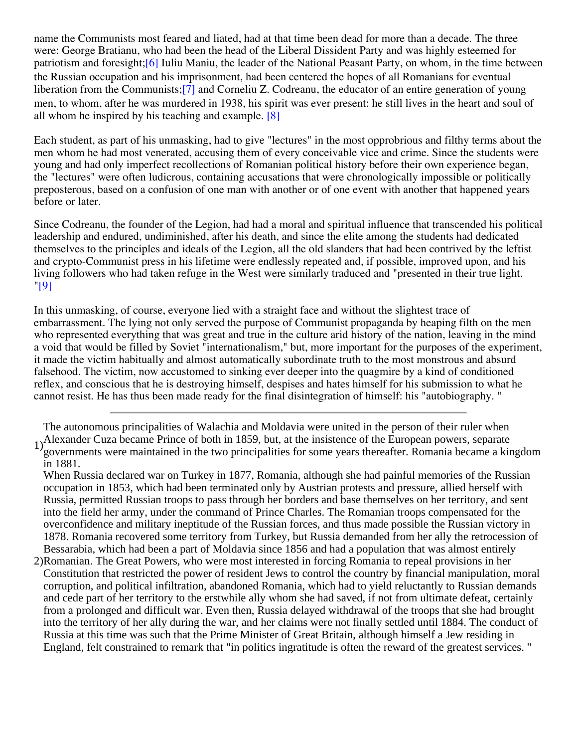name the Communists most feared and liated, had at that time been dead for more than a decade. The three were: George Bratianu, who had been the head of the Liberal Dissident Party and was highly esteemed for patriotism and foresight;[6] Iuliu Maniu, the leader of the National Peasant Party, on whom, in the time between the Russian occupation and his imprisonment, had been centered the hopes of all Romanians for eventual liberation from the Communists;<sup>[7]</sup> and Corneliu Z. Codreanu, the educator of an entire generation of young men, to whom, after he was murdered in 1938, his spirit was ever present: he still lives in the heart and soul of all whom he inspired by his teaching and example. [8]

Each student, as part of his unmasking, had to give "lectures" in the most opprobrious and filthy terms about the men whom he had most venerated, accusing them of every conceivable vice and crime. Since the students were young and had only imperfect recollections of Romanian political history before their own experience began, the "lectures" were often ludicrous, containing accusations that were chronologically impossible or politically preposterous, based on a confusion of one man with another or of one event with another that happened years before or later.

Since Codreanu, the founder of the Legion, had had a moral and spiritual influence that transcended his political leadership and endured, undiminished, after his death, and since the elite among the students had dedicated themselves to the principles and ideals of the Legion, all the old slanders that had been contrived by the leftist and crypto-Communist press in his lifetime were endlessly repeated and, if possible, improved upon, and his living followers who had taken refuge in the West were similarly traduced and "presented in their true light. "[9]

In this unmasking, of course, everyone lied with a straight face and without the slightest trace of embarrassment. The lying not only served the purpose of Communist propaganda by heaping filth on the men who represented everything that was great and true in the culture arid history of the nation, leaving in the mind a void that would be filled by Soviet "internationalism," but, more important for the purposes of the experiment, it made the victim habitually and almost automatically subordinate truth to the most monstrous and absurd falsehood. The victim, now accustomed to sinking ever deeper into the quagmire by a kind of conditioned reflex, and conscious that he is destroying himself, despises and hates himself for his submission to what he cannot resist. He has thus been made ready for the final disintegration of himself: his "autobiography. "

1) Alexander Cuza became Prince of both in 1859, but, at the insistence of the European powers, separate 1) covernments were meintained in the two principalities for some vears therefor. Because heaven a ki The autonomous principalities of Walachia and Moldavia were united in the person of their ruler when

governments were maintained in the two principalities for some years thereafter. Romania became a kingdom in 1881.

When Russia declared war on Turkey in 1877, Romania, although she had painful memories of the Russian occupation in 1853, which had been terminated only by Austrian protests and pressure, allied herself with Russia, permitted Russian troops to pass through her borders and base themselves on her territory, and sent into the field her army, under the command of Prince Charles. The Romanian troops compensated for the overconfidence and military ineptitude of the Russian forces, and thus made possible the Russian victory in 1878. Romania recovered some territory from Turkey, but Russia demanded from her ally the retrocession of Bessarabia, which had been a part of Moldavia since 1856 and had a population that was almost entirely

2) Romanian. The Great Powers, who were most interested in forcing Romania to repeal provisions in her Constitution that restricted the power of resident Jews to control the country by financial manipulation, moral corruption, and political infiltration, abandoned Romania, which had to yield reluctantly to Russian demands and cede part of her territory to the erstwhile ally whom she had saved, if not from ultimate defeat, certainly from a prolonged and difficult war. Even then, Russia delayed withdrawal of the troops that she had brought into the territory of her ally during the war, and her claims were not finally settled until 1884. The conduct of Russia at this time was such that the Prime Minister of Great Britain, although himself a Jew residing in England, felt constrained to remark that "in politics ingratitude is often the reward of the greatest services. "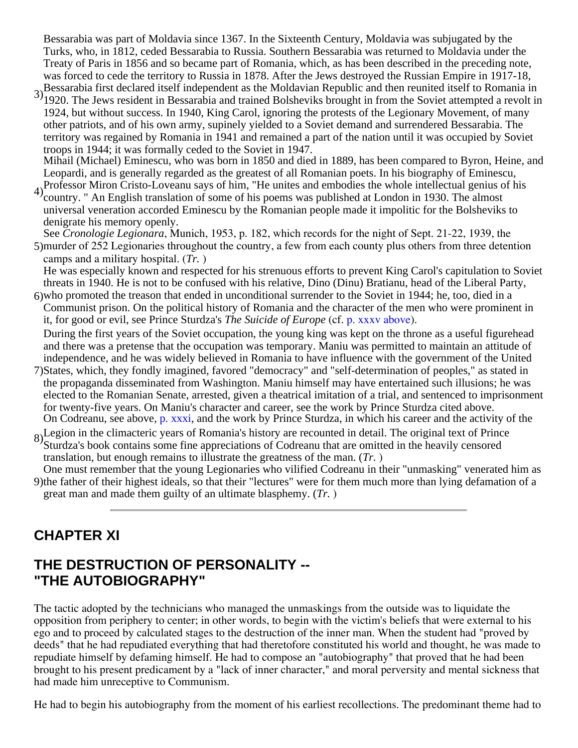Bessarabia was part of Moldavia since 1367. In the Sixteenth Century, Moldavia was subjugated by the Turks, who, in 1812, ceded Bessarabia to Russia. Southern Bessarabia was returned to Moldavia under the Treaty of Paris in 1856 and so became part of Romania, which, as has been described in the preceding note, was forced to cede the territory to Russia in 1878. After the Jews destroyed the Russian Empire in 1917-18, Bessarabia first declared itself independent as the Moldavian Republic and then reunited itself to Romania in

3) 1920. The Jews resident in Bessarabia and trained Bolsheviks brought in from the Soviet attempted a revolt in 1924, but without success. In 1940, King Carol, ignoring the protests of the Legionary Movement, of many other patriots, and of his own army, supinely yielded to a Soviet demand and surrendered Bessarabia. The territory was regained by Romania in 1941 and remained a part of the nation until it was occupied by Soviet troops in 1944; it was formally ceded to the Soviet in 1947.

Mihail (Michael) Eminescu, who was born in 1850 and died in 1889, has been compared to Byron, Heine, and Leopardi, and is generally regarded as the greatest of all Romanian poets. In his biography of Eminescu,

 $\mu$ )Professor Miron Cristo-Loveanu says of him, "He unites and embodies the whole intellectual genius of his<br>country, " An English translation of some of his nooms was published at London in 1930. The elmost country. " An English translation of some of his poems was published at London in 1930. The almost universal veneration accorded Eminescu by the Romanian people made it impolitic for the Bolsheviks to denigrate his memory openly.

5) murder of 252 Legionaries throughout the country, a few from each county plus others from three detention See *Cronologie Legionara*, Munich, 1953, p. 182, which records for the night of Sept. 21-22, 1939, the camps and a military hospital. (*Tr.* )

He was especially known and respected for his strenuous efforts to prevent King Carol's capitulation to Soviet threats in 1940. He is not to be confused with his relative, Dino (Dinu) Bratianu, head of the Liberal Party,

6) who promoted the treason that ended in unconditional surrender to the Soviet in 1944; he, too, died in a Communist prison. On the political history of Romania and the character of the men who were prominent in it, for good or evil, see Prince Sturdza's *The Suicide of Europe* (cf. p. xxxv above).

During the first years of the Soviet occupation, the young king was kept on the throne as a useful figurehead and there was a pretense that the occupation was temporary. Maniu was permitted to maintain an attitude of independence, and he was widely believed in Romania to have influence with the government of the United

- 7) States, which, they fondly imagined, favored "democracy" and "self-determination of peoples," as stated in the propaganda disseminated from Washington. Maniu himself may have entertained such illusions; he was elected to the Romanian Senate, arrested, given a theatrical imitation of a trial, and sentenced to imprisonment for twenty-five years. On Maniu's character and career, see the work by Prince Sturdza cited above. On Codreanu, see above, p. xxxi, and the work by Prince Sturdza, in which his career and the activity of the
- 8) Legion in the climacteric years of Romania's history are recounted in detail. The original text of Prince Sturdza's book contains some fine appreciations of Codreanu that are omitted in the heavily censored translation, but enough remains to illustrate the greatness of the man. (*Tr.* )
- 9) the father of their highest ideals, so that their "lectures" were for them much more than lying defamation of a One must remember that the young Legionaries who vilified Codreanu in their "unmasking" venerated him as great man and made them guilty of an ultimate blasphemy. (*Tr.* )

### **CHAPTER XI**

#### **THE DESTRUCTION OF PERSONALITY -- "THE AUTOBIOGRAPHY"**

The tactic adopted by the technicians who managed the unmaskings from the outside was to liquidate the opposition from periphery to center; in other words, to begin with the victim's beliefs that were external to his ego and to proceed by calculated stages to the destruction of the inner man. When the student had "proved by deeds" that he had repudiated everything that had theretofore constituted his world and thought, he was made to repudiate himself by defaming himself. He had to compose an "autobiography" that proved that he had been brought to his present predicament by a "lack of inner character," and moral perversity and mental sickness that had made him unreceptive to Communism.

He had to begin his autobiography from the moment of his earliest recollections. The predominant theme had to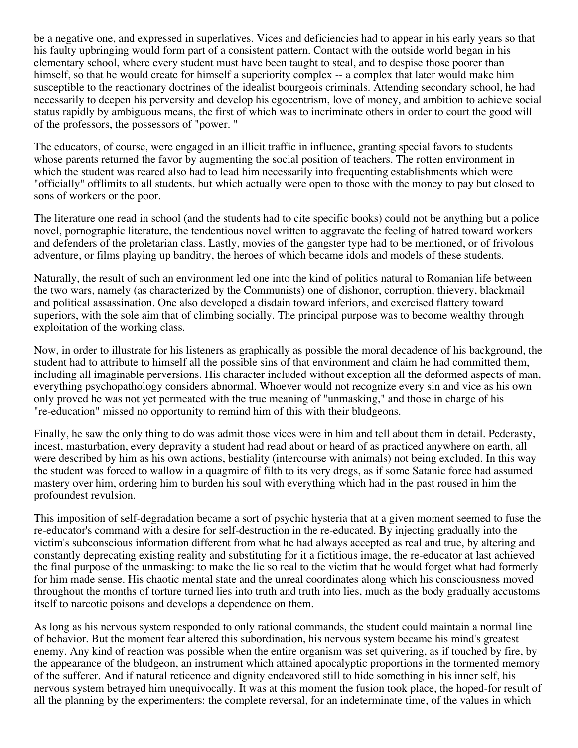be a negative one, and expressed in superlatives. Vices and deficiencies had to appear in his early years so that his faulty upbringing would form part of a consistent pattern. Contact with the outside world began in his elementary school, where every student must have been taught to steal, and to despise those poorer than himself, so that he would create for himself a superiority complex -- a complex that later would make him susceptible to the reactionary doctrines of the idealist bourgeois criminals. Attending secondary school, he had necessarily to deepen his perversity and develop his egocentrism, love of money, and ambition to achieve social status rapidly by ambiguous means, the first of which was to incriminate others in order to court the good will of the professors, the possessors of "power. "

The educators, of course, were engaged in an illicit traffic in influence, granting special favors to students whose parents returned the favor by augmenting the social position of teachers. The rotten environment in which the student was reared also had to lead him necessarily into frequenting establishments which were "officially" offlimits to all students, but which actually were open to those with the money to pay but closed to sons of workers or the poor.

The literature one read in school (and the students had to cite specific books) could not be anything but a police novel, pornographic literature, the tendentious novel written to aggravate the feeling of hatred toward workers and defenders of the proletarian class. Lastly, movies of the gangster type had to be mentioned, or of frivolous adventure, or films playing up banditry, the heroes of which became idols and models of these students.

Naturally, the result of such an environment led one into the kind of politics natural to Romanian life between the two wars, namely (as characterized by the Communists) one of dishonor, corruption, thievery, blackmail and political assassination. One also developed a disdain toward inferiors, and exercised flattery toward superiors, with the sole aim that of climbing socially. The principal purpose was to become wealthy through exploitation of the working class.

Now, in order to illustrate for his listeners as graphically as possible the moral decadence of his background, the student had to attribute to himself all the possible sins of that environment and claim he had committed them, including all imaginable perversions. His character included without exception all the deformed aspects of man, everything psychopathology considers abnormal. Whoever would not recognize every sin and vice as his own only proved he was not yet permeated with the true meaning of "unmasking," and those in charge of his "re-education" missed no opportunity to remind him of this with their bludgeons.

Finally, he saw the only thing to do was admit those vices were in him and tell about them in detail. Pederasty, incest, masturbation, every depravity a student had read about or heard of as practiced anywhere on earth, all were described by him as his own actions, bestiality (intercourse with animals) not being excluded. In this way the student was forced to wallow in a quagmire of filth to its very dregs, as if some Satanic force had assumed mastery over him, ordering him to burden his soul with everything which had in the past roused in him the profoundest revulsion.

This imposition of self-degradation became a sort of psychic hysteria that at a given moment seemed to fuse the re-educator's command with a desire for self-destruction in the re-educated. By injecting gradually into the victim's subconscious information different from what he had always accepted as real and true, by altering and constantly deprecating existing reality and substituting for it a fictitious image, the re-educator at last achieved the final purpose of the unmasking: to make the lie so real to the victim that he would forget what had formerly for him made sense. His chaotic mental state and the unreal coordinates along which his consciousness moved throughout the months of torture turned lies into truth and truth into lies, much as the body gradually accustoms itself to narcotic poisons and develops a dependence on them.

As long as his nervous system responded to only rational commands, the student could maintain a normal line of behavior. But the moment fear altered this subordination, his nervous system became his mind's greatest enemy. Any kind of reaction was possible when the entire organism was set quivering, as if touched by fire, by the appearance of the bludgeon, an instrument which attained apocalyptic proportions in the tormented memory of the sufferer. And if natural reticence and dignity endeavored still to hide something in his inner self, his nervous system betrayed him unequivocally. It was at this moment the fusion took place, the hoped-for result of all the planning by the experimenters: the complete reversal, for an indeterminate time, of the values in which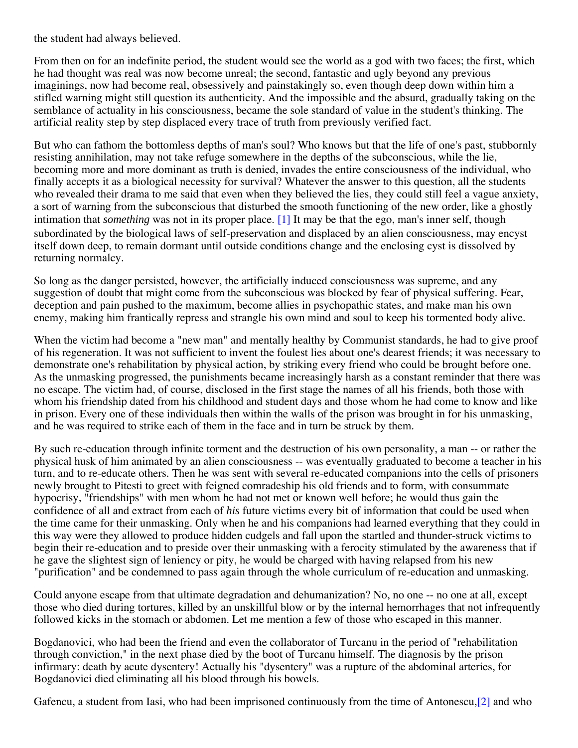the student had always believed.

From then on for an indefinite period, the student would see the world as a god with two faces; the first, which he had thought was real was now become unreal; the second, fantastic and ugly beyond any previous imaginings, now had become real, obsessively and painstakingly so, even though deep down within him a stifled warning might still question its authenticity. And the impossible and the absurd, gradually taking on the semblance of actuality in his consciousness, became the sole standard of value in the student's thinking. The artificial reality step by step displaced every trace of truth from previously verified fact.

But who can fathom the bottomless depths of man's soul? Who knows but that the life of one's past, stubbornly resisting annihilation, may not take refuge somewhere in the depths of the subconscious, while the lie, becoming more and more dominant as truth is denied, invades the entire consciousness of the individual, who finally accepts it as a biological necessity for survival? Whatever the answer to this question, all the students who revealed their drama to me said that even when they believed the lies, they could still feel a vague anxiety, a sort of warning from the subconscious that disturbed the smooth functioning of the new order, like a ghostly intimation that *something* was not in its proper place. [1] It may be that the ego, man's inner self, though subordinated by the biological laws of self-preservation and displaced by an alien consciousness, may encyst itself down deep, to remain dormant until outside conditions change and the enclosing cyst is dissolved by returning normalcy.

So long as the danger persisted, however, the artificially induced consciousness was supreme, and any suggestion of doubt that might come from the subconscious was blocked by fear of physical suffering. Fear, deception and pain pushed to the maximum, become allies in psychopathic states, and make man his own enemy, making him frantically repress and strangle his own mind and soul to keep his tormented body alive.

When the victim had become a "new man" and mentally healthy by Communist standards, he had to give proof of his regeneration. It was not sufficient to invent the foulest lies about one's dearest friends; it was necessary to demonstrate one's rehabilitation by physical action, by striking every friend who could be brought before one. As the unmasking progressed, the punishments became increasingly harsh as a constant reminder that there was no escape. The victim had, of course, disclosed in the first stage the names of all his friends, both those with whom his friendship dated from his childhood and student days and those whom he had come to know and like in prison. Every one of these individuals then within the walls of the prison was brought in for his unmasking, and he was required to strike each of them in the face and in turn be struck by them.

By such re-education through infinite torment and the destruction of his own personality, a man -- or rather the physical husk of him animated by an alien consciousness -- was eventually graduated to become a teacher in his turn, and to re-educate others. Then he was sent with several re-educated companions into the cells of prisoners newly brought to Pitesti to greet with feigned comradeship his old friends and to form, with consummate hypocrisy, "friendships" with men whom he had not met or known well before; he would thus gain the confidence of all and extract from each of *his* future victims every bit of information that could be used when the time came for their unmasking. Only when he and his companions had learned everything that they could in this way were they allowed to produce hidden cudgels and fall upon the startled and thunder-struck victims to begin their re-education and to preside over their unmasking with a ferocity stimulated by the awareness that if he gave the slightest sign of leniency or pity, he would be charged with having relapsed from his new "purification" and be condemned to pass again through the whole curriculum of re-education and unmasking.

Could anyone escape from that ultimate degradation and dehumanization? No, no one -- no one at all, except those who died during tortures, killed by an unskillful blow or by the internal hemorrhages that not infrequently followed kicks in the stomach or abdomen. Let me mention a few of those who escaped in this manner.

Bogdanovici, who had been the friend and even the collaborator of Turcanu in the period of "rehabilitation through conviction," in the next phase died by the boot of Turcanu himself. The diagnosis by the prison infirmary: death by acute dysentery! Actually his "dysentery" was a rupture of the abdominal arteries, for Bogdanovici died eliminating all his blood through his bowels.

Gafencu, a student from Iasi, who had been imprisoned continuously from the time of Antonescu,[2] and who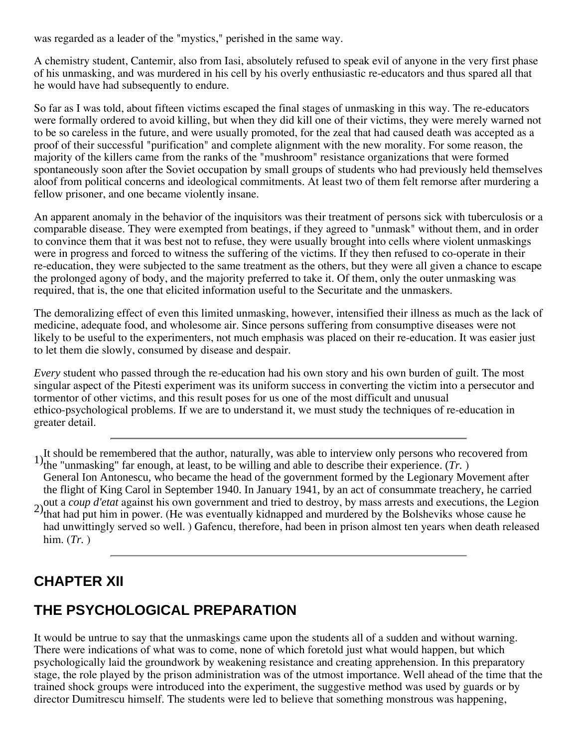was regarded as a leader of the "mystics," perished in the same way.

A chemistry student, Cantemir, also from Iasi, absolutely refused to speak evil of anyone in the very first phase of his unmasking, and was murdered in his cell by his overly enthusiastic re-educators and thus spared all that he would have had subsequently to endure.

So far as I was told, about fifteen victims escaped the final stages of unmasking in this way. The re-educators were formally ordered to avoid killing, but when they did kill one of their victims, they were merely warned not to be so careless in the future, and were usually promoted, for the zeal that had caused death was accepted as a proof of their successful "purification" and complete alignment with the new morality. For some reason, the majority of the killers came from the ranks of the "mushroom" resistance organizations that were formed spontaneously soon after the Soviet occupation by small groups of students who had previously held themselves aloof from political concerns and ideological commitments. At least two of them felt remorse after murdering a fellow prisoner, and one became violently insane.

An apparent anomaly in the behavior of the inquisitors was their treatment of persons sick with tuberculosis or a comparable disease. They were exempted from beatings, if they agreed to "unmask" without them, and in order to convince them that it was best not to refuse, they were usually brought into cells where violent unmaskings were in progress and forced to witness the suffering of the victims. If they then refused to co-operate in their re-education, they were subjected to the same treatment as the others, but they were all given a chance to escape the prolonged agony of body, and the majority preferred to take it. Of them, only the outer unmasking was required, that is, the one that elicited information useful to the Securitate and the unmaskers.

The demoralizing effect of even this limited unmasking, however, intensified their illness as much as the lack of medicine, adequate food, and wholesome air. Since persons suffering from consumptive diseases were not likely to be useful to the experimenters, not much emphasis was placed on their re-education. It was easier just to let them die slowly, consumed by disease and despair.

*Every* student who passed through the re-education had his own story and his own burden of guilt. The most singular aspect of the Pitesti experiment was its uniform success in converting the victim into a persecutor and tormentor of other victims, and this result poses for us one of the most difficult and unusual ethico-psychological problems. If we are to understand it, we must study the techniques of re-education in greater detail.

1)It should be remembered that the author, naturally, was able to interview only persons who recovered from the "unmasking" far enough, at least, to be willing and able to describe their experience. (*Tr.* ) General Ion Antonescu, who became the head of the government formed by the Legionary Movement after the flight of King Carol in September 1940. In January 1941, by an act of consummate treachery, he carried out a *coup d'etat* against his own government and tried to destroy, by mass arrests and executions, the Legion

 $2)$  that had put him in power. (He was eventually kidnapped and murdered by the Bolsheviks whose cause he  $2)$ had unwittingly served so well. ) Gafencu, therefore, had been in prison almost ten years when death released him. (*Tr.* )

#### **CHAPTER XII**

### **THE PSYCHOLOGICAL PREPARATION**

It would be untrue to say that the unmaskings came upon the students all of a sudden and without warning. There were indications of what was to come, none of which foretold just what would happen, but which psychologically laid the groundwork by weakening resistance and creating apprehension. In this preparatory stage, the role played by the prison administration was of the utmost importance. Well ahead of the time that the trained shock groups were introduced into the experiment, the suggestive method was used by guards or by director Dumitrescu himself. The students were led to believe that something monstrous was happening,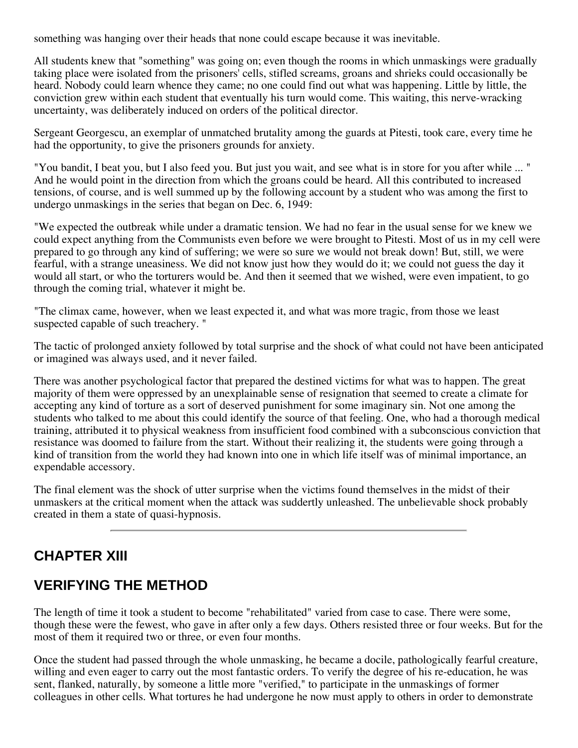something was hanging over their heads that none could escape because it was inevitable.

All students knew that "something" was going on; even though the rooms in which unmaskings were gradually taking place were isolated from the prisoners' cells, stifled screams, groans and shrieks could occasionally be heard. Nobody could learn whence they came; no one could find out what was happening. Little by little, the conviction grew within each student that eventually his turn would come. This waiting, this nerve-wracking uncertainty, was deliberately induced on orders of the political director.

Sergeant Georgescu, an exemplar of unmatched brutality among the guards at Pitesti, took care, every time he had the opportunity, to give the prisoners grounds for anxiety.

"You bandit, I beat you, but I also feed you. But just you wait, and see what is in store for you after while ... " And he would point in the direction from which the groans could be heard. All this contributed to increased tensions, of course, and is well summed up by the following account by a student who was among the first to undergo unmaskings in the series that began on Dec. 6, 1949:

"We expected the outbreak while under a dramatic tension. We had no fear in the usual sense for we knew we could expect anything from the Communists even before we were brought to Pitesti. Most of us in my cell were prepared to go through any kind of suffering; we were so sure we would not break down! But, still, we were fearful, with a strange uneasiness. We did not know just how they would do it; we could not guess the day it would all start, or who the torturers would be. And then it seemed that we wished, were even impatient, to go through the coming trial, whatever it might be.

"The climax came, however, when we least expected it, and what was more tragic, from those we least suspected capable of such treachery. "

The tactic of prolonged anxiety followed by total surprise and the shock of what could not have been anticipated or imagined was always used, and it never failed.

There was another psychological factor that prepared the destined victims for what was to happen. The great majority of them were oppressed by an unexplainable sense of resignation that seemed to create a climate for accepting any kind of torture as a sort of deserved punishment for some imaginary sin. Not one among the students who talked to me about this could identify the source of that feeling. One, who had a thorough medical training, attributed it to physical weakness from insufficient food combined with a subconscious conviction that resistance was doomed to failure from the start. Without their realizing it, the students were going through a kind of transition from the world they had known into one in which life itself was of minimal importance, an expendable accessory.

The final element was the shock of utter surprise when the victims found themselves in the midst of their unmaskers at the critical moment when the attack was suddertly unleashed. The unbelievable shock probably created in them a state of quasi-hypnosis.

# **CHAPTER XIII**

#### **VERIFYING THE METHOD**

The length of time it took a student to become "rehabilitated" varied from case to case. There were some, though these were the fewest, who gave in after only a few days. Others resisted three or four weeks. But for the most of them it required two or three, or even four months.

Once the student had passed through the whole unmasking, he became a docile, pathologically fearful creature, willing and even eager to carry out the most fantastic orders. To verify the degree of his re-education, he was sent, flanked, naturally, by someone a little more "verified," to participate in the unmaskings of former colleagues in other cells. What tortures he had undergone he now must apply to others in order to demonstrate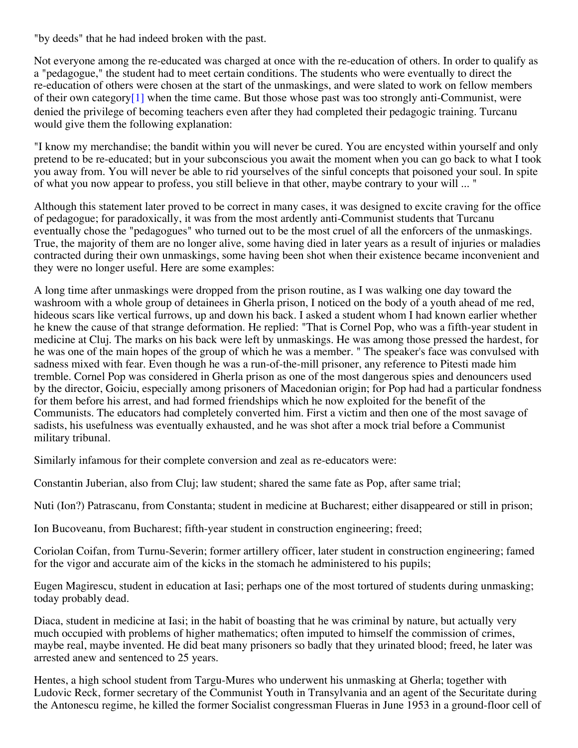"by deeds" that he had indeed broken with the past.

Not everyone among the re-educated was charged at once with the re-education of others. In order to qualify as a "pedagogue," the student had to meet certain conditions. The students who were eventually to direct the re-education of others were chosen at the start of the unmaskings, and were slated to work on fellow members of their own category[1] when the time came. But those whose past was too strongly anti-Communist, were denied the privilege of becoming teachers even after they had completed their pedagogic training. Turcanu would give them the following explanation:

"I know my merchandise; the bandit within you will never be cured. You are encysted within yourself and only pretend to be re-educated; but in your subconscious you await the moment when you can go back to what I took you away from. You will never be able to rid yourselves of the sinful concepts that poisoned your soul. In spite of what you now appear to profess, you still believe in that other, maybe contrary to your will ... "

Although this statement later proved to be correct in many cases, it was designed to excite craving for the office of pedagogue; for paradoxically, it was from the most ardently anti-Communist students that Turcanu eventually chose the "pedagogues" who turned out to be the most cruel of all the enforcers of the unmaskings. True, the majority of them are no longer alive, some having died in later years as a result of injuries or maladies contracted during their own unmaskings, some having been shot when their existence became inconvenient and they were no longer useful. Here are some examples:

A long time after unmaskings were dropped from the prison routine, as I was walking one day toward the washroom with a whole group of detainees in Gherla prison, I noticed on the body of a youth ahead of me red, hideous scars like vertical furrows, up and down his back. I asked a student whom I had known earlier whether he knew the cause of that strange deformation. He replied: "That is Cornel Pop, who was a fifth-year student in medicine at Cluj. The marks on his back were left by unmaskings. He was among those pressed the hardest, for he was one of the main hopes of the group of which he was a member. " The speaker's face was convulsed with sadness mixed with fear. Even though he was a run-of-the-mill prisoner, any reference to Pitesti made him tremble. Cornel Pop was considered in Gherla prison as one of the most dangerous spies and denouncers used by the director, Goiciu, especially among prisoners of Macedonian origin; for Pop had had a particular fondness for them before his arrest, and had formed friendships which he now exploited for the benefit of the Communists. The educators had completely converted him. First a victim and then one of the most savage of sadists, his usefulness was eventually exhausted, and he was shot after a mock trial before a Communist military tribunal.

Similarly infamous for their complete conversion and zeal as re-educators were:

Constantin Juberian, also from Cluj; law student; shared the same fate as Pop, after same trial;

Nuti (Ion?) Patrascanu, from Constanta; student in medicine at Bucharest; either disappeared or still in prison;

Ion Bucoveanu, from Bucharest; fifth-year student in construction engineering; freed;

Coriolan Coifan, from Turnu-Severin; former artillery officer, later student in construction engineering; famed for the vigor and accurate aim of the kicks in the stomach he administered to his pupils;

Eugen Magirescu, student in education at Iasi; perhaps one of the most tortured of students during unmasking; today probably dead.

Diaca, student in medicine at Iasi; in the habit of boasting that he was criminal by nature, but actually very much occupied with problems of higher mathematics; often imputed to himself the commission of crimes, maybe real, maybe invented. He did beat many prisoners so badly that they urinated blood; freed, he later was arrested anew and sentenced to 25 years.

Hentes, a high school student from Targu-Mures who underwent his unmasking at Gherla; together with Ludovic Reck, former secretary of the Communist Youth in Transylvania and an agent of the Securitate during the Antonescu regime, he killed the former Socialist congressman Flueras in June 1953 in a ground-floor cell of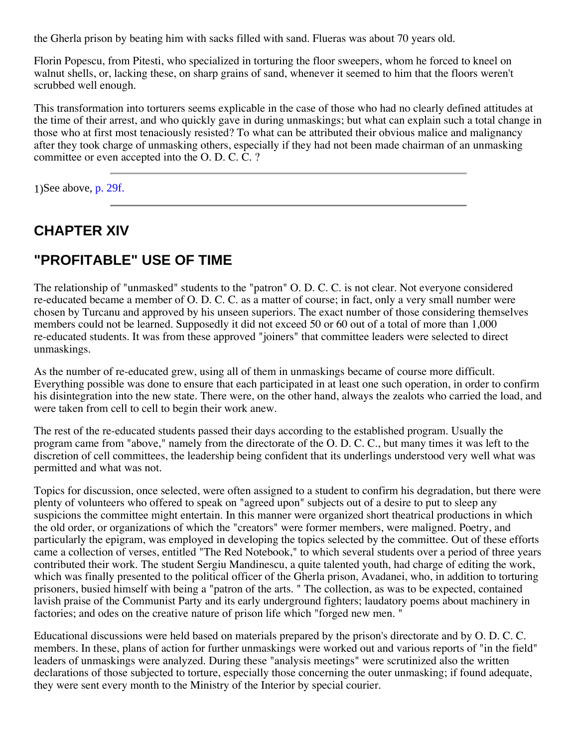the Gherla prison by beating him with sacks filled with sand. Flueras was about 70 years old.

Florin Popescu, from Pitesti, who specialized in torturing the floor sweepers, whom he forced to kneel on walnut shells, or, lacking these, on sharp grains of sand, whenever it seemed to him that the floors weren't scrubbed well enough.

This transformation into torturers seems explicable in the case of those who had no clearly defined attitudes at the time of their arrest, and who quickly gave in during unmaskings; but what can explain such a total change in those who at first most tenaciously resisted? To what can be attributed their obvious malice and malignancy after they took charge of unmasking others, especially if they had not been made chairman of an unmasking committee or even accepted into the O. D. C. C. ?

1)See above, p. 29f.

#### **CHAPTER XIV**

#### **"PROFITABLE" USE OF TIME**

The relationship of "unmasked" students to the "patron" O. D. C. C. is not clear. Not everyone considered re-educated became a member of O. D. C. C. as a matter of course; in fact, only a very small number were chosen by Turcanu and approved by his unseen superiors. The exact number of those considering themselves members could not be learned. Supposedly it did not exceed 50 or 60 out of a total of more than 1,000 re-educated students. It was from these approved "joiners" that committee leaders were selected to direct unmaskings.

As the number of re-educated grew, using all of them in unmaskings became of course more difficult. Everything possible was done to ensure that each participated in at least one such operation, in order to confirm his disintegration into the new state. There were, on the other hand, always the zealots who carried the load, and were taken from cell to cell to begin their work anew.

The rest of the re-educated students passed their days according to the established program. Usually the program came from "above," namely from the directorate of the O. D. C. C., but many times it was left to the discretion of cell committees, the leadership being confident that its underlings understood very well what was permitted and what was not.

Topics for discussion, once selected, were often assigned to a student to confirm his degradation, but there were plenty of volunteers who offered to speak on "agreed upon" subjects out of a desire to put to sleep any suspicions the committee might entertain. In this manner were organized short theatrical productions in which the old order, or organizations of which the "creators" were former members, were maligned. Poetry, and particularly the epigram, was employed in developing the topics selected by the committee. Out of these efforts came a collection of verses, entitled "The Red Notebook," to which several students over a period of three years contributed their work. The student Sergiu Mandinescu, a quite talented youth, had charge of editing the work, which was finally presented to the political officer of the Gherla prison, Avadanei, who, in addition to torturing prisoners, busied himself with being a "patron of the arts. " The collection, as was to be expected, contained lavish praise of the Communist Party and its early underground fighters; laudatory poems about machinery in factories; and odes on the creative nature of prison life which "forged new men. "

Educational discussions were held based on materials prepared by the prison's directorate and by O. D. C. C. members. In these, plans of action for further unmaskings were worked out and various reports of "in the field" leaders of unmaskings were analyzed. During these "analysis meetings" were scrutinized also the written declarations of those subjected to torture, especially those concerning the outer unmasking; if found adequate, they were sent every month to the Ministry of the Interior by special courier.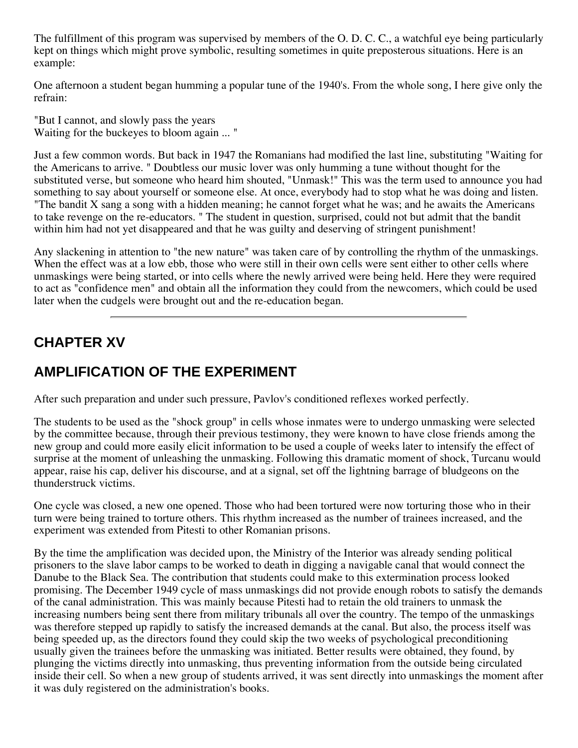The fulfillment of this program was supervised by members of the O. D. C. C., a watchful eye being particularly kept on things which might prove symbolic, resulting sometimes in quite preposterous situations. Here is an example:

One afternoon a student began humming a popular tune of the 1940's. From the whole song, I here give only the refrain:

"But I cannot, and slowly pass the years Waiting for the buckeyes to bloom again ... "

Just a few common words. But back in 1947 the Romanians had modified the last line, substituting "Waiting for the Americans to arrive. " Doubtless our music lover was only humming a tune without thought for the substituted verse, but someone who heard him shouted, "Unmask!" This was the term used to announce you had something to say about yourself or someone else. At once, everybody had to stop what he was doing and listen. "The bandit X sang a song with a hidden meaning; he cannot forget what he was; and he awaits the Americans to take revenge on the re-educators. " The student in question, surprised, could not but admit that the bandit within him had not yet disappeared and that he was guilty and deserving of stringent punishment!

Any slackening in attention to "the new nature" was taken care of by controlling the rhythm of the unmaskings. When the effect was at a low ebb, those who were still in their own cells were sent either to other cells where unmaskings were being started, or into cells where the newly arrived were being held. Here they were required to act as "confidence men" and obtain all the information they could from the newcomers, which could be used later when the cudgels were brought out and the re-education began.

## **CHAPTER XV**

### **AMPLIFICATION OF THE EXPERIMENT**

After such preparation and under such pressure, Pavlov's conditioned reflexes worked perfectly.

The students to be used as the "shock group" in cells whose inmates were to undergo unmasking were selected by the committee because, through their previous testimony, they were known to have close friends among the new group and could more easily elicit information to be used a couple of weeks later to intensify the effect of surprise at the moment of unleashing the unmasking. Following this dramatic moment of shock, Turcanu would appear, raise his cap, deliver his discourse, and at a signal, set off the lightning barrage of bludgeons on the thunderstruck victims.

One cycle was closed, a new one opened. Those who had been tortured were now torturing those who in their turn were being trained to torture others. This rhythm increased as the number of trainees increased, and the experiment was extended from Pitesti to other Romanian prisons.

By the time the amplification was decided upon, the Ministry of the Interior was already sending political prisoners to the slave labor camps to be worked to death in digging a navigable canal that would connect the Danube to the Black Sea. The contribution that students could make to this extermination process looked promising. The December 1949 cycle of mass unmaskings did not provide enough robots to satisfy the demands of the canal administration. This was mainly because Pitesti had to retain the old trainers to unmask the increasing numbers being sent there from military tribunals all over the country. The tempo of the unmaskings was therefore stepped up rapidly to satisfy the increased demands at the canal. But also, the process itself was being speeded up, as the directors found they could skip the two weeks of psychological preconditioning usually given the trainees before the unmasking was initiated. Better results were obtained, they found, by plunging the victims directly into unmasking, thus preventing information from the outside being circulated inside their cell. So when a new group of students arrived, it was sent directly into unmaskings the moment after it was duly registered on the administration's books.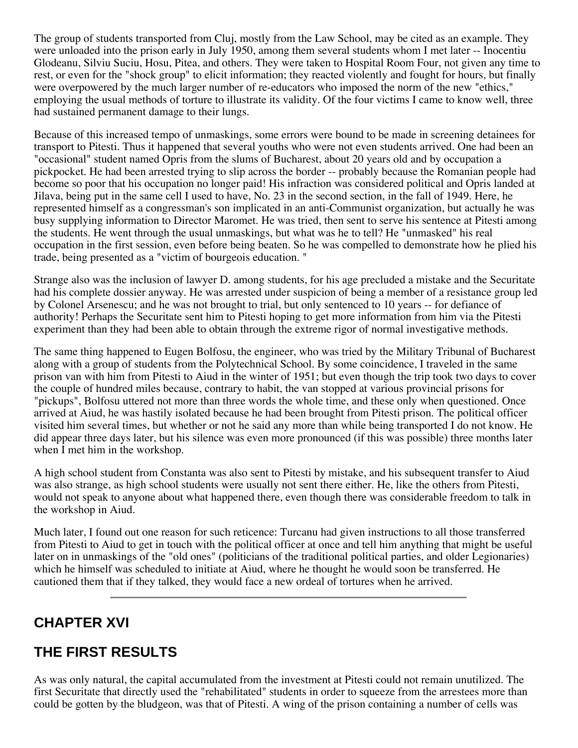The group of students transported from Cluj, mostly from the Law School, may be cited as an example. They were unloaded into the prison early in July 1950, among them several students whom I met later -- Inocentiu Glodeanu, Silviu Suciu, Hosu, Pitea, and others. They were taken to Hospital Room Four, not given any time to rest, or even for the "shock group" to elicit information; they reacted violently and fought for hours, but finally were overpowered by the much larger number of re-educators who imposed the norm of the new "ethics," employing the usual methods of torture to illustrate its validity. Of the four victims I came to know well, three had sustained permanent damage to their lungs.

Because of this increased tempo of unmaskings, some errors were bound to be made in screening detainees for transport to Pitesti. Thus it happened that several youths who were not even students arrived. One had been an "occasional" student named Opris from the slums of Bucharest, about 20 years old and by occupation a pickpocket. He had been arrested trying to slip across the border -- probably because the Romanian people had become so poor that his occupation no longer paid! His infraction was considered political and Opris landed at Jilava, being put in the same cell I used to have, No. 23 in the second section, in the fall of 1949. Here, he represented himself as a congressman's son implicated in an anti-Communist organization, but actually he was busy supplying information to Director Maromet. He was tried, then sent to serve his sentence at Pitesti among the students. He went through the usual unmaskings, but what was he to tell? He "unmasked" his real occupation in the first session, even before being beaten. So he was compelled to demonstrate how he plied his trade, being presented as a "victim of bourgeois education. "

Strange also was the inclusion of lawyer D. among students, for his age precluded a mistake and the Securitate had his complete dossier anyway. He was arrested under suspicion of being a member of a resistance group led by Colonel Arsenescu; and he was not brought to trial, but only sentenced to 10 years -- for defiance of authority! Perhaps the Securitate sent him to Pitesti hoping to get more information from him via the Pitesti experiment than they had been able to obtain through the extreme rigor of normal investigative methods.

The same thing happened to Eugen Bolfosu, the engineer, who was tried by the Military Tribunal of Bucharest along with a group of students from the Polytechnical School. By some coincidence, I traveled in the same prison van with him from Pitesti to Aiud in the winter of 1951; but even though the trip took two days to cover the couple of hundred miles because, contrary to habit, the van stopped at various provincial prisons for "pickups", Bolfosu uttered not more than three words the whole time, and these only when questioned. Once arrived at Aiud, he was hastily isolated because he had been brought from Pitesti prison. The political officer visited him several times, but whether or not he said any more than while being transported I do not know. He did appear three days later, but his silence was even more pronounced (if this was possible) three months later when I met him in the workshop.

A high school student from Constanta was also sent to Pitesti by mistake, and his subsequent transfer to Aiud was also strange, as high school students were usually not sent there either. He, like the others from Pitesti, would not speak to anyone about what happened there, even though there was considerable freedom to talk in the workshop in Aiud.

Much later, I found out one reason for such reticence: Turcanu had given instructions to all those transferred from Pitesti to Aiud to get in touch with the political officer at once and tell him anything that might be useful later on in unmaskings of the "old ones" (politicians of the traditional political parties, and older Legionaries) which he himself was scheduled to initiate at Aiud, where he thought he would soon be transferred. He cautioned them that if they talked, they would face a new ordeal of tortures when he arrived.

# **CHAPTER XVI**

### **THE FIRST RESULTS**

As was only natural, the capital accumulated from the investment at Pitesti could not remain unutilized. The first Securitate that directly used the "rehabilitated" students in order to squeeze from the arrestees more than could be gotten by the bludgeon, was that of Pitesti. A wing of the prison containing a number of cells was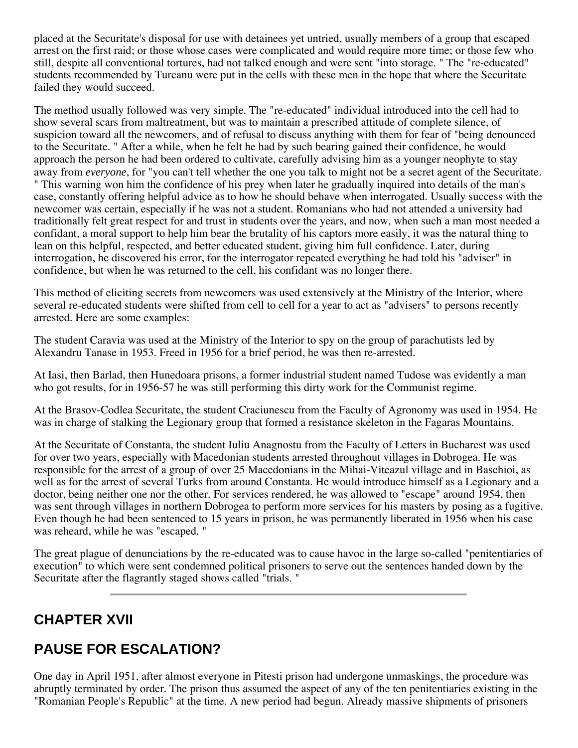placed at the Securitate's disposal for use with detainees yet untried, usually members of a group that escaped arrest on the first raid; or those whose cases were complicated and would require more time; or those few who still, despite all conventional tortures, had not talked enough and were sent "into storage. " The "re-educated" students recommended by Turcanu were put in the cells with these men in the hope that where the Securitate failed they would succeed.

The method usually followed was very simple. The "re-educated" individual introduced into the cell had to show several scars from maltreatment, but was to maintain a prescribed attitude of complete silence, of suspicion toward all the newcomers, and of refusal to discuss anything with them for fear of "being denounced to the Securitate. " After a while, when he felt he had by such bearing gained their confidence, he would approach the person he had been ordered to cultivate, carefully advising him as a younger neophyte to stay away from *everyone*, for "you can't tell whether the one you talk to might not be a secret agent of the Securitate. " This warning won him the confidence of his prey when later he gradually inquired into details of the man's case, constantly offering helpful advice as to how he should behave when interrogated. Usually success with the newcomer was certain, especially if he was not a student. Romanians who had not attended a university had traditionally felt great respect for and trust in students over the years, and now, when such a man most needed a confidant, a moral support to help him bear the brutality of his captors more easily, it was the natural thing to lean on this helpful, respected, and better educated student, giving him full confidence. Later, during interrogation, he discovered his error, for the interrogator repeated everything he had told his "adviser" in confidence, but when he was returned to the cell, his confidant was no longer there.

This method of eliciting secrets from newcomers was used extensively at the Ministry of the Interior, where several re-educated students were shifted from cell to cell for a year to act as "advisers" to persons recently arrested. Here are some examples:

The student Caravia was used at the Ministry of the Interior to spy on the group of parachutists led by Alexandru Tanase in 1953. Freed in 1956 for a brief period, he was then re-arrested.

At Iasi, then Barlad, then Hunedoara prisons, a former industrial student named Tudose was evidently a man who got results, for in 1956-57 he was still performing this dirty work for the Communist regime.

At the Brasov-Codlea Securitate, the student Craciunescu from the Faculty of Agronomy was used in 1954. He was in charge of stalking the Legionary group that formed a resistance skeleton in the Fagaras Mountains.

At the Securitate of Constanta, the student Iuliu Anagnostu from the Faculty of Letters in Bucharest was used for over two years, especially with Macedonian students arrested throughout villages in Dobrogea. He was responsible for the arrest of a group of over 25 Macedonians in the Mihai-Viteazul village and in Baschioi, as well as for the arrest of several Turks from around Constanta. He would introduce himself as a Legionary and a doctor, being neither one nor the other. For services rendered, he was allowed to "escape" around 1954, then was sent through villages in northern Dobrogea to perform more services for his masters by posing as a fugitive. Even though he had been sentenced to 15 years in prison, he was permanently liberated in 1956 when his case was reheard, while he was "escaped. "

The great plague of denunciations by the re-educated was to cause havoc in the large so-called "penitentiaries of execution" to which were sent condemned political prisoners to serve out the sentences handed down by the Securitate after the flagrantly staged shows called "trials. "

#### **CHAPTER XVII**

#### **PAUSE FOR ESCALATION?**

One day in April 1951, after almost everyone in Pitesti prison had undergone unmaskings, the procedure was abruptly terminated by order. The prison thus assumed the aspect of any of the ten penitentiaries existing in the "Romanian People's Republic" at the time. A new period had begun. Already massive shipments of prisoners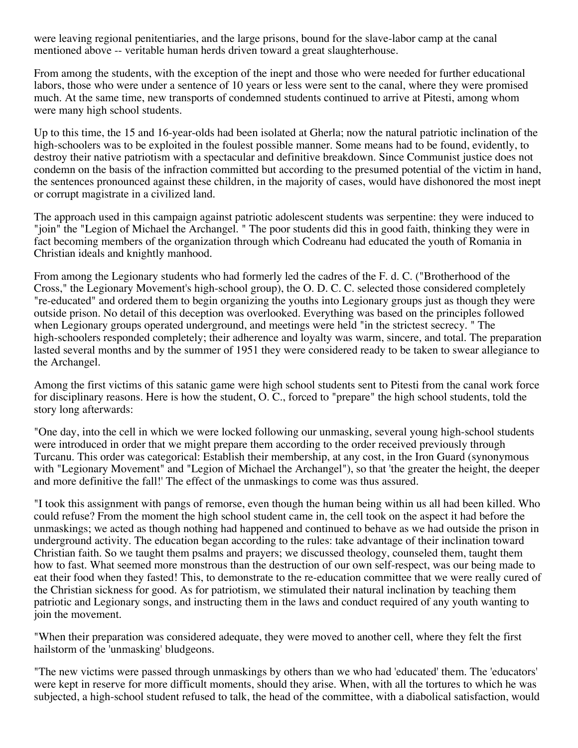were leaving regional penitentiaries, and the large prisons, bound for the slave-labor camp at the canal mentioned above -- veritable human herds driven toward a great slaughterhouse.

From among the students, with the exception of the inept and those who were needed for further educational labors, those who were under a sentence of 10 years or less were sent to the canal, where they were promised much. At the same time, new transports of condemned students continued to arrive at Pitesti, among whom were many high school students.

Up to this time, the 15 and 16-year-olds had been isolated at Gherla; now the natural patriotic inclination of the high-schoolers was to be exploited in the foulest possible manner. Some means had to be found, evidently, to destroy their native patriotism with a spectacular and definitive breakdown. Since Communist justice does not condemn on the basis of the infraction committed but according to the presumed potential of the victim in hand, the sentences pronounced against these children, in the majority of cases, would have dishonored the most inept or corrupt magistrate in a civilized land.

The approach used in this campaign against patriotic adolescent students was serpentine: they were induced to "join" the "Legion of Michael the Archangel. " The poor students did this in good faith, thinking they were in fact becoming members of the organization through which Codreanu had educated the youth of Romania in Christian ideals and knightly manhood.

From among the Legionary students who had formerly led the cadres of the F. d. C. ("Brotherhood of the Cross," the Legionary Movement's high-school group), the O. D. C. C. selected those considered completely "re-educated" and ordered them to begin organizing the youths into Legionary groups just as though they were outside prison. No detail of this deception was overlooked. Everything was based on the principles followed when Legionary groups operated underground, and meetings were held "in the strictest secrecy. " The high-schoolers responded completely; their adherence and loyalty was warm, sincere, and total. The preparation lasted several months and by the summer of 1951 they were considered ready to be taken to swear allegiance to the Archangel.

Among the first victims of this satanic game were high school students sent to Pitesti from the canal work force for disciplinary reasons. Here is how the student, O. C., forced to "prepare" the high school students, told the story long afterwards:

"One day, into the cell in which we were locked following our unmasking, several young high-school students were introduced in order that we might prepare them according to the order received previously through Turcanu. This order was categorical: Establish their membership, at any cost, in the Iron Guard (synonymous with "Legionary Movement" and "Legion of Michael the Archangel"), so that 'the greater the height, the deeper and more definitive the fall!' The effect of the unmaskings to come was thus assured.

"I took this assignment with pangs of remorse, even though the human being within us all had been killed. Who could refuse? From the moment the high school student came in, the cell took on the aspect it had before the unmaskings; we acted as though nothing had happened and continued to behave as we had outside the prison in underground activity. The education began according to the rules: take advantage of their inclination toward Christian faith. So we taught them psalms and prayers; we discussed theology, counseled them, taught them how to fast. What seemed more monstrous than the destruction of our own self-respect, was our being made to eat their food when they fasted! This, to demonstrate to the re-education committee that we were really cured of the Christian sickness for good. As for patriotism, we stimulated their natural inclination by teaching them patriotic and Legionary songs, and instructing them in the laws and conduct required of any youth wanting to join the movement.

"When their preparation was considered adequate, they were moved to another cell, where they felt the first hailstorm of the 'unmasking' bludgeons.

"The new victims were passed through unmaskings by others than we who had 'educated' them. The 'educators' were kept in reserve for more difficult moments, should they arise. When, with all the tortures to which he was subjected, a high-school student refused to talk, the head of the committee, with a diabolical satisfaction, would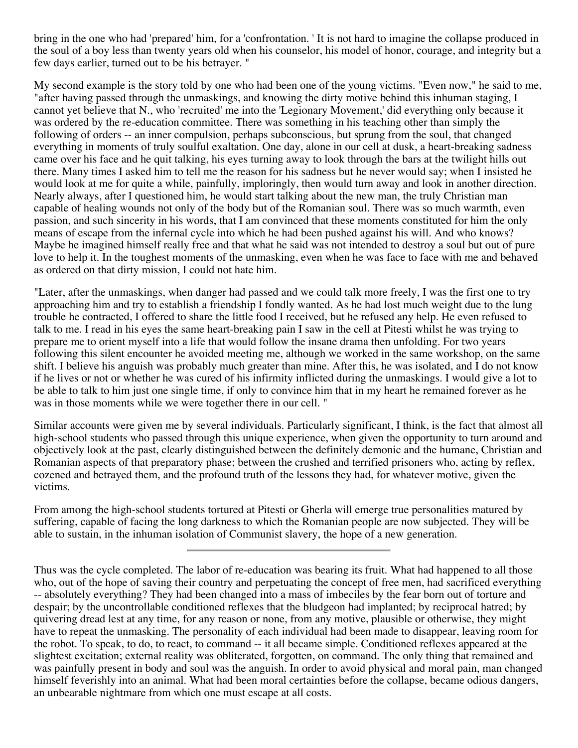bring in the one who had 'prepared' him, for a 'confrontation. ' It is not hard to imagine the collapse produced in the soul of a boy less than twenty years old when his counselor, his model of honor, courage, and integrity but a few days earlier, turned out to be his betrayer. "

My second example is the story told by one who had been one of the young victims. "Even now," he said to me, "after having passed through the unmaskings, and knowing the dirty motive behind this inhuman staging, I cannot yet believe that N., who 'recruited' me into the 'Legionary Movement,' did everything only because it was ordered by the re-education committee. There was something in his teaching other than simply the following of orders -- an inner compulsion, perhaps subconscious, but sprung from the soul, that changed everything in moments of truly soulful exaltation. One day, alone in our cell at dusk, a heart-breaking sadness came over his face and he quit talking, his eyes turning away to look through the bars at the twilight hills out there. Many times I asked him to tell me the reason for his sadness but he never would say; when I insisted he would look at me for quite a while, painfully, imploringly, then would turn away and look in another direction. Nearly always, after I questioned him, he would start talking about the new man, the truly Christian man capable of healing wounds not only of the body but of the Romanian soul. There was so much warmth, even passion, and such sincerity in his words, that I am convinced that these moments constituted for him the only means of escape from the infernal cycle into which he had been pushed against his will. And who knows? Maybe he imagined himself really free and that what he said was not intended to destroy a soul but out of pure love to help it. In the toughest moments of the unmasking, even when he was face to face with me and behaved as ordered on that dirty mission, I could not hate him.

"Later, after the unmaskings, when danger had passed and we could talk more freely, I was the first one to try approaching him and try to establish a friendship I fondly wanted. As he had lost much weight due to the lung trouble he contracted, I offered to share the little food I received, but he refused any help. He even refused to talk to me. I read in his eyes the same heart-breaking pain I saw in the cell at Pitesti whilst he was trying to prepare me to orient myself into a life that would follow the insane drama then unfolding. For two years following this silent encounter he avoided meeting me, although we worked in the same workshop, on the same shift. I believe his anguish was probably much greater than mine. After this, he was isolated, and I do not know if he lives or not or whether he was cured of his infirmity inflicted during the unmaskings. I would give a lot to be able to talk to him just one single time, if only to convince him that in my heart he remained forever as he was in those moments while we were together there in our cell. "

Similar accounts were given me by several individuals. Particularly significant, I think, is the fact that almost all high-school students who passed through this unique experience, when given the opportunity to turn around and objectively look at the past, clearly distinguished between the definitely demonic and the humane, Christian and Romanian aspects of that preparatory phase; between the crushed and terrified prisoners who, acting by reflex, cozened and betrayed them, and the profound truth of the lessons they had, for whatever motive, given the victims.

From among the high-school students tortured at Pitesti or Gherla will emerge true personalities matured by suffering, capable of facing the long darkness to which the Romanian people are now subjected. They will be able to sustain, in the inhuman isolation of Communist slavery, the hope of a new generation.

Thus was the cycle completed. The labor of re-education was bearing its fruit. What had happened to all those who, out of the hope of saving their country and perpetuating the concept of free men, had sacrificed everything -- absolutely everything? They had been changed into a mass of imbeciles by the fear born out of torture and despair; by the uncontrollable conditioned reflexes that the bludgeon had implanted; by reciprocal hatred; by quivering dread lest at any time, for any reason or none, from any motive, plausible or otherwise, they might have to repeat the unmasking. The personality of each individual had been made to disappear, leaving room for the robot. To speak, to do, to react, to command -- it all became simple. Conditioned reflexes appeared at the slightest excitation; external reality was obliterated, forgotten, on command. The only thing that remained and was painfully present in body and soul was the anguish. In order to avoid physical and moral pain, man changed himself feverishly into an animal. What had been moral certainties before the collapse, became odious dangers, an unbearable nightmare from which one must escape at all costs.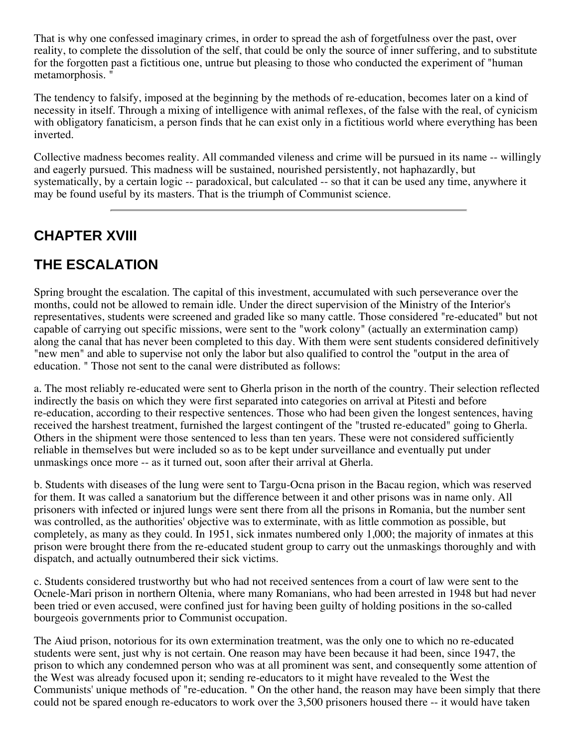That is why one confessed imaginary crimes, in order to spread the ash of forgetfulness over the past, over reality, to complete the dissolution of the self, that could be only the source of inner suffering, and to substitute for the forgotten past a fictitious one, untrue but pleasing to those who conducted the experiment of "human metamorphosis. "

The tendency to falsify, imposed at the beginning by the methods of re-education, becomes later on a kind of necessity in itself. Through a mixing of intelligence with animal reflexes, of the false with the real, of cynicism with obligatory fanaticism, a person finds that he can exist only in a fictitious world where everything has been inverted.

Collective madness becomes reality. All commanded vileness and crime will be pursued in its name -- willingly and eagerly pursued. This madness will be sustained, nourished persistently, not haphazardly, but systematically, by a certain logic -- paradoxical, but calculated -- so that it can be used any time, anywhere it may be found useful by its masters. That is the triumph of Communist science.

## **CHAPTER XVIII**

#### **THE ESCALATION**

Spring brought the escalation. The capital of this investment, accumulated with such perseverance over the months, could not be allowed to remain idle. Under the direct supervision of the Ministry of the Interior's representatives, students were screened and graded like so many cattle. Those considered "re-educated" but not capable of carrying out specific missions, were sent to the "work colony" (actually an extermination camp) along the canal that has never been completed to this day. With them were sent students considered definitively "new men" and able to supervise not only the labor but also qualified to control the "output in the area of education. " Those not sent to the canal were distributed as follows:

a. The most reliably re-educated were sent to Gherla prison in the north of the country. Their selection reflected indirectly the basis on which they were first separated into categories on arrival at Pitesti and before re-education, according to their respective sentences. Those who had been given the longest sentences, having received the harshest treatment, furnished the largest contingent of the "trusted re-educated" going to Gherla. Others in the shipment were those sentenced to less than ten years. These were not considered sufficiently reliable in themselves but were included so as to be kept under surveillance and eventually put under unmaskings once more -- as it turned out, soon after their arrival at Gherla.

b. Students with diseases of the lung were sent to Targu-Ocna prison in the Bacau region, which was reserved for them. It was called a sanatorium but the difference between it and other prisons was in name only. All prisoners with infected or injured lungs were sent there from all the prisons in Romania, but the number sent was controlled, as the authorities' objective was to exterminate, with as little commotion as possible, but completely, as many as they could. In 1951, sick inmates numbered only 1,000; the majority of inmates at this prison were brought there from the re-educated student group to carry out the unmaskings thoroughly and with dispatch, and actually outnumbered their sick victims.

c. Students considered trustworthy but who had not received sentences from a court of law were sent to the Ocnele-Mari prison in northern Oltenia, where many Romanians, who had been arrested in 1948 but had never been tried or even accused, were confined just for having been guilty of holding positions in the so-called bourgeois governments prior to Communist occupation.

The Aiud prison, notorious for its own extermination treatment, was the only one to which no re-educated students were sent, just why is not certain. One reason may have been because it had been, since 1947, the prison to which any condemned person who was at all prominent was sent, and consequently some attention of the West was already focused upon it; sending re-educators to it might have revealed to the West the Communists' unique methods of "re-education. " On the other hand, the reason may have been simply that there could not be spared enough re-educators to work over the 3,500 prisoners housed there -- it would have taken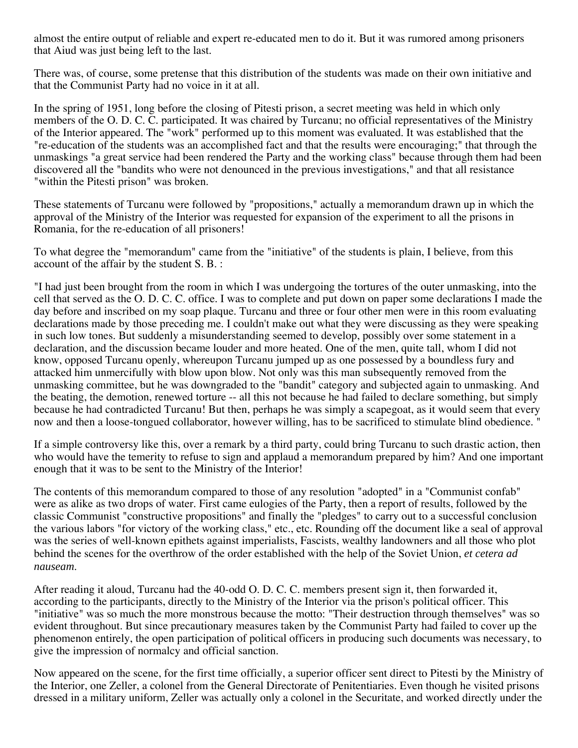almost the entire output of reliable and expert re-educated men to do it. But it was rumored among prisoners that Aiud was just being left to the last.

There was, of course, some pretense that this distribution of the students was made on their own initiative and that the Communist Party had no voice in it at all.

In the spring of 1951, long before the closing of Pitesti prison, a secret meeting was held in which only members of the O. D. C. C. participated. It was chaired by Turcanu; no official representatives of the Ministry of the Interior appeared. The "work" performed up to this moment was evaluated. It was established that the "re-education of the students was an accomplished fact and that the results were encouraging;" that through the unmaskings "a great service had been rendered the Party and the working class" because through them had been discovered all the "bandits who were not denounced in the previous investigations," and that all resistance "within the Pitesti prison" was broken.

These statements of Turcanu were followed by "propositions," actually a memorandum drawn up in which the approval of the Ministry of the Interior was requested for expansion of the experiment to all the prisons in Romania, for the re-education of all prisoners!

To what degree the "memorandum" came from the "initiative" of the students is plain, I believe, from this account of the affair by the student S. B. :

"I had just been brought from the room in which I was undergoing the tortures of the outer unmasking, into the cell that served as the O. D. C. C. office. I was to complete and put down on paper some declarations I made the day before and inscribed on my soap plaque. Turcanu and three or four other men were in this room evaluating declarations made by those preceding me. I couldn't make out what they were discussing as they were speaking in such low tones. But suddenly a misunderstanding seemed to develop, possibly over some statement in a declaration, and the discussion became louder and more heated. One of the men, quite tall, whom I did not know, opposed Turcanu openly, whereupon Turcanu jumped up as one possessed by a boundless fury and attacked him unmercifully with blow upon blow. Not only was this man subsequently removed from the unmasking committee, but he was downgraded to the "bandit" category and subjected again to unmasking. And the beating, the demotion, renewed torture -- all this not because he had failed to declare something, but simply because he had contradicted Turcanu! But then, perhaps he was simply a scapegoat, as it would seem that every now and then a loose-tongued collaborator, however willing, has to be sacrificed to stimulate blind obedience. "

If a simple controversy like this, over a remark by a third party, could bring Turcanu to such drastic action, then who would have the temerity to refuse to sign and applaud a memorandum prepared by him? And one important enough that it was to be sent to the Ministry of the Interior!

The contents of this memorandum compared to those of any resolution "adopted" in a "Communist confab" were as alike as two drops of water. First came eulogies of the Party, then a report of results, followed by the classic Communist "constructive propositions" and finally the "pledges" to carry out to a successful conclusion the various labors "for victory of the working class," etc., etc. Rounding off the document like a seal of approval was the series of well-known epithets against imperialists, Fascists, wealthy landowners and all those who plot behind the scenes for the overthrow of the order established with the help of the Soviet Union, *et cetera ad nauseam*.

After reading it aloud, Turcanu had the 40-odd O. D. C. C. members present sign it, then forwarded it, according to the participants, directly to the Ministry of the Interior via the prison's political officer. This "initiative" was so much the more monstrous because the motto: "Their destruction through themselves" was so evident throughout. But since precautionary measures taken by the Communist Party had failed to cover up the phenomenon entirely, the open participation of political officers in producing such documents was necessary, to give the impression of normalcy and official sanction.

Now appeared on the scene, for the first time officially, a superior officer sent direct to Pitesti by the Ministry of the Interior, one Zeller, a colonel from the General Directorate of Penitentiaries. Even though he visited prisons dressed in a military uniform, Zeller was actually only a colonel in the Securitate, and worked directly under the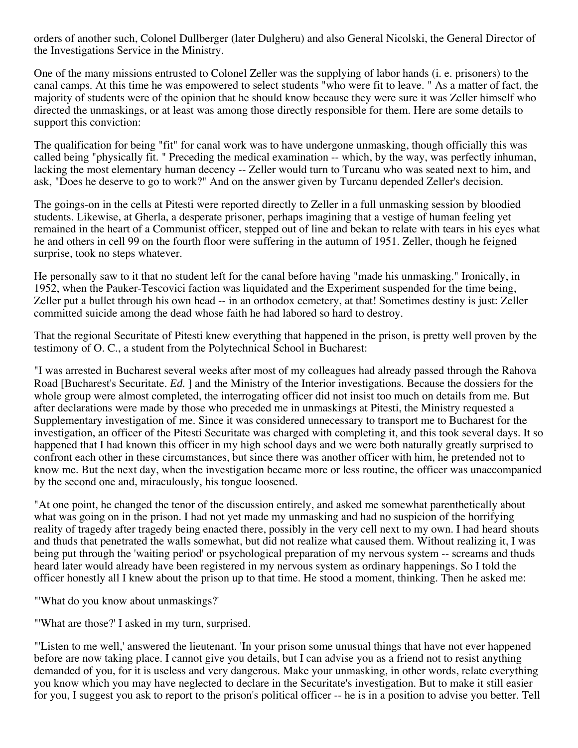orders of another such, Colonel Dullberger (later Dulgheru) and also General Nicolski, the General Director of the Investigations Service in the Ministry.

One of the many missions entrusted to Colonel Zeller was the supplying of labor hands (i. e. prisoners) to the canal camps. At this time he was empowered to select students "who were fit to leave. " As a matter of fact, the majority of students were of the opinion that he should know because they were sure it was Zeller himself who directed the unmaskings, or at least was among those directly responsible for them. Here are some details to support this conviction:

The qualification for being "fit" for canal work was to have undergone unmasking, though officially this was called being "physically fit. " Preceding the medical examination -- which, by the way, was perfectly inhuman, lacking the most elementary human decency -- Zeller would turn to Turcanu who was seated next to him, and ask, "Does he deserve to go to work?" And on the answer given by Turcanu depended Zeller's decision.

The goings-on in the cells at Pitesti were reported directly to Zeller in a full unmasking session by bloodied students. Likewise, at Gherla, a desperate prisoner, perhaps imagining that a vestige of human feeling yet remained in the heart of a Communist officer, stepped out of line and bekan to relate with tears in his eyes what he and others in cell 99 on the fourth floor were suffering in the autumn of 1951. Zeller, though he feigned surprise, took no steps whatever.

He personally saw to it that no student left for the canal before having "made his unmasking." Ironically, in 1952, when the Pauker-Tescovici faction was liquidated and the Experiment suspended for the time being, Zeller put a bullet through his own head -- in an orthodox cemetery, at that! Sometimes destiny is just: Zeller committed suicide among the dead whose faith he had labored so hard to destroy.

That the regional Securitate of Pitesti knew everything that happened in the prison, is pretty well proven by the testimony of O. C., a student from the Polytechnical School in Bucharest:

"I was arrested in Bucharest several weeks after most of my colleagues had already passed through the Rahova Road [Bucharest's Securitate. *Ed.* ] and the Ministry of the Interior investigations. Because the dossiers for the whole group were almost completed, the interrogating officer did not insist too much on details from me. But after declarations were made by those who preceded me in unmaskings at Pitesti, the Ministry requested a Supplementary investigation of me. Since it was considered unnecessary to transport me to Bucharest for the investigation, an officer of the Pitesti Securitate was charged with completing it, and this took several days. It so happened that I had known this officer in my high school days and we were both naturally greatly surprised to confront each other in these circumstances, but since there was another officer with him, he pretended not to know me. But the next day, when the investigation became more or less routine, the officer was unaccompanied by the second one and, miraculously, his tongue loosened.

"At one point, he changed the tenor of the discussion entirely, and asked me somewhat parenthetically about what was going on in the prison. I had not yet made my unmasking and had no suspicion of the horrifying reality of tragedy after tragedy being enacted there, possibly in the very cell next to my own. I had heard shouts and thuds that penetrated the walls somewhat, but did not realize what caused them. Without realizing it, I was being put through the 'waiting period' or psychological preparation of my nervous system -- screams and thuds heard later would already have been registered in my nervous system as ordinary happenings. So I told the officer honestly all I knew about the prison up to that time. He stood a moment, thinking. Then he asked me:

"'What do you know about unmaskings?'

"'What are those?' I asked in my turn, surprised.

"'Listen to me well,' answered the lieutenant. 'In your prison some unusual things that have not ever happened before are now taking place. I cannot give you details, but I can advise you as a friend not to resist anything demanded of you, for it is useless and very dangerous. Make your unmasking, in other words, relate everything you know which you may have neglected to declare in the Securitate's investigation. But to make it still easier for you, I suggest you ask to report to the prison's political officer -- he is in a position to advise you better. Tell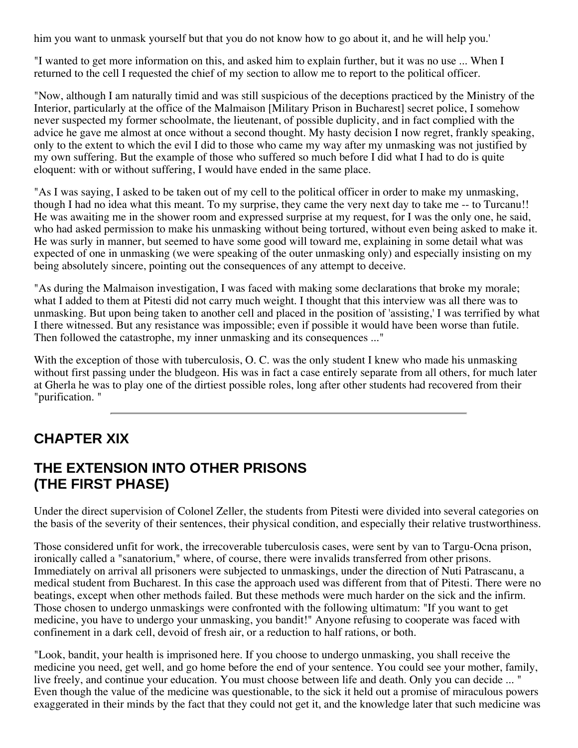him you want to unmask yourself but that you do not know how to go about it, and he will help you.'

"I wanted to get more information on this, and asked him to explain further, but it was no use ... When I returned to the cell I requested the chief of my section to allow me to report to the political officer.

"Now, although I am naturally timid and was still suspicious of the deceptions practiced by the Ministry of the Interior, particularly at the office of the Malmaison [Military Prison in Bucharest] secret police, I somehow never suspected my former schoolmate, the lieutenant, of possible duplicity, and in fact complied with the advice he gave me almost at once without a second thought. My hasty decision I now regret, frankly speaking, only to the extent to which the evil I did to those who came my way after my unmasking was not justified by my own suffering. But the example of those who suffered so much before I did what I had to do is quite eloquent: with or without suffering, I would have ended in the same place.

"As I was saying, I asked to be taken out of my cell to the political officer in order to make my unmasking, though I had no idea what this meant. To my surprise, they came the very next day to take me -- to Turcanu!! He was awaiting me in the shower room and expressed surprise at my request, for I was the only one, he said, who had asked permission to make his unmasking without being tortured, without even being asked to make it. He was surly in manner, but seemed to have some good will toward me, explaining in some detail what was expected of one in unmasking (we were speaking of the outer unmasking only) and especially insisting on my being absolutely sincere, pointing out the consequences of any attempt to deceive.

"As during the Malmaison investigation, I was faced with making some declarations that broke my morale; what I added to them at Pitesti did not carry much weight. I thought that this interview was all there was to unmasking. But upon being taken to another cell and placed in the position of 'assisting,' I was terrified by what I there witnessed. But any resistance was impossible; even if possible it would have been worse than futile. Then followed the catastrophe, my inner unmasking and its consequences ..."

With the exception of those with tuberculosis, O. C. was the only student I knew who made his unmasking without first passing under the bludgeon. His was in fact a case entirely separate from all others, for much later at Gherla he was to play one of the dirtiest possible roles, long after other students had recovered from their "purification. "

### **CHAPTER XIX**

#### **THE EXTENSION INTO OTHER PRISONS (THE FIRST PHASE)**

Under the direct supervision of Colonel Zeller, the students from Pitesti were divided into several categories on the basis of the severity of their sentences, their physical condition, and especially their relative trustworthiness.

Those considered unfit for work, the irrecoverable tuberculosis cases, were sent by van to Targu-Ocna prison, ironically called a "sanatorium," where, of course, there were invalids transferred from other prisons. Immediately on arrival all prisoners were subjected to unmaskings, under the direction of Nuti Patrascanu, a medical student from Bucharest. In this case the approach used was different from that of Pitesti. There were no beatings, except when other methods failed. But these methods were much harder on the sick and the infirm. Those chosen to undergo unmaskings were confronted with the following ultimatum: "If you want to get medicine, you have to undergo your unmasking, you bandit!" Anyone refusing to cooperate was faced with confinement in a dark cell, devoid of fresh air, or a reduction to half rations, or both.

"Look, bandit, your health is imprisoned here. If you choose to undergo unmasking, you shall receive the medicine you need, get well, and go home before the end of your sentence. You could see your mother, family, live freely, and continue your education. You must choose between life and death. Only you can decide ... " Even though the value of the medicine was questionable, to the sick it held out a promise of miraculous powers exaggerated in their minds by the fact that they could not get it, and the knowledge later that such medicine was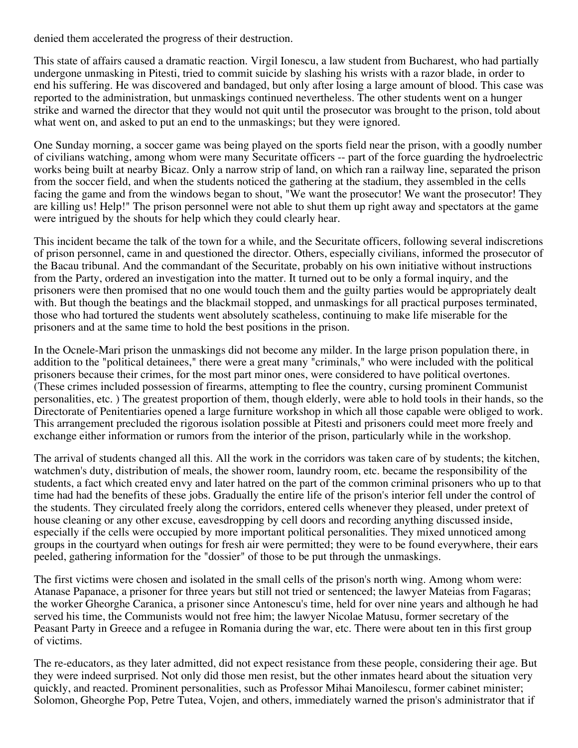denied them accelerated the progress of their destruction.

This state of affairs caused a dramatic reaction. Virgil Ionescu, a law student from Bucharest, who had partially undergone unmasking in Pitesti, tried to commit suicide by slashing his wrists with a razor blade, in order to end his suffering. He was discovered and bandaged, but only after losing a large amount of blood. This case was reported to the administration, but unmaskings continued nevertheless. The other students went on a hunger strike and warned the director that they would not quit until the prosecutor was brought to the prison, told about what went on, and asked to put an end to the unmaskings; but they were ignored.

One Sunday morning, a soccer game was being played on the sports field near the prison, with a goodly number of civilians watching, among whom were many Securitate officers -- part of the force guarding the hydroelectric works being built at nearby Bicaz. Only a narrow strip of land, on which ran a railway line, separated the prison from the soccer field, and when the students noticed the gathering at the stadium, they assembled in the cells facing the game and from the windows began to shout, "We want the prosecutor! We want the prosecutor! They are killing us! Help!" The prison personnel were not able to shut them up right away and spectators at the game were intrigued by the shouts for help which they could clearly hear.

This incident became the talk of the town for a while, and the Securitate officers, following several indiscretions of prison personnel, came in and questioned the director. Others, especially civilians, informed the prosecutor of the Bacau tribunal. And the commandant of the Securitate, probably on his own initiative without instructions from the Party, ordered an investigation into the matter. It turned out to be only a formal inquiry, and the prisoners were then promised that no one would touch them and the guilty parties would be appropriately dealt with. But though the beatings and the blackmail stopped, and unmaskings for all practical purposes terminated, those who had tortured the students went absolutely scatheless, continuing to make life miserable for the prisoners and at the same time to hold the best positions in the prison.

In the Ocnele-Mari prison the unmaskings did not become any milder. In the large prison population there, in addition to the "political detainees," there were a great many "criminals," who were included with the political prisoners because their crimes, for the most part minor ones, were considered to have political overtones. (These crimes included possession of firearms, attempting to flee the country, cursing prominent Communist personalities, etc. ) The greatest proportion of them, though elderly, were able to hold tools in their hands, so the Directorate of Penitentiaries opened a large furniture workshop in which all those capable were obliged to work. This arrangement precluded the rigorous isolation possible at Pitesti and prisoners could meet more freely and exchange either information or rumors from the interior of the prison, particularly while in the workshop.

The arrival of students changed all this. All the work in the corridors was taken care of by students; the kitchen, watchmen's duty, distribution of meals, the shower room, laundry room, etc. became the responsibility of the students, a fact which created envy and later hatred on the part of the common criminal prisoners who up to that time had had the benefits of these jobs. Gradually the entire life of the prison's interior fell under the control of the students. They circulated freely along the corridors, entered cells whenever they pleased, under pretext of house cleaning or any other excuse, eavesdropping by cell doors and recording anything discussed inside, especially if the cells were occupied by more important political personalities. They mixed unnoticed among groups in the courtyard when outings for fresh air were permitted; they were to be found everywhere, their ears peeled, gathering information for the "dossier" of those to be put through the unmaskings.

The first victims were chosen and isolated in the small cells of the prison's north wing. Among whom were: Atanase Papanace, a prisoner for three years but still not tried or sentenced; the lawyer Mateias from Fagaras; the worker Gheorghe Caranica, a prisoner since Antonescu's time, held for over nine years and although he had served his time, the Communists would not free him; the lawyer Nicolae Matusu, former secretary of the Peasant Party in Greece and a refugee in Romania during the war, etc. There were about ten in this first group of victims.

The re-educators, as they later admitted, did not expect resistance from these people, considering their age. But they were indeed surprised. Not only did those men resist, but the other inmates heard about the situation very quickly, and reacted. Prominent personalities, such as Professor Mihai Manoilescu, former cabinet minister; Solomon, Gheorghe Pop, Petre Tutea, Vojen, and others, immediately warned the prison's administrator that if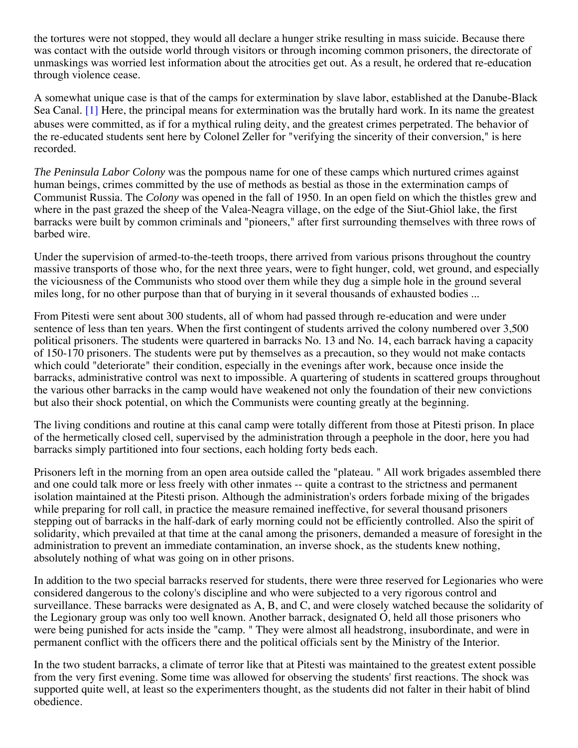the tortures were not stopped, they would all declare a hunger strike resulting in mass suicide. Because there was contact with the outside world through visitors or through incoming common prisoners, the directorate of unmaskings was worried lest information about the atrocities get out. As a result, he ordered that re-education through violence cease.

A somewhat unique case is that of the camps for extermination by slave labor, established at the Danube-Black Sea Canal. [1] Here, the principal means for extermination was the brutally hard work. In its name the greatest abuses were committed, as if for a mythical ruling deity, and the greatest crimes perpetrated. The behavior of the re-educated students sent here by Colonel Zeller for "verifying the sincerity of their conversion," is here recorded.

*The Peninsula Labor Colony* was the pompous name for one of these camps which nurtured crimes against human beings, crimes committed by the use of methods as bestial as those in the extermination camps of Communist Russia. The *Colony* was opened in the fall of 1950. In an open field on which the thistles grew and where in the past grazed the sheep of the Valea-Neagra village, on the edge of the Siut-Ghiol lake, the first barracks were built by common criminals and "pioneers," after first surrounding themselves with three rows of barbed wire.

Under the supervision of armed-to-the-teeth troops, there arrived from various prisons throughout the country massive transports of those who, for the next three years, were to fight hunger, cold, wet ground, and especially the viciousness of the Communists who stood over them while they dug a simple hole in the ground several miles long, for no other purpose than that of burying in it several thousands of exhausted bodies ...

From Pitesti were sent about 300 students, all of whom had passed through re-education and were under sentence of less than ten years. When the first contingent of students arrived the colony numbered over 3,500 political prisoners. The students were quartered in barracks No. 13 and No. 14, each barrack having a capacity of 150-170 prisoners. The students were put by themselves as a precaution, so they would not make contacts which could "deteriorate" their condition, especially in the evenings after work, because once inside the barracks, administrative control was next to impossible. A quartering of students in scattered groups throughout the various other barracks in the camp would have weakened not only the foundation of their new convictions but also their shock potential, on which the Communists were counting greatly at the beginning.

The living conditions and routine at this canal camp were totally different from those at Pitesti prison. In place of the hermetically closed cell, supervised by the administration through a peephole in the door, here you had barracks simply partitioned into four sections, each holding forty beds each.

Prisoners left in the morning from an open area outside called the "plateau. " All work brigades assembled there and one could talk more or less freely with other inmates -- quite a contrast to the strictness and permanent isolation maintained at the Pitesti prison. Although the administration's orders forbade mixing of the brigades while preparing for roll call, in practice the measure remained ineffective, for several thousand prisoners stepping out of barracks in the half-dark of early morning could not be efficiently controlled. Also the spirit of solidarity, which prevailed at that time at the canal among the prisoners, demanded a measure of foresight in the administration to prevent an immediate contamination, an inverse shock, as the students knew nothing, absolutely nothing of what was going on in other prisons.

In addition to the two special barracks reserved for students, there were three reserved for Legionaries who were considered dangerous to the colony's discipline and who were subjected to a very rigorous control and surveillance. These barracks were designated as A, B, and C, and were closely watched because the solidarity of the Legionary group was only too well known. Another barrack, designated O, held all those prisoners who were being punished for acts inside the "camp. " They were almost all headstrong, insubordinate, and were in permanent conflict with the officers there and the political officials sent by the Ministry of the Interior.

In the two student barracks, a climate of terror like that at Pitesti was maintained to the greatest extent possible from the very first evening. Some time was allowed for observing the students' first reactions. The shock was supported quite well, at least so the experimenters thought, as the students did not falter in their habit of blind obedience.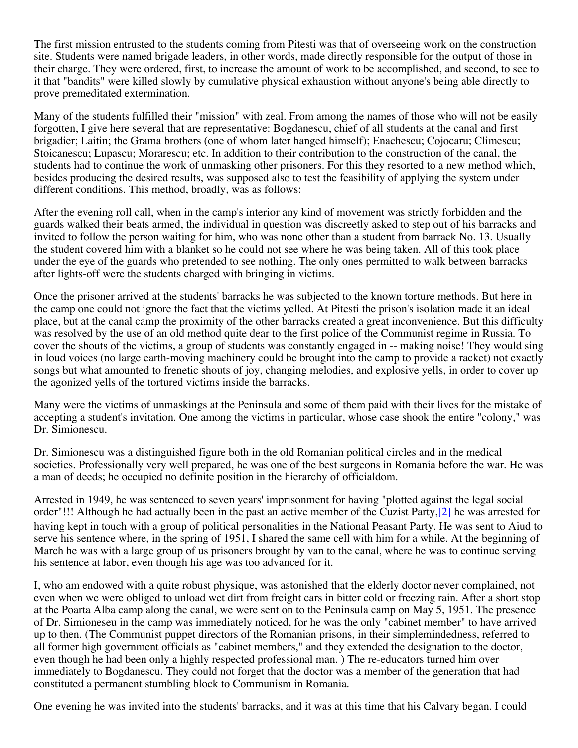The first mission entrusted to the students coming from Pitesti was that of overseeing work on the construction site. Students were named brigade leaders, in other words, made directly responsible for the output of those in their charge. They were ordered, first, to increase the amount of work to be accomplished, and second, to see to it that "bandits" were killed slowly by cumulative physical exhaustion without anyone's being able directly to prove premeditated extermination.

Many of the students fulfilled their "mission" with zeal. From among the names of those who will not be easily forgotten, I give here several that are representative: Bogdanescu, chief of all students at the canal and first brigadier; Laitin; the Grama brothers (one of whom later hanged himself); Enachescu; Cojocaru; Climescu; Stoicanescu; Lupascu; Morarescu; etc. In addition to their contribution to the construction of the canal, the students had to continue the work of unmasking other prisoners. For this they resorted to a new method which, besides producing the desired results, was supposed also to test the feasibility of applying the system under different conditions. This method, broadly, was as follows:

After the evening roll call, when in the camp's interior any kind of movement was strictly forbidden and the guards walked their beats armed, the individual in question was discreetly asked to step out of his barracks and invited to follow the person waiting for him, who was none other than a student from barrack No. 13. Usually the student covered him with a blanket so he could not see where he was being taken. All of this took place under the eye of the guards who pretended to see nothing. The only ones permitted to walk between barracks after lights-off were the students charged with bringing in victims.

Once the prisoner arrived at the students' barracks he was subjected to the known torture methods. But here in the camp one could not ignore the fact that the victims yelled. At Pitesti the prison's isolation made it an ideal place, but at the canal camp the proximity of the other barracks created a great inconvenience. But this difficulty was resolved by the use of an old method quite dear to the first police of the Communist regime in Russia. To cover the shouts of the victims, a group of students was constantly engaged in -- making noise! They would sing in loud voices (no large earth-moving machinery could be brought into the camp to provide a racket) not exactly songs but what amounted to frenetic shouts of joy, changing melodies, and explosive yells, in order to cover up the agonized yells of the tortured victims inside the barracks.

Many were the victims of unmaskings at the Peninsula and some of them paid with their lives for the mistake of accepting a student's invitation. One among the victims in particular, whose case shook the entire "colony," was Dr. Simionescu.

Dr. Simionescu was a distinguished figure both in the old Romanian political circles and in the medical societies. Professionally very well prepared, he was one of the best surgeons in Romania before the war. He was a man of deeds; he occupied no definite position in the hierarchy of officialdom.

Arrested in 1949, he was sentenced to seven years' imprisonment for having "plotted against the legal social order"!!! Although he had actually been in the past an active member of the Cuzist Party,[2] he was arrested for having kept in touch with a group of political personalities in the National Peasant Party. He was sent to Aiud to serve his sentence where, in the spring of 1951, I shared the same cell with him for a while. At the beginning of March he was with a large group of us prisoners brought by van to the canal, where he was to continue serving his sentence at labor, even though his age was too advanced for it.

I, who am endowed with a quite robust physique, was astonished that the elderly doctor never complained, not even when we were obliged to unload wet dirt from freight cars in bitter cold or freezing rain. After a short stop at the Poarta Alba camp along the canal, we were sent on to the Peninsula camp on May 5, 1951. The presence of Dr. Simioneseu in the camp was immediately noticed, for he was the only "cabinet member" to have arrived up to then. (The Communist puppet directors of the Romanian prisons, in their simplemindedness, referred to all former high government officials as "cabinet members," and they extended the designation to the doctor, even though he had been only a highly respected professional man. ) The re-educators turned him over immediately to Bogdanescu. They could not forget that the doctor was a member of the generation that had constituted a permanent stumbling block to Communism in Romania.

One evening he was invited into the students' barracks, and it was at this time that his Calvary began. I could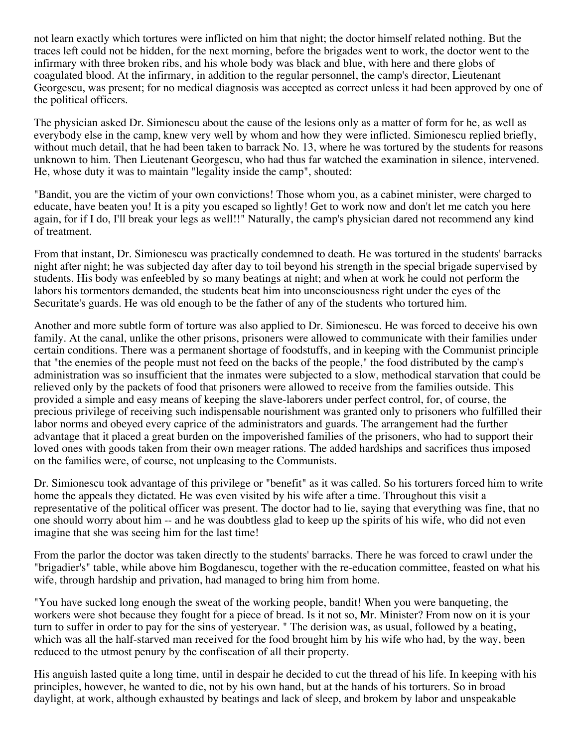not learn exactly which tortures were inflicted on him that night; the doctor himself related nothing. But the traces left could not be hidden, for the next morning, before the brigades went to work, the doctor went to the infirmary with three broken ribs, and his whole body was black and blue, with here and there globs of coagulated blood. At the infirmary, in addition to the regular personnel, the camp's director, Lieutenant Georgescu, was present; for no medical diagnosis was accepted as correct unless it had been approved by one of the political officers.

The physician asked Dr. Simionescu about the cause of the lesions only as a matter of form for he, as well as everybody else in the camp, knew very well by whom and how they were inflicted. Simionescu replied briefly, without much detail, that he had been taken to barrack No. 13, where he was tortured by the students for reasons unknown to him. Then Lieutenant Georgescu, who had thus far watched the examination in silence, intervened. He, whose duty it was to maintain "legality inside the camp", shouted:

"Bandit, you are the victim of your own convictions! Those whom you, as a cabinet minister, were charged to educate, have beaten you! It is a pity you escaped so lightly! Get to work now and don't let me catch you here again, for if I do, I'll break your legs as well!!" Naturally, the camp's physician dared not recommend any kind of treatment.

From that instant, Dr. Simionescu was practically condemned to death. He was tortured in the students' barracks night after night; he was subjected day after day to toil beyond his strength in the special brigade supervised by students. His body was enfeebled by so many beatings at night; and when at work he could not perform the labors his tormentors demanded, the students beat him into unconsciousness right under the eyes of the Securitate's guards. He was old enough to be the father of any of the students who tortured him.

Another and more subtle form of torture was also applied to Dr. Simionescu. He was forced to deceive his own family. At the canal, unlike the other prisons, prisoners were allowed to communicate with their families under certain conditions. There was a permanent shortage of foodstuffs, and in keeping with the Communist principle that "the enemies of the people must not feed on the backs of the people," the food distributed by the camp's administration was so insufficient that the inmates were subjected to a slow, methodical starvation that could be relieved only by the packets of food that prisoners were allowed to receive from the families outside. This provided a simple and easy means of keeping the slave-laborers under perfect control, for, of course, the precious privilege of receiving such indispensable nourishment was granted only to prisoners who fulfilled their labor norms and obeyed every caprice of the administrators and guards. The arrangement had the further advantage that it placed a great burden on the impoverished families of the prisoners, who had to support their loved ones with goods taken from their own meager rations. The added hardships and sacrifices thus imposed on the families were, of course, not unpleasing to the Communists.

Dr. Simionescu took advantage of this privilege or "benefit" as it was called. So his torturers forced him to write home the appeals they dictated. He was even visited by his wife after a time. Throughout this visit a representative of the political officer was present. The doctor had to lie, saying that everything was fine, that no one should worry about him -- and he was doubtless glad to keep up the spirits of his wife, who did not even imagine that she was seeing him for the last time!

From the parlor the doctor was taken directly to the students' barracks. There he was forced to crawl under the "brigadier's" table, while above him Bogdanescu, together with the re-education committee, feasted on what his wife, through hardship and privation, had managed to bring him from home.

"You have sucked long enough the sweat of the working people, bandit! When you were banqueting, the workers were shot because they fought for a piece of bread. Is it not so, Mr. Minister? From now on it is your turn to suffer in order to pay for the sins of yesteryear. " The derision was, as usual, followed by a beating, which was all the half-starved man received for the food brought him by his wife who had, by the way, been reduced to the utmost penury by the confiscation of all their property.

His anguish lasted quite a long time, until in despair he decided to cut the thread of his life. In keeping with his principles, however, he wanted to die, not by his own hand, but at the hands of his torturers. So in broad daylight, at work, although exhausted by beatings and lack of sleep, and brokem by labor and unspeakable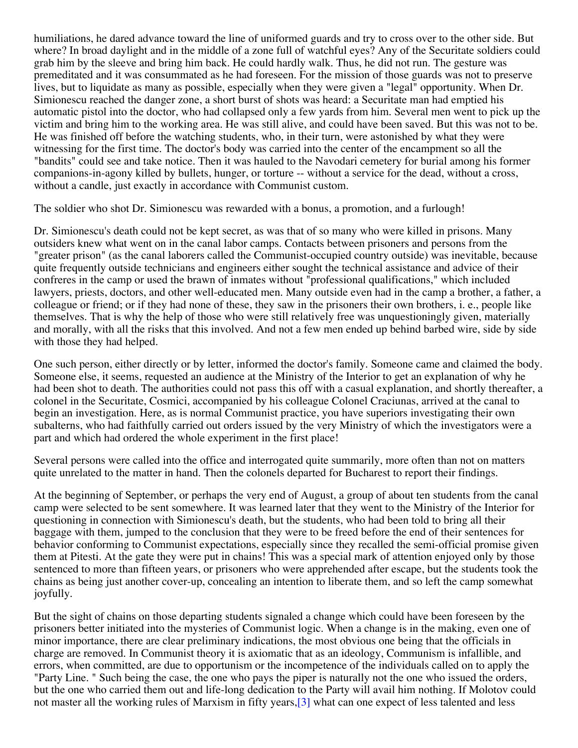humiliations, he dared advance toward the line of uniformed guards and try to cross over to the other side. But where? In broad daylight and in the middle of a zone full of watchful eyes? Any of the Securitate soldiers could grab him by the sleeve and bring him back. He could hardly walk. Thus, he did not run. The gesture was premeditated and it was consummated as he had foreseen. For the mission of those guards was not to preserve lives, but to liquidate as many as possible, especially when they were given a "legal" opportunity. When Dr. Simionescu reached the danger zone, a short burst of shots was heard: a Securitate man had emptied his automatic pistol into the doctor, who had collapsed only a few yards from him. Several men went to pick up the victim and bring him to the working area. He was still alive, and could have been saved. But this was not to be. He was finished off before the watching students, who, in their turn, were astonished by what they were witnessing for the first time. The doctor's body was carried into the center of the encampment so all the "bandits" could see and take notice. Then it was hauled to the Navodari cemetery for burial among his former companions-in-agony killed by bullets, hunger, or torture -- without a service for the dead, without a cross, without a candle, just exactly in accordance with Communist custom.

The soldier who shot Dr. Simionescu was rewarded with a bonus, a promotion, and a furlough!

Dr. Simionescu's death could not be kept secret, as was that of so many who were killed in prisons. Many outsiders knew what went on in the canal labor camps. Contacts between prisoners and persons from the "greater prison" (as the canal laborers called the Communist-occupied country outside) was inevitable, because quite frequently outside technicians and engineers either sought the technical assistance and advice of their confreres in the camp or used the brawn of inmates without "professional qualifications," which included lawyers, priests, doctors, and other well-educated men. Many outside even had in the camp a brother, a father, a colleague or friend; or if they had none of these, they saw in the prisoners their own brothers, i. e., people like themselves. That is why the help of those who were still relatively free was unquestioningly given, materially and morally, with all the risks that this involved. And not a few men ended up behind barbed wire, side by side with those they had helped.

One such person, either directly or by letter, informed the doctor's family. Someone came and claimed the body. Someone else, it seems, requested an audience at the Ministry of the Interior to get an explanation of why he had been shot to death. The authorities could not pass this off with a casual explanation, and shortly thereafter, a colonel in the Securitate, Cosmici, accompanied by his colleague Colonel Craciunas, arrived at the canal to begin an investigation. Here, as is normal Communist practice, you have superiors investigating their own subalterns, who had faithfully carried out orders issued by the very Ministry of which the investigators were a part and which had ordered the whole experiment in the first place!

Several persons were called into the office and interrogated quite summarily, more often than not on matters quite unrelated to the matter in hand. Then the colonels departed for Bucharest to report their findings.

At the beginning of September, or perhaps the very end of August, a group of about ten students from the canal camp were selected to be sent somewhere. It was learned later that they went to the Ministry of the Interior for questioning in connection with Simionescu's death, but the students, who had been told to bring all their baggage with them, jumped to the conclusion that they were to be freed before the end of their sentences for behavior conforming to Communist expectations, especially since they recalled the semi-official promise given them at Pitesti. At the gate they were put in chains! This was a special mark of attention enjoyed only by those sentenced to more than fifteen years, or prisoners who were apprehended after escape, but the students took the chains as being just another cover-up, concealing an intention to liberate them, and so left the camp somewhat joyfully.

But the sight of chains on those departing students signaled a change which could have been foreseen by the prisoners better initiated into the mysteries of Communist logic. When a change is in the making, even one of minor importance, there are clear preliminary indications, the most obvious one being that the officials in charge are removed. In Communist theory it is axiomatic that as an ideology, Communism is infallible, and errors, when committed, are due to opportunism or the incompetence of the individuals called on to apply the "Party Line. " Such being the case, the one who pays the piper is naturally not the one who issued the orders, but the one who carried them out and life-long dedication to the Party will avail him nothing. If Molotov could not master all the working rules of Marxism in fifty years,[3] what can one expect of less talented and less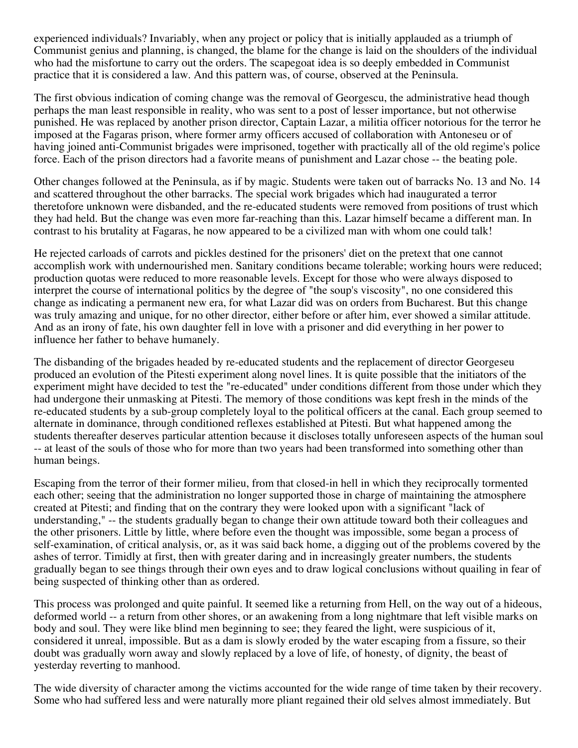experienced individuals? Invariably, when any project or policy that is initially applauded as a triumph of Communist genius and planning, is changed, the blame for the change is laid on the shoulders of the individual who had the misfortune to carry out the orders. The scapegoat idea is so deeply embedded in Communist practice that it is considered a law. And this pattern was, of course, observed at the Peninsula.

The first obvious indication of coming change was the removal of Georgescu, the administrative head though perhaps the man least responsible in reality, who was sent to a post of lesser importance, but not otherwise punished. He was replaced by another prison director, Captain Lazar, a militia officer notorious for the terror he imposed at the Fagaras prison, where former army officers accused of collaboration with Antoneseu or of having joined anti-Communist brigades were imprisoned, together with practically all of the old regime's police force. Each of the prison directors had a favorite means of punishment and Lazar chose -- the beating pole.

Other changes followed at the Peninsula, as if by magic. Students were taken out of barracks No. 13 and No. 14 and scattered throughout the other barracks. The special work brigades which had inaugurated a terror theretofore unknown were disbanded, and the re-educated students were removed from positions of trust which they had held. But the change was even more far-reaching than this. Lazar himself became a different man. In contrast to his brutality at Fagaras, he now appeared to be a civilized man with whom one could talk!

He rejected carloads of carrots and pickles destined for the prisoners' diet on the pretext that one cannot accomplish work with undernourished men. Sanitary conditions became tolerable; working hours were reduced; production quotas were reduced to more reasonable levels. Except for those who were always disposed to interpret the course of international politics by the degree of "the soup's viscosity", no one considered this change as indicating a permanent new era, for what Lazar did was on orders from Bucharest. But this change was truly amazing and unique, for no other director, either before or after him, ever showed a similar attitude. And as an irony of fate, his own daughter fell in love with a prisoner and did everything in her power to influence her father to behave humanely.

The disbanding of the brigades headed by re-educated students and the replacement of director Georgeseu produced an evolution of the Pitesti experiment along novel lines. It is quite possible that the initiators of the experiment might have decided to test the "re-educated" under conditions different from those under which they had undergone their unmasking at Pitesti. The memory of those conditions was kept fresh in the minds of the re-educated students by a sub-group completely loyal to the political officers at the canal. Each group seemed to alternate in dominance, through conditioned reflexes established at Pitesti. But what happened among the students thereafter deserves particular attention because it discloses totally unforeseen aspects of the human soul -- at least of the souls of those who for more than two years had been transformed into something other than human beings.

Escaping from the terror of their former milieu, from that closed-in hell in which they reciprocally tormented each other; seeing that the administration no longer supported those in charge of maintaining the atmosphere created at Pitesti; and finding that on the contrary they were looked upon with a significant "lack of understanding," -- the students gradually began to change their own attitude toward both their colleagues and the other prisoners. Little by little, where before even the thought was impossible, some began a process of self-examination, of critical analysis, or, as it was said back home, a digging out of the problems covered by the ashes of terror. Timidly at first, then with greater daring and in increasingly greater numbers, the students gradually began to see things through their own eyes and to draw logical conclusions without quailing in fear of being suspected of thinking other than as ordered.

This process was prolonged and quite painful. It seemed like a returning from Hell, on the way out of a hideous, deformed world -- a return from other shores, or an awakening from a long nightmare that left visible marks on body and soul. They were like blind men beginning to see; they feared the light, were suspicious of it, considered it unreal, impossible. But as a dam is slowly eroded by the water escaping from a fissure, so their doubt was gradually worn away and slowly replaced by a love of life, of honesty, of dignity, the beast of yesterday reverting to manhood.

The wide diversity of character among the victims accounted for the wide range of time taken by their recovery. Some who had suffered less and were naturally more pliant regained their old selves almost immediately. But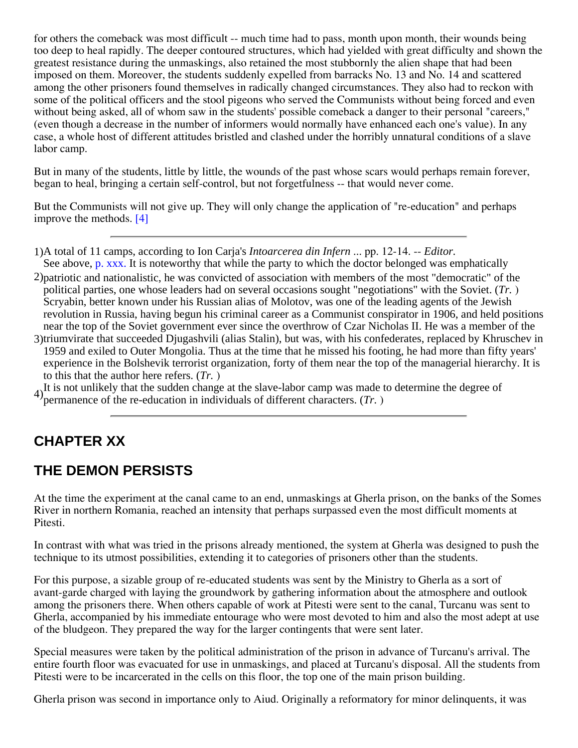for others the comeback was most difficult -- much time had to pass, month upon month, their wounds being too deep to heal rapidly. The deeper contoured structures, which had yielded with great difficulty and shown the greatest resistance during the unmaskings, also retained the most stubbornly the alien shape that had been imposed on them. Moreover, the students suddenly expelled from barracks No. 13 and No. 14 and scattered among the other prisoners found themselves in radically changed circumstances. They also had to reckon with some of the political officers and the stool pigeons who served the Communists without being forced and even without being asked, all of whom saw in the students' possible comeback a danger to their personal "careers," (even though a decrease in the number of informers would normally have enhanced each one's value). In any case, a whole host of different attitudes bristled and clashed under the horribly unnatural conditions of a slave labor camp.

But in many of the students, little by little, the wounds of the past whose scars would perhaps remain forever, began to heal, bringing a certain self-control, but not forgetfulness -- that would never come.

But the Communists will not give up. They will only change the application of "re-education" and perhaps improve the methods. [4]

1)A total of 11 camps, according to Ion Carja's *Intoarcerea din Infern* ... pp. 12-14. -- *Editor.*

2) patriotic and nationalistic, he was convicted of association with members of the most "democratic" of the See above, p. xxx. It is noteworthy that while the party to which the doctor belonged was emphatically political parties, one whose leaders had on several occasions sought "negotiations" with the Soviet. (*Tr.* ) Scryabin, better known under his Russian alias of Molotov, was one of the leading agents of the Jewish revolution in Russia, having begun his criminal career as a Communist conspirator in 1906, and held positions near the top of the Soviet government ever since the overthrow of Czar Nicholas II. He was a member of the

3) triumvirate that succeeded Djugashvili (alias Stalin), but was, with his confederates, replaced by Khruschev in 1959 and exiled to Outer Mongolia. Thus at the time that he missed his footing, he had more than fifty years' experience in the Bolshevik terrorist organization, forty of them near the top of the managerial hierarchy. It is to this that the author here refers. (*Tr.* )

 $4)$ <sup>It is not unlikely that the sudden change at the slave-labor camp was made to determine the degree of</sup> permanence of the re-education in individuals of different characters. (*Tr.* )

#### **CHAPTER XX**

#### **THE DEMON PERSISTS**

At the time the experiment at the canal came to an end, unmaskings at Gherla prison, on the banks of the Somes River in northern Romania, reached an intensity that perhaps surpassed even the most difficult moments at Pitesti.

In contrast with what was tried in the prisons already mentioned, the system at Gherla was designed to push the technique to its utmost possibilities, extending it to categories of prisoners other than the students.

For this purpose, a sizable group of re-educated students was sent by the Ministry to Gherla as a sort of avant-garde charged with laying the groundwork by gathering information about the atmosphere and outlook among the prisoners there. When others capable of work at Pitesti were sent to the canal, Turcanu was sent to Gherla, accompanied by his immediate entourage who were most devoted to him and also the most adept at use of the bludgeon. They prepared the way for the larger contingents that were sent later.

Special measures were taken by the political administration of the prison in advance of Turcanu's arrival. The entire fourth floor was evacuated for use in unmaskings, and placed at Turcanu's disposal. All the students from Pitesti were to be incarcerated in the cells on this floor, the top one of the main prison building.

Gherla prison was second in importance only to Aiud. Originally a reformatory for minor delinquents, it was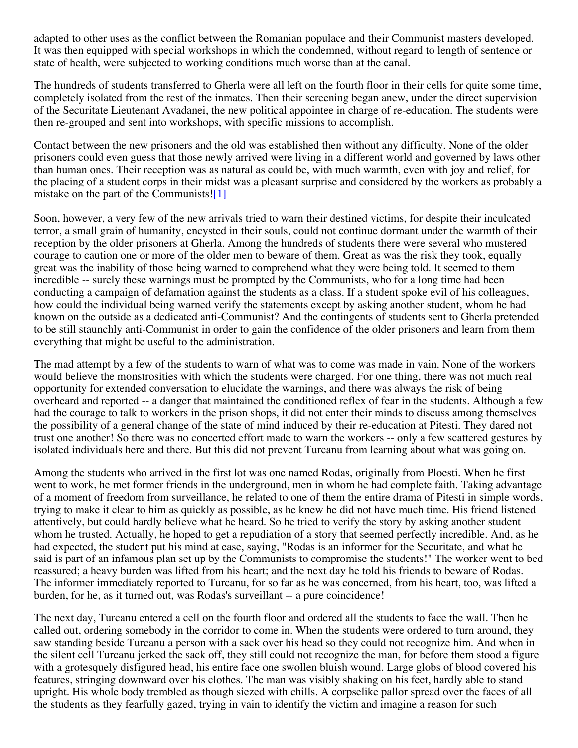adapted to other uses as the conflict between the Romanian populace and their Communist masters developed. It was then equipped with special workshops in which the condemned, without regard to length of sentence or state of health, were subjected to working conditions much worse than at the canal.

The hundreds of students transferred to Gherla were all left on the fourth floor in their cells for quite some time, completely isolated from the rest of the inmates. Then their screening began anew, under the direct supervision of the Securitate Lieutenant Avadanei, the new political appointee in charge of re-education. The students were then re-grouped and sent into workshops, with specific missions to accomplish.

Contact between the new prisoners and the old was established then without any difficulty. None of the older prisoners could even guess that those newly arrived were living in a different world and governed by laws other than human ones. Their reception was as natural as could be, with much warmth, even with joy and relief, for the placing of a student corps in their midst was a pleasant surprise and considered by the workers as probably a mistake on the part of the Communists![1]

Soon, however, a very few of the new arrivals tried to warn their destined victims, for despite their inculcated terror, a small grain of humanity, encysted in their souls, could not continue dormant under the warmth of their reception by the older prisoners at Gherla. Among the hundreds of students there were several who mustered courage to caution one or more of the older men to beware of them. Great as was the risk they took, equally great was the inability of those being warned to comprehend what they were being told. It seemed to them incredible -- surely these warnings must be prompted by the Communists, who for a long time had been conducting a campaign of defamation against the students as a class. If a student spoke evil of his colleagues, how could the individual being warned verify the statements except by asking another student, whom he had known on the outside as a dedicated anti-Communist? And the contingents of students sent to Gherla pretended to be still staunchly anti-Communist in order to gain the confidence of the older prisoners and learn from them everything that might be useful to the administration.

The mad attempt by a few of the students to warn of what was to come was made in vain. None of the workers would believe the monstrosities with which the students were charged. For one thing, there was not much real opportunity for extended conversation to elucidate the warnings, and there was always the risk of being overheard and reported -- a danger that maintained the conditioned reflex of fear in the students. Although a few had the courage to talk to workers in the prison shops, it did not enter their minds to discuss among themselves the possibility of a general change of the state of mind induced by their re-education at Pitesti. They dared not trust one another! So there was no concerted effort made to warn the workers -- only a few scattered gestures by isolated individuals here and there. But this did not prevent Turcanu from learning about what was going on.

Among the students who arrived in the first lot was one named Rodas, originally from Ploesti. When he first went to work, he met former friends in the underground, men in whom he had complete faith. Taking advantage of a moment of freedom from surveillance, he related to one of them the entire drama of Pitesti in simple words, trying to make it clear to him as quickly as possible, as he knew he did not have much time. His friend listened attentively, but could hardly believe what he heard. So he tried to verify the story by asking another student whom he trusted. Actually, he hoped to get a repudiation of a story that seemed perfectly incredible. And, as he had expected, the student put his mind at ease, saying, "Rodas is an informer for the Securitate, and what he said is part of an infamous plan set up by the Communists to compromise the students!" The worker went to bed reassured; a heavy burden was lifted from his heart; and the next day he told his friends to beware of Rodas. The informer immediately reported to Turcanu, for so far as he was concerned, from his heart, too, was lifted a burden, for he, as it turned out, was Rodas's surveillant -- a pure coincidence!

The next day, Turcanu entered a cell on the fourth floor and ordered all the students to face the wall. Then he called out, ordering somebody in the corridor to come in. When the students were ordered to turn around, they saw standing beside Turcanu a person with a sack over his head so they could not recognize him. And when in the silent cell Turcanu jerked the sack off, they still could not recognize the man, for before them stood a figure with a grotesquely disfigured head, his entire face one swollen bluish wound. Large globs of blood covered his features, stringing downward over his clothes. The man was visibly shaking on his feet, hardly able to stand upright. His whole body trembled as though siezed with chills. A corpselike pallor spread over the faces of all the students as they fearfully gazed, trying in vain to identify the victim and imagine a reason for such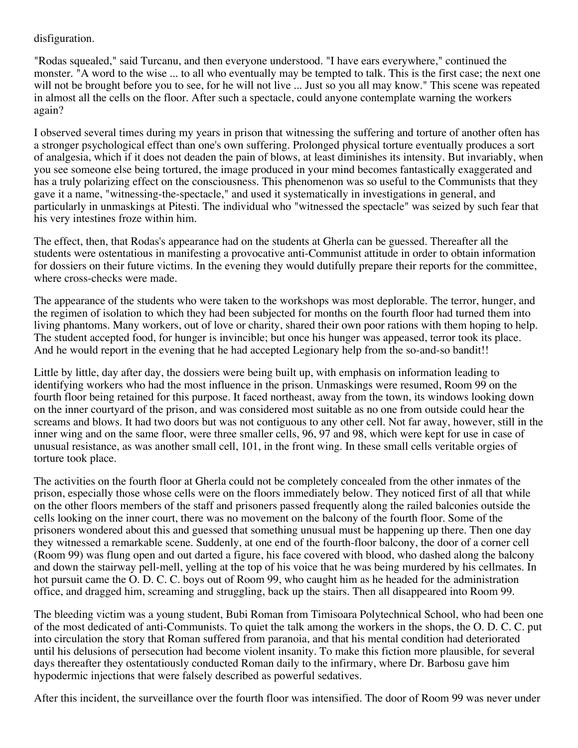#### disfiguration.

"Rodas squealed," said Turcanu, and then everyone understood. "I have ears everywhere," continued the monster. "A word to the wise ... to all who eventually may be tempted to talk. This is the first case; the next one will not be brought before you to see, for he will not live ... Just so you all may know." This scene was repeated in almost all the cells on the floor. After such a spectacle, could anyone contemplate warning the workers again?

I observed several times during my years in prison that witnessing the suffering and torture of another often has a stronger psychological effect than one's own suffering. Prolonged physical torture eventually produces a sort of analgesia, which if it does not deaden the pain of blows, at least diminishes its intensity. But invariably, when you see someone else being tortured, the image produced in your mind becomes fantastically exaggerated and has a truly polarizing effect on the consciousness. This phenomenon was so useful to the Communists that they gave it a name, "witnessing-the-spectacle," and used it systematically in investigations in general, and particularly in unmaskings at Pitesti. The individual who "witnessed the spectacle" was seized by such fear that his very intestines froze within him.

The effect, then, that Rodas's appearance had on the students at Gherla can be guessed. Thereafter all the students were ostentatious in manifesting a provocative anti-Communist attitude in order to obtain information for dossiers on their future victims. In the evening they would dutifully prepare their reports for the committee, where cross-checks were made.

The appearance of the students who were taken to the workshops was most deplorable. The terror, hunger, and the regimen of isolation to which they had been subjected for months on the fourth floor had turned them into living phantoms. Many workers, out of love or charity, shared their own poor rations with them hoping to help. The student accepted food, for hunger is invincible; but once his hunger was appeased, terror took its place. And he would report in the evening that he had accepted Legionary help from the so-and-so bandit!!

Little by little, day after day, the dossiers were being built up, with emphasis on information leading to identifying workers who had the most influence in the prison. Unmaskings were resumed, Room 99 on the fourth floor being retained for this purpose. It faced northeast, away from the town, its windows looking down on the inner courtyard of the prison, and was considered most suitable as no one from outside could hear the screams and blows. It had two doors but was not contiguous to any other cell. Not far away, however, still in the inner wing and on the same floor, were three smaller cells, 96, 97 and 98, which were kept for use in case of unusual resistance, as was another small cell, 101, in the front wing. In these small cells veritable orgies of torture took place.

The activities on the fourth floor at Gherla could not be completely concealed from the other inmates of the prison, especially those whose cells were on the floors immediately below. They noticed first of all that while on the other floors members of the staff and prisoners passed frequently along the railed balconies outside the cells looking on the inner court, there was no movement on the balcony of the fourth floor. Some of the prisoners wondered about this and guessed that something unusual must be happening up there. Then one day they witnessed a remarkable scene. Suddenly, at one end of the fourth-floor balcony, the door of a corner cell (Room 99) was flung open and out darted a figure, his face covered with blood, who dashed along the balcony and down the stairway pell-mell, yelling at the top of his voice that he was being murdered by his cellmates. In hot pursuit came the O. D. C. C. boys out of Room 99, who caught him as he headed for the administration office, and dragged him, screaming and struggling, back up the stairs. Then all disappeared into Room 99.

The bleeding victim was a young student, Bubi Roman from Timisoara Polytechnical School, who had been one of the most dedicated of anti-Communists. To quiet the talk among the workers in the shops, the O. D. C. C. put into circulation the story that Roman suffered from paranoia, and that his mental condition had deteriorated until his delusions of persecution had become violent insanity. To make this fiction more plausible, for several days thereafter they ostentatiously conducted Roman daily to the infirmary, where Dr. Barbosu gave him hypodermic injections that were falsely described as powerful sedatives.

After this incident, the surveillance over the fourth floor was intensified. The door of Room 99 was never under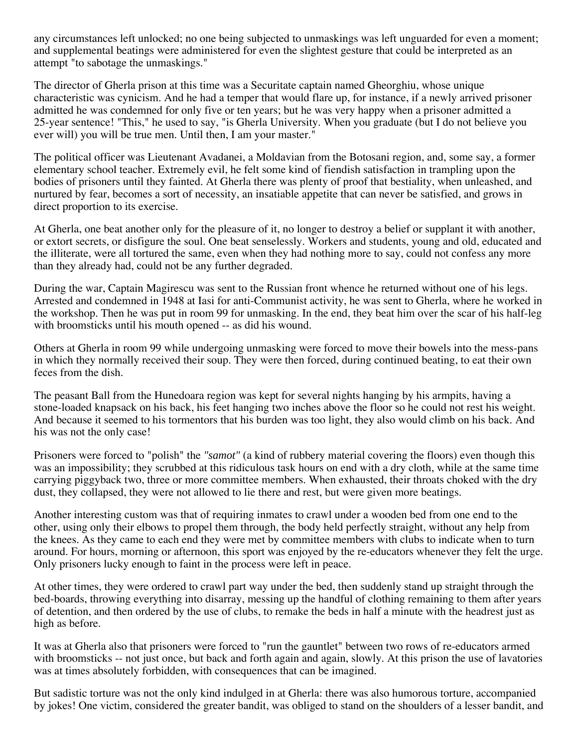any circumstances left unlocked; no one being subjected to unmaskings was left unguarded for even a moment; and supplemental beatings were administered for even the slightest gesture that could be interpreted as an attempt "to sabotage the unmaskings."

The director of Gherla prison at this time was a Securitate captain named Gheorghiu, whose unique characteristic was cynicism. And he had a temper that would flare up, for instance, if a newly arrived prisoner admitted he was condemned for only five or ten years; but he was very happy when a prisoner admitted a 25-year sentence! "This," he used to say, "is Gherla University. When you graduate (but I do not believe you ever will) you will be true men. Until then, I am your master."

The political officer was Lieutenant Avadanei, a Moldavian from the Botosani region, and, some say, a former elementary school teacher. Extremely evil, he felt some kind of fiendish satisfaction in trampling upon the bodies of prisoners until they fainted. At Gherla there was plenty of proof that bestiality, when unleashed, and nurtured by fear, becomes a sort of necessity, an insatiable appetite that can never be satisfied, and grows in direct proportion to its exercise.

At Gherla, one beat another only for the pleasure of it, no longer to destroy a belief or supplant it with another, or extort secrets, or disfigure the soul. One beat senselessly. Workers and students, young and old, educated and the illiterate, were all tortured the same, even when they had nothing more to say, could not confess any more than they already had, could not be any further degraded.

During the war, Captain Magirescu was sent to the Russian front whence he returned without one of his legs. Arrested and condemned in 1948 at Iasi for anti-Communist activity, he was sent to Gherla, where he worked in the workshop. Then he was put in room 99 for unmasking. In the end, they beat him over the scar of his half-leg with broomsticks until his mouth opened -- as did his wound.

Others at Gherla in room 99 while undergoing unmasking were forced to move their bowels into the mess-pans in which they normally received their soup. They were then forced, during continued beating, to eat their own feces from the dish.

The peasant Ball from the Hunedoara region was kept for several nights hanging by his armpits, having a stone-loaded knapsack on his back, his feet hanging two inches above the floor so he could not rest his weight. And because it seemed to his tormentors that his burden was too light, they also would climb on his back. And his was not the only case!

Prisoners were forced to "polish" the *"samot"* (a kind of rubbery material covering the floors) even though this was an impossibility; they scrubbed at this ridiculous task hours on end with a dry cloth, while at the same time carrying piggyback two, three or more committee members. When exhausted, their throats choked with the dry dust, they collapsed, they were not allowed to lie there and rest, but were given more beatings.

Another interesting custom was that of requiring inmates to crawl under a wooden bed from one end to the other, using only their elbows to propel them through, the body held perfectly straight, without any help from the knees. As they came to each end they were met by committee members with clubs to indicate when to turn around. For hours, morning or afternoon, this sport was enjoyed by the re-educators whenever they felt the urge. Only prisoners lucky enough to faint in the process were left in peace.

At other times, they were ordered to crawl part way under the bed, then suddenly stand up straight through the bed-boards, throwing everything into disarray, messing up the handful of clothing remaining to them after years of detention, and then ordered by the use of clubs, to remake the beds in half a minute with the headrest just as high as before.

It was at Gherla also that prisoners were forced to "run the gauntlet" between two rows of re-educators armed with broomsticks -- not just once, but back and forth again and again, slowly. At this prison the use of lavatories was at times absolutely forbidden, with consequences that can be imagined.

But sadistic torture was not the only kind indulged in at Gherla: there was also humorous torture, accompanied by jokes! One victim, considered the greater bandit, was obliged to stand on the shoulders of a lesser bandit, and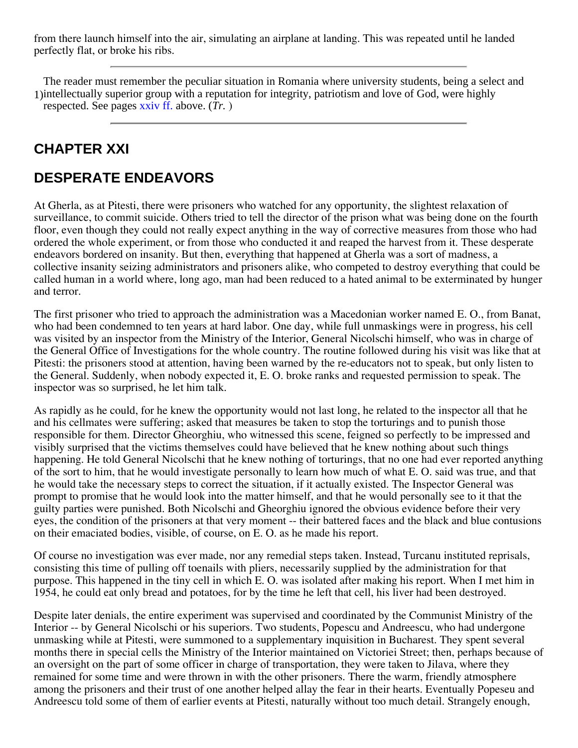from there launch himself into the air, simulating an airplane at landing. This was repeated until he landed perfectly flat, or broke his ribs.

1) intellectually superior group with a reputation for integrity, patriotism and love of God, were highly The reader must remember the peculiar situation in Romania where university students, being a select and respected. See pages xxiv ff. above. (*Tr.* )

#### **CHAPTER XXI**

#### **DESPERATE ENDEAVORS**

At Gherla, as at Pitesti, there were prisoners who watched for any opportunity, the slightest relaxation of surveillance, to commit suicide. Others tried to tell the director of the prison what was being done on the fourth floor, even though they could not really expect anything in the way of corrective measures from those who had ordered the whole experiment, or from those who conducted it and reaped the harvest from it. These desperate endeavors bordered on insanity. But then, everything that happened at Gherla was a sort of madness, a collective insanity seizing administrators and prisoners alike, who competed to destroy everything that could be called human in a world where, long ago, man had been reduced to a hated animal to be exterminated by hunger and terror.

The first prisoner who tried to approach the administration was a Macedonian worker named E. O., from Banat, who had been condemned to ten years at hard labor. One day, while full unmaskings were in progress, his cell was visited by an inspector from the Ministry of the Interior, General Nicolschi himself, who was in charge of the General Office of Investigations for the whole country. The routine followed during his visit was like that at Pitesti: the prisoners stood at attention, having been warned by the re-educators not to speak, but only listen to the General. Suddenly, when nobody expected it, E. O. broke ranks and requested permission to speak. The inspector was so surprised, he let him talk.

As rapidly as he could, for he knew the opportunity would not last long, he related to the inspector all that he and his cellmates were suffering; asked that measures be taken to stop the torturings and to punish those responsible for them. Director Gheorghiu, who witnessed this scene, feigned so perfectly to be impressed and visibly surprised that the victims themselves could have believed that he knew nothing about such things happening. He told General Nicolschi that he knew nothing of torturings, that no one had ever reported anything of the sort to him, that he would investigate personally to learn how much of what E. O. said was true, and that he would take the necessary steps to correct the situation, if it actually existed. The Inspector General was prompt to promise that he would look into the matter himself, and that he would personally see to it that the guilty parties were punished. Both Nicolschi and Gheorghiu ignored the obvious evidence before their very eyes, the condition of the prisoners at that very moment -- their battered faces and the black and blue contusions on their emaciated bodies, visible, of course, on E. O. as he made his report.

Of course no investigation was ever made, nor any remedial steps taken. Instead, Turcanu instituted reprisals, consisting this time of pulling off toenails with pliers, necessarily supplied by the administration for that purpose. This happened in the tiny cell in which E. O. was isolated after making his report. When I met him in 1954, he could eat only bread and potatoes, for by the time he left that cell, his liver had been destroyed.

Despite later denials, the entire experiment was supervised and coordinated by the Communist Ministry of the Interior -- by General Nicolschi or his superiors. Two students, Popescu and Andreescu, who had undergone unmasking while at Pitesti, were summoned to a supplementary inquisition in Bucharest. They spent several months there in special cells the Ministry of the Interior maintained on Victoriei Street; then, perhaps because of an oversight on the part of some officer in charge of transportation, they were taken to Jilava, where they remained for some time and were thrown in with the other prisoners. There the warm, friendly atmosphere among the prisoners and their trust of one another helped allay the fear in their hearts. Eventually Popeseu and Andreescu told some of them of earlier events at Pitesti, naturally without too much detail. Strangely enough,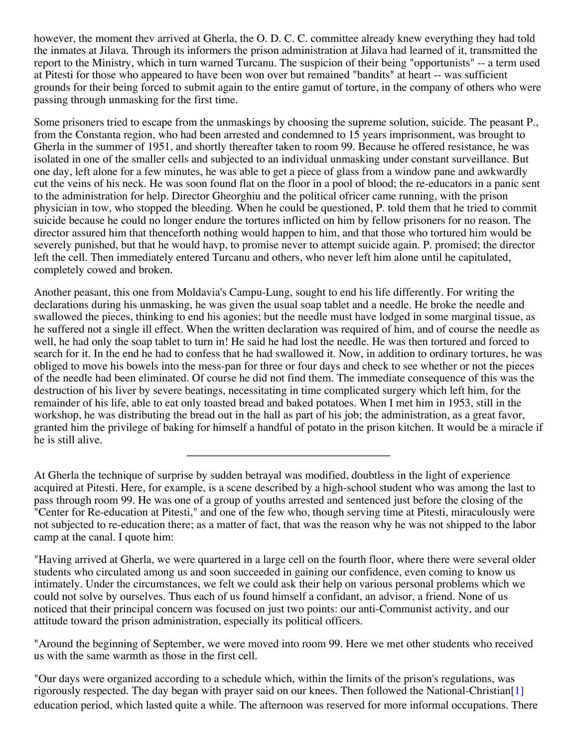however, the moment thev arrived at Gherla, the O. D. C. C. committee already knew everything they had told the inmates at Jilava. Through its informers the prison administration at Jilava had learned of it, transmitted the report to the Ministry, which in turn warned Turcanu. The suspicion of their being "opportunists" -- a term used at Pitesti for those who appeared to have been won over but remained "bandits" at heart -- was sufficient grounds for their being forced to submit again to the entire gamut of torture, in the company of others who were passing through unmasking for the first time.

Some prisoners tried to escape from the unmaskings by choosing the supreme solution, suicide. The peasant P., from the Constanta region, who had been arrested and condemned to 15 years imprisonment, was brought to Gherla in the summer of 1951, and shortly thereafter taken to room 99. Because he offered resistance, he was isolated in one of the smaller cells and subjected to an individual unmasking under constant surveillance. But one day, left alone for a few minutes, he was able to get a piece of glass from a window pane and awkwardly cut the veins of his neck. He was soon found flat on the floor in a pool of blood; the re-educators in a panic sent to the administration for help. Director Gheorghiu and the political ofricer came running, with the prison physician in tow, who stopped the bleeding. When he could be questioned, P. told them that he tried to commit suicide because he could no longer endure the tortures inflicted on him by fellow prisoners for no reason. The director assured him that thenceforth nothing would happen to him, and that those who tortured him would be severely punished, but that he would havp, to promise never to attempt suicide again. P. promised; the director left the cell. Then immediately entered Turcanu and others, who never left him alone until he capitulated, completely cowed and broken.

Another peasant, this one from Moldavia's Campu-Lung, sought to end his life differently. For writing the declarations during his unmasking, he was given the usual soap tablet and a needle. He broke the needle and swallowed the pieces, thinking to end his agonies; but the needle must have lodged in some marginal tissue, as he suffered not a single ill effect. When the written declaration was required of him, and of course the needle as well, he had only the soap tablet to turn in! He said he had lost the needle. He was then tortured and forced to search for it. In the end he had to confess that he had swallowed it. Now, in addition to ordinary tortures, he was obliged to move his bowels into the mess-pan for three or four days and check to see whether or not the pieces of the needle had been eliminated. Of course he did not find them. The immediate consequence of this was the destruction of his liver by severe beatings, necessitating in time complicated surgery which left him, for the remainder of his life, able to eat only toasted bread and baked potatoes. When I met him in 1953, still in the workshop, he was distributing the bread out in the hall as part of his job; the administration, as a great favor, granted him the privilege of baking for himself a handful of potato in the prison kitchen. It would be a miracle if he is still alive.

At Gherla the technique of surprise by sudden betrayal was modified, doubtless in the light of experience acquired at Pitesti. Here, for example, is a scene described by a high-school student who was among the last to pass through room 99. He was one of a group of youths arrested and sentenced just before the closing of the "Center for Re-education at Pitesti," and one of the few who, though serving time at Pitesti, miraculously were not subjected to re-education there; as a matter of fact, that was the reason why he was not shipped to the labor camp at the canal. I quote him:

"Having arrived at Gherla, we were quartered in a large cell on the fourth floor, where there were several older students who circulated among us and soon succeeded in gaining our confidence, even coming to know us intimately. Under the circumstances, we felt we could ask their help on various personal problems which we could not solve by ourselves. Thus each of us found himself a confidant, an advisor, a friend. None of us noticed that their principal concern was focused on just two points: our anti-Communist activity, and our attitude toward the prison administration, especially its political officers.

"Around the beginning of September, we were moved into room 99. Here we met other students who received us with the same warmth as those in the first cell.

"Our days were organized according to a schedule which, within the limits of the prison's regulations, was rigorously respected. The day began with prayer said on our knees. Then followed the National-Christian[1] education period, which lasted quite a while. The afternoon was reserved for more informal occupations. There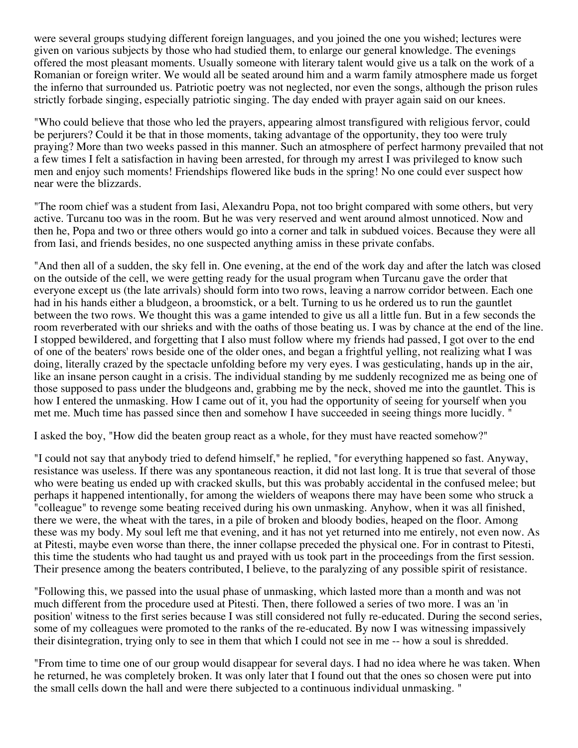were several groups studying different foreign languages, and you joined the one you wished; lectures were given on various subjects by those who had studied them, to enlarge our general knowledge. The evenings offered the most pleasant moments. Usually someone with literary talent would give us a talk on the work of a Romanian or foreign writer. We would all be seated around him and a warm family atmosphere made us forget the inferno that surrounded us. Patriotic poetry was not neglected, nor even the songs, although the prison rules strictly forbade singing, especially patriotic singing. The day ended with prayer again said on our knees.

"Who could believe that those who led the prayers, appearing almost transfigured with religious fervor, could be perjurers? Could it be that in those moments, taking advantage of the opportunity, they too were truly praying? More than two weeks passed in this manner. Such an atmosphere of perfect harmony prevailed that not a few times I felt a satisfaction in having been arrested, for through my arrest I was privileged to know such men and enjoy such moments! Friendships flowered like buds in the spring! No one could ever suspect how near were the blizzards.

"The room chief was a student from Iasi, Alexandru Popa, not too bright compared with some others, but very active. Turcanu too was in the room. But he was very reserved and went around almost unnoticed. Now and then he, Popa and two or three others would go into a corner and talk in subdued voices. Because they were all from Iasi, and friends besides, no one suspected anything amiss in these private confabs.

"And then all of a sudden, the sky fell in. One evening, at the end of the work day and after the latch was closed on the outside of the cell, we were getting ready for the usual program when Turcanu gave the order that everyone except us (the late arrivals) should form into two rows, leaving a narrow corridor between. Each one had in his hands either a bludgeon, a broomstick, or a belt. Turning to us he ordered us to run the gauntlet between the two rows. We thought this was a game intended to give us all a little fun. But in a few seconds the room reverberated with our shrieks and with the oaths of those beating us. I was by chance at the end of the line. I stopped bewildered, and forgetting that I also must follow where my friends had passed, I got over to the end of one of the beaters' rows beside one of the older ones, and began a frightful yelling, not realizing what I was doing, literally crazed by the spectacle unfolding before my very eyes. I was gesticulating, hands up in the air, like an insane person caught in a crisis. The individual standing by me suddenly recognized me as being one of those supposed to pass under the bludgeons and, grabbing me by the neck, shoved me into the gauntlet. This is how I entered the unmasking. How I came out of it, you had the opportunity of seeing for yourself when you met me. Much time has passed since then and somehow I have succeeded in seeing things more lucidly. "

I asked the boy, "How did the beaten group react as a whole, for they must have reacted somehow?"

"I could not say that anybody tried to defend himself," he replied, "for everything happened so fast. Anyway, resistance was useless. If there was any spontaneous reaction, it did not last long. It is true that several of those who were beating us ended up with cracked skulls, but this was probably accidental in the confused melee; but perhaps it happened intentionally, for among the wielders of weapons there may have been some who struck a "colleague" to revenge some beating received during his own unmasking. Anyhow, when it was all finished, there we were, the wheat with the tares, in a pile of broken and bloody bodies, heaped on the floor. Among these was my body. My soul left me that evening, and it has not yet returned into me entirely, not even now. As at Pitesti, maybe even worse than there, the inner collapse preceded the physical one. For in contrast to Pitesti, this time the students who had taught us and prayed with us took part in the proceedings from the first session. Their presence among the beaters contributed, I believe, to the paralyzing of any possible spirit of resistance.

"Following this, we passed into the usual phase of unmasking, which lasted more than a month and was not much different from the procedure used at Pitesti. Then, there followed a series of two more. I was an 'in position' witness to the first series because I was still considered not fully re-educated. During the second series, some of my colleagues were promoted to the ranks of the re-educated. By now I was witnessing impassively their disintegration, trying only to see in them that which I could not see in me -- how a soul is shredded.

"From time to time one of our group would disappear for several days. I had no idea where he was taken. When he returned, he was completely broken. It was only later that I found out that the ones so chosen were put into the small cells down the hall and were there subjected to a continuous individual unmasking. "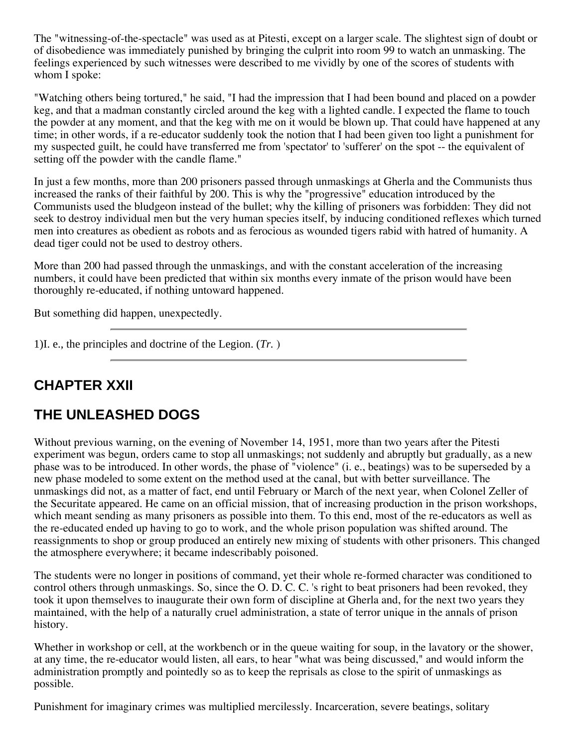The "witnessing-of-the-spectacle" was used as at Pitesti, except on a larger scale. The slightest sign of doubt or of disobedience was immediately punished by bringing the culprit into room 99 to watch an unmasking. The feelings experienced by such witnesses were described to me vividly by one of the scores of students with whom I spoke:

"Watching others being tortured," he said, "I had the impression that I had been bound and placed on a powder keg, and that a madman constantly circled around the keg with a lighted candle. I expected the flame to touch the powder at any moment, and that the keg with me on it would be blown up. That could have happened at any time; in other words, if a re-educator suddenly took the notion that I had been given too light a punishment for my suspected guilt, he could have transferred me from 'spectator' to 'sufferer' on the spot -- the equivalent of setting off the powder with the candle flame."

In just a few months, more than 200 prisoners passed through unmaskings at Gherla and the Communists thus increased the ranks of their faithful by 200. This is why the "progressive" education introduced by the Communists used the bludgeon instead of the bullet; why the killing of prisoners was forbidden: They did not seek to destroy individual men but the very human species itself, by inducing conditioned reflexes which turned men into creatures as obedient as robots and as ferocious as wounded tigers rabid with hatred of humanity. A dead tiger could not be used to destroy others.

More than 200 had passed through the unmaskings, and with the constant acceleration of the increasing numbers, it could have been predicted that within six months every inmate of the prison would have been thoroughly re-educated, if nothing untoward happened.

But something did happen, unexpectedly.

1)I. e., the principles and doctrine of the Legion. (*Tr.* )

# **CHAPTER XXII**

#### **THE UNLEASHED DOGS**

Without previous warning, on the evening of November 14, 1951, more than two years after the Pitesti experiment was begun, orders came to stop all unmaskings; not suddenly and abruptly but gradually, as a new phase was to be introduced. In other words, the phase of "violence" (i. e., beatings) was to be superseded by a new phase modeled to some extent on the method used at the canal, but with better surveillance. The unmaskings did not, as a matter of fact, end until February or March of the next year, when Colonel Zeller of the Securitate appeared. He came on an official mission, that of increasing production in the prison workshops, which meant sending as many prisoners as possible into them. To this end, most of the re-educators as well as the re-educated ended up having to go to work, and the whole prison population was shifted around. The reassignments to shop or group produced an entirely new mixing of students with other prisoners. This changed the atmosphere everywhere; it became indescribably poisoned.

The students were no longer in positions of command, yet their whole re-formed character was conditioned to control others through unmaskings. So, since the O. D. C. C. 's right to beat prisoners had been revoked, they took it upon themselves to inaugurate their own form of discipline at Gherla and, for the next two years they maintained, with the help of a naturally cruel administration, a state of terror unique in the annals of prison history.

Whether in workshop or cell, at the workbench or in the queue waiting for soup, in the lavatory or the shower, at any time, the re-educator would listen, all ears, to hear "what was being discussed," and would inform the administration promptly and pointedly so as to keep the reprisals as close to the spirit of unmaskings as possible.

Punishment for imaginary crimes was multiplied mercilessly. Incarceration, severe beatings, solitary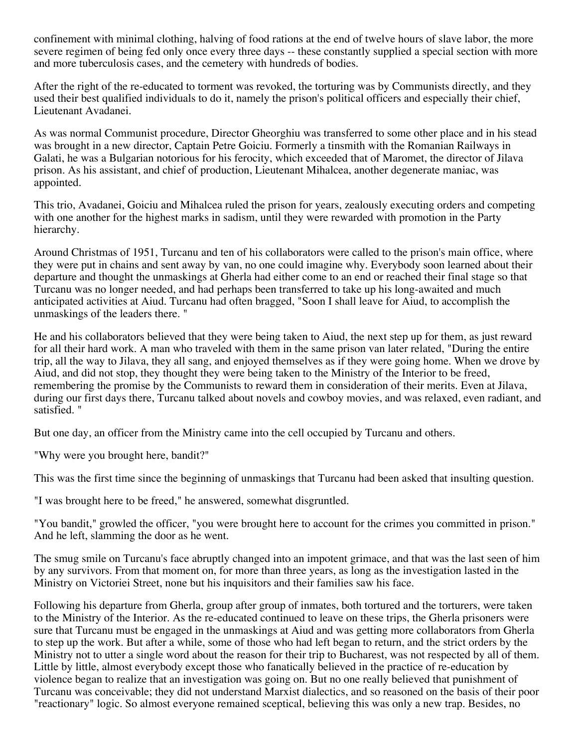confinement with minimal clothing, halving of food rations at the end of twelve hours of slave labor, the more severe regimen of being fed only once every three days -- these constantly supplied a special section with more and more tuberculosis cases, and the cemetery with hundreds of bodies.

After the right of the re-educated to torment was revoked, the torturing was by Communists directly, and they used their best qualified individuals to do it, namely the prison's political officers and especially their chief, Lieutenant Avadanei.

As was normal Communist procedure, Director Gheorghiu was transferred to some other place and in his stead was brought in a new director, Captain Petre Goiciu. Formerly a tinsmith with the Romanian Railways in Galati, he was a Bulgarian notorious for his ferocity, which exceeded that of Maromet, the director of Jilava prison. As his assistant, and chief of production, Lieutenant Mihalcea, another degenerate maniac, was appointed.

This trio, Avadanei, Goiciu and Mihalcea ruled the prison for years, zealously executing orders and competing with one another for the highest marks in sadism, until they were rewarded with promotion in the Party hierarchy.

Around Christmas of 1951, Turcanu and ten of his collaborators were called to the prison's main office, where they were put in chains and sent away by van, no one could imagine why. Everybody soon learned about their departure and thought the unmaskings at Gherla had either come to an end or reached their final stage so that Turcanu was no longer needed, and had perhaps been transferred to take up his long-awaited and much anticipated activities at Aiud. Turcanu had often bragged, "Soon I shall leave for Aiud, to accomplish the unmaskings of the leaders there. "

He and his collaborators believed that they were being taken to Aiud, the next step up for them, as just reward for all their hard work. A man who traveled with them in the same prison van later related, "During the entire trip, all the way to Jilava, they all sang, and enjoyed themselves as if they were going home. When we drove by Aiud, and did not stop, they thought they were being taken to the Ministry of the Interior to be freed, remembering the promise by the Communists to reward them in consideration of their merits. Even at Jilava, during our first days there, Turcanu talked about novels and cowboy movies, and was relaxed, even radiant, and satisfied. "

But one day, an officer from the Ministry came into the cell occupied by Turcanu and others.

"Why were you brought here, bandit?"

This was the first time since the beginning of unmaskings that Turcanu had been asked that insulting question.

"I was brought here to be freed," he answered, somewhat disgruntled.

"You bandit," growled the officer, "you were brought here to account for the crimes you committed in prison." And he left, slamming the door as he went.

The smug smile on Turcanu's face abruptly changed into an impotent grimace, and that was the last seen of him by any survivors. From that moment on, for more than three years, as long as the investigation lasted in the Ministry on Victoriei Street, none but his inquisitors and their families saw his face.

Following his departure from Gherla, group after group of inmates, both tortured and the torturers, were taken to the Ministry of the Interior. As the re-educated continued to leave on these trips, the Gherla prisoners were sure that Turcanu must be engaged in the unmaskings at Aiud and was getting more collaborators from Gherla to step up the work. But after a while, some of those who had left began to return, and the strict orders by the Ministry not to utter a single word about the reason for their trip to Bucharest, was not respected by all of them. Little by little, almost everybody except those who fanatically believed in the practice of re-education by violence began to realize that an investigation was going on. But no one really believed that punishment of Turcanu was conceivable; they did not understand Marxist dialectics, and so reasoned on the basis of their poor "reactionary" logic. So almost everyone remained sceptical, believing this was only a new trap. Besides, no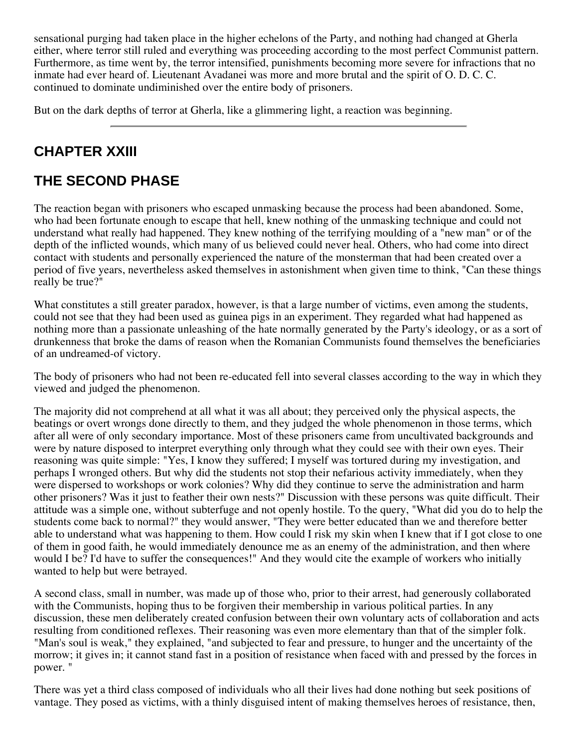sensational purging had taken place in the higher echelons of the Party, and nothing had changed at Gherla either, where terror still ruled and everything was proceeding according to the most perfect Communist pattern. Furthermore, as time went by, the terror intensified, punishments becoming more severe for infractions that no inmate had ever heard of. Lieutenant Avadanei was more and more brutal and the spirit of O. D. C. C. continued to dominate undiminished over the entire body of prisoners.

But on the dark depths of terror at Gherla, like a glimmering light, a reaction was beginning.

## **CHAPTER XXIII**

#### **THE SECOND PHASE**

The reaction began with prisoners who escaped unmasking because the process had been abandoned. Some, who had been fortunate enough to escape that hell, knew nothing of the unmasking technique and could not understand what really had happened. They knew nothing of the terrifying moulding of a "new man" or of the depth of the inflicted wounds, which many of us believed could never heal. Others, who had come into direct contact with students and personally experienced the nature of the monsterman that had been created over a period of five years, nevertheless asked themselves in astonishment when given time to think, "Can these things really be true?"

What constitutes a still greater paradox, however, is that a large number of victims, even among the students, could not see that they had been used as guinea pigs in an experiment. They regarded what had happened as nothing more than a passionate unleashing of the hate normally generated by the Party's ideology, or as a sort of drunkenness that broke the dams of reason when the Romanian Communists found themselves the beneficiaries of an undreamed-of victory.

The body of prisoners who had not been re-educated fell into several classes according to the way in which they viewed and judged the phenomenon.

The majority did not comprehend at all what it was all about; they perceived only the physical aspects, the beatings or overt wrongs done directly to them, and they judged the whole phenomenon in those terms, which after all were of only secondary importance. Most of these prisoners came from uncultivated backgrounds and were by nature disposed to interpret everything only through what they could see with their own eyes. Their reasoning was quite simple: "Yes, I know they suffered; I myself was tortured during my investigation, and perhaps I wronged others. But why did the students not stop their nefarious activity immediately, when they were dispersed to workshops or work colonies? Why did they continue to serve the administration and harm other prisoners? Was it just to feather their own nests?" Discussion with these persons was quite difficult. Their attitude was a simple one, without subterfuge and not openly hostile. To the query, "What did you do to help the students come back to normal?" they would answer, "They were better educated than we and therefore better able to understand what was happening to them. How could I risk my skin when I knew that if I got close to one of them in good faith, he would immediately denounce me as an enemy of the administration, and then where would I be? I'd have to suffer the consequences!" And they would cite the example of workers who initially wanted to help but were betrayed.

A second class, small in number, was made up of those who, prior to their arrest, had generously collaborated with the Communists, hoping thus to be forgiven their membership in various political parties. In any discussion, these men deliberately created confusion between their own voluntary acts of collaboration and acts resulting from conditioned reflexes. Their reasoning was even more elementary than that of the simpler folk. "Man's soul is weak," they explained, "and subjected to fear and pressure, to hunger and the uncertainty of the morrow; it gives in; it cannot stand fast in a position of resistance when faced with and pressed by the forces in power. "

There was yet a third class composed of individuals who all their lives had done nothing but seek positions of vantage. They posed as victims, with a thinly disguised intent of making themselves heroes of resistance, then,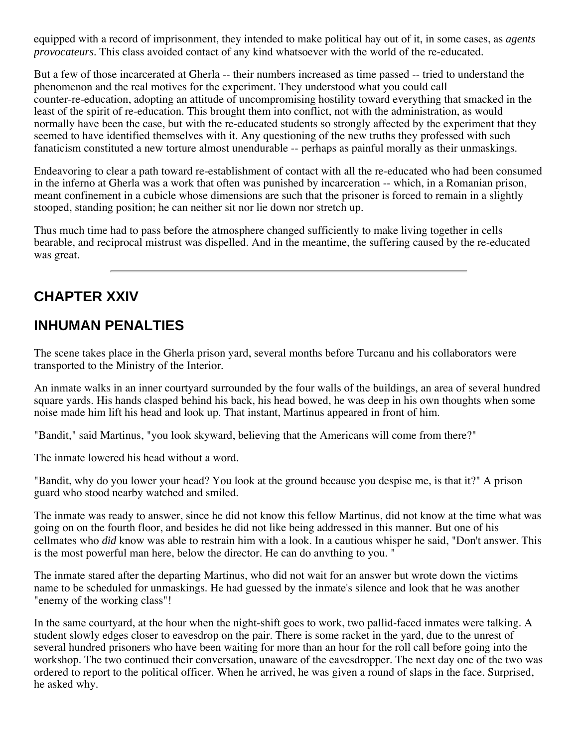equipped with a record of imprisonment, they intended to make political hay out of it, in some cases, as *agents provocateurs*. This class avoided contact of any kind whatsoever with the world of the re-educated.

But a few of those incarcerated at Gherla -- their numbers increased as time passed -- tried to understand the phenomenon and the real motives for the experiment. They understood what you could call counter-re-education, adopting an attitude of uncompromising hostility toward everything that smacked in the least of the spirit of re-education. This brought them into conflict, not with the administration, as would normally have been the case, but with the re-educated students so strongly affected by the experiment that they seemed to have identified themselves with it. Any questioning of the new truths they professed with such fanaticism constituted a new torture almost unendurable -- perhaps as painful morally as their unmaskings.

Endeavoring to clear a path toward re-establishment of contact with all the re-educated who had been consumed in the inferno at Gherla was a work that often was punished by incarceration -- which, in a Romanian prison, meant confinement in a cubicle whose dimensions are such that the prisoner is forced to remain in a slightly stooped, standing position; he can neither sit nor lie down nor stretch up.

Thus much time had to pass before the atmosphere changed sufficiently to make living together in cells bearable, and reciprocal mistrust was dispelled. And in the meantime, the suffering caused by the re-educated was great.

#### **CHAPTER XXIV**

#### **INHUMAN PENALTIES**

The scene takes place in the Gherla prison yard, several months before Turcanu and his collaborators were transported to the Ministry of the Interior.

An inmate walks in an inner courtyard surrounded by the four walls of the buildings, an area of several hundred square yards. His hands clasped behind his back, his head bowed, he was deep in his own thoughts when some noise made him lift his head and look up. That instant, Martinus appeared in front of him.

"Bandit," said Martinus, "you look skyward, believing that the Americans will come from there?"

The inmate lowered his head without a word.

"Bandit, why do you lower your head? You look at the ground because you despise me, is that it?" A prison guard who stood nearby watched and smiled.

The inmate was ready to answer, since he did not know this fellow Martinus, did not know at the time what was going on on the fourth floor, and besides he did not like being addressed in this manner. But one of his cellmates who *did* know was able to restrain him with a look. In a cautious whisper he said, "Don't answer. This is the most powerful man here, below the director. He can do anvthing to you. "

The inmate stared after the departing Martinus, who did not wait for an answer but wrote down the victims name to be scheduled for unmaskings. He had guessed by the inmate's silence and look that he was another "enemy of the working class"!

In the same courtyard, at the hour when the night-shift goes to work, two pallid-faced inmates were talking. A student slowly edges closer to eavesdrop on the pair. There is some racket in the yard, due to the unrest of several hundred prisoners who have been waiting for more than an hour for the roll call before going into the workshop. The two continued their conversation, unaware of the eavesdropper. The next day one of the two was ordered to report to the political officer. When he arrived, he was given a round of slaps in the face. Surprised, he asked why.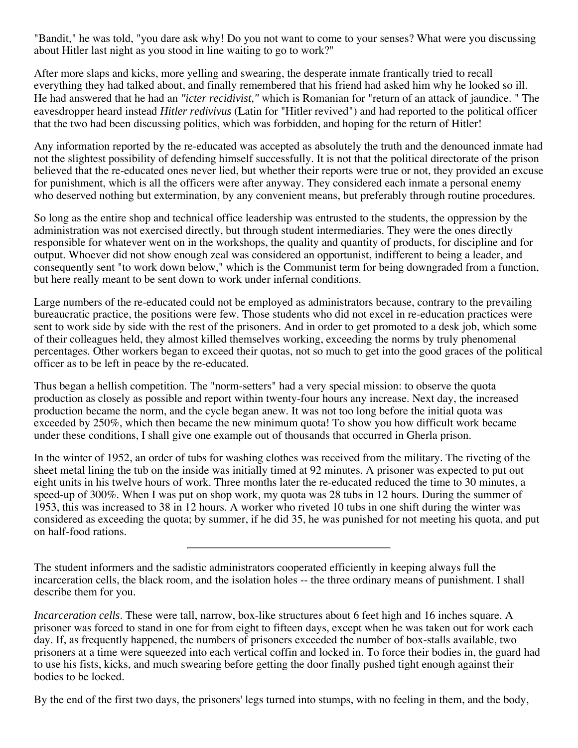"Bandit," he was told, "you dare ask why! Do you not want to come to your senses? What were you discussing about Hitler last night as you stood in line waiting to go to work?"

After more slaps and kicks, more yelling and swearing, the desperate inmate frantically tried to recall everything they had talked about, and finally remembered that his friend had asked him why he looked so ill. He had answered that he had an *"icter recidivist,"* which is Romanian for "return of an attack of jaundice. " The eavesdropper heard instead *Hitler redivivus* (Latin for "Hitler revived") and had reported to the political officer that the two had been discussing politics, which was forbidden, and hoping for the return of Hitler!

Any information reported by the re-educated was accepted as absolutely the truth and the denounced inmate had not the slightest possibility of defending himself successfully. It is not that the political directorate of the prison believed that the re-educated ones never lied, but whether their reports were true or not, they provided an excuse for punishment, which is all the officers were after anyway. They considered each inmate a personal enemy who deserved nothing but extermination, by any convenient means, but preferably through routine procedures.

So long as the entire shop and technical office leadership was entrusted to the students, the oppression by the administration was not exercised directly, but through student intermediaries. They were the ones directly responsible for whatever went on in the workshops, the quality and quantity of products, for discipline and for output. Whoever did not show enough zeal was considered an opportunist, indifferent to being a leader, and consequently sent "to work down below," which is the Communist term for being downgraded from a function, but here really meant to be sent down to work under infernal conditions.

Large numbers of the re-educated could not be employed as administrators because, contrary to the prevailing bureaucratic practice, the positions were few. Those students who did not excel in re-education practices were sent to work side by side with the rest of the prisoners. And in order to get promoted to a desk job, which some of their colleagues held, they almost killed themselves working, exceeding the norms by truly phenomenal percentages. Other workers began to exceed their quotas, not so much to get into the good graces of the political officer as to be left in peace by the re-educated.

Thus began a hellish competition. The "norm-setters" had a very special mission: to observe the quota production as closely as possible and report within twenty-four hours any increase. Next day, the increased production became the norm, and the cycle began anew. It was not too long before the initial quota was exceeded by 250%, which then became the new minimum quota! To show you how difficult work became under these conditions, I shall give one example out of thousands that occurred in Gherla prison.

In the winter of 1952, an order of tubs for washing clothes was received from the military. The riveting of the sheet metal lining the tub on the inside was initially timed at 92 minutes. A prisoner was expected to put out eight units in his twelve hours of work. Three months later the re-educated reduced the time to 30 minutes, a speed-up of 300%. When I was put on shop work, my quota was 28 tubs in 12 hours. During the summer of 1953, this was increased to 38 in 12 hours. A worker who riveted 10 tubs in one shift during the winter was considered as exceeding the quota; by summer, if he did 35, he was punished for not meeting his quota, and put on half-food rations.

The student informers and the sadistic administrators cooperated efficiently in keeping always full the incarceration cells, the black room, and the isolation holes -- the three ordinary means of punishment. I shall describe them for you.

*Incarceration cells*. These were tall, narrow, box-like structures about 6 feet high and 16 inches square. A prisoner was forced to stand in one for from eight to fifteen days, except when he was taken out for work each day. If, as frequently happened, the numbers of prisoners exceeded the number of box-stalls available, two prisoners at a time were squeezed into each vertical coffin and locked in. To force their bodies in, the guard had to use his fists, kicks, and much swearing before getting the door finally pushed tight enough against their bodies to be locked.

By the end of the first two days, the prisoners' legs turned into stumps, with no feeling in them, and the body,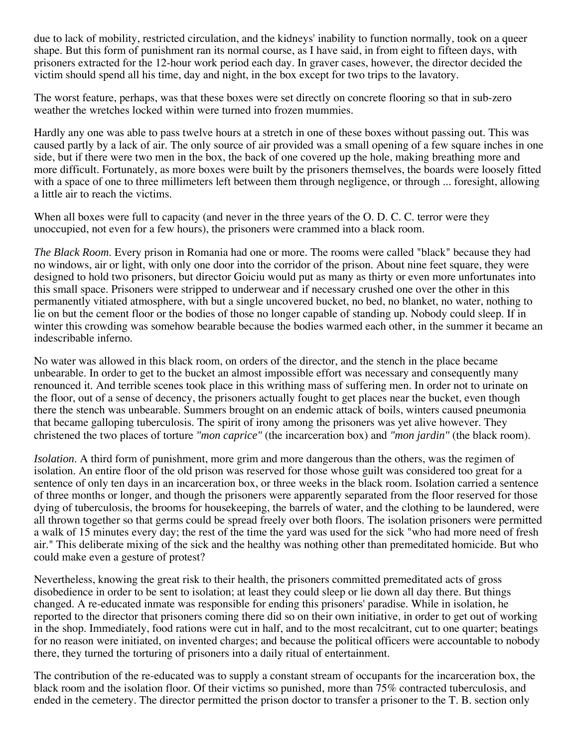due to lack of mobility, restricted circulation, and the kidneys' inability to function normally, took on a queer shape. But this form of punishment ran its normal course, as I have said, in from eight to fifteen days, with prisoners extracted for the 12-hour work period each day. In graver cases, however, the director decided the victim should spend all his time, day and night, in the box except for two trips to the lavatory.

The worst feature, perhaps, was that these boxes were set directly on concrete flooring so that in sub-zero weather the wretches locked within were turned into frozen mummies.

Hardly any one was able to pass twelve hours at a stretch in one of these boxes without passing out. This was caused partly by a lack of air. The only source of air provided was a small opening of a few square inches in one side, but if there were two men in the box, the back of one covered up the hole, making breathing more and more difficult. Fortunately, as more boxes were built by the prisoners themselves, the boards were loosely fitted with a space of one to three millimeters left between them through negligence, or through ... foresight, allowing a little air to reach the victims.

When all boxes were full to capacity (and never in the three years of the O. D. C. C. terror were they unoccupied, not even for a few hours), the prisoners were crammed into a black room.

*The Black Room*. Every prison in Romania had one or more. The rooms were called "black" because they had no windows, air or light, with only one door into the corridor of the prison. About nine feet square, they were designed to hold two prisoners, but director Goiciu would put as many as thirty or even more unfortunates into this small space. Prisoners were stripped to underwear and if necessary crushed one over the other in this permanently vitiated atmosphere, with but a single uncovered bucket, no bed, no blanket, no water, nothing to lie on but the cement floor or the bodies of those no longer capable of standing up. Nobody could sleep. If in winter this crowding was somehow bearable because the bodies warmed each other, in the summer it became an indescribable inferno.

No water was allowed in this black room, on orders of the director, and the stench in the place became unbearable. In order to get to the bucket an almost impossible effort was necessary and consequently many renounced it. And terrible scenes took place in this writhing mass of suffering men. In order not to urinate on the floor, out of a sense of decency, the prisoners actually fought to get places near the bucket, even though there the stench was unbearable. Summers brought on an endemic attack of boils, winters caused pneumonia that became galloping tuberculosis. The spirit of irony among the prisoners was yet alive however. They christened the two places of torture *"mon caprice"* (the incarceration box) and *"mon jardin"* (the black room).

*Isolation*. A third form of punishment, more grim and more dangerous than the others, was the regimen of isolation. An entire floor of the old prison was reserved for those whose guilt was considered too great for a sentence of only ten days in an incarceration box, or three weeks in the black room. Isolation carried a sentence of three months or longer, and though the prisoners were apparently separated from the floor reserved for those dying of tuberculosis, the brooms for housekeeping, the barrels of water, and the clothing to be laundered, were all thrown together so that germs could be spread freely over both floors. The isolation prisoners were permitted a walk of 15 minutes every day; the rest of the time the yard was used for the sick "who had more need of fresh air." This deliberate mixing of the sick and the healthy was nothing other than premeditated homicide. But who could make even a gesture of protest?

Nevertheless, knowing the great risk to their health, the prisoners committed premeditated acts of gross disobedience in order to be sent to isolation; at least they could sleep or lie down all day there. But things changed. A re-educated inmate was responsible for ending this prisoners' paradise. While in isolation, he reported to the director that prisoners coming there did so on their own initiative, in order to get out of working in the shop. Immediately, food rations were cut in half, and to the most recalcitrant, cut to one quarter; beatings for no reason were initiated, on invented charges; and because the political officers were accountable to nobody there, they turned the torturing of prisoners into a daily ritual of entertainment.

The contribution of the re-educated was to supply a constant stream of occupants for the incarceration box, the black room and the isolation floor. Of their victims so punished, more than 75% contracted tuberculosis, and ended in the cemetery. The director permitted the prison doctor to transfer a prisoner to the T. B. section only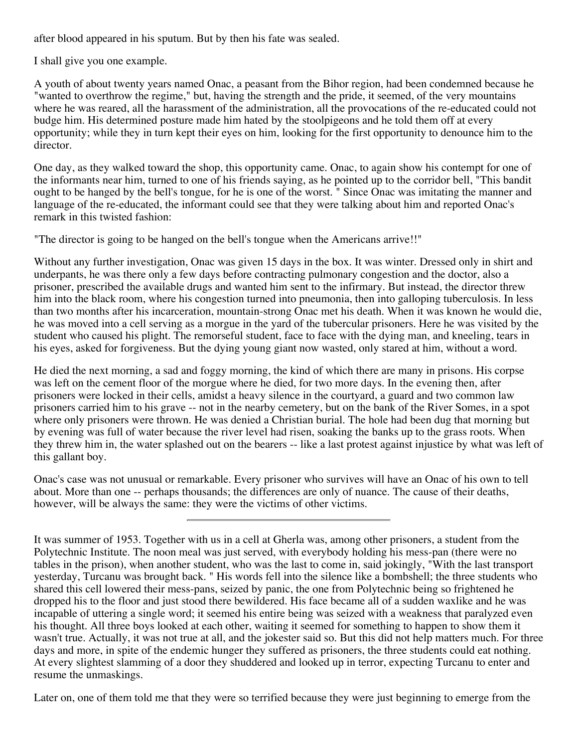after blood appeared in his sputum. But by then his fate was sealed.

I shall give you one example.

A youth of about twenty years named Onac, a peasant from the Bihor region, had been condemned because he "wanted to overthrow the regime," but, having the strength and the pride, it seemed, of the very mountains where he was reared, all the harassment of the administration, all the provocations of the re-educated could not budge him. His determined posture made him hated by the stoolpigeons and he told them off at every opportunity; while they in turn kept their eyes on him, looking for the first opportunity to denounce him to the director.

One day, as they walked toward the shop, this opportunity came. Onac, to again show his contempt for one of the informants near him, turned to one of his friends saying, as he pointed up to the corridor bell, "This bandit ought to be hanged by the bell's tongue, for he is one of the worst. " Since Onac was imitating the manner and language of the re-educated, the informant could see that they were talking about him and reported Onac's remark in this twisted fashion:

"The director is going to be hanged on the bell's tongue when the Americans arrive!!"

Without any further investigation, Onac was given 15 days in the box. It was winter. Dressed only in shirt and underpants, he was there only a few days before contracting pulmonary congestion and the doctor, also a prisoner, prescribed the available drugs and wanted him sent to the infirmary. But instead, the director threw him into the black room, where his congestion turned into pneumonia, then into galloping tuberculosis. In less than two months after his incarceration, mountain-strong Onac met his death. When it was known he would die, he was moved into a cell serving as a morgue in the yard of the tubercular prisoners. Here he was visited by the student who caused his plight. The remorseful student, face to face with the dying man, and kneeling, tears in his eyes, asked for forgiveness. But the dying young giant now wasted, only stared at him, without a word.

He died the next morning, a sad and foggy morning, the kind of which there are many in prisons. His corpse was left on the cement floor of the morgue where he died, for two more days. In the evening then, after prisoners were locked in their cells, amidst a heavy silence in the courtyard, a guard and two common law prisoners carried him to his grave -- not in the nearby cemetery, but on the bank of the River Somes, in a spot where only prisoners were thrown. He was denied a Christian burial. The hole had been dug that morning but by evening was full of water because the river level had risen, soaking the banks up to the grass roots. When they threw him in, the water splashed out on the bearers -- like a last protest against injustice by what was left of this gallant boy.

Onac's case was not unusual or remarkable. Every prisoner who survives will have an Onac of his own to tell about. More than one -- perhaps thousands; the differences are only of nuance. The cause of their deaths, however, will be always the same: they were the victims of other victims.

It was summer of 1953. Together with us in a cell at Gherla was, among other prisoners, a student from the Polytechnic Institute. The noon meal was just served, with everybody holding his mess-pan (there were no tables in the prison), when another student, who was the last to come in, said jokingly, "With the last transport yesterday, Turcanu was brought back. " His words fell into the silence like a bombshell; the three students who shared this cell lowered their mess-pans, seized by panic, the one from Polytechnic being so frightened he dropped his to the floor and just stood there bewildered. His face became all of a sudden waxlike and he was incapable of uttering a single word; it seemed his entire being was seized with a weakness that paralyzed even his thought. All three boys looked at each other, waiting it seemed for something to happen to show them it wasn't true. Actually, it was not true at all, and the jokester said so. But this did not help matters much. For three days and more, in spite of the endemic hunger they suffered as prisoners, the three students could eat nothing. At every slightest slamming of a door they shuddered and looked up in terror, expecting Turcanu to enter and resume the unmaskings.

Later on, one of them told me that they were so terrified because they were just beginning to emerge from the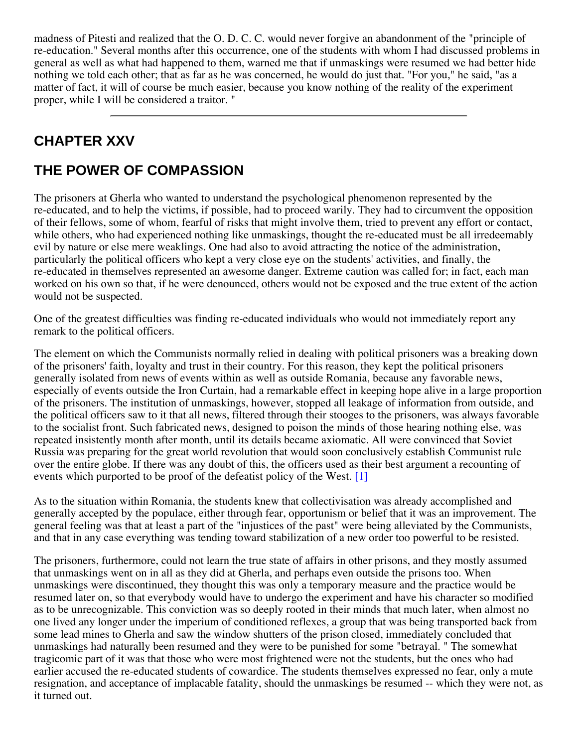madness of Pitesti and realized that the O. D. C. C. would never forgive an abandonment of the "principle of re-education." Several months after this occurrence, one of the students with whom I had discussed problems in general as well as what had happened to them, warned me that if unmaskings were resumed we had better hide nothing we told each other; that as far as he was concerned, he would do just that. "For you," he said, "as a matter of fact, it will of course be much easier, because you know nothing of the reality of the experiment proper, while I will be considered a traitor. "

# **CHAPTER XXV**

#### **THE POWER OF COMPASSION**

The prisoners at Gherla who wanted to understand the psychological phenomenon represented by the re-educated, and to help the victims, if possible, had to proceed warily. They had to circumvent the opposition of their fellows, some of whom, fearful of risks that might involve them, tried to prevent any effort or contact, while others, who had experienced nothing like unmaskings, thought the re-educated must be all irredeemably evil by nature or else mere weaklings. One had also to avoid attracting the notice of the administration, particularly the political officers who kept a very close eye on the students' activities, and finally, the re-educated in themselves represented an awesome danger. Extreme caution was called for; in fact, each man worked on his own so that, if he were denounced, others would not be exposed and the true extent of the action would not be suspected.

One of the greatest difficulties was finding re-educated individuals who would not immediately report any remark to the political officers.

The element on which the Communists normally relied in dealing with political prisoners was a breaking down of the prisoners' faith, loyalty and trust in their country. For this reason, they kept the political prisoners generally isolated from news of events within as well as outside Romania, because any favorable news, especially of events outside the Iron Curtain, had a remarkable effect in keeping hope alive in a large proportion of the prisoners. The institution of unmaskings, however, stopped all leakage of information from outside, and the political officers saw to it that all news, filtered through their stooges to the prisoners, was always favorable to the socialist front. Such fabricated news, designed to poison the minds of those hearing nothing else, was repeated insistently month after month, until its details became axiomatic. All were convinced that Soviet Russia was preparing for the great world revolution that would soon conclusively establish Communist rule over the entire globe. If there was any doubt of this, the officers used as their best argument a recounting of events which purported to be proof of the defeatist policy of the West. [1]

As to the situation within Romania, the students knew that collectivisation was already accomplished and generally accepted by the populace, either through fear, opportunism or belief that it was an improvement. The general feeling was that at least a part of the "injustices of the past" were being alleviated by the Communists, and that in any case everything was tending toward stabilization of a new order too powerful to be resisted.

The prisoners, furthermore, could not learn the true state of affairs in other prisons, and they mostly assumed that unmaskings went on in all as they did at Gherla, and perhaps even outside the prisons too. When unmaskings were discontinued, they thought this was only a temporary measure and the practice would be resumed later on, so that everybody would have to undergo the experiment and have his character so modified as to be unrecognizable. This conviction was so deeply rooted in their minds that much later, when almost no one lived any longer under the imperium of conditioned reflexes, a group that was being transported back from some lead mines to Gherla and saw the window shutters of the prison closed, immediately concluded that unmaskings had naturally been resumed and they were to be punished for some "betrayal. " The somewhat tragicomic part of it was that those who were most frightened were not the students, but the ones who had earlier accused the re-educated students of cowardice. The students themselves expressed no fear, only a mute resignation, and acceptance of implacable fatality, should the unmaskings be resumed -- which they were not, as it turned out.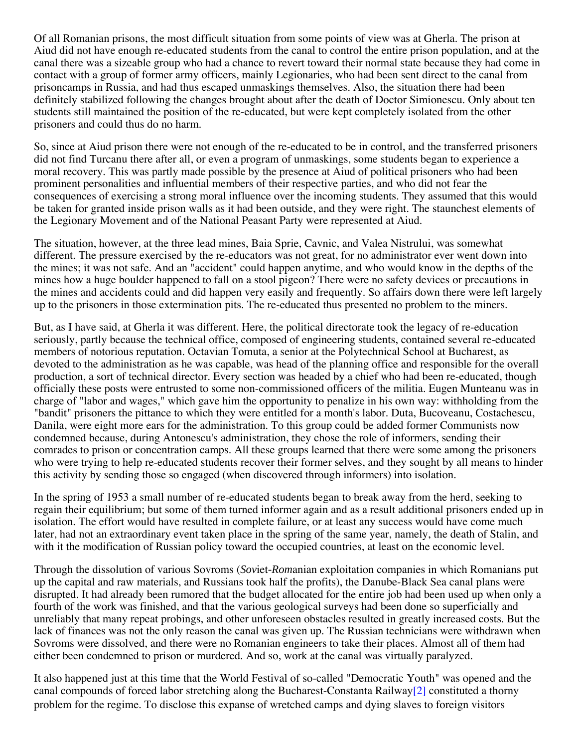Of all Romanian prisons, the most difficult situation from some points of view was at Gherla. The prison at Aiud did not have enough re-educated students from the canal to control the entire prison population, and at the canal there was a sizeable group who had a chance to revert toward their normal state because they had come in contact with a group of former army officers, mainly Legionaries, who had been sent direct to the canal from prisoncamps in Russia, and had thus escaped unmaskings themselves. Also, the situation there had been definitely stabilized following the changes brought about after the death of Doctor Simionescu. Only about ten students still maintained the position of the re-educated, but were kept completely isolated from the other prisoners and could thus do no harm.

So, since at Aiud prison there were not enough of the re-educated to be in control, and the transferred prisoners did not find Turcanu there after all, or even a program of unmaskings, some students began to experience a moral recovery. This was partly made possible by the presence at Aiud of political prisoners who had been prominent personalities and influential members of their respective parties, and who did not fear the consequences of exercising a strong moral influence over the incoming students. They assumed that this would be taken for granted inside prison walls as it had been outside, and they were right. The staunchest elements of the Legionary Movement and of the National Peasant Party were represented at Aiud.

The situation, however, at the three lead mines, Baia Sprie, Cavnic, and Valea Nistrului, was somewhat different. The pressure exercised by the re-educators was not great, for no administrator ever went down into the mines; it was not safe. And an "accident" could happen anytime, and who would know in the depths of the mines how a huge boulder happened to fall on a stool pigeon? There were no safety devices or precautions in the mines and accidents could and did happen very easily and frequently. So affairs down there were left largely up to the prisoners in those extermination pits. The re-educated thus presented no problem to the miners.

But, as I have said, at Gherla it was different. Here, the political directorate took the legacy of re-education seriously, partly because the technical office, composed of engineering students, contained several re-educated members of notorious reputation. Octavian Tomuta, a senior at the Polytechnical School at Bucharest, as devoted to the administration as he was capable, was head of the planning office and responsible for the overall production, a sort of technical director. Every section was headed by a chief who had been re-educated, though officially these posts were entrusted to some non-commissioned officers of the militia. Eugen Munteanu was in charge of "labor and wages," which gave him the opportunity to penalize in his own way: withholding from the "bandit" prisoners the pittance to which they were entitled for a month's labor. Duta, Bucoveanu, Costachescu, Danila, were eight more ears for the administration. To this group could be added former Communists now condemned because, during Antonescu's administration, they chose the role of informers, sending their comrades to prison or concentration camps. All these groups learned that there were some among the prisoners who were trying to help re-educated students recover their former selves, and they sought by all means to hinder this activity by sending those so engaged (when discovered through informers) into isolation.

In the spring of 1953 a small number of re-educated students began to break away from the herd, seeking to regain their equilibrium; but some of them turned informer again and as a result additional prisoners ended up in isolation. The effort would have resulted in complete failure, or at least any success would have come much later, had not an extraordinary event taken place in the spring of the same year, namely, the death of Stalin, and with it the modification of Russian policy toward the occupied countries, at least on the economic level.

Through the dissolution of various Sovroms (*Sov*iet*-Rom*anian exploitation companies in which Romanians put up the capital and raw materials, and Russians took half the profits), the Danube-Black Sea canal plans were disrupted. It had already been rumored that the budget allocated for the entire job had been used up when only a fourth of the work was finished, and that the various geological surveys had been done so superficially and unreliably that many repeat probings, and other unforeseen obstacles resulted in greatly increased costs. But the lack of finances was not the only reason the canal was given up. The Russian technicians were withdrawn when Sovroms were dissolved, and there were no Romanian engineers to take their places. Almost all of them had either been condemned to prison or murdered. And so, work at the canal was virtually paralyzed.

It also happened just at this time that the World Festival of so-called "Democratic Youth" was opened and the canal compounds of forced labor stretching along the Bucharest-Constanta Railway[2] constituted a thorny problem for the regime. To disclose this expanse of wretched camps and dying slaves to foreign visitors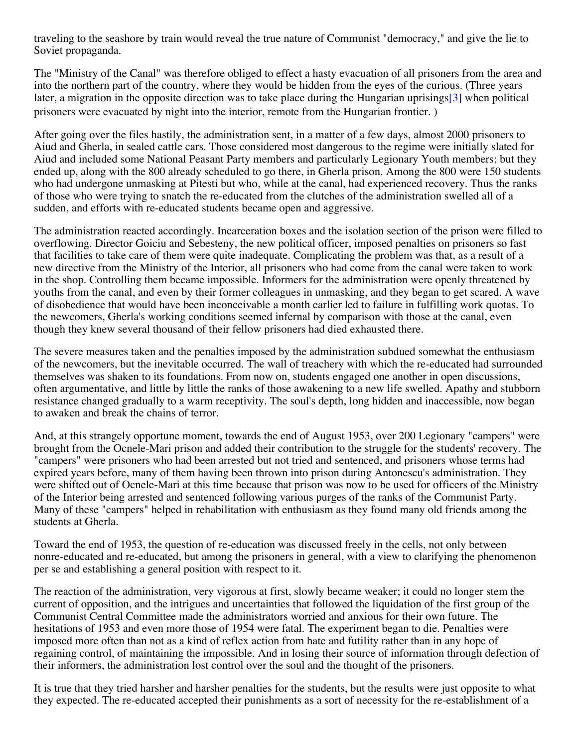traveling to the seashore by train would reveal the true nature of Communist "democracy," and give the lie to Soviet propaganda.

The "Ministry of the Canal" was therefore obliged to effect a hasty evacuation of all prisoners from the area and into the northern part of the country, where they would be hidden from the eyes of the curious. (Three years later, a migration in the opposite direction was to take place during the Hungarian uprisings[3] when political prisoners were evacuated by night into the interior, remote from the Hungarian frontier. )

After going over the files hastily, the administration sent, in a matter of a few days, almost 2000 prisoners to Aiud and Gherla, in sealed cattle cars. Those considered most dangerous to the regime were initially slated for Aiud and included some National Peasant Party members and particularly Legionary Youth members; but they ended up, along with the 800 already scheduled to go there, in Gherla prison. Among the 800 were 150 students who had undergone unmasking at Pitesti but who, while at the canal, had experienced recovery. Thus the ranks of those who were trying to snatch the re-educated from the clutches of the administration swelled all of a sudden, and efforts with re-educated students became open and aggressive.

The administration reacted accordingly. Incarceration boxes and the isolation section of the prison were filled to overflowing. Director Goiciu and Sebesteny, the new political officer, imposed penalties on prisoners so fast that facilities to take care of them were quite inadequate. Complicating the problem was that, as a result of a new directive from the Ministry of the Interior, all prisoners who had come from the canal were taken to work in the shop. Controlling them became impossible. Informers for the administration were openly threatened by youths from the canal, and even by their former colleagues in unmasking, and they began to get scared. A wave of disobedience that would have been inconceivable a month earlier led to failure in fulfilling work quotas. To the newcomers, Gherla's working conditions seemed infernal by comparison with those at the canal, even though they knew several thousand of their fellow prisoners had died exhausted there.

The severe measures taken and the penalties imposed by the administration subdued somewhat the enthusiasm of the newcomers, but the inevitable occurred. The wall of treachery with which the re-educated had surrounded themselves was shaken to its foundations. From now on, students engaged one another in open discussions, often argumentative, and little by little the ranks of those awakening to a new life swelled. Apathy and stubborn resistance changed gradually to a warm receptivity. The soul's depth, long hidden and inaccessible, now began to awaken and break the chains of terror.

And, at this strangely opportune moment, towards the end of August 1953, over 200 Legionary "campers" were brought from the Ocnele-Mari prison and added their contribution to the struggle for the students' recovery. The "campers" were prisoners who had been arrested but not tried and sentenced, and prisoners whose terms had expired years before, many of them having been thrown into prison during Antonescu's administration. They were shifted out of Ocnele-Mari at this time because that prison was now to be used for officers of the Ministry of the Interior being arrested and sentenced following various purges of the ranks of the Communist Party. Many of these "campers" helped in rehabilitation with enthusiasm as they found many old friends among the students at Gherla.

Toward the end of 1953, the question of re-education was discussed freely in the cells, not only between nonre-educated and re-educated, but among the prisoners in general, with a view to clarifying the phenomenon per se and establishing a general position with respect to it.

The reaction of the administration, very vigorous at first, slowly became weaker; it could no longer stem the current of opposition, and the intrigues and uncertainties that followed the liquidation of the first group of the Communist Central Committee made the administrators worried and anxious for their own future. The hesitations of 1953 and even more those of 1954 were fatal. The experiment began to die. Penalties were imposed more often than not as a kind of reflex action from hate and futility rather than in any hope of regaining control, of maintaining the impossible. And in losing their source of information through defection of their informers, the administration lost control over the soul and the thought of the prisoners.

It is true that they tried harsher and harsher penalties for the students, but the results were just opposite to what they expected. The re-educated accepted their punishments as a sort of necessity for the re-establishment of a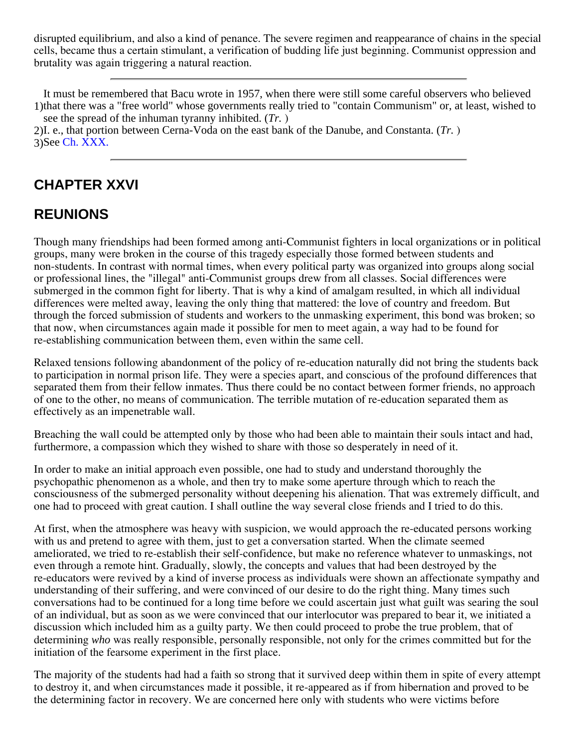disrupted equilibrium, and also a kind of penance. The severe regimen and reappearance of chains in the special cells, became thus a certain stimulant, a verification of budding life just beginning. Communist oppression and brutality was again triggering a natural reaction.

1) that there was a "free world" whose governments really tried to "contain Communism" or, at least, wished to It must be remembered that Bacu wrote in 1957, when there were still some careful observers who believed see the spread of the inhuman tyranny inhibited. (*Tr.* )

2)I. e., that portion between Cerna-Voda on the east bank of the Danube, and Constanta. (*Tr.* ) 3)See Ch. XXX.

#### **CHAPTER XXVI**

#### **REUNIONS**

Though many friendships had been formed among anti-Communist fighters in local organizations or in political groups, many were broken in the course of this tragedy especially those formed between students and non-students. In contrast with normal times, when every political party was organized into groups along social or professional lines, the "illegal" anti-Communist groups drew from all classes. Social differences were submerged in the common fight for liberty. That is why a kind of amalgam resulted, in which all individual differences were melted away, leaving the only thing that mattered: the love of country and freedom. But through the forced submission of students and workers to the unmasking experiment, this bond was broken; so that now, when circumstances again made it possible for men to meet again, a way had to be found for re-establishing communication between them, even within the same cell.

Relaxed tensions following abandonment of the policy of re-education naturally did not bring the students back to participation in normal prison life. They were a species apart, and conscious of the profound differences that separated them from their fellow inmates. Thus there could be no contact between former friends, no approach of one to the other, no means of communication. The terrible mutation of re-education separated them as effectively as an impenetrable wall.

Breaching the wall could be attempted only by those who had been able to maintain their souls intact and had, furthermore, a compassion which they wished to share with those so desperately in need of it.

In order to make an initial approach even possible, one had to study and understand thoroughly the psychopathic phenomenon as a whole, and then try to make some aperture through which to reach the consciousness of the submerged personality without deepening his alienation. That was extremely difficult, and one had to proceed with great caution. I shall outline the way several close friends and I tried to do this.

At first, when the atmosphere was heavy with suspicion, we would approach the re-educated persons working with us and pretend to agree with them, just to get a conversation started. When the climate seemed ameliorated, we tried to re-establish their self-confidence, but make no reference whatever to unmaskings, not even through a remote hint. Gradually, slowly, the concepts and values that had been destroyed by the re-educators were revived by a kind of inverse process as individuals were shown an affectionate sympathy and understanding of their suffering, and were convinced of our desire to do the right thing. Many times such conversations had to be continued for a long time before we could ascertain just what guilt was searing the soul of an individual, but as soon as we were convinced that our interlocutor was prepared to bear it, we initiated a discussion which included him as a guilty party. We then could proceed to probe the true problem, that of determining *who* was really responsible, personally responsible, not only for the crimes committed but for the initiation of the fearsome experiment in the first place.

The majority of the students had had a faith so strong that it survived deep within them in spite of every attempt to destroy it, and when circumstances made it possible, it re-appeared as if from hibernation and proved to be the determining factor in recovery. We are concerned here only with students who were victims before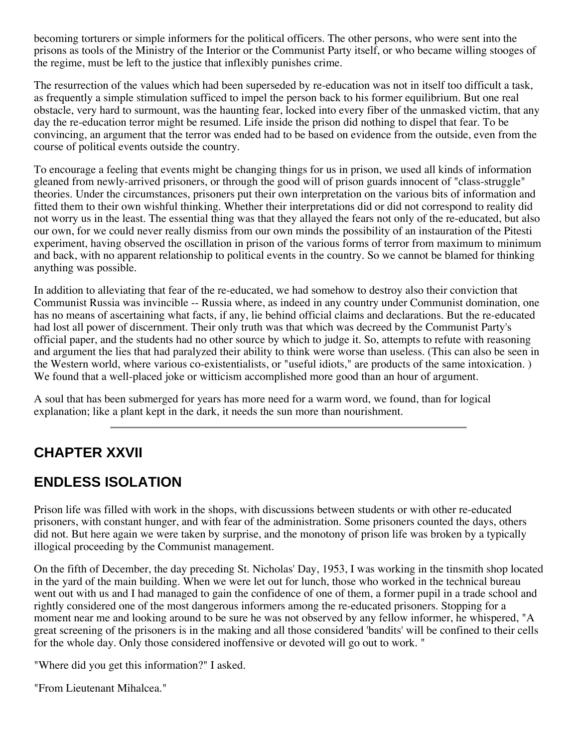becoming torturers or simple informers for the political officers. The other persons, who were sent into the prisons as tools of the Ministry of the Interior or the Communist Party itself, or who became willing stooges of the regime, must be left to the justice that inflexibly punishes crime.

The resurrection of the values which had been superseded by re-education was not in itself too difficult a task, as frequently a simple stimulation sufficed to impel the person back to his former equilibrium. But one real obstacle, very hard to surmount, was the haunting fear, locked into every fiber of the unmasked victim, that any day the re-education terror might be resumed. Life inside the prison did nothing to dispel that fear. To be convincing, an argument that the terror was ended had to be based on evidence from the outside, even from the course of political events outside the country.

To encourage a feeling that events might be changing things for us in prison, we used all kinds of information gleaned from newly-arrived prisoners, or through the good will of prison guards innocent of "class-struggle" theories. Under the circumstances, prisoners put their own interpretation on the various bits of information and fitted them to their own wishful thinking. Whether their interpretations did or did not correspond to reality did not worry us in the least. The essential thing was that they allayed the fears not only of the re-educated, but also our own, for we could never really dismiss from our own minds the possibility of an instauration of the Pitesti experiment, having observed the oscillation in prison of the various forms of terror from maximum to minimum and back, with no apparent relationship to political events in the country. So we cannot be blamed for thinking anything was possible.

In addition to alleviating that fear of the re-educated, we had somehow to destroy also their conviction that Communist Russia was invincible -- Russia where, as indeed in any country under Communist domination, one has no means of ascertaining what facts, if any, lie behind official claims and declarations. But the re-educated had lost all power of discernment. Their only truth was that which was decreed by the Communist Party's official paper, and the students had no other source by which to judge it. So, attempts to refute with reasoning and argument the lies that had paralyzed their ability to think were worse than useless. (This can also be seen in the Western world, where various co-existentialists, or "useful idiots," are products of the same intoxication. ) We found that a well-placed joke or witticism accomplished more good than an hour of argument.

A soul that has been submerged for years has more need for a warm word, we found, than for logical explanation; like a plant kept in the dark, it needs the sun more than nourishment.

#### **CHAPTER XXVII**

#### **ENDLESS ISOLATION**

Prison life was filled with work in the shops, with discussions between students or with other re-educated prisoners, with constant hunger, and with fear of the administration. Some prisoners counted the days, others did not. But here again we were taken by surprise, and the monotony of prison life was broken by a typically illogical proceeding by the Communist management.

On the fifth of December, the day preceding St. Nicholas' Day, 1953, I was working in the tinsmith shop located in the yard of the main building. When we were let out for lunch, those who worked in the technical bureau went out with us and I had managed to gain the confidence of one of them, a former pupil in a trade school and rightly considered one of the most dangerous informers among the re-educated prisoners. Stopping for a moment near me and looking around to be sure he was not observed by any fellow informer, he whispered, "A great screening of the prisoners is in the making and all those considered 'bandits' will be confined to their cells for the whole day. Only those considered inoffensive or devoted will go out to work. "

"Where did you get this information?" I asked.

"From Lieutenant Mihalcea."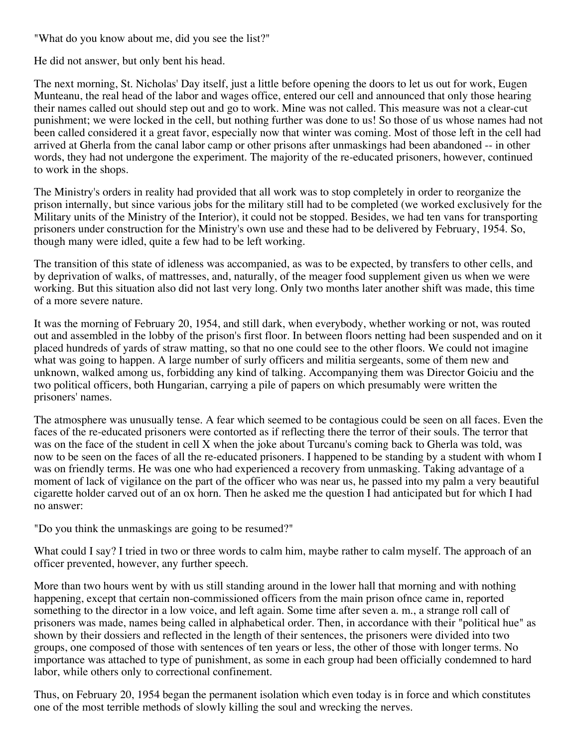"What do you know about me, did you see the list?"

He did not answer, but only bent his head.

The next morning, St. Nicholas' Day itself, just a little before opening the doors to let us out for work, Eugen Munteanu, the real head of the labor and wages office, entered our cell and announced that only those hearing their names called out should step out and go to work. Mine was not called. This measure was not a clear-cut punishment; we were locked in the cell, but nothing further was done to us! So those of us whose names had not been called considered it a great favor, especially now that winter was coming. Most of those left in the cell had arrived at Gherla from the canal labor camp or other prisons after unmaskings had been abandoned -- in other words, they had not undergone the experiment. The majority of the re-educated prisoners, however, continued to work in the shops.

The Ministry's orders in reality had provided that all work was to stop completely in order to reorganize the prison internally, but since various jobs for the military still had to be completed (we worked exclusively for the Military units of the Ministry of the Interior), it could not be stopped. Besides, we had ten vans for transporting prisoners under construction for the Ministry's own use and these had to be delivered by February, 1954. So, though many were idled, quite a few had to be left working.

The transition of this state of idleness was accompanied, as was to be expected, by transfers to other cells, and by deprivation of walks, of mattresses, and, naturally, of the meager food supplement given us when we were working. But this situation also did not last very long. Only two months later another shift was made, this time of a more severe nature.

It was the morning of February 20, 1954, and still dark, when everybody, whether working or not, was routed out and assembled in the lobby of the prison's first floor. In between floors netting had been suspended and on it placed hundreds of yards of straw matting, so that no one could see to the other floors. We could not imagine what was going to happen. A large number of surly officers and militia sergeants, some of them new and unknown, walked among us, forbidding any kind of talking. Accompanying them was Director Goiciu and the two political officers, both Hungarian, carrying a pile of papers on which presumably were written the prisoners' names.

The atmosphere was unusually tense. A fear which seemed to be contagious could be seen on all faces. Even the faces of the re-educated prisoners were contorted as if reflecting there the terror of their souls. The terror that was on the face of the student in cell X when the joke about Turcanu's coming back to Gherla was told, was now to be seen on the faces of all the re-educated prisoners. I happened to be standing by a student with whom I was on friendly terms. He was one who had experienced a recovery from unmasking. Taking advantage of a moment of lack of vigilance on the part of the officer who was near us, he passed into my palm a very beautiful cigarette holder carved out of an ox horn. Then he asked me the question I had anticipated but for which I had no answer:

"Do you think the unmaskings are going to be resumed?"

What could I say? I tried in two or three words to calm him, maybe rather to calm myself. The approach of an officer prevented, however, any further speech.

More than two hours went by with us still standing around in the lower hall that morning and with nothing happening, except that certain non-commissioned officers from the main prison ofnce came in, reported something to the director in a low voice, and left again. Some time after seven a. m., a strange roll call of prisoners was made, names being called in alphabetical order. Then, in accordance with their "political hue" as shown by their dossiers and reflected in the length of their sentences, the prisoners were divided into two groups, one composed of those with sentences of ten years or less, the other of those with longer terms. No importance was attached to type of punishment, as some in each group had been officially condemned to hard labor, while others only to correctional confinement.

Thus, on February 20, 1954 began the permanent isolation which even today is in force and which constitutes one of the most terrible methods of slowly killing the soul and wrecking the nerves.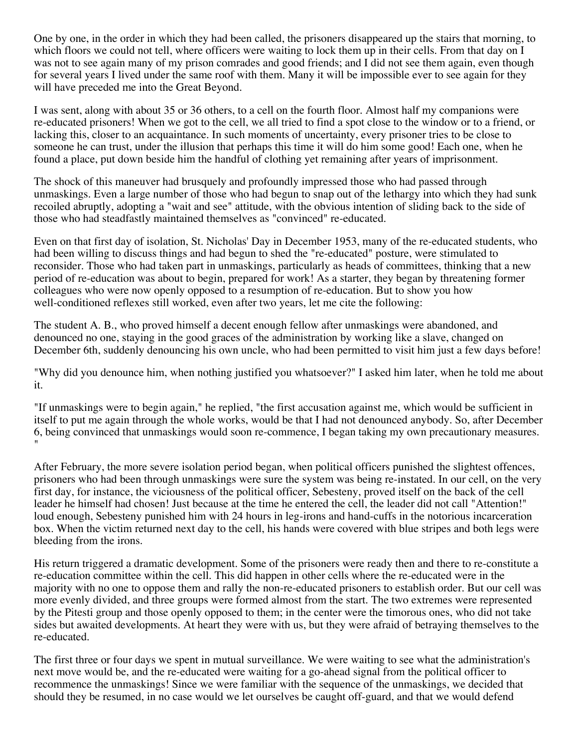One by one, in the order in which they had been called, the prisoners disappeared up the stairs that morning, to which floors we could not tell, where officers were waiting to lock them up in their cells. From that day on I was not to see again many of my prison comrades and good friends; and I did not see them again, even though for several years I lived under the same roof with them. Many it will be impossible ever to see again for they will have preceded me into the Great Beyond.

I was sent, along with about 35 or 36 others, to a cell on the fourth floor. Almost half my companions were re-educated prisoners! When we got to the cell, we all tried to find a spot close to the window or to a friend, or lacking this, closer to an acquaintance. In such moments of uncertainty, every prisoner tries to be close to someone he can trust, under the illusion that perhaps this time it will do him some good! Each one, when he found a place, put down beside him the handful of clothing yet remaining after years of imprisonment.

The shock of this maneuver had brusquely and profoundly impressed those who had passed through unmaskings. Even a large number of those who had begun to snap out of the lethargy into which they had sunk recoiled abruptly, adopting a "wait and see" attitude, with the obvious intention of sliding back to the side of those who had steadfastly maintained themselves as "convinced" re-educated.

Even on that first day of isolation, St. Nicholas' Day in December 1953, many of the re-educated students, who had been willing to discuss things and had begun to shed the "re-educated" posture, were stimulated to reconsider. Those who had taken part in unmaskings, particularly as heads of committees, thinking that a new period of re-education was about to begin, prepared for work! As a starter, they began by threatening former colleagues who were now openly opposed to a resumption of re-education. But to show you how well-conditioned reflexes still worked, even after two years, let me cite the following:

The student A. B., who proved himself a decent enough fellow after unmaskings were abandoned, and denounced no one, staying in the good graces of the administration by working like a slave, changed on December 6th, suddenly denouncing his own uncle, who had been permitted to visit him just a few days before!

"Why did you denounce him, when nothing justified you whatsoever?" I asked him later, when he told me about it.

"If unmaskings were to begin again," he replied, "the first accusation against me, which would be sufficient in itself to put me again through the whole works, would be that I had not denounced anybody. So, after December 6, being convinced that unmaskings would soon re-commence, I began taking my own precautionary measures. "

After February, the more severe isolation period began, when political officers punished the slightest offences, prisoners who had been through unmaskings were sure the system was being re-instated. In our cell, on the very first day, for instance, the viciousness of the political officer, Sebesteny, proved itself on the back of the cell leader he himself had chosen! Just because at the time he entered the cell, the leader did not call "Attention!" loud enough, Sebesteny punished him with 24 hours in leg-irons and hand-cuffs in the notorious incarceration box. When the victim returned next day to the cell, his hands were covered with blue stripes and both legs were bleeding from the irons.

His return triggered a dramatic development. Some of the prisoners were ready then and there to re-constitute a re-education committee within the cell. This did happen in other cells where the re-educated were in the majority with no one to oppose them and rally the non-re-educated prisoners to establish order. But our cell was more evenly divided, and three groups were formed almost from the start. The two extremes were represented by the Pitesti group and those openly opposed to them; in the center were the timorous ones, who did not take sides but awaited developments. At heart they were with us, but they were afraid of betraying themselves to the re-educated.

The first three or four days we spent in mutual surveillance. We were waiting to see what the administration's next move would be, and the re-educated were waiting for a go-ahead signal from the political officer to recommence the unmaskings! Since we were familiar with the sequence of the unmaskings, we decided that should they be resumed, in no case would we let ourselves be caught off-guard, and that we would defend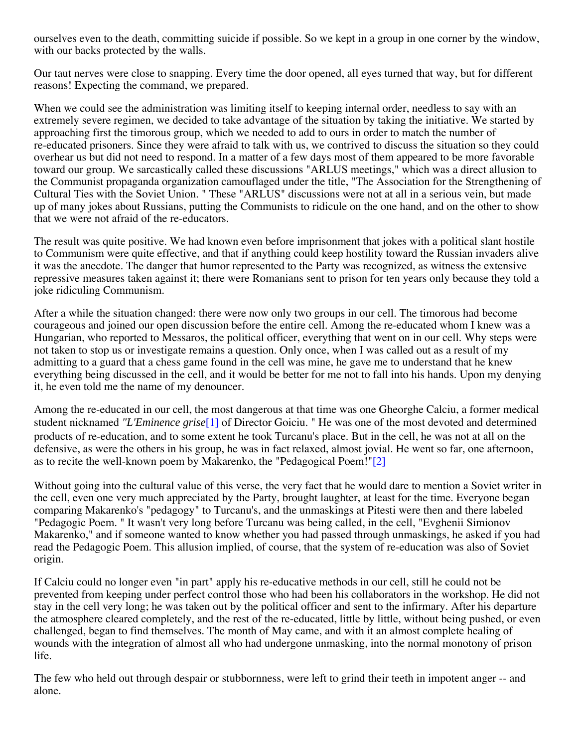ourselves even to the death, committing suicide if possible. So we kept in a group in one corner by the window, with our backs protected by the walls.

Our taut nerves were close to snapping. Every time the door opened, all eyes turned that way, but for different reasons! Expecting the command, we prepared.

When we could see the administration was limiting itself to keeping internal order, needless to say with an extremely severe regimen, we decided to take advantage of the situation by taking the initiative. We started by approaching first the timorous group, which we needed to add to ours in order to match the number of re-educated prisoners. Since they were afraid to talk with us, we contrived to discuss the situation so they could overhear us but did not need to respond. In a matter of a few days most of them appeared to be more favorable toward our group. We sarcastically called these discussions "ARLUS meetings," which was a direct allusion to the Communist propaganda organization camouflaged under the title, "The Association for the Strengthening of Cultural Ties with the Soviet Union. " These "ARLUS" discussions were not at all in a serious vein, but made up of many jokes about Russians, putting the Communists to ridicule on the one hand, and on the other to show that we were not afraid of the re-educators.

The result was quite positive. We had known even before imprisonment that jokes with a political slant hostile to Communism were quite effective, and that if anything could keep hostility toward the Russian invaders alive it was the anecdote. The danger that humor represented to the Party was recognized, as witness the extensive repressive measures taken against it; there were Romanians sent to prison for ten years only because they told a joke ridiculing Communism.

After a while the situation changed: there were now only two groups in our cell. The timorous had become courageous and joined our open discussion before the entire cell. Among the re-educated whom I knew was a Hungarian, who reported to Messaros, the political officer, everything that went on in our cell. Why steps were not taken to stop us or investigate remains a question. Only once, when I was called out as a result of my admitting to a guard that a chess game found in the cell was mine, he gave me to understand that he knew everything being discussed in the cell, and it would be better for me not to fall into his hands. Upon my denying it, he even told me the name of my denouncer.

Among the re-educated in our cell, the most dangerous at that time was one Gheorghe Calciu, a former medical student nicknamed *"L'Eminence grise*[1] of Director Goiciu. " He was one of the most devoted and determined products of re-education, and to some extent he took Turcanu's place. But in the cell, he was not at all on the defensive, as were the others in his group, he was in fact relaxed, almost jovial. He went so far, one afternoon, as to recite the well-known poem by Makarenko, the "Pedagogical Poem!"[2]

Without going into the cultural value of this verse, the very fact that he would dare to mention a Soviet writer in the cell, even one very much appreciated by the Party, brought laughter, at least for the time. Everyone began comparing Makarenko's "pedagogy" to Turcanu's, and the unmaskings at Pitesti were then and there labeled "Pedagogic Poem. " It wasn't very long before Turcanu was being called, in the cell, "Evghenii Simionov Makarenko," and if someone wanted to know whether you had passed through unmaskings, he asked if you had read the Pedagogic Poem. This allusion implied, of course, that the system of re-education was also of Soviet origin.

If Calciu could no longer even "in part" apply his re-educative methods in our cell, still he could not be prevented from keeping under perfect control those who had been his collaborators in the workshop. He did not stay in the cell very long; he was taken out by the political officer and sent to the infirmary. After his departure the atmosphere cleared completely, and the rest of the re-educated, little by little, without being pushed, or even challenged, began to find themselves. The month of May came, and with it an almost complete healing of wounds with the integration of almost all who had undergone unmasking, into the normal monotony of prison life.

The few who held out through despair or stubbornness, were left to grind their teeth in impotent anger -- and alone.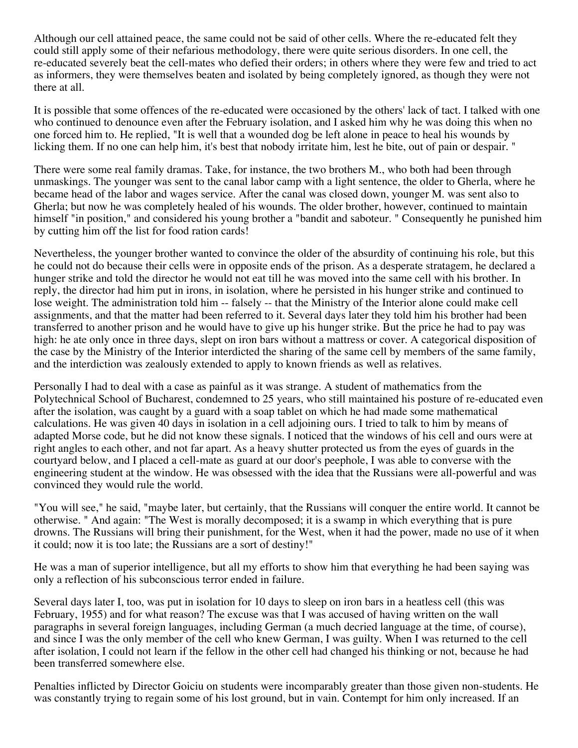Although our cell attained peace, the same could not be said of other cells. Where the re-educated felt they could still apply some of their nefarious methodology, there were quite serious disorders. In one cell, the re-educated severely beat the cell-mates who defied their orders; in others where they were few and tried to act as informers, they were themselves beaten and isolated by being completely ignored, as though they were not there at all.

It is possible that some offences of the re-educated were occasioned by the others' lack of tact. I talked with one who continued to denounce even after the February isolation, and I asked him why he was doing this when no one forced him to. He replied, "It is well that a wounded dog be left alone in peace to heal his wounds by licking them. If no one can help him, it's best that nobody irritate him, lest he bite, out of pain or despair. "

There were some real family dramas. Take, for instance, the two brothers M., who both had been through unmaskings. The younger was sent to the canal labor camp with a light sentence, the older to Gherla, where he became head of the labor and wages service. After the canal was closed down, younger M. was sent also to Gherla; but now he was completely healed of his wounds. The older brother, however, continued to maintain himself "in position," and considered his young brother a "bandit and saboteur. " Consequently he punished him by cutting him off the list for food ration cards!

Nevertheless, the younger brother wanted to convince the older of the absurdity of continuing his role, but this he could not do because their cells were in opposite ends of the prison. As a desperate stratagem, he declared a hunger strike and told the director he would not eat till he was moved into the same cell with his brother. In reply, the director had him put in irons, in isolation, where he persisted in his hunger strike and continued to lose weight. The administration told him -- falsely -- that the Ministry of the Interior alone could make cell assignments, and that the matter had been referred to it. Several days later they told him his brother had been transferred to another prison and he would have to give up his hunger strike. But the price he had to pay was high: he ate only once in three days, slept on iron bars without a mattress or cover. A categorical disposition of the case by the Ministry of the Interior interdicted the sharing of the same cell by members of the same family, and the interdiction was zealously extended to apply to known friends as well as relatives.

Personally I had to deal with a case as painful as it was strange. A student of mathematics from the Polytechnical School of Bucharest, condemned to 25 years, who still maintained his posture of re-educated even after the isolation, was caught by a guard with a soap tablet on which he had made some mathematical calculations. He was given 40 days in isolation in a cell adjoining ours. I tried to talk to him by means of adapted Morse code, but he did not know these signals. I noticed that the windows of his cell and ours were at right angles to each other, and not far apart. As a heavy shutter protected us from the eyes of guards in the courtyard below, and I placed a cell-mate as guard at our door's peephole, I was able to converse with the engineering student at the window. He was obsessed with the idea that the Russians were all-powerful and was convinced they would rule the world.

"You will see," he said, "maybe later, but certainly, that the Russians will conquer the entire world. It cannot be otherwise. " And again: "The West is morally decomposed; it is a swamp in which everything that is pure drowns. The Russians will bring their punishment, for the West, when it had the power, made no use of it when it could; now it is too late; the Russians are a sort of destiny!"

He was a man of superior intelligence, but all my efforts to show him that everything he had been saying was only a reflection of his subconscious terror ended in failure.

Several days later I, too, was put in isolation for 10 days to sleep on iron bars in a heatless cell (this was February, 1955) and for what reason? The excuse was that I was accused of having written on the wall paragraphs in several foreign languages, including German (a much decried language at the time, of course), and since I was the only member of the cell who knew German, I was guilty. When I was returned to the cell after isolation, I could not learn if the fellow in the other cell had changed his thinking or not, because he had been transferred somewhere else.

Penalties inflicted by Director Goiciu on students were incomparably greater than those given non-students. He was constantly trying to regain some of his lost ground, but in vain. Contempt for him only increased. If an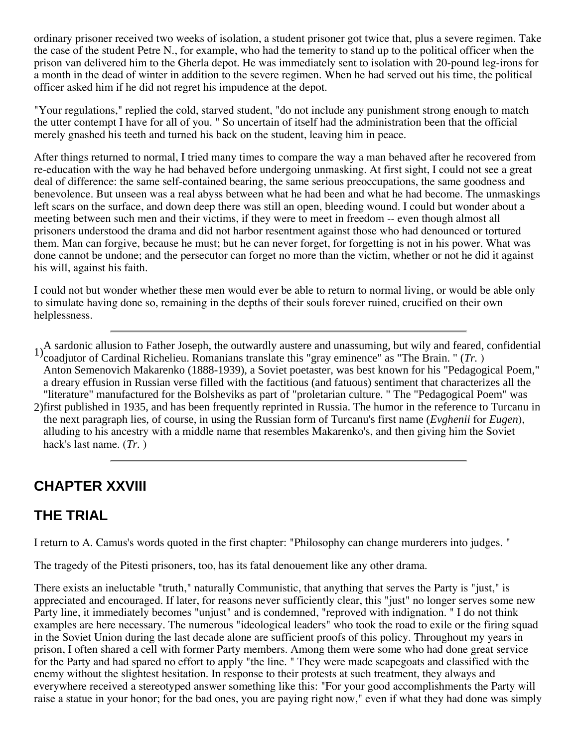ordinary prisoner received two weeks of isolation, a student prisoner got twice that, plus a severe regimen. Take the case of the student Petre N., for example, who had the temerity to stand up to the political officer when the prison van delivered him to the Gherla depot. He was immediately sent to isolation with 20-pound leg-irons for a month in the dead of winter in addition to the severe regimen. When he had served out his time, the political officer asked him if he did not regret his impudence at the depot.

"Your regulations," replied the cold, starved student, "do not include any punishment strong enough to match the utter contempt I have for all of you. " So uncertain of itself had the administration been that the official merely gnashed his teeth and turned his back on the student, leaving him in peace.

After things returned to normal, I tried many times to compare the way a man behaved after he recovered from re-education with the way he had behaved before undergoing unmasking. At first sight, I could not see a great deal of difference: the same self-contained bearing, the same serious preoccupations, the same goodness and benevolence. But unseen was a real abyss between what he had been and what he had become. The unmaskings left scars on the surface, and down deep there was still an open, bleeding wound. I could but wonder about a meeting between such men and their victims, if they were to meet in freedom -- even though almost all prisoners understood the drama and did not harbor resentment against those who had denounced or tortured them. Man can forgive, because he must; but he can never forget, for forgetting is not in his power. What was done cannot be undone; and the persecutor can forget no more than the victim, whether or not he did it against his will, against his faith.

I could not but wonder whether these men would ever be able to return to normal living, or would be able only to simulate having done so, remaining in the depths of their souls forever ruined, crucified on their own helplessness.

1)A sardonic allusion to Father Joseph, the outwardly austere and unassuming, but wily and feared, confidential coadjutor of Cardinal Richelieu. Romanians translate this "gray eminence" as "The Brain. " (*Tr.* ) 2) first published in 1935, and has been frequently reprinted in Russia. The humor in the reference to Turcanu in Anton Semenovich Makarenko (1888-1939), a Soviet poetaster, was best known for his "Pedagogical Poem," a dreary effusion in Russian verse filled with the factitious (and fatuous) sentiment that characterizes all the "literature" manufactured for the Bolsheviks as part of "proletarian culture. " The "Pedagogical Poem" was the next paragraph lies, of course, in using the Russian form of Turcanu's first name (*Evghenii* for *Eugen*), alluding to his ancestry with a middle name that resembles Makarenko's, and then giving him the Soviet

hack's last name. (*Tr.* )

#### **CHAPTER XXVIII**

#### **THE TRIAL**

I return to A. Camus's words quoted in the first chapter: "Philosophy can change murderers into judges. "

The tragedy of the Pitesti prisoners, too, has its fatal denouement like any other drama.

There exists an ineluctable "truth," naturally Communistic, that anything that serves the Party is "just," is appreciated and encouraged. If later, for reasons never sufficiently clear, this "just" no longer serves some new Party line, it immediately becomes "unjust" and is condemned, "reproved with indignation. " I do not think examples are here necessary. The numerous "ideological leaders" who took the road to exile or the firing squad in the Soviet Union during the last decade alone are sufficient proofs of this policy. Throughout my years in prison, I often shared a cell with former Party members. Among them were some who had done great service for the Party and had spared no effort to apply "the line. " They were made scapegoats and classified with the enemy without the slightest hesitation. In response to their protests at such treatment, they always and everywhere received a stereotyped answer something like this: "For your good accomplishments the Party will raise a statue in your honor; for the bad ones, you are paying right now," even if what they had done was simply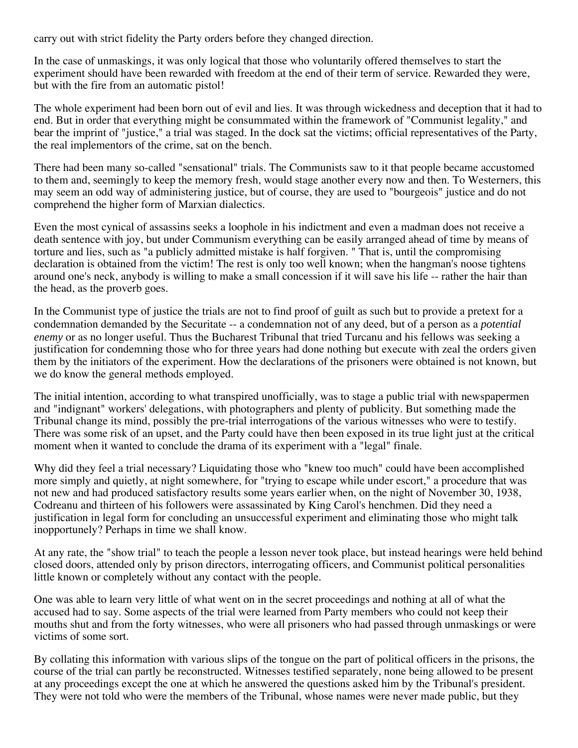carry out with strict fidelity the Party orders before they changed direction.

In the case of unmaskings, it was only logical that those who voluntarily offered themselves to start the experiment should have been rewarded with freedom at the end of their term of service. Rewarded they were, but with the fire from an automatic pistol!

The whole experiment had been born out of evil and lies. It was through wickedness and deception that it had to end. But in order that everything might be consummated within the framework of "Communist legality," and bear the imprint of "justice," a trial was staged. In the dock sat the victims; official representatives of the Party, the real implementors of the crime, sat on the bench.

There had been many so-called "sensational" trials. The Communists saw to it that people became accustomed to them and, seemingly to keep the memory fresh, would stage another every now and then. To Westerners, this may seem an odd way of administering justice, but of course, they are used to "bourgeois" justice and do not comprehend the higher form of Marxian dialectics.

Even the most cynical of assassins seeks a loophole in his indictment and even a madman does not receive a death sentence with joy, but under Communism everything can be easily arranged ahead of time by means of torture and lies, such as "a publicly admitted mistake is half forgiven. " That is, until the compromising declaration is obtained from the victim! The rest is only too well known; when the hangman's noose tightens around one's neck, anybody is willing to make a small concession if it will save his life -- rather the hair than the head, as the proverb goes.

In the Communist type of justice the trials are not to find proof of guilt as such but to provide a pretext for a condemnation demanded by the Securitate -- a condemnation not of any deed, but of a person as a *potential enemy* or as no longer useful. Thus the Bucharest Tribunal that tried Turcanu and his fellows was seeking a justification for condemning those who for three years had done nothing but execute with zeal the orders given them by the initiators of the experiment. How the declarations of the prisoners were obtained is not known, but we do know the general methods employed.

The initial intention, according to what transpired unofficially, was to stage a public trial with newspapermen and "indignant" workers' delegations, with photographers and plenty of publicity. But something made the Tribunal change its mind, possibly the pre-trial interrogations of the various witnesses who were to testify. There was some risk of an upset, and the Party could have then been exposed in its true light just at the critical moment when it wanted to conclude the drama of its experiment with a "legal" finale.

Why did they feel a trial necessary? Liquidating those who "knew too much" could have been accomplished more simply and quietly, at night somewhere, for "trying to escape while under escort," a procedure that was not new and had produced satisfactory results some years earlier when, on the night of November 30, 1938, Codreanu and thirteen of his followers were assassinated by King Carol's henchmen. Did they need a justification in legal form for concluding an unsuccessful experiment and eliminating those who might talk inopportunely? Perhaps in time we shall know.

At any rate, the "show trial" to teach the people a lesson never took place, but instead hearings were held behind closed doors, attended only by prison directors, interrogating officers, and Communist political personalities little known or completely without any contact with the people.

One was able to learn very little of what went on in the secret proceedings and nothing at all of what the accused had to say. Some aspects of the trial were learned from Party members who could not keep their mouths shut and from the forty witnesses, who were all prisoners who had passed through unmaskings or were victims of some sort.

By collating this information with various slips of the tongue on the part of political officers in the prisons, the course of the trial can partly be reconstructed. Witnesses testified separately, none being allowed to be present at any proceedings except the one at which he answered the questions asked him by the Tribunal's president. They were not told who were the members of the Tribunal, whose names were never made public, but they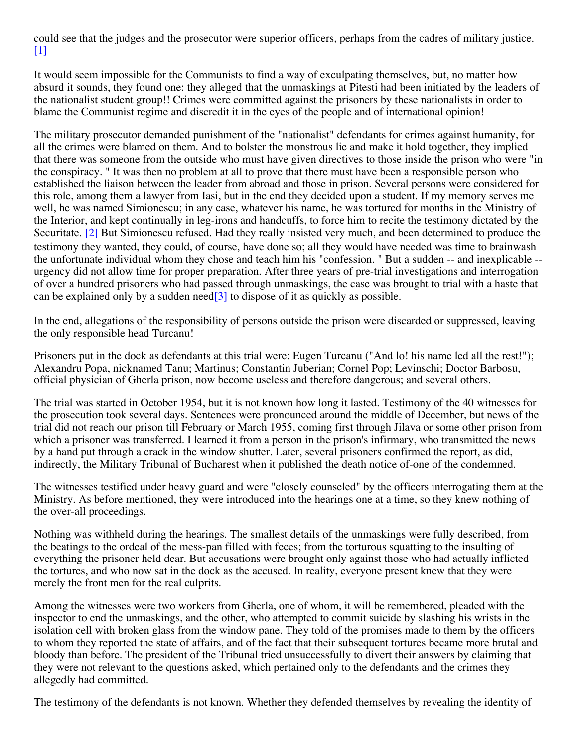could see that the judges and the prosecutor were superior officers, perhaps from the cadres of military justice.  $[1]$ 

It would seem impossible for the Communists to find a way of exculpating themselves, but, no matter how absurd it sounds, they found one: they alleged that the unmaskings at Pitesti had been initiated by the leaders of the nationalist student group!! Crimes were committed against the prisoners by these nationalists in order to blame the Communist regime and discredit it in the eyes of the people and of international opinion!

The military prosecutor demanded punishment of the "nationalist" defendants for crimes against humanity, for all the crimes were blamed on them. And to bolster the monstrous lie and make it hold together, they implied that there was someone from the outside who must have given directives to those inside the prison who were "in the conspiracy. " It was then no problem at all to prove that there must have been a responsible person who established the liaison between the leader from abroad and those in prison. Several persons were considered for this role, among them a lawyer from Iasi, but in the end they decided upon a student. If my memory serves me well, he was named Simionescu; in any case, whatever his name, he was tortured for months in the Ministry of the Interior, and kept continually in leg-irons and handcuffs, to force him to recite the testimony dictated by the Securitate. [2] But Simionescu refused. Had they really insisted very much, and been determined to produce the testimony they wanted, they could, of course, have done so; all they would have needed was time to brainwash the unfortunate individual whom they chose and teach him his "confession. " But a sudden -- and inexplicable - urgency did not allow time for proper preparation. After three years of pre-trial investigations and interrogation of over a hundred prisoners who had passed through unmaskings, the case was brought to trial with a haste that can be explained only by a sudden need[3] to dispose of it as quickly as possible.

In the end, allegations of the responsibility of persons outside the prison were discarded or suppressed, leaving the only responsible head Turcanu!

Prisoners put in the dock as defendants at this trial were: Eugen Turcanu ("And lo! his name led all the rest!"); Alexandru Popa, nicknamed Tanu; Martinus; Constantin Juberian; Cornel Pop; Levinschi; Doctor Barbosu, official physician of Gherla prison, now become useless and therefore dangerous; and several others.

The trial was started in October 1954, but it is not known how long it lasted. Testimony of the 40 witnesses for the prosecution took several days. Sentences were pronounced around the middle of December, but news of the trial did not reach our prison till February or March 1955, coming first through Jilava or some other prison from which a prisoner was transferred. I learned it from a person in the prison's infirmary, who transmitted the news by a hand put through a crack in the window shutter. Later, several prisoners confirmed the report, as did, indirectly, the Military Tribunal of Bucharest when it published the death notice of-one of the condemned.

The witnesses testified under heavy guard and were "closely counseled" by the officers interrogating them at the Ministry. As before mentioned, they were introduced into the hearings one at a time, so they knew nothing of the over-all proceedings.

Nothing was withheld during the hearings. The smallest details of the unmaskings were fully described, from the beatings to the ordeal of the mess-pan filled with feces; from the torturous squatting to the insulting of everything the prisoner held dear. But accusations were brought only against those who had actually inflicted the tortures, and who now sat in the dock as the accused. In reality, everyone present knew that they were merely the front men for the real culprits.

Among the witnesses were two workers from Gherla, one of whom, it will be remembered, pleaded with the inspector to end the unmaskings, and the other, who attempted to commit suicide by slashing his wrists in the isolation cell with broken glass from the window pane. They told of the promises made to them by the officers to whom they reported the state of affairs, and of the fact that their subsequent tortures became more brutal and bloody than before. The president of the Tribunal tried unsuccessfully to divert their answers by claiming that they were not relevant to the questions asked, which pertained only to the defendants and the crimes they allegedly had committed.

The testimony of the defendants is not known. Whether they defended themselves by revealing the identity of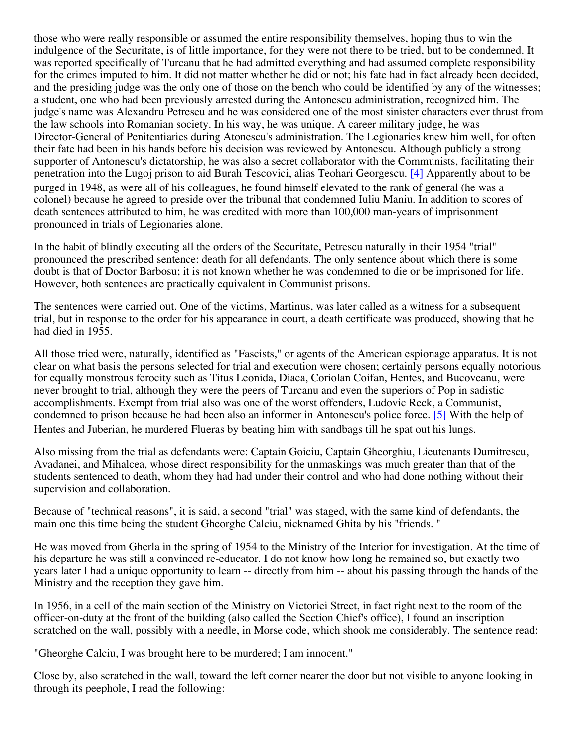those who were really responsible or assumed the entire responsibility themselves, hoping thus to win the indulgence of the Securitate, is of little importance, for they were not there to be tried, but to be condemned. It was reported specifically of Turcanu that he had admitted everything and had assumed complete responsibility for the crimes imputed to him. It did not matter whether he did or not; his fate had in fact already been decided, and the presiding judge was the only one of those on the bench who could be identified by any of the witnesses; a student, one who had been previously arrested during the Antonescu administration, recognized him. The judge's name was Alexandru Petreseu and he was considered one of the most sinister characters ever thrust from the law schools into Romanian society. In his way, he was unique. A career military judge, he was Director-General of Penitentiaries during Atonescu's administration. The Legionaries knew him well, for often their fate had been in his hands before his decision was reviewed by Antonescu. Although publicly a strong supporter of Antonescu's dictatorship, he was also a secret collaborator with the Communists, facilitating their penetration into the Lugoj prison to aid Burah Tescovici, alias Teohari Georgescu. [4] Apparently about to be purged in 1948, as were all of his colleagues, he found himself elevated to the rank of general (he was a colonel) because he agreed to preside over the tribunal that condemned Iuliu Maniu. In addition to scores of death sentences attributed to him, he was credited with more than 100,000 man-years of imprisonment pronounced in trials of Legionaries alone.

In the habit of blindly executing all the orders of the Securitate, Petrescu naturally in their 1954 "trial" pronounced the prescribed sentence: death for all defendants. The only sentence about which there is some doubt is that of Doctor Barbosu; it is not known whether he was condemned to die or be imprisoned for life. However, both sentences are practically equivalent in Communist prisons.

The sentences were carried out. One of the victims, Martinus, was later called as a witness for a subsequent trial, but in response to the order for his appearance in court, a death certificate was produced, showing that he had died in 1955.

All those tried were, naturally, identified as "Fascists," or agents of the American espionage apparatus. It is not clear on what basis the persons selected for trial and execution were chosen; certainly persons equally notorious for equally monstrous ferocity such as Titus Leonida, Diaca, Coriolan Coifan, Hentes, and Bucoveanu, were never brought to trial, although they were the peers of Turcanu and even the superiors of Pop in sadistic accomplishments. Exempt from trial also was one of the worst offenders, Ludovic Reck, a Communist, condemned to prison because he had been also an informer in Antonescu's police force. [5] With the help of Hentes and Juberian, he murdered Flueras by beating him with sandbags till he spat out his lungs.

Also missing from the trial as defendants were: Captain Goiciu, Captain Gheorghiu, Lieutenants Dumitrescu, Avadanei, and Mihalcea, whose direct responsibility for the unmaskings was much greater than that of the students sentenced to death, whom they had had under their control and who had done nothing without their supervision and collaboration.

Because of "technical reasons", it is said, a second "trial" was staged, with the same kind of defendants, the main one this time being the student Gheorghe Calciu, nicknamed Ghita by his "friends. "

He was moved from Gherla in the spring of 1954 to the Ministry of the Interior for investigation. At the time of his departure he was still a convinced re-educator. I do not know how long he remained so, but exactly two years later I had a unique opportunity to learn -- directly from him -- about his passing through the hands of the Ministry and the reception they gave him.

In 1956, in a cell of the main section of the Ministry on Victoriei Street, in fact right next to the room of the officer-on-duty at the front of the building (also called the Section Chief's office), I found an inscription scratched on the wall, possibly with a needle, in Morse code, which shook me considerably. The sentence read:

"Gheorghe Calciu, I was brought here to be murdered; I am innocent."

Close by, also scratched in the wall, toward the left corner nearer the door but not visible to anyone looking in through its peephole, I read the following: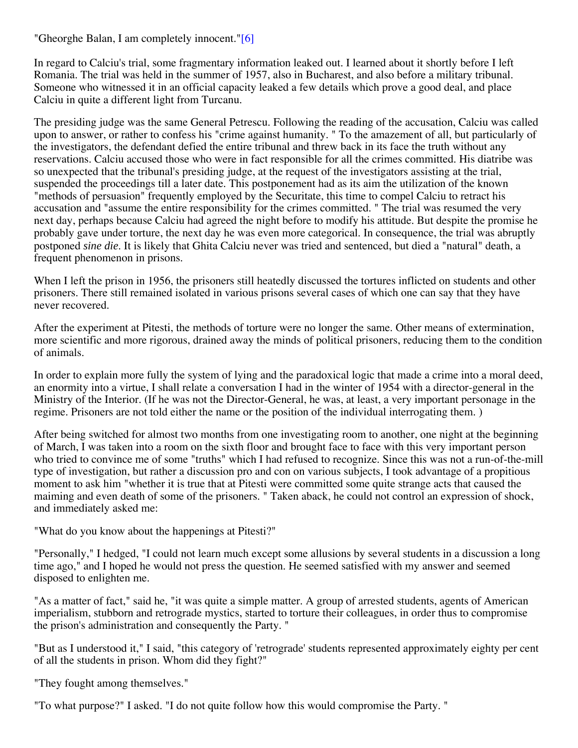"Gheorghe Balan, I am completely innocent."[6]

In regard to Calciu's trial, some fragmentary information leaked out. I learned about it shortly before I left Romania. The trial was held in the summer of 1957, also in Bucharest, and also before a military tribunal. Someone who witnessed it in an official capacity leaked a few details which prove a good deal, and place Calciu in quite a different light from Turcanu.

The presiding judge was the same General Petrescu. Following the reading of the accusation, Calciu was called upon to answer, or rather to confess his "crime against humanity. " To the amazement of all, but particularly of the investigators, the defendant defied the entire tribunal and threw back in its face the truth without any reservations. Calciu accused those who were in fact responsible for all the crimes committed. His diatribe was so unexpected that the tribunal's presiding judge, at the request of the investigators assisting at the trial, suspended the proceedings till a later date. This postponement had as its aim the utilization of the known "methods of persuasion" frequently employed by the Securitate, this time to compel Calciu to retract his accusation and "assume the entire responsibility for the crimes committed. " The trial was resumed the very next day, perhaps because Calciu had agreed the night before to modify his attitude. But despite the promise he probably gave under torture, the next day he was even more categorical. In consequence, the trial was abruptly postponed *sine die*. It is likely that Ghita Calciu never was tried and sentenced, but died a "natural" death, a frequent phenomenon in prisons.

When I left the prison in 1956, the prisoners still heatedly discussed the tortures inflicted on students and other prisoners. There still remained isolated in various prisons several cases of which one can say that they have never recovered.

After the experiment at Pitesti, the methods of torture were no longer the same. Other means of extermination, more scientific and more rigorous, drained away the minds of political prisoners, reducing them to the condition of animals.

In order to explain more fully the system of lying and the paradoxical logic that made a crime into a moral deed, an enormity into a virtue, I shall relate a conversation I had in the winter of 1954 with a director-general in the Ministry of the Interior. (If he was not the Director-General, he was, at least, a very important personage in the regime. Prisoners are not told either the name or the position of the individual interrogating them. )

After being switched for almost two months from one investigating room to another, one night at the beginning of March, I was taken into a room on the sixth floor and brought face to face with this very important person who tried to convince me of some "truths" which I had refused to recognize. Since this was not a run-of-the-mill type of investigation, but rather a discussion pro and con on various subjects, I took advantage of a propitious moment to ask him "whether it is true that at Pitesti were committed some quite strange acts that caused the maiming and even death of some of the prisoners. " Taken aback, he could not control an expression of shock, and immediately asked me:

"What do you know about the happenings at Pitesti?"

"Personally," I hedged, "I could not learn much except some allusions by several students in a discussion a long time ago," and I hoped he would not press the question. He seemed satisfied with my answer and seemed disposed to enlighten me.

"As a matter of fact," said he, "it was quite a simple matter. A group of arrested students, agents of American imperialism, stubborn and retrograde mystics, started to torture their colleagues, in order thus to compromise the prison's administration and consequently the Party. "

"But as I understood it," I said, "this category of 'retrograde' students represented approximately eighty per cent of all the students in prison. Whom did they fight?"

"They fought among themselves."

"To what purpose?" I asked. "I do not quite follow how this would compromise the Party. "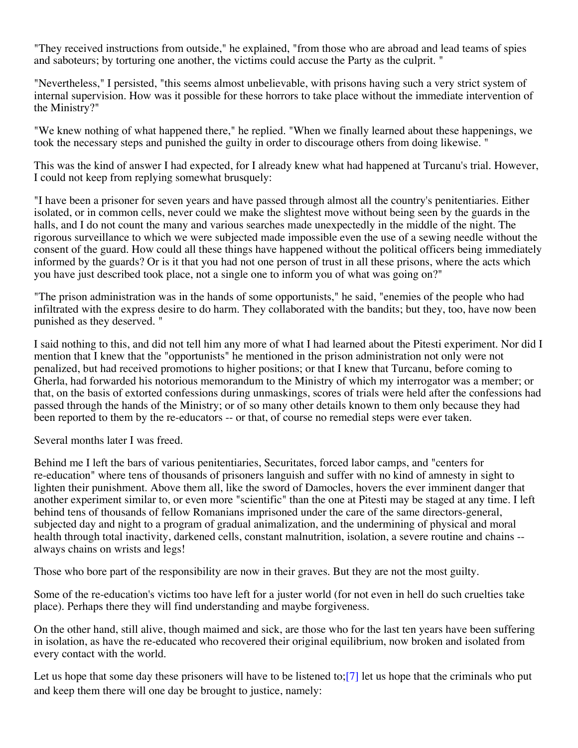"They received instructions from outside," he explained, "from those who are abroad and lead teams of spies and saboteurs; by torturing one another, the victims could accuse the Party as the culprit. "

"Nevertheless," I persisted, "this seems almost unbelievable, with prisons having such a very strict system of internal supervision. How was it possible for these horrors to take place without the immediate intervention of the Ministry?"

"We knew nothing of what happened there," he replied. "When we finally learned about these happenings, we took the necessary steps and punished the guilty in order to discourage others from doing likewise. "

This was the kind of answer I had expected, for I already knew what had happened at Turcanu's trial. However, I could not keep from replying somewhat brusquely:

"I have been a prisoner for seven years and have passed through almost all the country's penitentiaries. Either isolated, or in common cells, never could we make the slightest move without being seen by the guards in the halls, and I do not count the many and various searches made unexpectedly in the middle of the night. The rigorous surveillance to which we were subjected made impossible even the use of a sewing needle without the consent of the guard. How could all these things have happened without the political officers being immediately informed by the guards? Or is it that you had not one person of trust in all these prisons, where the acts which you have just described took place, not a single one to inform you of what was going on?"

"The prison administration was in the hands of some opportunists," he said, "enemies of the people who had infiltrated with the express desire to do harm. They collaborated with the bandits; but they, too, have now been punished as they deserved. "

I said nothing to this, and did not tell him any more of what I had learned about the Pitesti experiment. Nor did I mention that I knew that the "opportunists" he mentioned in the prison administration not only were not penalized, but had received promotions to higher positions; or that I knew that Turcanu, before coming to Gherla, had forwarded his notorious memorandum to the Ministry of which my interrogator was a member; or that, on the basis of extorted confessions during unmaskings, scores of trials were held after the confessions had passed through the hands of the Ministry; or of so many other details known to them only because they had been reported to them by the re-educators -- or that, of course no remedial steps were ever taken.

Several months later I was freed.

Behind me I left the bars of various penitentiaries, Securitates, forced labor camps, and "centers for re-education" where tens of thousands of prisoners languish and suffer with no kind of amnesty in sight to lighten their punishment. Above them all, like the sword of Damocles, hovers the ever imminent danger that another experiment similar to, or even more "scientific" than the one at Pitesti may be staged at any time. I left behind tens of thousands of fellow Romanians imprisoned under the care of the same directors-general, subjected day and night to a program of gradual animalization, and the undermining of physical and moral health through total inactivity, darkened cells, constant malnutrition, isolation, a severe routine and chains - always chains on wrists and legs!

Those who bore part of the responsibility are now in their graves. But they are not the most guilty.

Some of the re-education's victims too have left for a juster world (for not even in hell do such cruelties take place). Perhaps there they will find understanding and maybe forgiveness.

On the other hand, still alive, though maimed and sick, are those who for the last ten years have been suffering in isolation, as have the re-educated who recovered their original equilibrium, now broken and isolated from every contact with the world.

Let us hope that some day these prisoners will have to be listened to; [7] let us hope that the criminals who put and keep them there will one day be brought to justice, namely: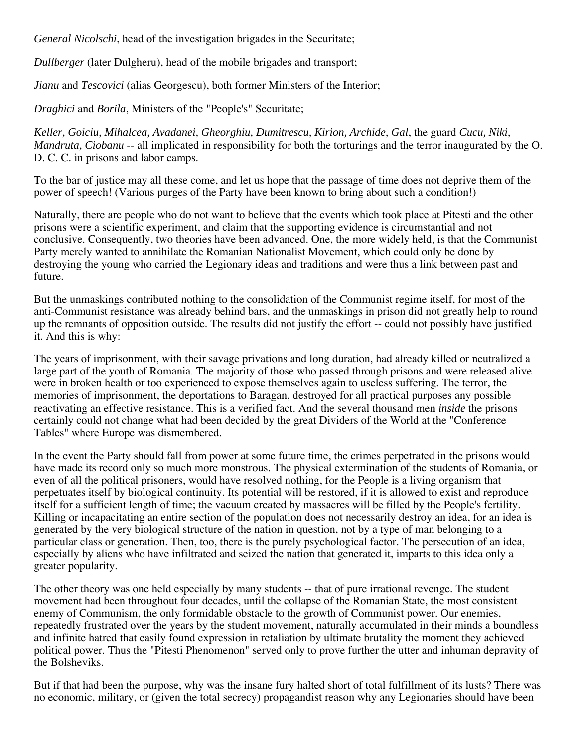*General Nicolschi*, head of the investigation brigades in the Securitate;

*Dullberger* (later Dulgheru), head of the mobile brigades and transport;

*Jianu* and *Tescovici* (alias Georgescu), both former Ministers of the Interior;

*Draghici* and *Borila*, Ministers of the "People's" Securitate;

*Keller, Goiciu, Mihalcea, Avadanei, Gheorghiu, Dumitrescu, Kirion, Archide, Gal*, the guard *Cucu, Niki, Mandruta, Ciobanu* -- all implicated in responsibility for both the torturings and the terror inaugurated by the O. D. C. C. in prisons and labor camps.

To the bar of justice may all these come, and let us hope that the passage of time does not deprive them of the power of speech! (Various purges of the Party have been known to bring about such a condition!)

Naturally, there are people who do not want to believe that the events which took place at Pitesti and the other prisons were a scientific experiment, and claim that the supporting evidence is circumstantial and not conclusive. Consequently, two theories have been advanced. One, the more widely held, is that the Communist Party merely wanted to annihilate the Romanian Nationalist Movement, which could only be done by destroying the young who carried the Legionary ideas and traditions and were thus a link between past and future.

But the unmaskings contributed nothing to the consolidation of the Communist regime itself, for most of the anti-Communist resistance was already behind bars, and the unmaskings in prison did not greatly help to round up the remnants of opposition outside. The results did not justify the effort -- could not possibly have justified it. And this is why:

The years of imprisonment, with their savage privations and long duration, had already killed or neutralized a large part of the youth of Romania. The majority of those who passed through prisons and were released alive were in broken health or too experienced to expose themselves again to useless suffering. The terror, the memories of imprisonment, the deportations to Baragan, destroyed for all practical purposes any possible reactivating an effective resistance. This is a verified fact. And the several thousand men *inside* the prisons certainly could not change what had been decided by the great Dividers of the World at the "Conference Tables" where Europe was dismembered.

In the event the Party should fall from power at some future time, the crimes perpetrated in the prisons would have made its record only so much more monstrous. The physical extermination of the students of Romania, or even of all the political prisoners, would have resolved nothing, for the People is a living organism that perpetuates itself by biological continuity. Its potential will be restored, if it is allowed to exist and reproduce itself for a sufficient length of time; the vacuum created by massacres will be filled by the People's fertility. Killing or incapacitating an entire section of the population does not necessarily destroy an idea, for an idea is generated by the very biological structure of the nation in question, not by a type of man belonging to a particular class or generation. Then, too, there is the purely psychological factor. The persecution of an idea, especially by aliens who have infiltrated and seized the nation that generated it, imparts to this idea only a greater popularity.

The other theory was one held especially by many students -- that of pure irrational revenge. The student movement had been throughout four decades, until the collapse of the Romanian State, the most consistent enemy of Communism, the only formidable obstacle to the growth of Communist power. Our enemies, repeatedly frustrated over the years by the student movement, naturally accumulated in their minds a boundless and infinite hatred that easily found expression in retaliation by ultimate brutality the moment they achieved political power. Thus the "Pitesti Phenomenon" served only to prove further the utter and inhuman depravity of the Bolsheviks.

But if that had been the purpose, why was the insane fury halted short of total fulfillment of its lusts? There was no economic, military, or (given the total secrecy) propagandist reason why any Legionaries should have been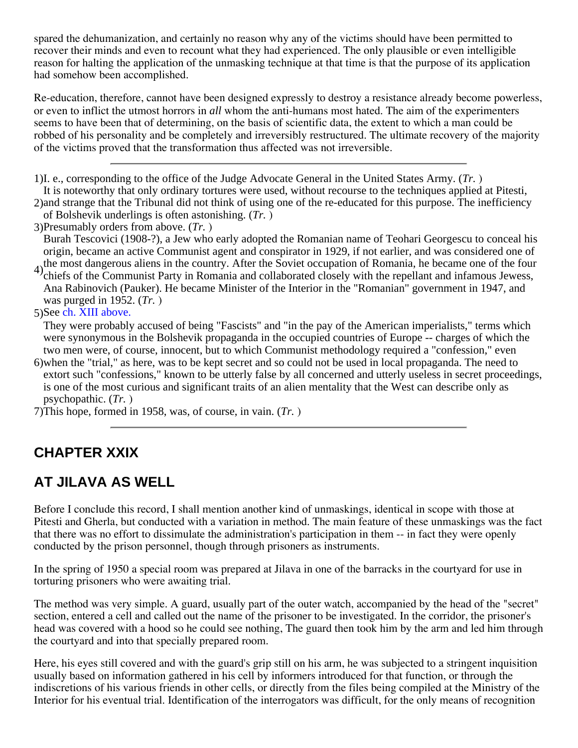spared the dehumanization, and certainly no reason why any of the victims should have been permitted to recover their minds and even to recount what they had experienced. The only plausible or even intelligible reason for halting the application of the unmasking technique at that time is that the purpose of its application had somehow been accomplished.

Re-education, therefore, cannot have been designed expressly to destroy a resistance already become powerless, or even to inflict the utmost horrors in *all* whom the anti-humans most hated. The aim of the experimenters seems to have been that of determining, on the basis of scientific data, the extent to which a man could be robbed of his personality and be completely and irreversibly restructured. The ultimate recovery of the majority of the victims proved that the transformation thus affected was not irreversible.

1)I. e., corresponding to the office of the Judge Advocate General in the United States Army. (*Tr.* )

2) and strange that the Tribunal did not think of using one of the re-educated for this purpose. The inefficiency It is noteworthy that only ordinary tortures were used, without recourse to the techniques applied at Pitesti,

of Bolshevik underlings is often astonishing. (*Tr.* )

3)Presumably orders from above. (*Tr.* ) Burah Tescovici (1908-?), a Jew who early adopted the Romanian name of Teohari Georgescu to conceal his origin, became an active Communist agent and conspirator in 1929, if not earlier, and was considered one of

4) the most dangerous aliens in the country. After the Soviet occupation of Romania, he became one of the four<br>4) objects of the Communist Berty in Bomania and collaborated closely with the repellent and informants Iawass chiefs of the Communist Party in Romania and collaborated closely with the repellant and infamous Jewess, Ana Rabinovich (Pauker). He became Minister of the Interior in the "Romanian" government in 1947, and was purged in 1952. (*Tr.* )

5)See ch. XIII above.

They were probably accused of being "Fascists" and "in the pay of the American imperialists," terms which were synonymous in the Bolshevik propaganda in the occupied countries of Europe -- charges of which the two men were, of course, innocent, but to which Communist methodology required a "confession," even

6) when the "trial," as here, was to be kept secret and so could not be used in local propaganda. The need to extort such "confessions," known to be utterly false by all concerned and utterly useless in secret proceedings, is one of the most curious and significant traits of an alien mentality that the West can describe only as psychopathic. (*Tr.* )

7)This hope, formed in 1958, was, of course, in vain. (*Tr.* )

## **CHAPTER XXIX**

## **AT JILAVA AS WELL**

Before I conclude this record, I shall mention another kind of unmaskings, identical in scope with those at Pitesti and Gherla, but conducted with a variation in method. The main feature of these unmaskings was the fact that there was no effort to dissimulate the administration's participation in them -- in fact they were openly conducted by the prison personnel, though through prisoners as instruments.

In the spring of 1950 a special room was prepared at Jilava in one of the barracks in the courtyard for use in torturing prisoners who were awaiting trial.

The method was very simple. A guard, usually part of the outer watch, accompanied by the head of the "secret" section, entered a cell and called out the name of the prisoner to be investigated. In the corridor, the prisoner's head was covered with a hood so he could see nothing, The guard then took him by the arm and led him through the courtyard and into that specially prepared room.

Here, his eyes still covered and with the guard's grip still on his arm, he was subjected to a stringent inquisition usually based on information gathered in his cell by informers introduced for that function, or through the indiscretions of his various friends in other cells, or directly from the files being compiled at the Ministry of the Interior for his eventual trial. Identification of the interrogators was difficult, for the only means of recognition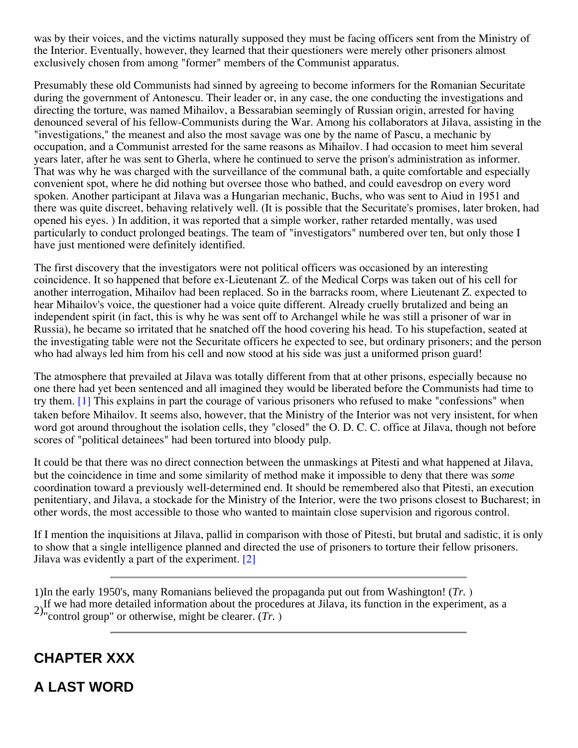was by their voices, and the victims naturally supposed they must be facing officers sent from the Ministry of the Interior. Eventually, however, they learned that their questioners were merely other prisoners almost exclusively chosen from among "former" members of the Communist apparatus.

Presumably these old Communists had sinned by agreeing to become informers for the Romanian Securitate during the government of Antonescu. Their leader or, in any case, the one conducting the investigations and directing the torture, was named Mihailov, a Bessarabian seemingly of Russian origin, arrested for having denounced several of his fellow-Communists during the War. Among his collaborators at Jilava, assisting in the "investigations," the meanest and also the most savage was one by the name of Pascu, a mechanic by occupation, and a Communist arrested for the same reasons as Mihailov. I had occasion to meet him several years later, after he was sent to Gherla, where he continued to serve the prison's administration as informer. That was why he was charged with the surveillance of the communal bath, a quite comfortable and especially convenient spot, where he did nothing but oversee those who bathed, and could eavesdrop on every word spoken. Another participant at Jilava was a Hungarian mechanic, Buchs, who was sent to Aiud in 1951 and there was quite discreet, behaving relatively well. (It is possible that the Securitate's promises, later broken, had opened his eyes. ) In addition, it was reported that a simple worker, rather retarded mentally, was used particularly to conduct prolonged beatings. The team of "investigators" numbered over ten, but only those I have just mentioned were definitely identified.

The first discovery that the investigators were not political officers was occasioned by an interesting coincidence. It so happened that before ex-Lieutenant Z. of the Medical Corps was taken out of his cell for another interrogation, Mihailov had been replaced. So in the barracks room, where Lieutenant Z. expected to hear Mihailov's voice, the questioner had a voice quite different. Already cruelly brutalized and being an independent spirit (in fact, this is why he was sent off to Archangel while he was still a prisoner of war in Russia), he became so irritated that he snatched off the hood covering his head. To his stupefaction, seated at the investigating table were not the Securitate officers he expected to see, but ordinary prisoners; and the person who had always led him from his cell and now stood at his side was just a uniformed prison guard!

The atmosphere that prevailed at Jilava was totally different from that at other prisons, especially because no one there had yet been sentenced and all imagined they would be liberated before the Communists had time to try them. [1] This explains in part the courage of various prisoners who refused to make "confessions" when taken before Mihailov. It seems also, however, that the Ministry of the Interior was not very insistent, for when word got around throughout the isolation cells, they "closed" the O. D. C. C. office at Jilava, though not before scores of "political detainees" had been tortured into bloody pulp.

It could be that there was no direct connection between the unmaskings at Pitesti and what happened at Jilava, but the coincidence in time and some similarity of method make it impossible to deny that there was *some* coordination toward a previously well-determined end. It should be remembered also that Pitesti, an execution penitentiary, and Jilava, a stockade for the Ministry of the Interior, were the two prisons closest to Bucharest; in other words, the most accessible to those who wanted to maintain close supervision and rigorous control.

If I mention the inquisitions at Jilava, pallid in comparison with those of Pitesti, but brutal and sadistic, it is only to show that a single intelligence planned and directed the use of prisoners to torture their fellow prisoners. Jilava was evidently a part of the experiment. [2]

1)In the early 1950's, many Romanians believed the propaganda put out from Washington! (*Tr.* )  $2$ <sup>If</sup> we had more detailed information about the procedures at Jilava, its function in the experiment, as a  $2<sup>1</sup>$  control group" or otherwise, might be clearer. (*Tr.* )

# **CHAPTER XXX**

**A LAST WORD**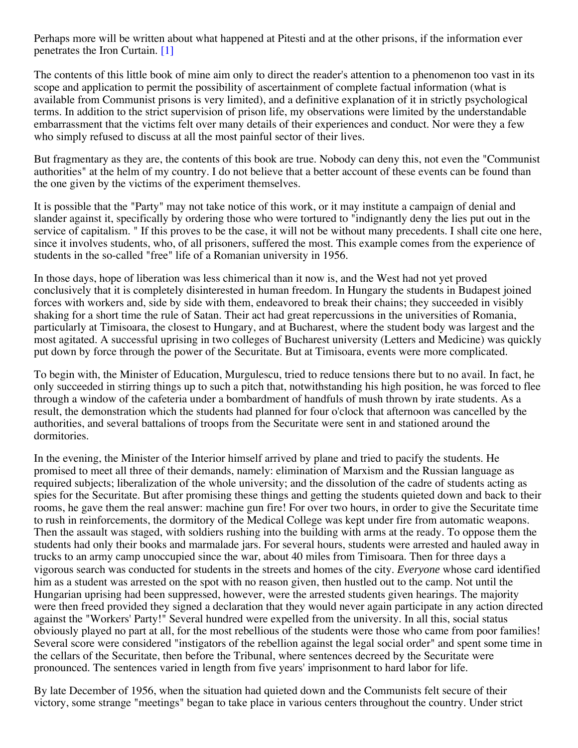Perhaps more will be written about what happened at Pitesti and at the other prisons, if the information ever penetrates the Iron Curtain. [1]

The contents of this little book of mine aim only to direct the reader's attention to a phenomenon too vast in its scope and application to permit the possibility of ascertainment of complete factual information (what is available from Communist prisons is very limited), and a definitive explanation of it in strictly psychological terms. In addition to the strict supervision of prison life, my observations were limited by the understandable embarrassment that the victims felt over many details of their experiences and conduct. Nor were they a few who simply refused to discuss at all the most painful sector of their lives.

But fragmentary as they are, the contents of this book are true. Nobody can deny this, not even the "Communist authorities" at the helm of my country. I do not believe that a better account of these events can be found than the one given by the victims of the experiment themselves.

It is possible that the "Party" may not take notice of this work, or it may institute a campaign of denial and slander against it, specifically by ordering those who were tortured to "indignantly deny the lies put out in the service of capitalism. " If this proves to be the case, it will not be without many precedents. I shall cite one here, since it involves students, who, of all prisoners, suffered the most. This example comes from the experience of students in the so-called "free" life of a Romanian university in 1956.

In those days, hope of liberation was less chimerical than it now is, and the West had not yet proved conclusively that it is completely disinterested in human freedom. In Hungary the students in Budapest joined forces with workers and, side by side with them, endeavored to break their chains; they succeeded in visibly shaking for a short time the rule of Satan. Their act had great repercussions in the universities of Romania, particularly at Timisoara, the closest to Hungary, and at Bucharest, where the student body was largest and the most agitated. A successful uprising in two colleges of Bucharest university (Letters and Medicine) was quickly put down by force through the power of the Securitate. But at Timisoara, events were more complicated.

To begin with, the Minister of Education, Murgulescu, tried to reduce tensions there but to no avail. In fact, he only succeeded in stirring things up to such a pitch that, notwithstanding his high position, he was forced to flee through a window of the cafeteria under a bombardment of handfuls of mush thrown by irate students. As a result, the demonstration which the students had planned for four o'clock that afternoon was cancelled by the authorities, and several battalions of troops from the Securitate were sent in and stationed around the dormitories.

In the evening, the Minister of the Interior himself arrived by plane and tried to pacify the students. He promised to meet all three of their demands, namely: elimination of Marxism and the Russian language as required subjects; liberalization of the whole university; and the dissolution of the cadre of students acting as spies for the Securitate. But after promising these things and getting the students quieted down and back to their rooms, he gave them the real answer: machine gun fire! For over two hours, in order to give the Securitate time to rush in reinforcements, the dormitory of the Medical College was kept under fire from automatic weapons. Then the assault was staged, with soldiers rushing into the building with arms at the ready. To oppose them the students had only their books and marmalade jars. For several hours, students were arrested and hauled away in trucks to an army camp unoccupied since the war, about 40 miles from Timisoara. Then for three days a vigorous search was conducted for students in the streets and homes of the city. *Everyone* whose card identified him as a student was arrested on the spot with no reason given, then hustled out to the camp. Not until the Hungarian uprising had been suppressed, however, were the arrested students given hearings. The majority were then freed provided they signed a declaration that they would never again participate in any action directed against the "Workers' Party!" Several hundred were expelled from the university. In all this, social status obviously played no part at all, for the most rebellious of the students were those who came from poor families! Several score were considered "instigators of the rebellion against the legal social order" and spent some time in the cellars of the Securitate, then before the Tribunal, where sentences decreed by the Securitate were pronounced. The sentences varied in length from five years' imprisonment to hard labor for life.

By late December of 1956, when the situation had quieted down and the Communists felt secure of their victory, some strange "meetings" began to take place in various centers throughout the country. Under strict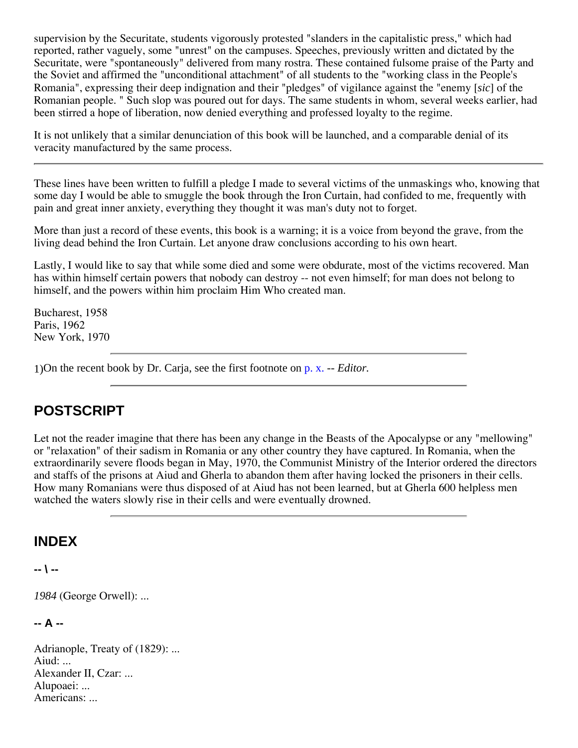supervision by the Securitate, students vigorously protested "slanders in the capitalistic press," which had reported, rather vaguely, some "unrest" on the campuses. Speeches, previously written and dictated by the Securitate, were "spontaneously" delivered from many rostra. These contained fulsome praise of the Party and the Soviet and affirmed the "unconditional attachment" of all students to the "working class in the People's Romania", expressing their deep indignation and their "pledges" of vigilance against the "enemy [*sic*] of the Romanian people. " Such slop was poured out for days. The same students in whom, several weeks earlier, had been stirred a hope of liberation, now denied everything and professed loyalty to the regime.

It is not unlikely that a similar denunciation of this book will be launched, and a comparable denial of its veracity manufactured by the same process.

These lines have been written to fulfill a pledge I made to several victims of the unmaskings who, knowing that some day I would be able to smuggle the book through the Iron Curtain, had confided to me, frequently with pain and great inner anxiety, everything they thought it was man's duty not to forget.

More than just a record of these events, this book is a warning; it is a voice from beyond the grave, from the living dead behind the Iron Curtain. Let anyone draw conclusions according to his own heart.

Lastly, I would like to say that while some died and some were obdurate, most of the victims recovered. Man has within himself certain powers that nobody can destroy -- not even himself; for man does not belong to himself, and the powers within him proclaim Him Who created man.

Bucharest, 1958 Paris, 1962 New York, 1970

1)On the recent book by Dr. Carja, see the first footnote on p. x. -- *Editor.*

# **POSTSCRIPT**

Let not the reader imagine that there has been any change in the Beasts of the Apocalypse or any "mellowing" or "relaxation" of their sadism in Romania or any other country they have captured. In Romania, when the extraordinarily severe floods began in May, 1970, the Communist Ministry of the Interior ordered the directors and staffs of the prisons at Aiud and Gherla to abandon them after having locked the prisoners in their cells. How many Romanians were thus disposed of at Aiud has not been learned, but at Gherla 600 helpless men watched the waters slowly rise in their cells and were eventually drowned.

# **INDEX**

# **-- \ --**

*1984* (George Orwell): ...

**-- A --**

Adrianople, Treaty of (1829): ... Aiud: ... Alexander II, Czar: ... Alupoaei: ... Americans: ...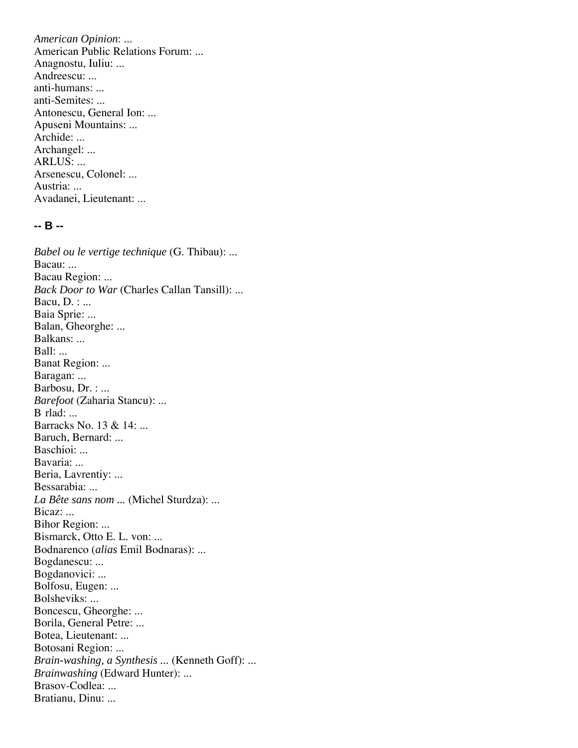*American Opinion*: ... American Public Relations Forum: ... Anagnostu, Iuliu: ... Andreescu: ... anti-humans: ... anti-Semites: ... Antonescu, General Ion: ... Apuseni Mountains: ... Archide: ... Archangel: ... ARLUS: ... Arsenescu, Colonel: ... Austria: ... Avadanei, Lieutenant: ...

#### **-- B --**

*Babel ou le vertige technique* (G. Thibau): ... Bacau: ... Bacau Region: ... *Back Door to War* (Charles Callan Tansill): ... Bacu, D. : ... Baia Sprie: ... Balan, Gheorghe: ... Balkans: ... Ball: ... Banat Region: ... Baragan: ... Barbosu, Dr. : ... *Barefoot* (Zaharia Stancu): ...  $B$  rlad: ... Barracks No. 13 & 14: ... Baruch, Bernard: ... Baschioi: ... Bavaria: ... Beria, Lavrentiy: ... Bessarabia: ... *La Bête sans nom ...* (Michel Sturdza): ... Bicaz: ... Bihor Region: ... Bismarck, Otto E. L. von: ... Bodnarenco (*alias* Emil Bodnaras): ... Bogdanescu: ... Bogdanovici: ... Bolfosu, Eugen: ... Bolsheviks: ... Boncescu, Gheorghe: ... Borila, General Petre: ... Botea, Lieutenant: ... Botosani Region: ... *Brain-washing, a Synthesis ...* (Kenneth Goff): ... *Brainwashing* (Edward Hunter): ... Brasov-Codlea: ... Bratianu, Dinu: ...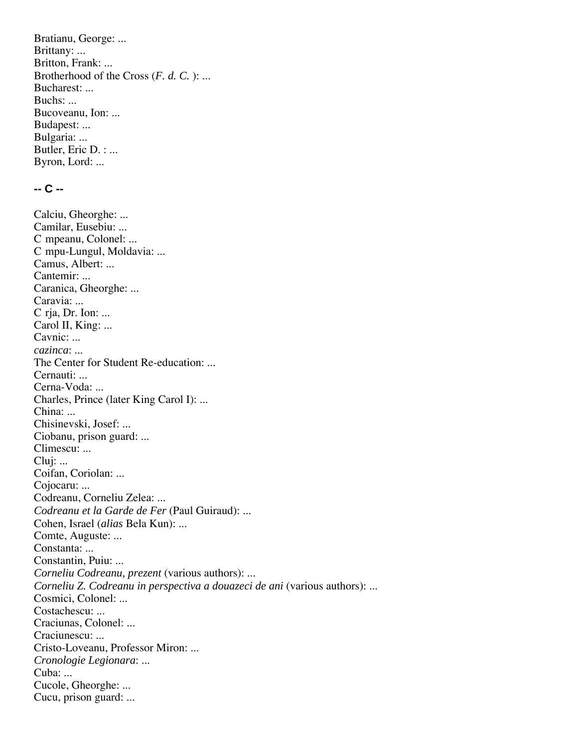Bratianu, George: ... Brittany: ... Britton, Frank: ... Brotherhood of the Cross (*F. d. C.* ): ... Bucharest: ... Buchs: ... Bucoveanu, Ion: ... Budapest: ... Bulgaria: ... Butler, Eric D. : ... Byron, Lord: ...

# **-- C --**

Calciu, Gheorghe: ... Camilar, Eusebiu: ... C mpeanu, Colonel: ... C mpu-Lungul, Moldavia: ... Camus, Albert: ... Cantemir: ... Caranica, Gheorghe: ... Caravia: ... C rja, Dr. Ion: ... Carol II, King: ... Cavnic: ... *cazinca*: ... The Center for Student Re-education: ... Cernauti: ... Cerna-Voda: ... Charles, Prince (later King Carol I): ... China: ... Chisinevski, Josef: ... Ciobanu, prison guard: ... Climescu: ... Cluj: ... Coifan, Coriolan: ... Cojocaru: ... Codreanu, Corneliu Zelea: ... *Codreanu et la Garde de Fer* (Paul Guiraud): ... Cohen, Israel (*alias* Bela Kun): ... Comte, Auguste: ... Constanta: ... Constantin, Puiu: ... *Corneliu Codreanu, prezent* (various authors): ... *Corneliu Z. Codreanu in perspectiva a douazeci de ani* (various authors): ... Cosmici, Colonel: ... Costachescu: ... Craciunas, Colonel: ... Craciunescu: ... Cristo-Loveanu, Professor Miron: ... *Cronologie Legionara*: ... Cuba: ... Cucole, Gheorghe: ... Cucu, prison guard: ...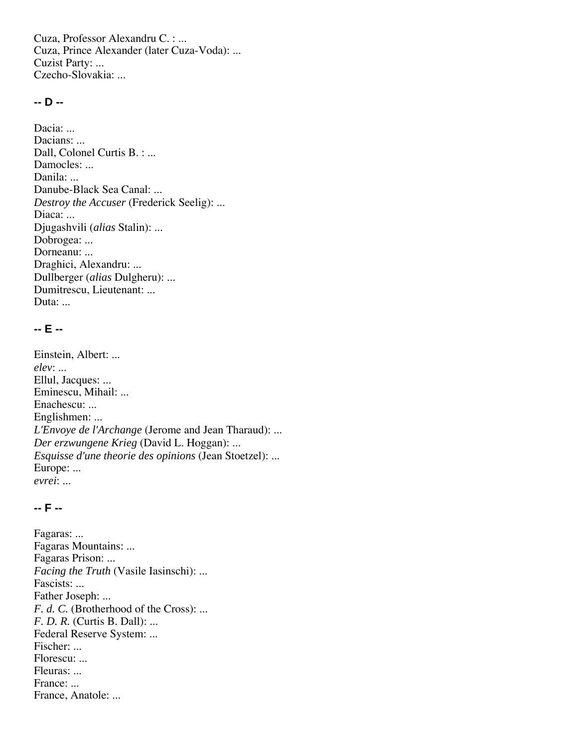Cuza, Professor Alexandru C. : ... Cuza, Prince Alexander (later Cuza-Voda): ... Cuzist Party: ... Czecho-Slovakia: ...

# **-- D --**

Dacia: ... Dacians: ... Dall, Colonel Curtis B. : ... Damocles: ... Danila: ... Danube-Black Sea Canal: ... *Destroy the Accuser* (Frederick Seelig): ... Diaca: ... Djugashvili (*alias* Stalin): ... Dobrogea: ... Dorneanu: ... Draghici, Alexandru: ... Dullberger (*alias* Dulgheru): ... Dumitrescu, Lieutenant: ... Duta: ...

# **-- E --**

Einstein, Albert: ... *elev*: ... Ellul, Jacques: ... Eminescu, Mihail: ... Enachescu: ... Englishmen: ... *L'Envoye de l'Archange* (Jerome and Jean Tharaud): ... *Der erzwungene Krieg* (David L. Hoggan): ... *Esquisse d'une theorie des opinions* (Jean Stoetzel): ... Europe: ... *evrei*: ...

# **-- F --**

Fagaras: ... Fagaras Mountains: ... Fagaras Prison: ... *Facing the Truth* (Vasile Iasinschi): ... Fascists: ... Father Joseph: ... *F. d. C.* (Brotherhood of the Cross): ... *F. D. R.* (Curtis B. Dall): ... Federal Reserve System: ... Fischer: ... Florescu: ... Fleuras: ... France: ... France, Anatole: ...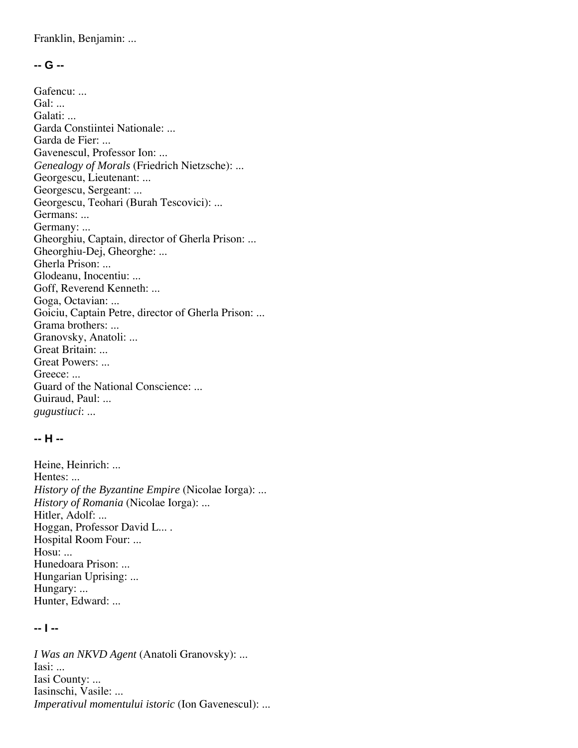Franklin, Benjamin: ...

# **-- G --**

Gafencu: ... Gal: ... Galati: ... Garda Constiintei Nationale: ... Garda de Fier: ... Gavenescul, Professor Ion: ... *Genealogy of Morals* (Friedrich Nietzsche): ... Georgescu, Lieutenant: ... Georgescu, Sergeant: ... Georgescu, Teohari (Burah Tescovici): ... Germans: ... Germany: ... Gheorghiu, Captain, director of Gherla Prison: ... Gheorghiu-Dej, Gheorghe: ... Gherla Prison: ... Glodeanu, Inocentiu: ... Goff, Reverend Kenneth: ... Goga, Octavian: ... Goiciu, Captain Petre, director of Gherla Prison: ... Grama brothers: ... Granovsky, Anatoli: ... Great Britain: ... Great Powers: ... Greece: ... Guard of the National Conscience: ... Guiraud, Paul: ... *gugustiuci*: ...

# **-- H --**

Heine, Heinrich: ... Hentes: ... *History of the Byzantine Empire* (Nicolae Iorga): ... *History of Romania* (Nicolae Iorga): ... Hitler, Adolf: ... Hoggan, Professor David L... . Hospital Room Four: ... Hosu: ... Hunedoara Prison: ... Hungarian Uprising: ... Hungary: ... Hunter, Edward: ...

# **-- I --**

*I Was an NKVD Agent* (Anatoli Granovsky): ... Iasi: ... Iasi County: ... Iasinschi, Vasile: ... *Imperativul momentului istoric* (Ion Gavenescul): ...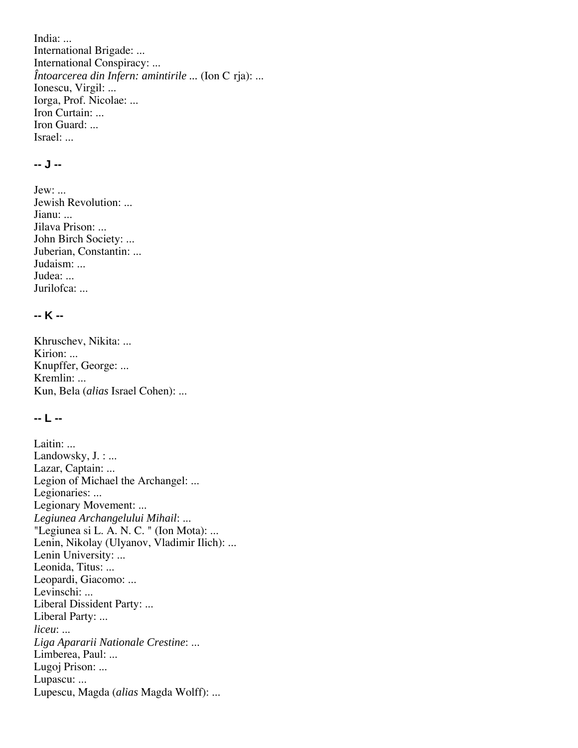India: ... International Brigade: ... International Conspiracy: ... *Întoarcerea din Infern: amintirile ...* (Ion C rja): ... Ionescu, Virgil: ... Iorga, Prof. Nicolae: ... Iron Curtain: ... Iron Guard: ... Israel: ...

#### **-- J --**

Jew: ... Jewish Revolution: ... Jianu: ... Jilava Prison: ... John Birch Society: ... Juberian, Constantin: ... Judaism: ... Judea: ... Jurilofca: ...

#### **-- K --**

Khruschev, Nikita: ... Kirion: ... Knupffer, George: ... Kremlin: ... Kun, Bela (*alias* Israel Cohen): ...

#### **-- L --**

Laitin: ... Landowsky, J. : ... Lazar, Captain: ... Legion of Michael the Archangel: ... Legionaries: ... Legionary Movement: ... *Legiunea Archangelului Mihail*: ... "Legiunea si L. A. N. C. " (Ion Mota): ... Lenin, Nikolay (Ulyanov, Vladimir Ilich): ... Lenin University: ... Leonida, Titus: ... Leopardi, Giacomo: ... Levinschi: ... Liberal Dissident Party: ... Liberal Party: ... *liceu*: ... *Liga Apararii Nationale Crestine*: ... Limberea, Paul: ... Lugoj Prison: ... Lupascu: ... Lupescu, Magda (*alias* Magda Wolff): ...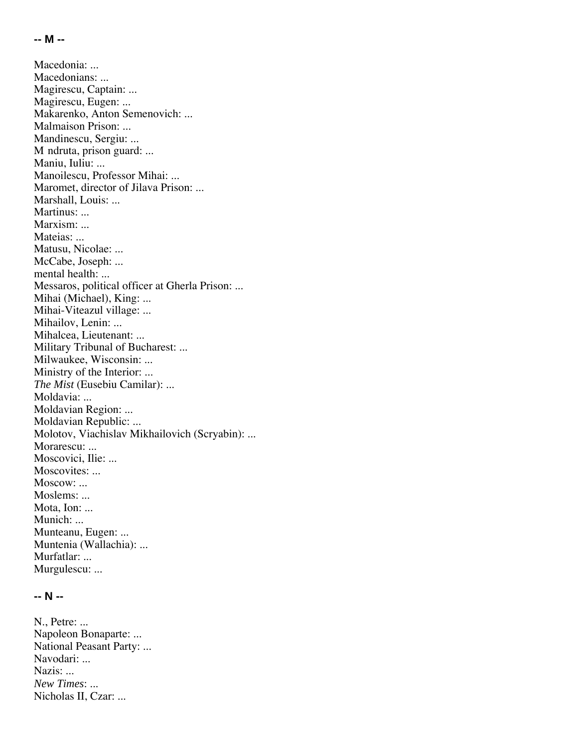#### **-- M --**

Macedonia: ... Macedonians: ... Magirescu, Captain: ... Magirescu, Eugen: ... Makarenko, Anton Semenovich: ... Malmaison Prison: ... Mandinescu, Sergiu: ... M ndruta, prison guard: ... Maniu, Iuliu: ... Manoilescu, Professor Mihai: ... Maromet, director of Jilava Prison: ... Marshall, Louis: ... Martinus: ... Marxism: ... Mateias: ... Matusu, Nicolae: ... McCabe, Joseph: ... mental health: ... Messaros, political officer at Gherla Prison: ... Mihai (Michael), King: ... Mihai-Viteazul village: ... Mihailov, Lenin: ... Mihalcea, Lieutenant: ... Military Tribunal of Bucharest: ... Milwaukee, Wisconsin: ... Ministry of the Interior: ... *The Mist* (Eusebiu Camilar): ... Moldavia: ... Moldavian Region: ... Moldavian Republic: ... Molotov, Viachislav Mikhailovich (Scryabin): ... Morarescu: ... Moscovici, Ilie: ... Moscovites: ... Moscow: ... Moslems: ... Mota, Ion: ... Munich: ... Munteanu, Eugen: ... Muntenia (Wallachia): ... Murfatlar: ... Murgulescu: ...

#### **-- N --**

N., Petre: ... Napoleon Bonaparte: ... National Peasant Party: ... Navodari: ... Nazis: ... *New Times*: ... Nicholas II, Czar: ...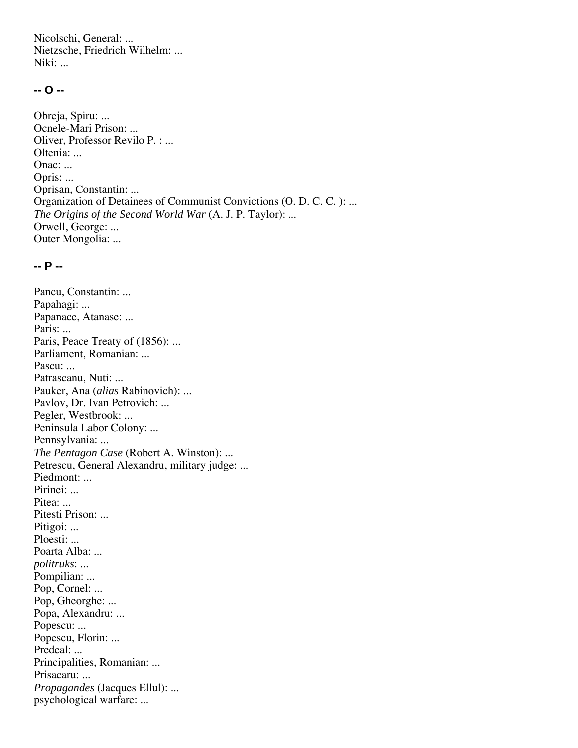Nicolschi, General: ... Nietzsche, Friedrich Wilhelm: ... Niki: ...

#### **-- O --**

Obreja, Spiru: ... Ocnele-Mari Prison: ... Oliver, Professor Revilo P. : ... Oltenia: ... Onac: ... Opris: ... Oprisan, Constantin: ... Organization of Detainees of Communist Convictions (O. D. C. C. ): ... *The Origins of the Second World War* (A. J. P. Taylor): ... Orwell, George: ... Outer Mongolia: ...

#### **-- P --**

Pancu, Constantin: ... Papahagi: ... Papanace, Atanase: ... Paris: ... Paris, Peace Treaty of (1856): ... Parliament, Romanian: ... Pascu: ... Patrascanu, Nuti: ... Pauker, Ana (*alias* Rabinovich): ... Pavlov, Dr. Ivan Petrovich: ... Pegler, Westbrook: ... Peninsula Labor Colony: ... Pennsylvania: ... *The Pentagon Case* (Robert A. Winston): ... Petrescu, General Alexandru, military judge: ... Piedmont: ... Pirinei: ... Pitea: ... Pitesti Prison: ... Pitigoi: ... Ploesti: ... Poarta Alba: ... *politruks*: ... Pompilian: ... Pop, Cornel: ... Pop, Gheorghe: ... Popa, Alexandru: ... Popescu: ... Popescu, Florin: ... Predeal: ... Principalities, Romanian: ... Prisacaru: ... *Propagandes* (Jacques Ellul): ... psychological warfare: ...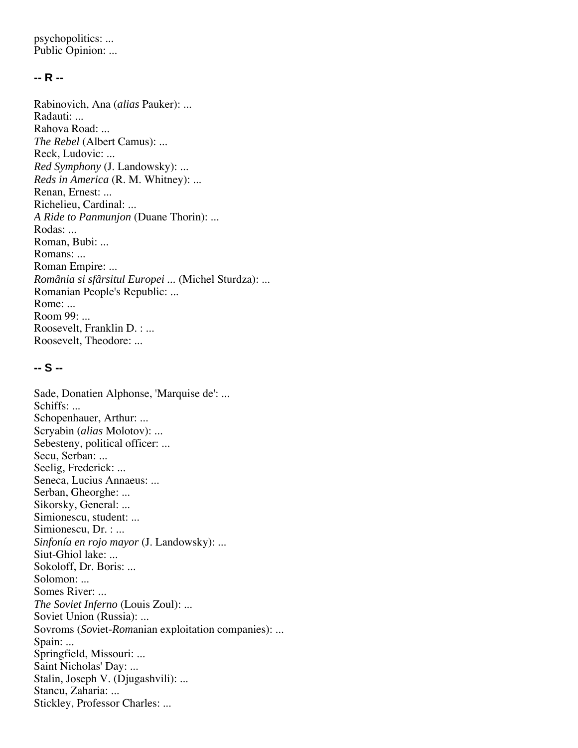psychopolitics: ... Public Opinion: ...

#### **-- R --**

Rabinovich, Ana (*alias* Pauker): ... Radauti: ... Rahova Road: ... *The Rebel* (Albert Camus): ... Reck, Ludovic: ... *Red Symphony* (J. Landowsky): ... *Reds in America* (R. M. Whitney): ... Renan, Ernest: ... Richelieu, Cardinal: ... *A Ride to Panmunjon* (Duane Thorin): ... Rodas: ... Roman, Bubi: ... Romans: ... Roman Empire: ... *România si sfârsitul Europei ...* (Michel Sturdza): ... Romanian People's Republic: ... Rome: ... Room 99: ... Roosevelt, Franklin D. : ... Roosevelt, Theodore: ...

# **-- S --**

Sade, Donatien Alphonse, 'Marquise de': ... Schiffs: ... Schopenhauer, Arthur: ... Scryabin (*alias* Molotov): ... Sebesteny, political officer: ... Secu, Serban: ... Seelig, Frederick: ... Seneca, Lucius Annaeus: ... Serban, Gheorghe: ... Sikorsky, General: ... Simionescu, student: ... Simionescu, Dr. : ... *Sinfonía en rojo mayor* (J. Landowsky): ... Siut-Ghiol lake: ... Sokoloff, Dr. Boris: ... Solomon: ... Somes River: ... *The Soviet Inferno* (Louis Zoul): ... Soviet Union (Russia): ... Sovroms (*Sov*iet*-Rom*anian exploitation companies): ... Spain: ... Springfield, Missouri: ... Saint Nicholas' Day: ... Stalin, Joseph V. (Djugashvili): ... Stancu, Zaharia: ... Stickley, Professor Charles: ...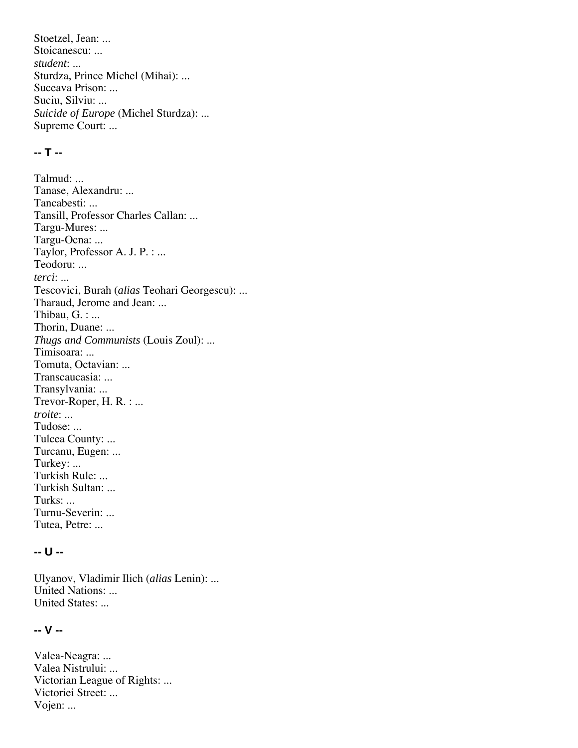Stoetzel, Jean: ... Stoicanescu: ... *student*: ... Sturdza, Prince Michel (Mihai): ... Suceava Prison: ... Suciu, Silviu: ... *Suicide of Europe* (Michel Sturdza): ... Supreme Court: ...

### **-- T --**

Talmud: ... Tanase, Alexandru: ... Tancabesti: ... Tansill, Professor Charles Callan: ... Targu-Mures: ... Targu-Ocna: ... Taylor, Professor A. J. P. : ... Teodoru: ... *terci*: ... Tescovici, Burah (*alias* Teohari Georgescu): ... Tharaud, Jerome and Jean: ... Thibau, G. : ... Thorin, Duane: ... *Thugs and Communists* (Louis Zoul): ... Timisoara: ... Tomuta, Octavian: ... Transcaucasia: ... Transylvania: ... Trevor-Roper, H. R. : ... *troite*: ... Tudose: ... Tulcea County: ... Turcanu, Eugen: ... Turkey: ... Turkish Rule: ... Turkish Sultan: ... Turks: ... Turnu-Severin: ... Tutea, Petre: ...

#### **-- U --**

Ulyanov, Vladimir Ilich (*alias* Lenin): ... United Nations: ... United States: ...

### **-- V --**

Valea-Neagra: ... Valea Nistrului: ... Victorian League of Rights: ... Victoriei Street: ... Vojen: ...